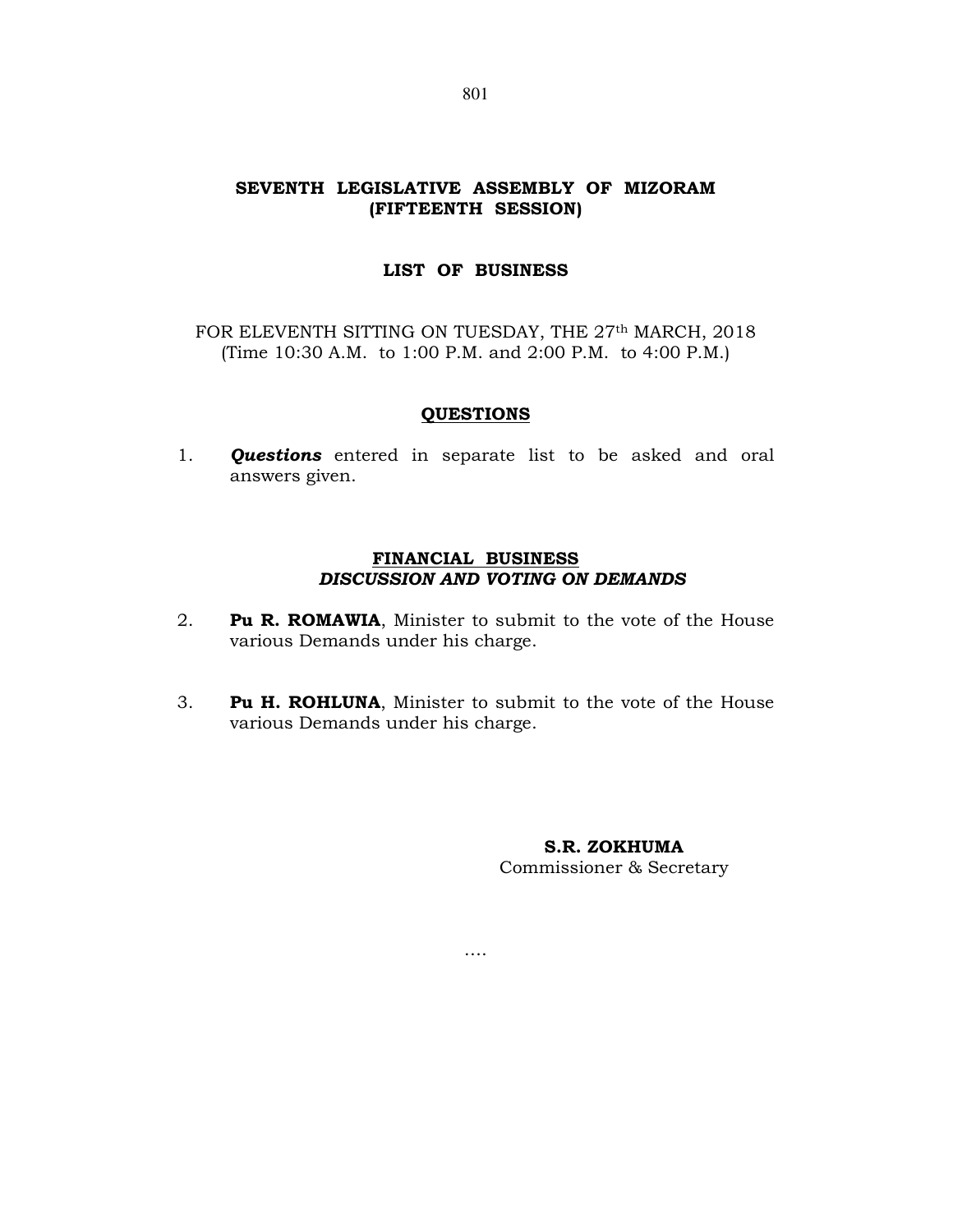# SEVENTH LEGISLATIVE ASSEMBLY OF MIZORAM (FIFTEENTH SESSION)

# LIST OF BUSINESS

FOR ELEVENTH SITTING ON TUESDAY, THE 27<sup>th</sup> MARCH, 2018 (Time 10:30 A.M. to 1:00 P.M. and 2:00 P.M. to 4:00 P.M.)

## QUESTIONS

1. **Questions** entered in separate list to be asked and oral answers given.

## FINANCIAL BUSINESS DISCUSSION AND VOTING ON DEMANDS

- 2. **Pu R. ROMAWIA**, Minister to submit to the vote of the House various Demands under his charge.
- 3. Pu H. ROHLUNA, Minister to submit to the vote of the House various Demands under his charge.

….

S.R. ZOKHUMA

Commissioner & Secretary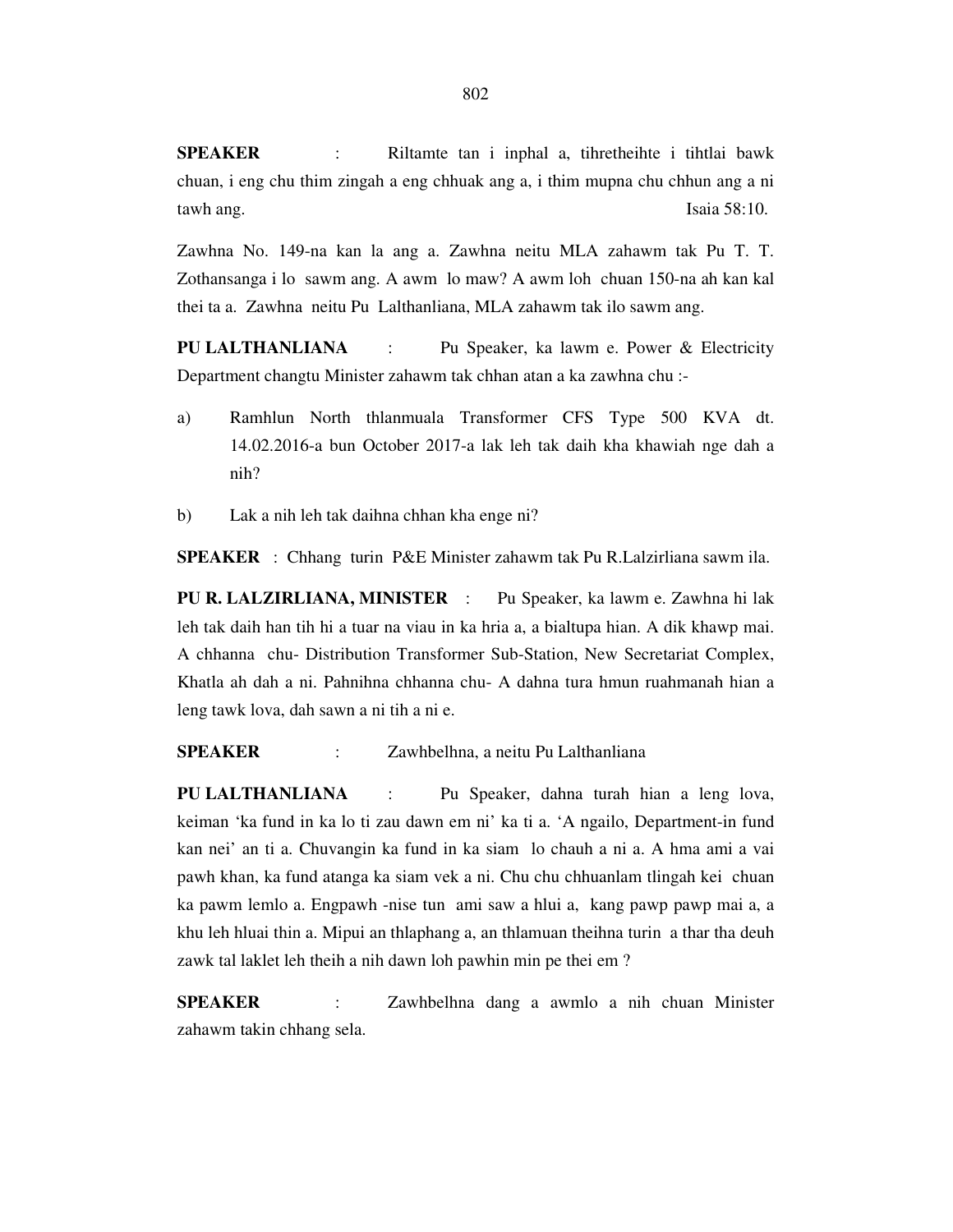**SPEAKER** : Riltamte tan i inphal a, tihretheihte i tihtlai bawk chuan, i eng chu thim zingah a eng chhuak ang a, i thim mupna chu chhun ang a ni tawh ang. Isaia 58:10.

Zawhna No. 149-na kan la ang a. Zawhna neitu MLA zahawm tak Pu T. T. Zothansanga i lo sawm ang. A awm lo maw? A awm loh chuan 150-na ah kan kal thei ta a. Zawhna neitu Pu Lalthanliana, MLA zahawm tak ilo sawm ang.

**PU LALTHANLIANA** : Pu Speaker, ka lawm e. Power & Electricity Department changtu Minister zahawm tak chhan atan a ka zawhna chu :-

- a) Ramhlun North thlanmuala Transformer CFS Type 500 KVA dt. 14.02.2016-a bun October 2017-a lak leh tak daih kha khawiah nge dah a nih?
- b) Lak a nih leh tak daihna chhan kha enge ni?

**SPEAKER** : Chhang turin P&E Minister zahawm tak Pu R.Lalzirliana sawm ila.

**PU R. LALZIRLIANA, MINISTER** : Pu Speaker, ka lawm e. Zawhna hi lak leh tak daih han tih hi a tuar na viau in ka hria a, a bialtupa hian. A dik khawp mai. A chhanna chu- Distribution Transformer Sub-Station, New Secretariat Complex, Khatla ah dah a ni. Pahnihna chhanna chu- A dahna tura hmun ruahmanah hian a leng tawk lova, dah sawn a ni tih a ni e.

**SPEAKER** : Zawhbelhna, a neitu Pu Lalthanliana

**PU LALTHANLIANA** : Pu Speaker, dahna turah hian a leng lova, keiman 'ka fund in ka lo ti zau dawn em ni' ka ti a. 'A ngailo, Department-in fund kan nei' an ti a. Chuvangin ka fund in ka siam lo chauh a ni a. A hma ami a vai pawh khan, ka fund atanga ka siam vek a ni. Chu chu chhuanlam tlingah kei chuan ka pawm lemlo a. Engpawh -nise tun ami saw a hlui a, kang pawp pawp mai a, a khu leh hluai thin a. Mipui an thlaphang a, an thlamuan theihna turin a thar tha deuh zawk tal laklet leh theih a nih dawn loh pawhin min pe thei em ?

**SPEAKER** : Zawhbelhna dang a awmlo a nih chuan Minister zahawm takin chhang sela.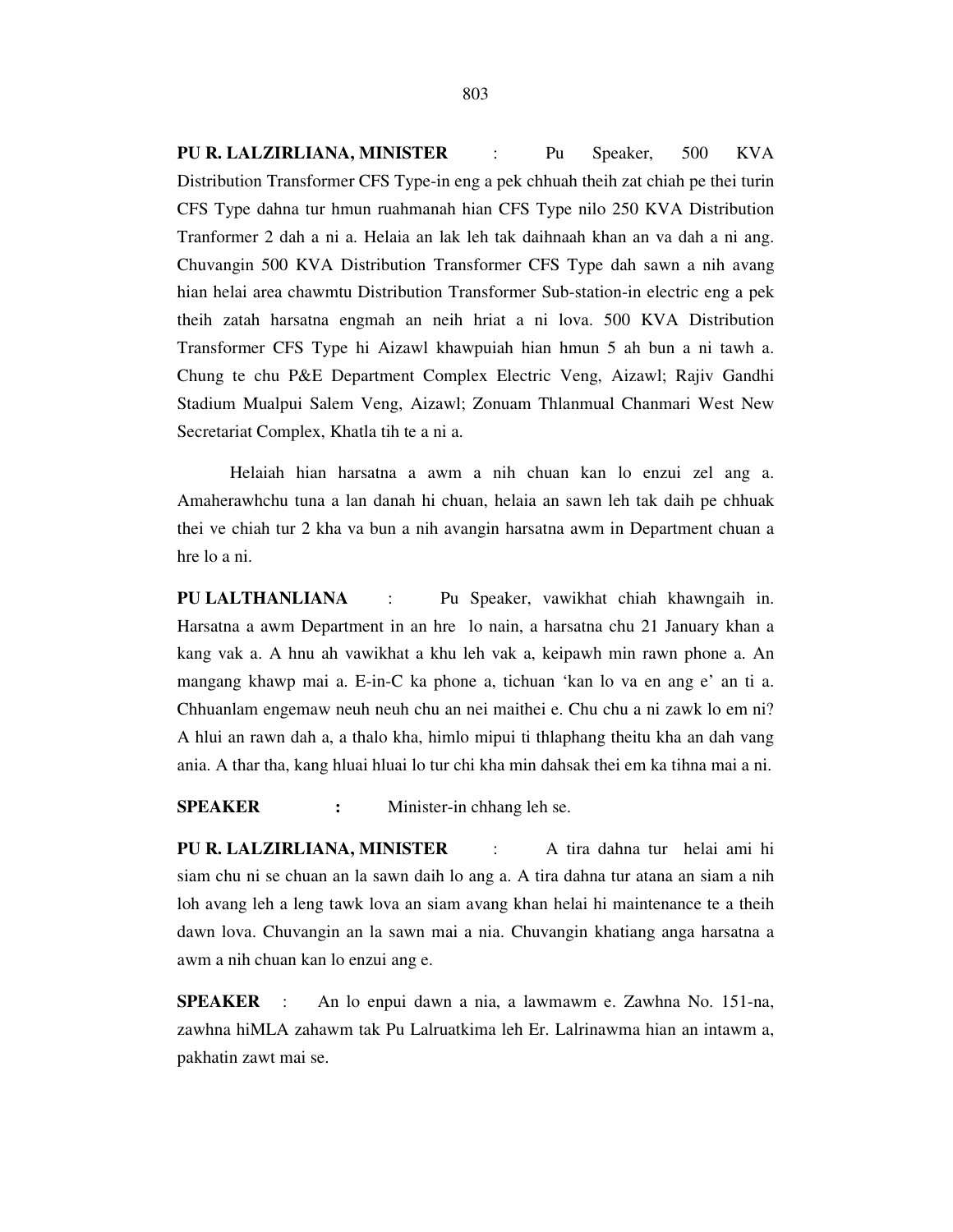**PU R. LALZIRLIANA, MINISTER** : Pu Speaker, 500 KVA Distribution Transformer CFS Type-in eng a pek chhuah theih zat chiah pe thei turin CFS Type dahna tur hmun ruahmanah hian CFS Type nilo 250 KVA Distribution Tranformer 2 dah a ni a. Helaia an lak leh tak daihnaah khan an va dah a ni ang. Chuvangin 500 KVA Distribution Transformer CFS Type dah sawn a nih avang hian helai area chawmtu Distribution Transformer Sub-station-in electric eng a pek theih zatah harsatna engmah an neih hriat a ni lova. 500 KVA Distribution Transformer CFS Type hi Aizawl khawpuiah hian hmun 5 ah bun a ni tawh a. Chung te chu P&E Department Complex Electric Veng, Aizawl; Rajiv Gandhi Stadium Mualpui Salem Veng, Aizawl; Zonuam Thlanmual Chanmari West New Secretariat Complex, Khatla tih te a ni a.

 Helaiah hian harsatna a awm a nih chuan kan lo enzui zel ang a. Amaherawhchu tuna a lan danah hi chuan, helaia an sawn leh tak daih pe chhuak thei ve chiah tur 2 kha va bun a nih avangin harsatna awm in Department chuan a hre lo a ni.

**PU LALTHANLIANA** : Pu Speaker, vawikhat chiah khawngaih in. Harsatna a awm Department in an hre lo nain, a harsatna chu 21 January khan a kang vak a. A hnu ah vawikhat a khu leh vak a, keipawh min rawn phone a. An mangang khawp mai a. E-in-C ka phone a, tichuan 'kan lo va en ang e' an ti a. Chhuanlam engemaw neuh neuh chu an nei maithei e. Chu chu a ni zawk lo em ni? A hlui an rawn dah a, a thalo kha, himlo mipui ti thlaphang theitu kha an dah vang ania. A thar tha, kang hluai hluai lo tur chi kha min dahsak thei em ka tihna mai a ni.

**SPEAKER** : Minister-in chhang leh se.

**PU R. LALZIRLIANA, MINISTER** : A tira dahna tur helai ami hi siam chu ni se chuan an la sawn daih lo ang a. A tira dahna tur atana an siam a nih loh avang leh a leng tawk lova an siam avang khan helai hi maintenance te a theih dawn lova. Chuvangin an la sawn mai a nia. Chuvangin khatiang anga harsatna a awm a nih chuan kan lo enzui ang e.

**SPEAKER** : An lo enpui dawn a nia, a lawmawm e. Zawhna No. 151-na, zawhna hiMLA zahawm tak Pu Lalruatkima leh Er. Lalrinawma hian an intawm a, pakhatin zawt mai se.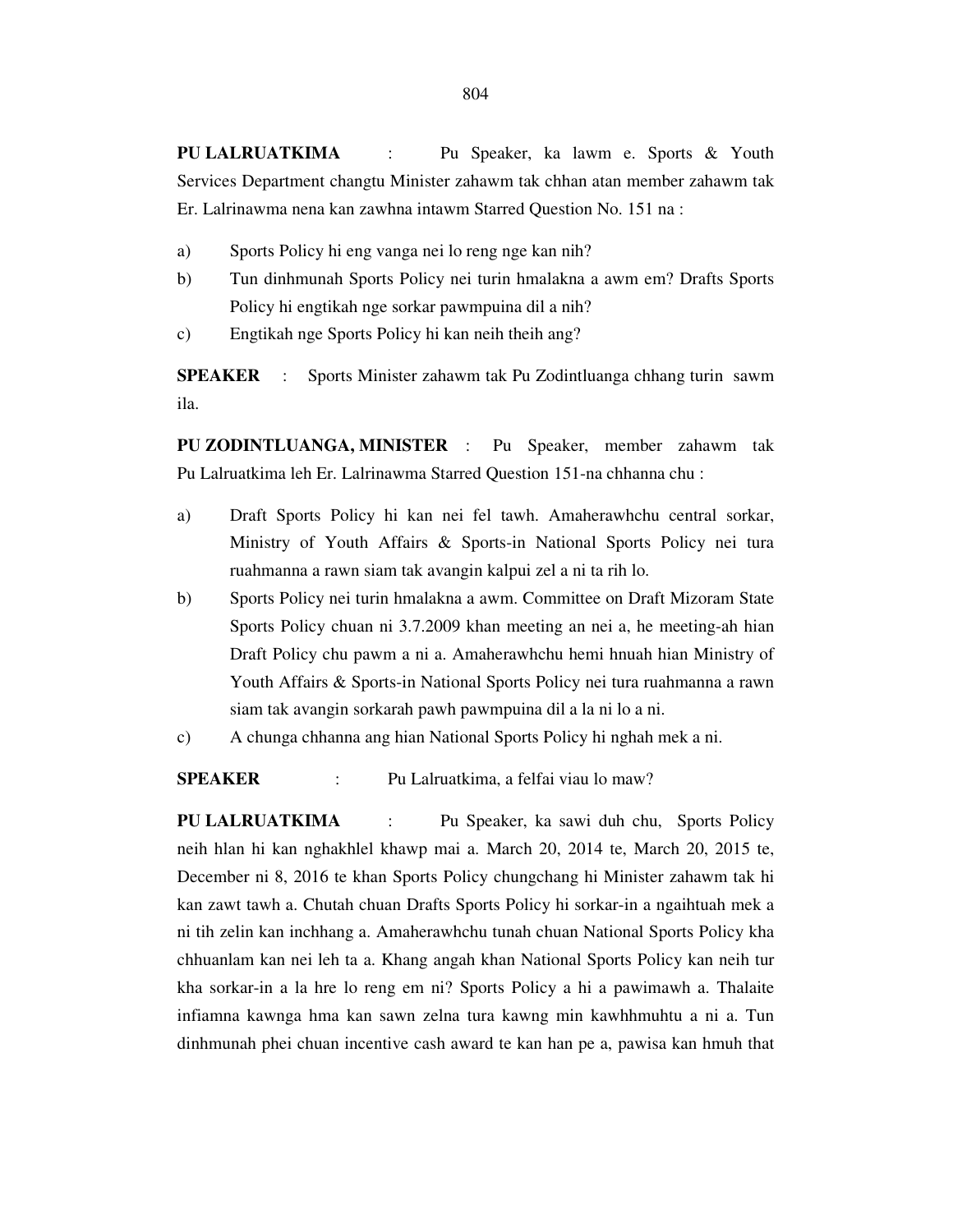**PU LALRUATKIMA** : Pu Speaker, ka lawm e. Sports & Youth Services Department changtu Minister zahawm tak chhan atan member zahawm tak Er. Lalrinawma nena kan zawhna intawm Starred Question No. 151 na :

- a) Sports Policy hi eng vanga nei lo reng nge kan nih?
- b) Tun dinhmunah Sports Policy nei turin hmalakna a awm em? Drafts Sports Policy hi engtikah nge sorkar pawmpuina dil a nih?
- c) Engtikah nge Sports Policy hi kan neih theih ang?

**SPEAKER** : Sports Minister zahawm tak Pu Zodintluanga chhang turin sawm ila.

**PU ZODINTLUANGA, MINISTER** : Pu Speaker, member zahawm tak Pu Lalruatkima leh Er. Lalrinawma Starred Question 151-na chhanna chu :

- a) Draft Sports Policy hi kan nei fel tawh. Amaherawhchu central sorkar, Ministry of Youth Affairs & Sports-in National Sports Policy nei tura ruahmanna a rawn siam tak avangin kalpui zel a ni ta rih lo.
- b) Sports Policy nei turin hmalakna a awm. Committee on Draft Mizoram State Sports Policy chuan ni 3.7.2009 khan meeting an nei a, he meeting-ah hian Draft Policy chu pawm a ni a. Amaherawhchu hemi hnuah hian Ministry of Youth Affairs & Sports-in National Sports Policy nei tura ruahmanna a rawn siam tak avangin sorkarah pawh pawmpuina dil a la ni lo a ni.
- c) A chunga chhanna ang hian National Sports Policy hi nghah mek a ni.

**SPEAKER** : Pu Lalruatkima, a felfai viau lo maw?

**PU LALRUATKIMA** : Pu Speaker, ka sawi duh chu, Sports Policy neih hlan hi kan nghakhlel khawp mai a. March 20, 2014 te, March 20, 2015 te, December ni 8, 2016 te khan Sports Policy chungchang hi Minister zahawm tak hi kan zawt tawh a. Chutah chuan Drafts Sports Policy hi sorkar-in a ngaihtuah mek a ni tih zelin kan inchhang a. Amaherawhchu tunah chuan National Sports Policy kha chhuanlam kan nei leh ta a. Khang angah khan National Sports Policy kan neih tur kha sorkar-in a la hre lo reng em ni? Sports Policy a hi a pawimawh a. Thalaite infiamna kawnga hma kan sawn zelna tura kawng min kawhhmuhtu a ni a. Tun dinhmunah phei chuan incentive cash award te kan han pe a, pawisa kan hmuh that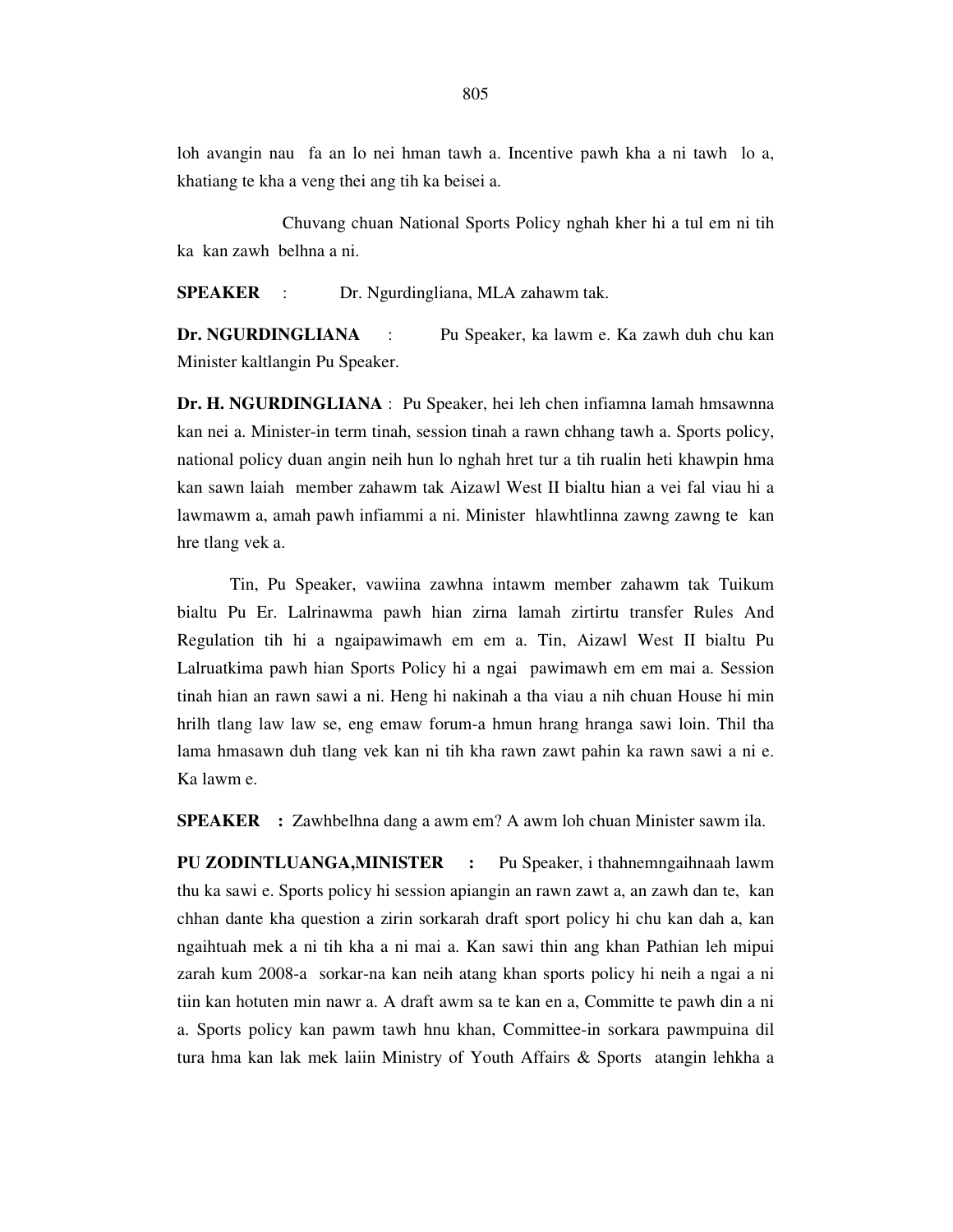loh avangin nau fa an lo nei hman tawh a. Incentive pawh kha a ni tawh lo a, khatiang te kha a veng thei ang tih ka beisei a.

 Chuvang chuan National Sports Policy nghah kher hi a tul em ni tih ka kan zawh belhna a ni.

**SPEAKER** : Dr. Ngurdingliana, MLA zahawm tak.

**Dr. NGURDINGLIANA** : Pu Speaker, ka lawm e. Ka zawh duh chu kan Minister kaltlangin Pu Speaker.

**Dr. H. NGURDINGLIANA** : Pu Speaker, hei leh chen infiamna lamah hmsawnna kan nei a. Minister-in term tinah, session tinah a rawn chhang tawh a. Sports policy, national policy duan angin neih hun lo nghah hret tur a tih rualin heti khawpin hma kan sawn laiah member zahawm tak Aizawl West II bialtu hian a vei fal viau hi a lawmawm a, amah pawh infiammi a ni. Minister hlawhtlinna zawng zawng te kan hre tlang vek a.

 Tin, Pu Speaker, vawiina zawhna intawm member zahawm tak Tuikum bialtu Pu Er. Lalrinawma pawh hian zirna lamah zirtirtu transfer Rules And Regulation tih hi a ngaipawimawh em em a. Tin, Aizawl West II bialtu Pu Lalruatkima pawh hian Sports Policy hi a ngai pawimawh em em mai a. Session tinah hian an rawn sawi a ni. Heng hi nakinah a tha viau a nih chuan House hi min hrilh tlang law law se, eng emaw forum-a hmun hrang hranga sawi loin. Thil tha lama hmasawn duh tlang vek kan ni tih kha rawn zawt pahin ka rawn sawi a ni e. Ka lawm e.

**SPEAKER :** Zawhbelhna dang a awm em? A awm loh chuan Minister sawm ila.

**PU ZODINTLUANGA,MINISTER :** Pu Speaker, i thahnemngaihnaah lawm thu ka sawi e. Sports policy hi session apiangin an rawn zawt a, an zawh dan te, kan chhan dante kha question a zirin sorkarah draft sport policy hi chu kan dah a, kan ngaihtuah mek a ni tih kha a ni mai a. Kan sawi thin ang khan Pathian leh mipui zarah kum 2008-a sorkar-na kan neih atang khan sports policy hi neih a ngai a ni tiin kan hotuten min nawr a. A draft awm sa te kan en a, Committe te pawh din a ni a. Sports policy kan pawm tawh hnu khan, Committee-in sorkara pawmpuina dil tura hma kan lak mek laiin Ministry of Youth Affairs & Sports atangin lehkha a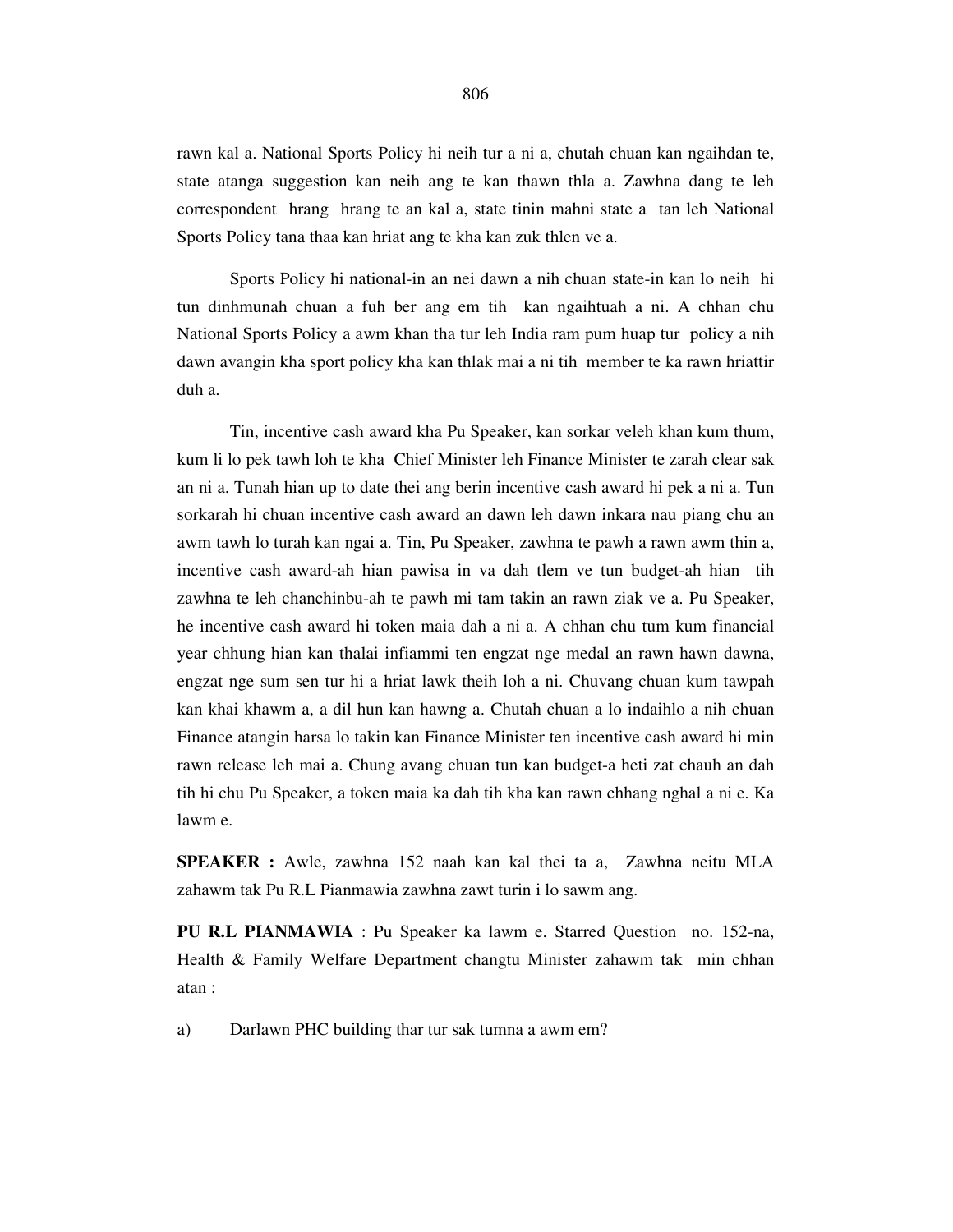rawn kal a. National Sports Policy hi neih tur a ni a, chutah chuan kan ngaihdan te, state atanga suggestion kan neih ang te kan thawn thla a. Zawhna dang te leh correspondent hrang hrang te an kal a, state tinin mahni state a tan leh National Sports Policy tana thaa kan hriat ang te kha kan zuk thlen ve a.

 Sports Policy hi national-in an nei dawn a nih chuan state-in kan lo neih hi tun dinhmunah chuan a fuh ber ang em tih kan ngaihtuah a ni. A chhan chu National Sports Policy a awm khan tha tur leh India ram pum huap tur policy a nih dawn avangin kha sport policy kha kan thlak mai a ni tih member te ka rawn hriattir duh a.

 Tin, incentive cash award kha Pu Speaker, kan sorkar veleh khan kum thum, kum li lo pek tawh loh te kha Chief Minister leh Finance Minister te zarah clear sak an ni a. Tunah hian up to date thei ang berin incentive cash award hi pek a ni a. Tun sorkarah hi chuan incentive cash award an dawn leh dawn inkara nau piang chu an awm tawh lo turah kan ngai a. Tin, Pu Speaker, zawhna te pawh a rawn awm thin a, incentive cash award-ah hian pawisa in va dah tlem ve tun budget-ah hian tih zawhna te leh chanchinbu-ah te pawh mi tam takin an rawn ziak ve a. Pu Speaker, he incentive cash award hi token maia dah a ni a. A chhan chu tum kum financial year chhung hian kan thalai infiammi ten engzat nge medal an rawn hawn dawna, engzat nge sum sen tur hi a hriat lawk theih loh a ni. Chuvang chuan kum tawpah kan khai khawm a, a dil hun kan hawng a. Chutah chuan a lo indaihlo a nih chuan Finance atangin harsa lo takin kan Finance Minister ten incentive cash award hi min rawn release leh mai a. Chung avang chuan tun kan budget-a heti zat chauh an dah tih hi chu Pu Speaker, a token maia ka dah tih kha kan rawn chhang nghal a ni e. Ka lawm e.

**SPEAKER :** Awle, zawhna 152 naah kan kal thei ta a, Zawhna neitu MLA zahawm tak Pu R.L Pianmawia zawhna zawt turin i lo sawm ang.

**PU R.L PIANMAWIA** : Pu Speaker ka lawm e. Starred Question no. 152-na, Health & Family Welfare Department changtu Minister zahawm tak min chhan atan :

a) Darlawn PHC building thar tur sak tumna a awm em?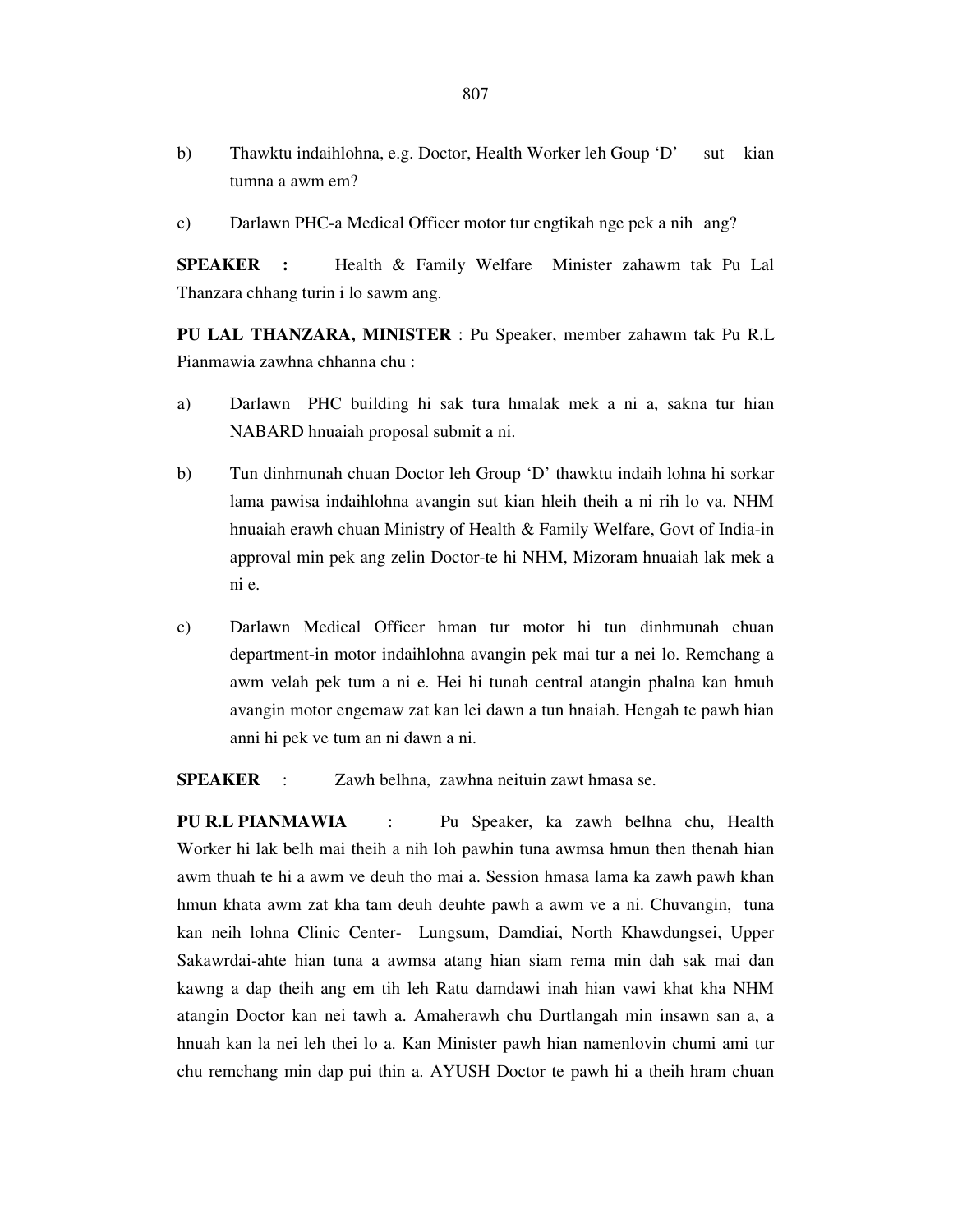- b) Thawktu indaihlohna, e.g. Doctor, Health Worker leh Goup 'D' sut kian tumna a awm em?
- c) Darlawn PHC-a Medical Officer motor tur engtikah nge pek a nih ang?

**SPEAKER :** Health & Family Welfare Minister zahawm tak Pu Lal Thanzara chhang turin i lo sawm ang.

**PU LAL THANZARA, MINISTER** : Pu Speaker, member zahawm tak Pu R.L Pianmawia zawhna chhanna chu :

- a) Darlawn PHC building hi sak tura hmalak mek a ni a, sakna tur hian NABARD hnuaiah proposal submit a ni.
- b) Tun dinhmunah chuan Doctor leh Group 'D' thawktu indaih lohna hi sorkar lama pawisa indaihlohna avangin sut kian hleih theih a ni rih lo va. NHM hnuaiah erawh chuan Ministry of Health & Family Welfare, Govt of India-in approval min pek ang zelin Doctor-te hi NHM, Mizoram hnuaiah lak mek a ni e.
- c) Darlawn Medical Officer hman tur motor hi tun dinhmunah chuan department-in motor indaihlohna avangin pek mai tur a nei lo. Remchang a awm velah pek tum a ni e. Hei hi tunah central atangin phalna kan hmuh avangin motor engemaw zat kan lei dawn a tun hnaiah. Hengah te pawh hian anni hi pek ve tum an ni dawn a ni.

**SPEAKER** : Zawh belhna, zawhna neituin zawt hmasa se.

**PU R.L PIANMAWIA** : Pu Speaker, ka zawh belhna chu, Health Worker hi lak belh mai theih a nih loh pawhin tuna awmsa hmun then thenah hian awm thuah te hi a awm ve deuh tho mai a. Session hmasa lama ka zawh pawh khan hmun khata awm zat kha tam deuh deuhte pawh a awm ve a ni. Chuvangin, tuna kan neih lohna Clinic Center- Lungsum, Damdiai, North Khawdungsei, Upper Sakawrdai-ahte hian tuna a awmsa atang hian siam rema min dah sak mai dan kawng a dap theih ang em tih leh Ratu damdawi inah hian vawi khat kha NHM atangin Doctor kan nei tawh a. Amaherawh chu Durtlangah min insawn san a, a hnuah kan la nei leh thei lo a. Kan Minister pawh hian namenlovin chumi ami tur chu remchang min dap pui thin a. AYUSH Doctor te pawh hi a theih hram chuan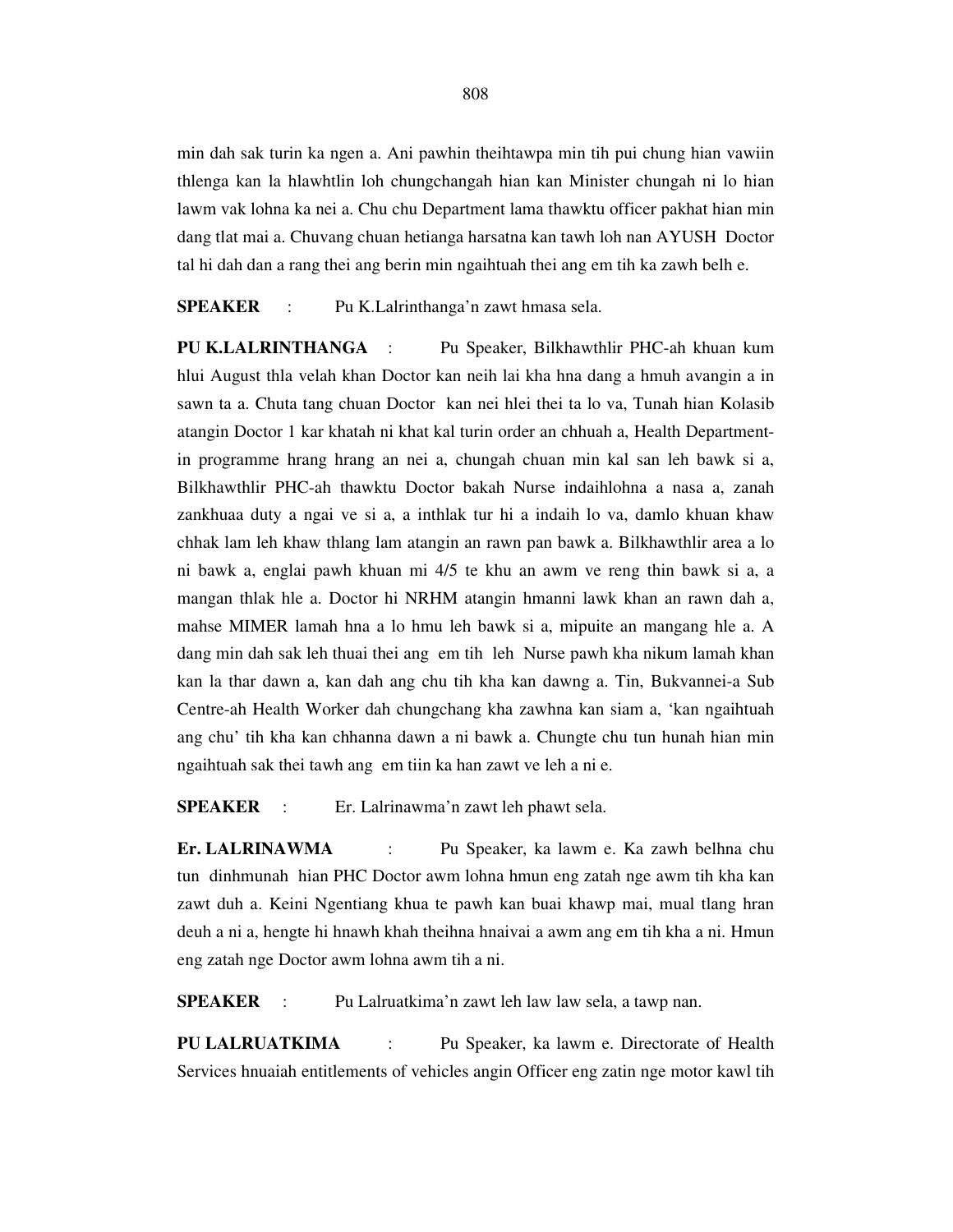min dah sak turin ka ngen a. Ani pawhin theihtawpa min tih pui chung hian vawiin thlenga kan la hlawhtlin loh chungchangah hian kan Minister chungah ni lo hian lawm vak lohna ka nei a. Chu chu Department lama thawktu officer pakhat hian min dang tlat mai a. Chuvang chuan hetianga harsatna kan tawh loh nan AYUSH Doctor tal hi dah dan a rang thei ang berin min ngaihtuah thei ang em tih ka zawh belh e.

**SPEAKER** : Pu K.Lalrinthanga'n zawt hmasa sela.

**PU K.LALRINTHANGA** : Pu Speaker, Bilkhawthlir PHC-ah khuan kum hlui August thla velah khan Doctor kan neih lai kha hna dang a hmuh avangin a in sawn ta a. Chuta tang chuan Doctor kan nei hlei thei ta lo va, Tunah hian Kolasib atangin Doctor 1 kar khatah ni khat kal turin order an chhuah a, Health Departmentin programme hrang hrang an nei a, chungah chuan min kal san leh bawk si a, Bilkhawthlir PHC-ah thawktu Doctor bakah Nurse indaihlohna a nasa a, zanah zankhuaa duty a ngai ve si a, a inthlak tur hi a indaih lo va, damlo khuan khaw chhak lam leh khaw thlang lam atangin an rawn pan bawk a. Bilkhawthlir area a lo ni bawk a, englai pawh khuan mi 4/5 te khu an awm ve reng thin bawk si a, a mangan thlak hle a. Doctor hi NRHM atangin hmanni lawk khan an rawn dah a, mahse MIMER lamah hna a lo hmu leh bawk si a, mipuite an mangang hle a. A dang min dah sak leh thuai thei ang em tih leh Nurse pawh kha nikum lamah khan kan la thar dawn a, kan dah ang chu tih kha kan dawng a. Tin, Bukvannei-a Sub Centre-ah Health Worker dah chungchang kha zawhna kan siam a, 'kan ngaihtuah ang chu' tih kha kan chhanna dawn a ni bawk a. Chungte chu tun hunah hian min ngaihtuah sak thei tawh ang em tiin ka han zawt ve leh a ni e.

**SPEAKER** : Er. Lalrinawma'n zawt leh phawt sela.

**Er. LALRINAWMA** : Pu Speaker, ka lawm e. Ka zawh belhna chu tun dinhmunah hian PHC Doctor awm lohna hmun eng zatah nge awm tih kha kan zawt duh a. Keini Ngentiang khua te pawh kan buai khawp mai, mual tlang hran deuh a ni a, hengte hi hnawh khah theihna hnaivai a awm ang em tih kha a ni. Hmun eng zatah nge Doctor awm lohna awm tih a ni.

**SPEAKER** : Pu Lalruatkima'n zawt leh law law sela, a tawp nan.

**PU LALRUATKIMA** : Pu Speaker, ka lawm e. Directorate of Health Services hnuaiah entitlements of vehicles angin Officer eng zatin nge motor kawl tih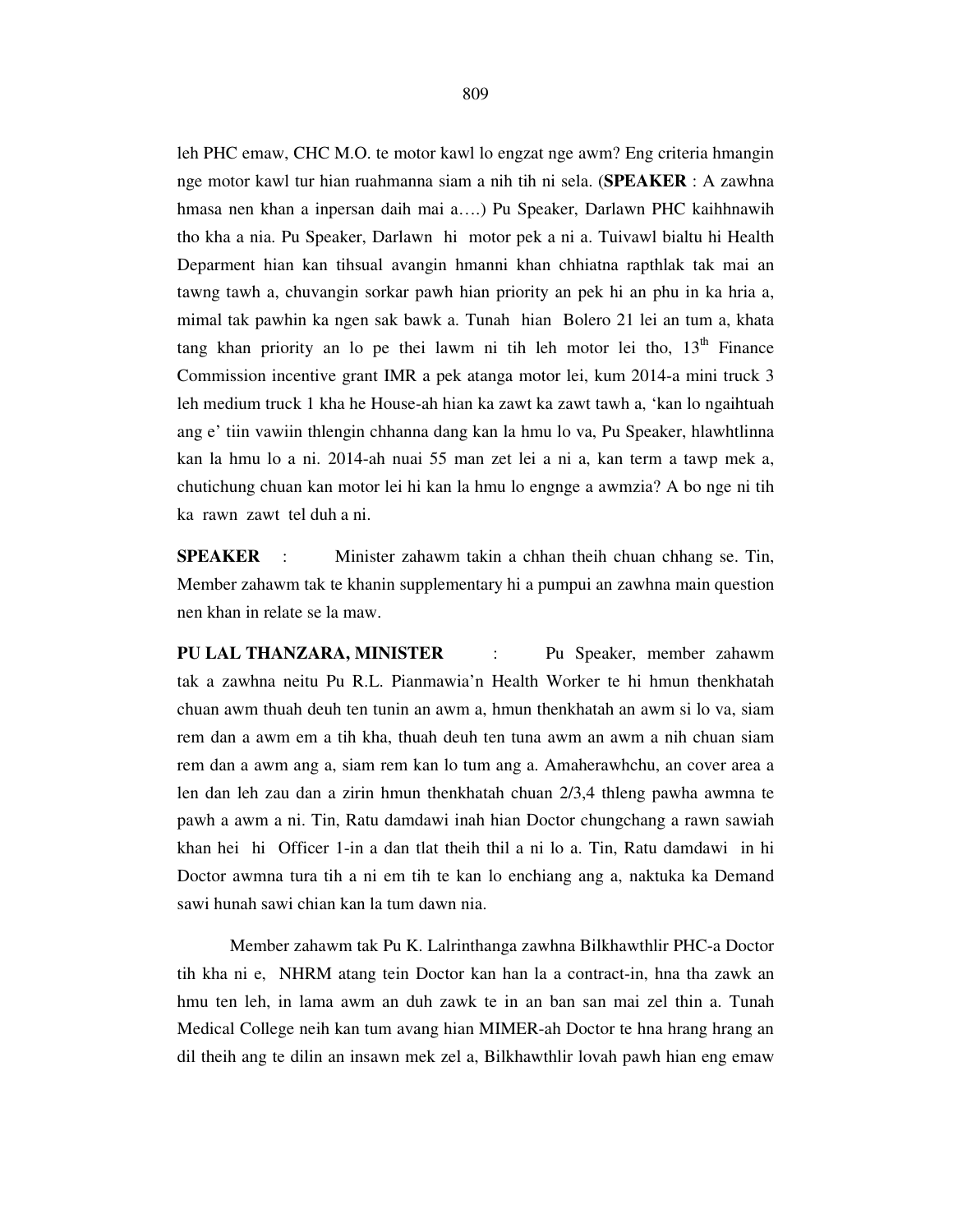leh PHC emaw, CHC M.O. te motor kawl lo engzat nge awm? Eng criteria hmangin nge motor kawl tur hian ruahmanna siam a nih tih ni sela. (**SPEAKER** : A zawhna hmasa nen khan a inpersan daih mai a….) Pu Speaker, Darlawn PHC kaihhnawih tho kha a nia. Pu Speaker, Darlawn hi motor pek a ni a. Tuivawl bialtu hi Health Deparment hian kan tihsual avangin hmanni khan chhiatna rapthlak tak mai an tawng tawh a, chuvangin sorkar pawh hian priority an pek hi an phu in ka hria a, mimal tak pawhin ka ngen sak bawk a. Tunah hian Bolero 21 lei an tum a, khata tang khan priority an lo pe thei lawm ni tih leh motor lei tho,  $13<sup>th</sup>$  Finance Commission incentive grant IMR a pek atanga motor lei, kum 2014-a mini truck 3 leh medium truck 1 kha he House-ah hian ka zawt ka zawt tawh a, 'kan lo ngaihtuah ang e' tiin vawiin thlengin chhanna dang kan la hmu lo va, Pu Speaker, hlawhtlinna kan la hmu lo a ni. 2014-ah nuai 55 man zet lei a ni a, kan term a tawp mek a, chutichung chuan kan motor lei hi kan la hmu lo engnge a awmzia? A bo nge ni tih ka rawn zawt tel duh a ni.

**SPEAKER** : Minister zahawm takin a chhan theih chuan chhang se. Tin, Member zahawm tak te khanin supplementary hi a pumpui an zawhna main question nen khan in relate se la maw.

**PU LAL THANZARA, MINISTER** : Pu Speaker, member zahawm tak a zawhna neitu Pu R.L. Pianmawia'n Health Worker te hi hmun thenkhatah chuan awm thuah deuh ten tunin an awm a, hmun thenkhatah an awm si lo va, siam rem dan a awm em a tih kha, thuah deuh ten tuna awm an awm a nih chuan siam rem dan a awm ang a, siam rem kan lo tum ang a. Amaherawhchu, an cover area a len dan leh zau dan a zirin hmun thenkhatah chuan 2/3,4 thleng pawha awmna te pawh a awm a ni. Tin, Ratu damdawi inah hian Doctor chungchang a rawn sawiah khan hei hi Officer 1-in a dan tlat theih thil a ni lo a. Tin, Ratu damdawi in hi Doctor awmna tura tih a ni em tih te kan lo enchiang ang a, naktuka ka Demand sawi hunah sawi chian kan la tum dawn nia.

 Member zahawm tak Pu K. Lalrinthanga zawhna Bilkhawthlir PHC-a Doctor tih kha ni e, NHRM atang tein Doctor kan han la a contract-in, hna tha zawk an hmu ten leh, in lama awm an duh zawk te in an ban san mai zel thin a. Tunah Medical College neih kan tum avang hian MIMER-ah Doctor te hna hrang hrang an dil theih ang te dilin an insawn mek zel a, Bilkhawthlir lovah pawh hian eng emaw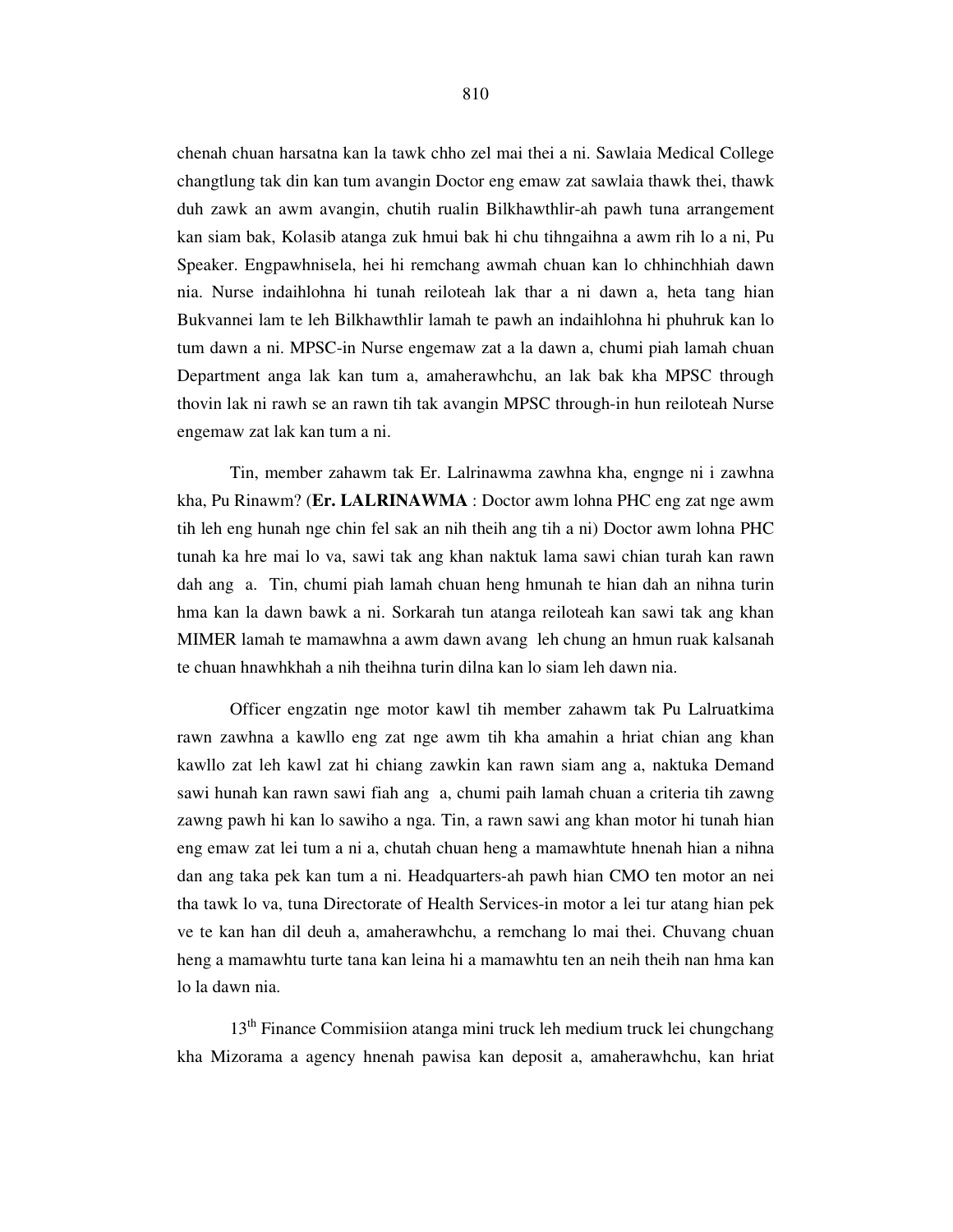chenah chuan harsatna kan la tawk chho zel mai thei a ni. Sawlaia Medical College changtlung tak din kan tum avangin Doctor eng emaw zat sawlaia thawk thei, thawk duh zawk an awm avangin, chutih rualin Bilkhawthlir-ah pawh tuna arrangement kan siam bak, Kolasib atanga zuk hmui bak hi chu tihngaihna a awm rih lo a ni, Pu Speaker. Engpawhnisela, hei hi remchang awmah chuan kan lo chhinchhiah dawn nia. Nurse indaihlohna hi tunah reiloteah lak thar a ni dawn a, heta tang hian Bukvannei lam te leh Bilkhawthlir lamah te pawh an indaihlohna hi phuhruk kan lo tum dawn a ni. MPSC-in Nurse engemaw zat a la dawn a, chumi piah lamah chuan Department anga lak kan tum a, amaherawhchu, an lak bak kha MPSC through thovin lak ni rawh se an rawn tih tak avangin MPSC through-in hun reiloteah Nurse engemaw zat lak kan tum a ni.

 Tin, member zahawm tak Er. Lalrinawma zawhna kha, engnge ni i zawhna kha, Pu Rinawm? (**Er. LALRINAWMA** : Doctor awm lohna PHC eng zat nge awm tih leh eng hunah nge chin fel sak an nih theih ang tih a ni) Doctor awm lohna PHC tunah ka hre mai lo va, sawi tak ang khan naktuk lama sawi chian turah kan rawn dah ang a. Tin, chumi piah lamah chuan heng hmunah te hian dah an nihna turin hma kan la dawn bawk a ni. Sorkarah tun atanga reiloteah kan sawi tak ang khan MIMER lamah te mamawhna a awm dawn avang leh chung an hmun ruak kalsanah te chuan hnawhkhah a nih theihna turin dilna kan lo siam leh dawn nia.

 Officer engzatin nge motor kawl tih member zahawm tak Pu Lalruatkima rawn zawhna a kawllo eng zat nge awm tih kha amahin a hriat chian ang khan kawllo zat leh kawl zat hi chiang zawkin kan rawn siam ang a, naktuka Demand sawi hunah kan rawn sawi fiah ang a, chumi paih lamah chuan a criteria tih zawng zawng pawh hi kan lo sawiho a nga. Tin, a rawn sawi ang khan motor hi tunah hian eng emaw zat lei tum a ni a, chutah chuan heng a mamawhtute hnenah hian a nihna dan ang taka pek kan tum a ni. Headquarters-ah pawh hian CMO ten motor an nei tha tawk lo va, tuna Directorate of Health Services-in motor a lei tur atang hian pek ve te kan han dil deuh a, amaherawhchu, a remchang lo mai thei. Chuvang chuan heng a mamawhtu turte tana kan leina hi a mamawhtu ten an neih theih nan hma kan lo la dawn nia.

 13th Finance Commisiion atanga mini truck leh medium truck lei chungchang kha Mizorama a agency hnenah pawisa kan deposit a, amaherawhchu, kan hriat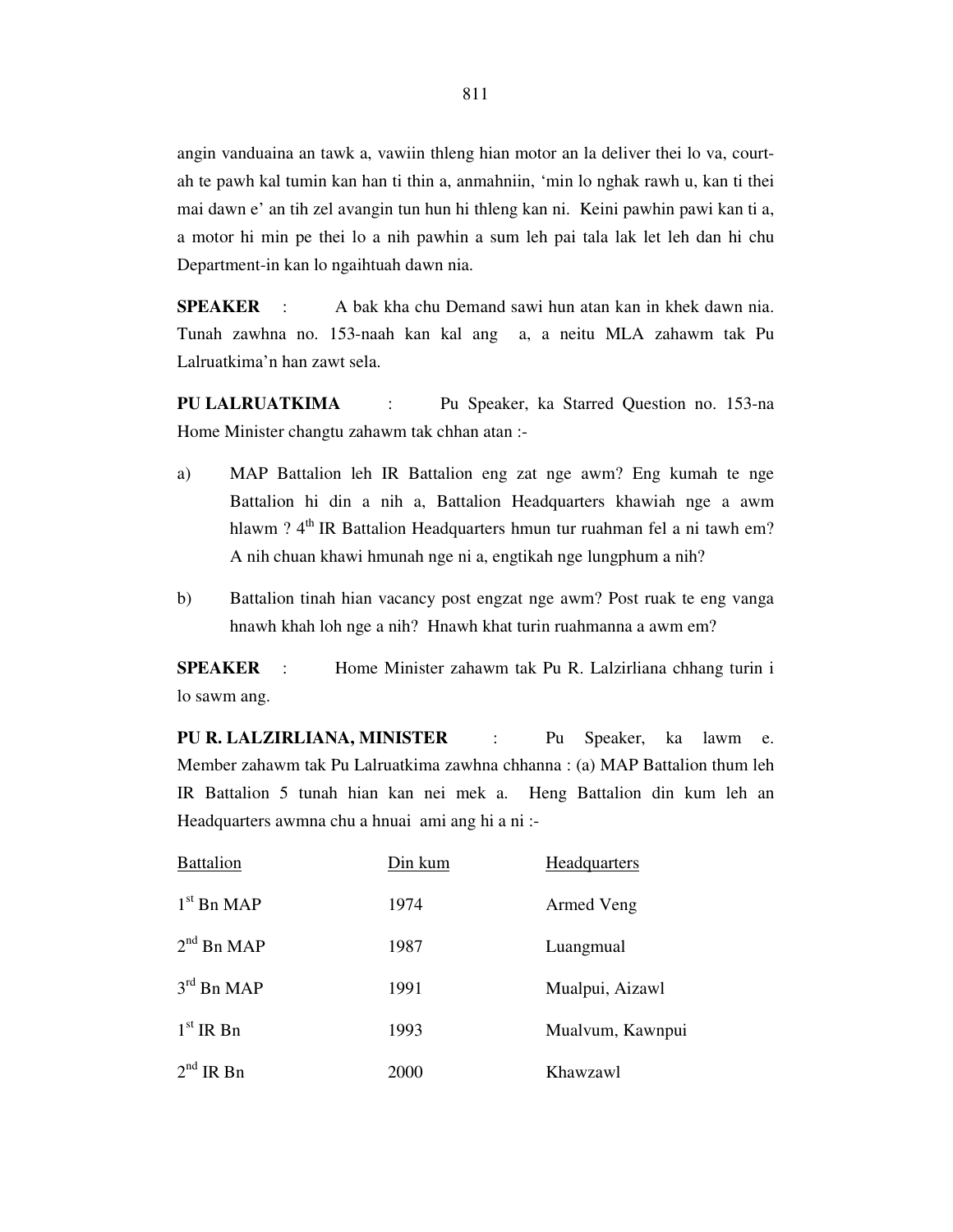angin vanduaina an tawk a, vawiin thleng hian motor an la deliver thei lo va, courtah te pawh kal tumin kan han ti thin a, anmahniin, 'min lo nghak rawh u, kan ti thei mai dawn e' an tih zel avangin tun hun hi thleng kan ni. Keini pawhin pawi kan ti a, a motor hi min pe thei lo a nih pawhin a sum leh pai tala lak let leh dan hi chu Department-in kan lo ngaihtuah dawn nia.

**SPEAKER** : A bak kha chu Demand sawi hun atan kan in khek dawn nia. Tunah zawhna no. 153-naah kan kal ang a, a neitu MLA zahawm tak Pu Lalruatkima'n han zawt sela.

**PU LALRUATKIMA** : Pu Speaker, ka Starred Question no. 153-na Home Minister changtu zahawm tak chhan atan :-

- a) MAP Battalion leh IR Battalion eng zat nge awm? Eng kumah te nge Battalion hi din a nih a, Battalion Headquarters khawiah nge a awm hlawm ? 4<sup>th</sup> IR Battalion Headquarters hmun tur ruahman fel a ni tawh em? A nih chuan khawi hmunah nge ni a, engtikah nge lungphum a nih?
- b) Battalion tinah hian vacancy post engzat nge awm? Post ruak te eng vanga hnawh khah loh nge a nih? Hnawh khat turin ruahmanna a awm em?

**SPEAKER** : Home Minister zahawm tak Pu R. Lalzirliana chhang turin i lo sawm ang.

**PU R. LALZIRLIANA, MINISTER** : Pu Speaker, ka lawm e. Member zahawm tak Pu Lalruatkima zawhna chhanna : (a) MAP Battalion thum leh IR Battalion 5 tunah hian kan nei mek a. Heng Battalion din kum leh an Headquarters awmna chu a hnuai ami ang hi a ni :-

| <b>Battalion</b> | Din kum | Headquarters     |
|------------------|---------|------------------|
| $1st$ Bn MAP     | 1974    | Armed Veng       |
| $2nd$ Bn MAP     | 1987    | Luangmual        |
| $3rd$ Bn MAP     | 1991    | Mualpui, Aizawl  |
| $1st$ IR Bn      | 1993    | Mualvum, Kawnpui |
| $2nd$ IR Bn      | 2000    | Khawzawl         |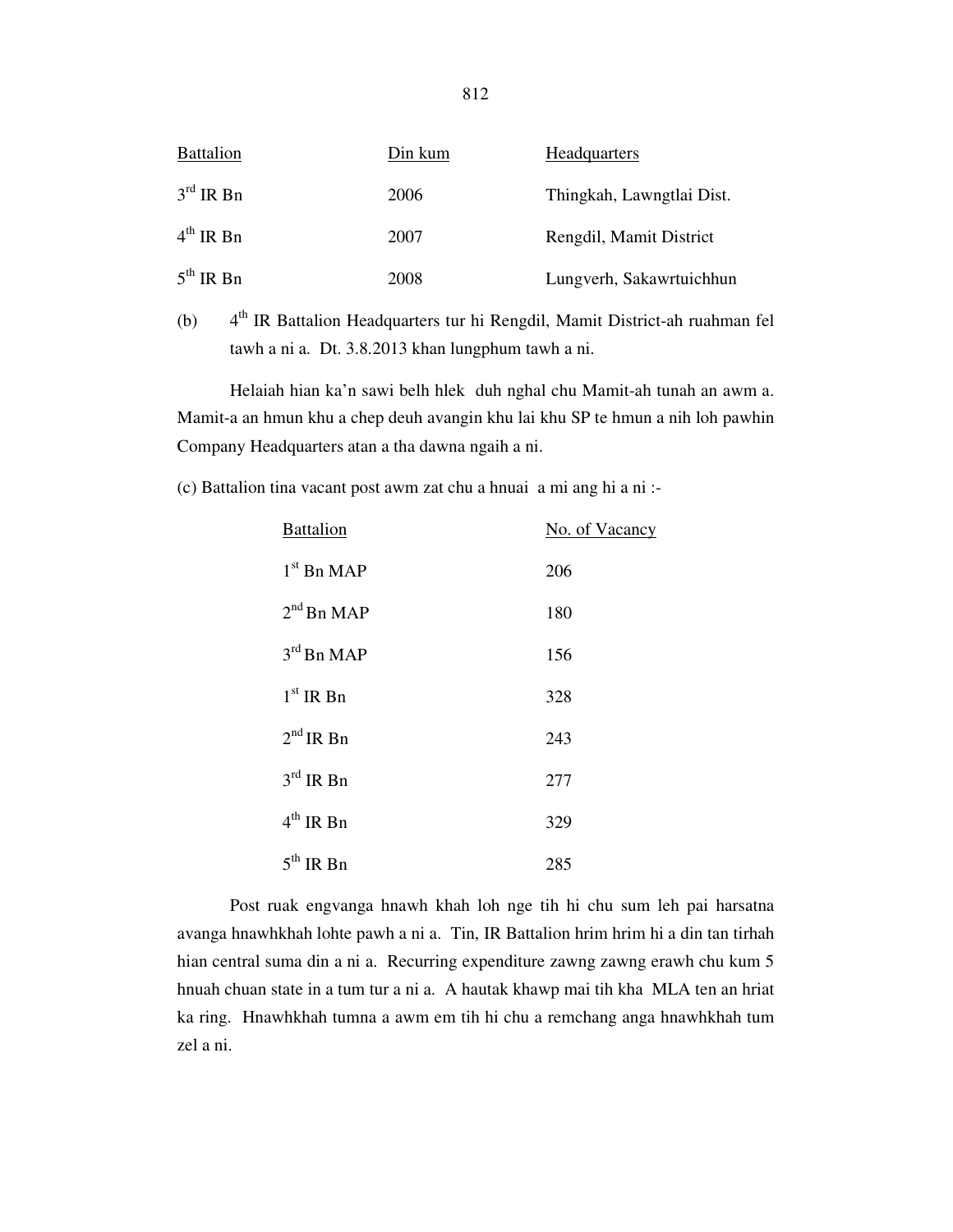| <b>Battalion</b>      | Din kum | <b>Headquarters</b>       |
|-----------------------|---------|---------------------------|
| $3rd$ IR Bn           | 2006    | Thingkah, Lawngtlai Dist. |
| $4^{\text{th}}$ IR Bn | 2007    | Rengdil, Mamit District   |
| $5^{\text{th}}$ IR Bn | 2008    | Lungverh, Sakawrtuichhun  |

(b) 4th IR Battalion Headquarters tur hi Rengdil, Mamit District-ah ruahman fel tawh a ni a. Dt. 3.8.2013 khan lungphum tawh a ni.

 Helaiah hian ka'n sawi belh hlek duh nghal chu Mamit-ah tunah an awm a. Mamit-a an hmun khu a chep deuh avangin khu lai khu SP te hmun a nih loh pawhin Company Headquarters atan a tha dawna ngaih a ni.

(c) Battalion tina vacant post awm zat chu a hnuai a mi ang hi a ni :-

| <b>Battalion</b> | No. of Vacancy |
|------------------|----------------|
| $1st$ Bn MAP     | 206            |
| $2nd$ Bn MAP     | 180            |
| $3rd$ Bn MAP     | 156            |
| $1st$ IR Bn      | 328            |
| $2nd$ IR Bn      | 243            |
| $3rd$ IR Bn      | 277            |
| $4^{th}$ IR Bn   | 329            |
| $5th$ IR Bn      | 285            |

 Post ruak engvanga hnawh khah loh nge tih hi chu sum leh pai harsatna avanga hnawhkhah lohte pawh a ni a. Tin, IR Battalion hrim hrim hi a din tan tirhah hian central suma din a ni a. Recurring expenditure zawng zawng erawh chu kum 5 hnuah chuan state in a tum tur a ni a. A hautak khawp mai tih kha MLA ten an hriat ka ring. Hnawhkhah tumna a awm em tih hi chu a remchang anga hnawhkhah tum zel a ni.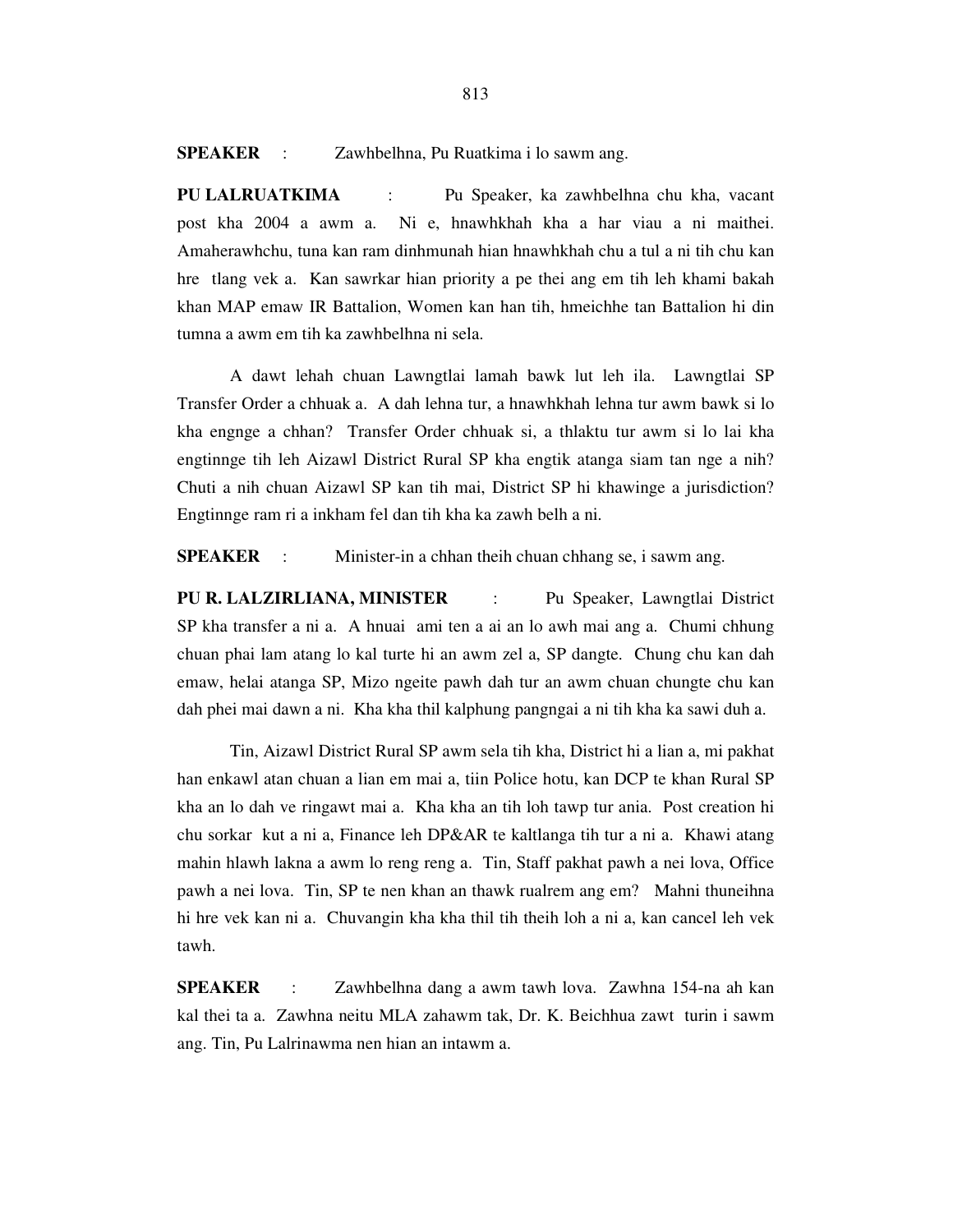**SPEAKER** : Zawhbelhna, Pu Ruatkima i lo sawm ang.

**PU LALRUATKIMA** : Pu Speaker, ka zawhbelhna chu kha, vacant post kha 2004 a awm a. Ni e, hnawhkhah kha a har viau a ni maithei. Amaherawhchu, tuna kan ram dinhmunah hian hnawhkhah chu a tul a ni tih chu kan hre tlang vek a. Kan sawrkar hian priority a pe thei ang em tih leh khami bakah khan MAP emaw IR Battalion, Women kan han tih, hmeichhe tan Battalion hi din tumna a awm em tih ka zawhbelhna ni sela.

 A dawt lehah chuan Lawngtlai lamah bawk lut leh ila. Lawngtlai SP Transfer Order a chhuak a. A dah lehna tur, a hnawhkhah lehna tur awm bawk si lo kha engnge a chhan? Transfer Order chhuak si, a thlaktu tur awm si lo lai kha engtinnge tih leh Aizawl District Rural SP kha engtik atanga siam tan nge a nih? Chuti a nih chuan Aizawl SP kan tih mai, District SP hi khawinge a jurisdiction? Engtinnge ram ri a inkham fel dan tih kha ka zawh belh a ni.

**SPEAKER** : Minister-in a chhan theih chuan chhang se, i sawm ang.

**PU R. LALZIRLIANA, MINISTER** : Pu Speaker, Lawngtlai District SP kha transfer a ni a. A hnuai ami ten a ai an lo awh mai ang a. Chumi chhung chuan phai lam atang lo kal turte hi an awm zel a, SP dangte. Chung chu kan dah emaw, helai atanga SP, Mizo ngeite pawh dah tur an awm chuan chungte chu kan dah phei mai dawn a ni. Kha kha thil kalphung pangngai a ni tih kha ka sawi duh a.

 Tin, Aizawl District Rural SP awm sela tih kha, District hi a lian a, mi pakhat han enkawl atan chuan a lian em mai a, tiin Police hotu, kan DCP te khan Rural SP kha an lo dah ve ringawt mai a. Kha kha an tih loh tawp tur ania. Post creation hi chu sorkar kut a ni a, Finance leh DP&AR te kaltlanga tih tur a ni a. Khawi atang mahin hlawh lakna a awm lo reng reng a. Tin, Staff pakhat pawh a nei lova, Office pawh a nei lova. Tin, SP te nen khan an thawk rualrem ang em? Mahni thuneihna hi hre vek kan ni a. Chuvangin kha kha thil tih theih loh a ni a, kan cancel leh vek tawh.

**SPEAKER** : Zawhbelhna dang a awm tawh lova. Zawhna 154-na ah kan kal thei ta a. Zawhna neitu MLA zahawm tak, Dr. K. Beichhua zawt turin i sawm ang. Tin, Pu Lalrinawma nen hian an intawm a.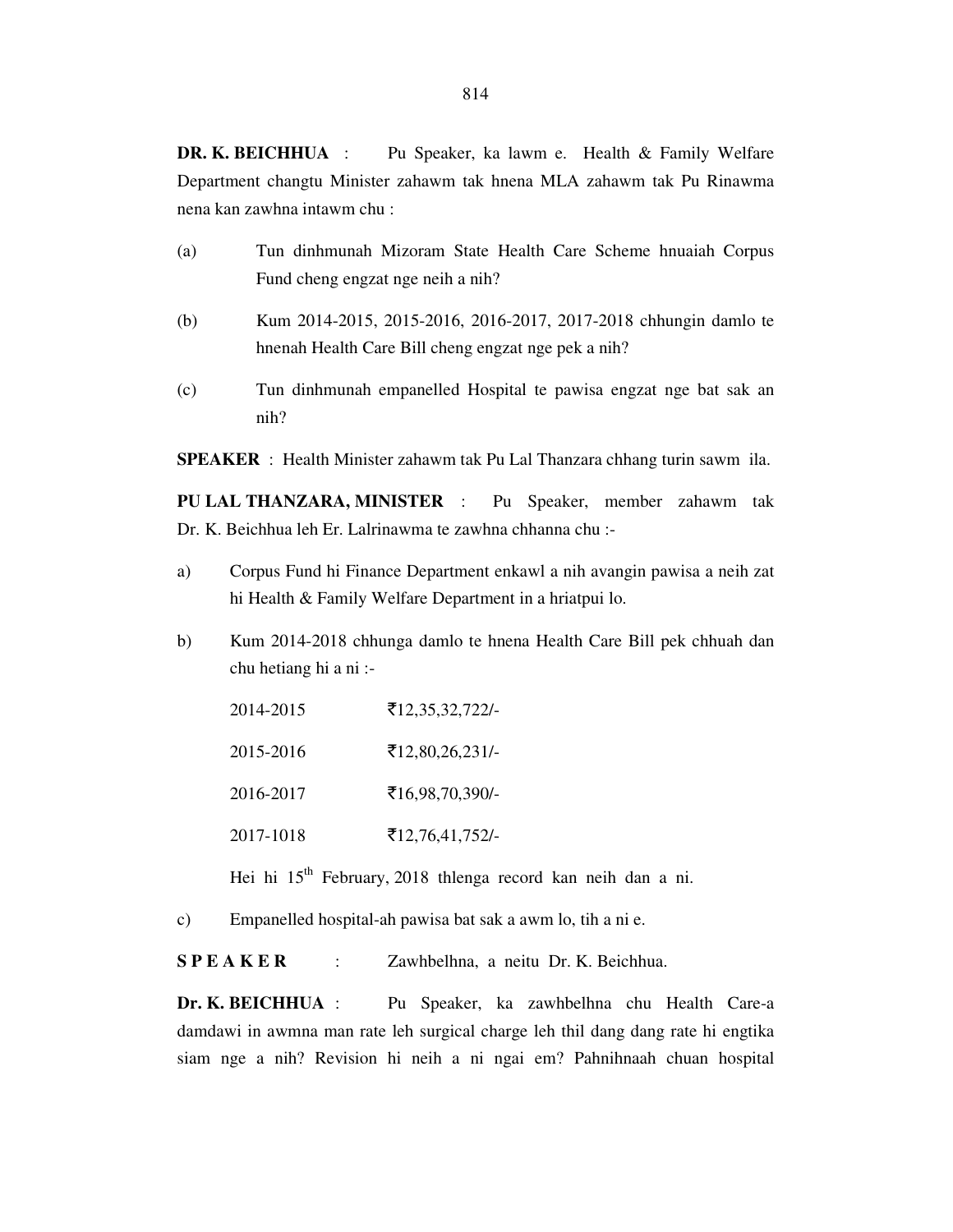**DR. K. BEICHHUA** : Pu Speaker, ka lawm e. Health & Family Welfare Department changtu Minister zahawm tak hnena MLA zahawm tak Pu Rinawma nena kan zawhna intawm chu :

- (a) Tun dinhmunah Mizoram State Health Care Scheme hnuaiah Corpus Fund cheng engzat nge neih a nih?
- (b) Kum 2014-2015, 2015-2016, 2016-2017, 2017-2018 chhungin damlo te hnenah Health Care Bill cheng engzat nge pek a nih?
- (c) Tun dinhmunah empanelled Hospital te pawisa engzat nge bat sak an nih?

**SPEAKER** : Health Minister zahawm tak Pu Lal Thanzara chhang turin sawm ila.

**PU LAL THANZARA, MINISTER** : Pu Speaker, member zahawm tak Dr. K. Beichhua leh Er. Lalrinawma te zawhna chhanna chu :-

- a) Corpus Fund hi Finance Department enkawl a nih avangin pawisa a neih zat hi Health & Family Welfare Department in a hriatpui lo.
- b) Kum 2014-2018 chhunga damlo te hnena Health Care Bill pek chhuah dan chu hetiang hi a ni :-

| 2014-2015 | ₹12,35,32,722/-          |
|-----------|--------------------------|
| 2015-2016 | $\bar{5}12,80,26,231/$   |
| 2016-2017 | ₹16,98,70,390/-          |
| 2017-1018 | $\bar{5}12,76,41,752$ /- |

Hei hi 15<sup>th</sup> February, 2018 thlenga record kan neih dan a ni.

c) Empanelled hospital-ah pawisa bat sak a awm lo, tih a ni e.

**S P E A K E R** : Zawhbelhna, a neitu Dr. K. Beichhua.

**Dr. K. BEICHHUA** : Pu Speaker, ka zawhbelhna chu Health Care-a damdawi in awmna man rate leh surgical charge leh thil dang dang rate hi engtika siam nge a nih? Revision hi neih a ni ngai em? Pahnihnaah chuan hospital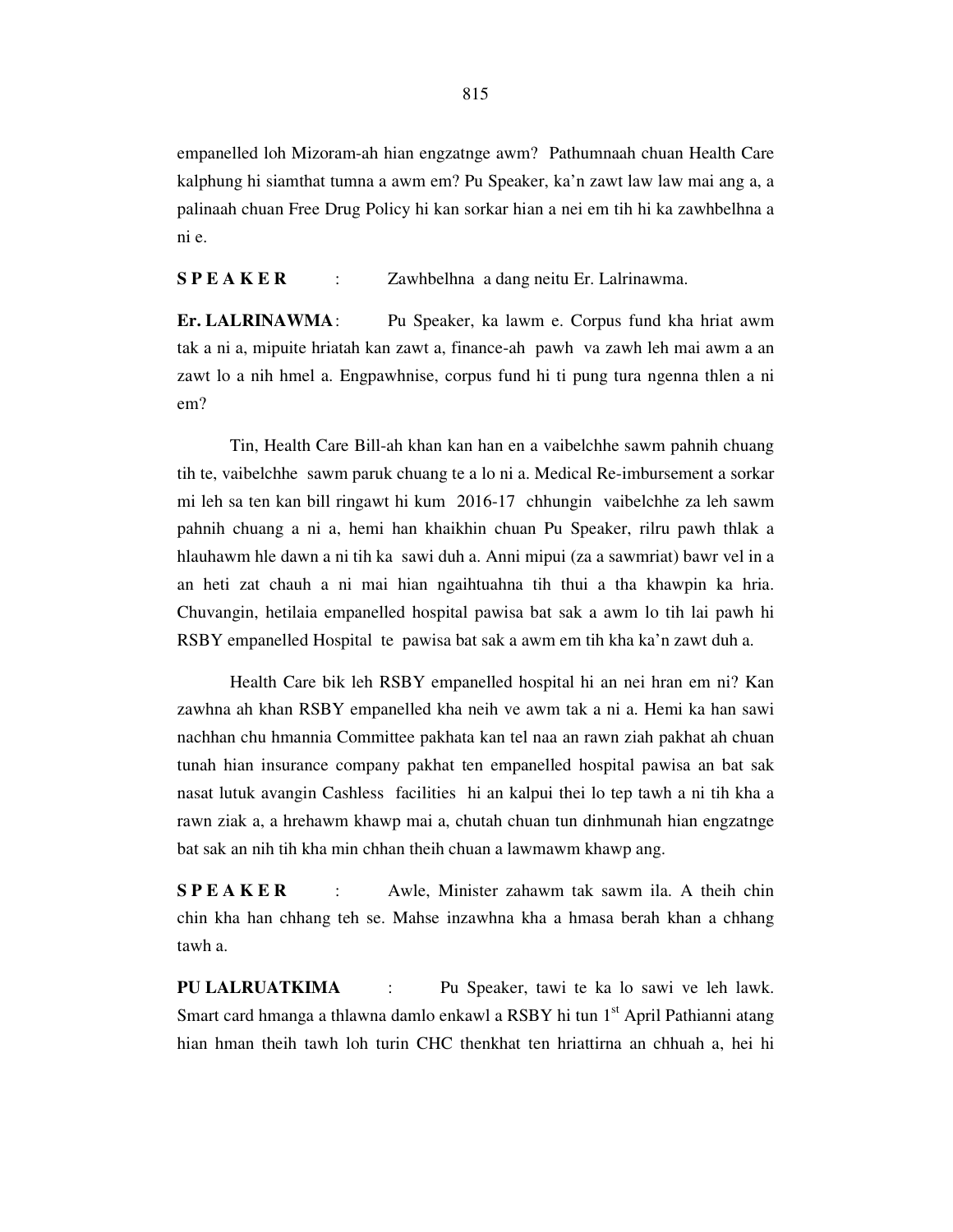empanelled loh Mizoram-ah hian engzatnge awm? Pathumnaah chuan Health Care kalphung hi siamthat tumna a awm em? Pu Speaker, ka'n zawt law law mai ang a, a palinaah chuan Free Drug Policy hi kan sorkar hian a nei em tih hi ka zawhbelhna a ni e.

**S P E A K E R** : Zawhbelhna a dang neitu Er. Lalrinawma.

**Er. LALRINAWMA** : Pu Speaker, ka lawm e. Corpus fund kha hriat awm tak a ni a, mipuite hriatah kan zawt a, finance-ah pawh va zawh leh mai awm a an zawt lo a nih hmel a. Engpawhnise, corpus fund hi ti pung tura ngenna thlen a ni em?

 Tin, Health Care Bill-ah khan kan han en a vaibelchhe sawm pahnih chuang tih te, vaibelchhe sawm paruk chuang te a lo ni a. Medical Re-imbursement a sorkar mi leh sa ten kan bill ringawt hi kum 2016-17 chhungin vaibelchhe za leh sawm pahnih chuang a ni a, hemi han khaikhin chuan Pu Speaker, rilru pawh thlak a hlauhawm hle dawn a ni tih ka sawi duh a. Anni mipui (za a sawmriat) bawr vel in a an heti zat chauh a ni mai hian ngaihtuahna tih thui a tha khawpin ka hria. Chuvangin, hetilaia empanelled hospital pawisa bat sak a awm lo tih lai pawh hi RSBY empanelled Hospital te pawisa bat sak a awm em tih kha ka'n zawt duh a.

 Health Care bik leh RSBY empanelled hospital hi an nei hran em ni? Kan zawhna ah khan RSBY empanelled kha neih ve awm tak a ni a. Hemi ka han sawi nachhan chu hmannia Committee pakhata kan tel naa an rawn ziah pakhat ah chuan tunah hian insurance company pakhat ten empanelled hospital pawisa an bat sak nasat lutuk avangin Cashless facilities hi an kalpui thei lo tep tawh a ni tih kha a rawn ziak a, a hrehawm khawp mai a, chutah chuan tun dinhmunah hian engzatnge bat sak an nih tih kha min chhan theih chuan a lawmawm khawp ang.

**SPEAKER** : Awle, Minister zahawm tak sawm ila. A theih chin chin kha han chhang teh se. Mahse inzawhna kha a hmasa berah khan a chhang tawh a.

**PU LALRUATKIMA** : Pu Speaker, tawi te ka lo sawi ve leh lawk. Smart card hmanga a thlawna damlo enkawl a RSBY hi tun 1<sup>st</sup> April Pathianni atang hian hman theih tawh loh turin CHC thenkhat ten hriattirna an chhuah a, hei hi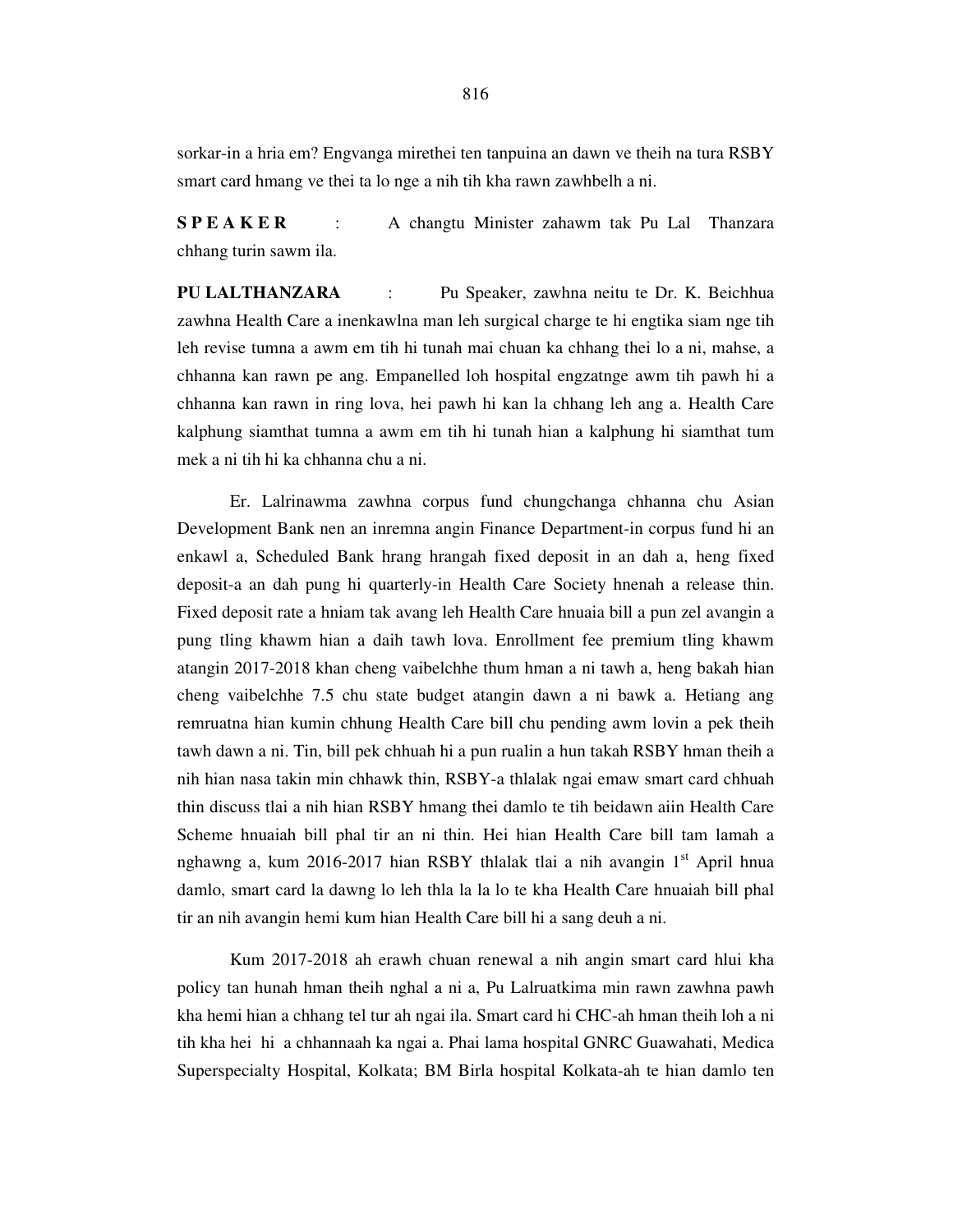sorkar-in a hria em? Engvanga mirethei ten tanpuina an dawn ve theih na tura RSBY smart card hmang ve thei ta lo nge a nih tih kha rawn zawhbelh a ni.

**S P E A K E R** : A changtu Minister zahawm tak Pu Lal Thanzara chhang turin sawm ila.

**PU LALTHANZARA** : Pu Speaker, zawhna neitu te Dr. K. Beichhua zawhna Health Care a inenkawlna man leh surgical charge te hi engtika siam nge tih leh revise tumna a awm em tih hi tunah mai chuan ka chhang thei lo a ni, mahse, a chhanna kan rawn pe ang. Empanelled loh hospital engzatnge awm tih pawh hi a chhanna kan rawn in ring lova, hei pawh hi kan la chhang leh ang a. Health Care kalphung siamthat tumna a awm em tih hi tunah hian a kalphung hi siamthat tum mek a ni tih hi ka chhanna chu a ni.

 Er. Lalrinawma zawhna corpus fund chungchanga chhanna chu Asian Development Bank nen an inremna angin Finance Department-in corpus fund hi an enkawl a, Scheduled Bank hrang hrangah fixed deposit in an dah a, heng fixed deposit-a an dah pung hi quarterly-in Health Care Society hnenah a release thin. Fixed deposit rate a hniam tak avang leh Health Care hnuaia bill a pun zel avangin a pung tling khawm hian a daih tawh lova. Enrollment fee premium tling khawm atangin 2017-2018 khan cheng vaibelchhe thum hman a ni tawh a, heng bakah hian cheng vaibelchhe 7.5 chu state budget atangin dawn a ni bawk a. Hetiang ang remruatna hian kumin chhung Health Care bill chu pending awm lovin a pek theih tawh dawn a ni. Tin, bill pek chhuah hi a pun rualin a hun takah RSBY hman theih a nih hian nasa takin min chhawk thin, RSBY-a thlalak ngai emaw smart card chhuah thin discuss tlai a nih hian RSBY hmang thei damlo te tih beidawn aiin Health Care Scheme hnuaiah bill phal tir an ni thin. Hei hian Health Care bill tam lamah a nghawng a, kum 2016-2017 hian RSBY thlalak tlai a nih avangin  $1<sup>st</sup>$  April hnua damlo, smart card la dawng lo leh thla la la lo te kha Health Care hnuaiah bill phal tir an nih avangin hemi kum hian Health Care bill hi a sang deuh a ni.

 Kum 2017-2018 ah erawh chuan renewal a nih angin smart card hlui kha policy tan hunah hman theih nghal a ni a, Pu Lalruatkima min rawn zawhna pawh kha hemi hian a chhang tel tur ah ngai ila. Smart card hi CHC-ah hman theih loh a ni tih kha hei hi a chhannaah ka ngai a. Phai lama hospital GNRC Guawahati, Medica Superspecialty Hospital, Kolkata; BM Birla hospital Kolkata-ah te hian damlo ten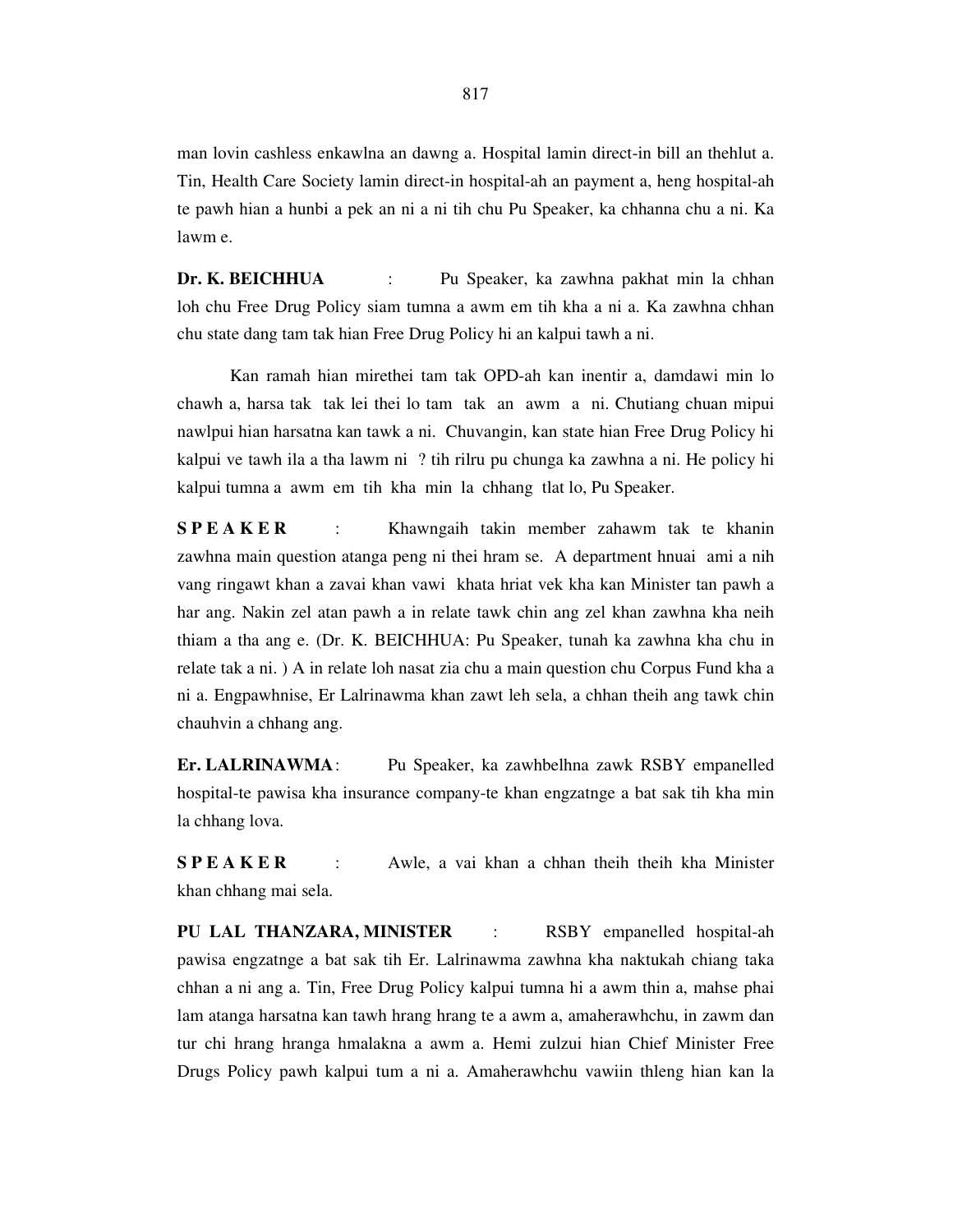man lovin cashless enkawlna an dawng a. Hospital lamin direct-in bill an thehlut a. Tin, Health Care Society lamin direct-in hospital-ah an payment a, heng hospital-ah te pawh hian a hunbi a pek an ni a ni tih chu Pu Speaker, ka chhanna chu a ni. Ka lawm e.

**Dr. K. BEICHHUA** : Pu Speaker, ka zawhna pakhat min la chhan loh chu Free Drug Policy siam tumna a awm em tih kha a ni a. Ka zawhna chhan chu state dang tam tak hian Free Drug Policy hi an kalpui tawh a ni.

 Kan ramah hian mirethei tam tak OPD-ah kan inentir a, damdawi min lo chawh a, harsa tak tak lei thei lo tam tak an awm a ni. Chutiang chuan mipui nawlpui hian harsatna kan tawk a ni. Chuvangin, kan state hian Free Drug Policy hi kalpui ve tawh ila a tha lawm ni ? tih rilru pu chunga ka zawhna a ni. He policy hi kalpui tumna a awm em tih kha min la chhang tlat lo, Pu Speaker.

**SPEAKER** : Khawngaih takin member zahawm tak te khanin zawhna main question atanga peng ni thei hram se. A department hnuai ami a nih vang ringawt khan a zavai khan vawi khata hriat vek kha kan Minister tan pawh a har ang. Nakin zel atan pawh a in relate tawk chin ang zel khan zawhna kha neih thiam a tha ang e. (Dr. K. BEICHHUA: Pu Speaker, tunah ka zawhna kha chu in relate tak a ni. ) A in relate loh nasat zia chu a main question chu Corpus Fund kha a ni a. Engpawhnise, Er Lalrinawma khan zawt leh sela, a chhan theih ang tawk chin chauhvin a chhang ang.

**Er. LALRINAWMA** : Pu Speaker, ka zawhbelhna zawk RSBY empanelled hospital-te pawisa kha insurance company-te khan engzatnge a bat sak tih kha min la chhang lova.

**SPEAKER** : Awle, a vai khan a chhan theih theih kha Minister khan chhang mai sela.

**PU LAL THANZARA, MINISTER** : RSBY empanelled hospital-ah pawisa engzatnge a bat sak tih Er. Lalrinawma zawhna kha naktukah chiang taka chhan a ni ang a. Tin, Free Drug Policy kalpui tumna hi a awm thin a, mahse phai lam atanga harsatna kan tawh hrang hrang te a awm a, amaherawhchu, in zawm dan tur chi hrang hranga hmalakna a awm a. Hemi zulzui hian Chief Minister Free Drugs Policy pawh kalpui tum a ni a. Amaherawhchu vawiin thleng hian kan la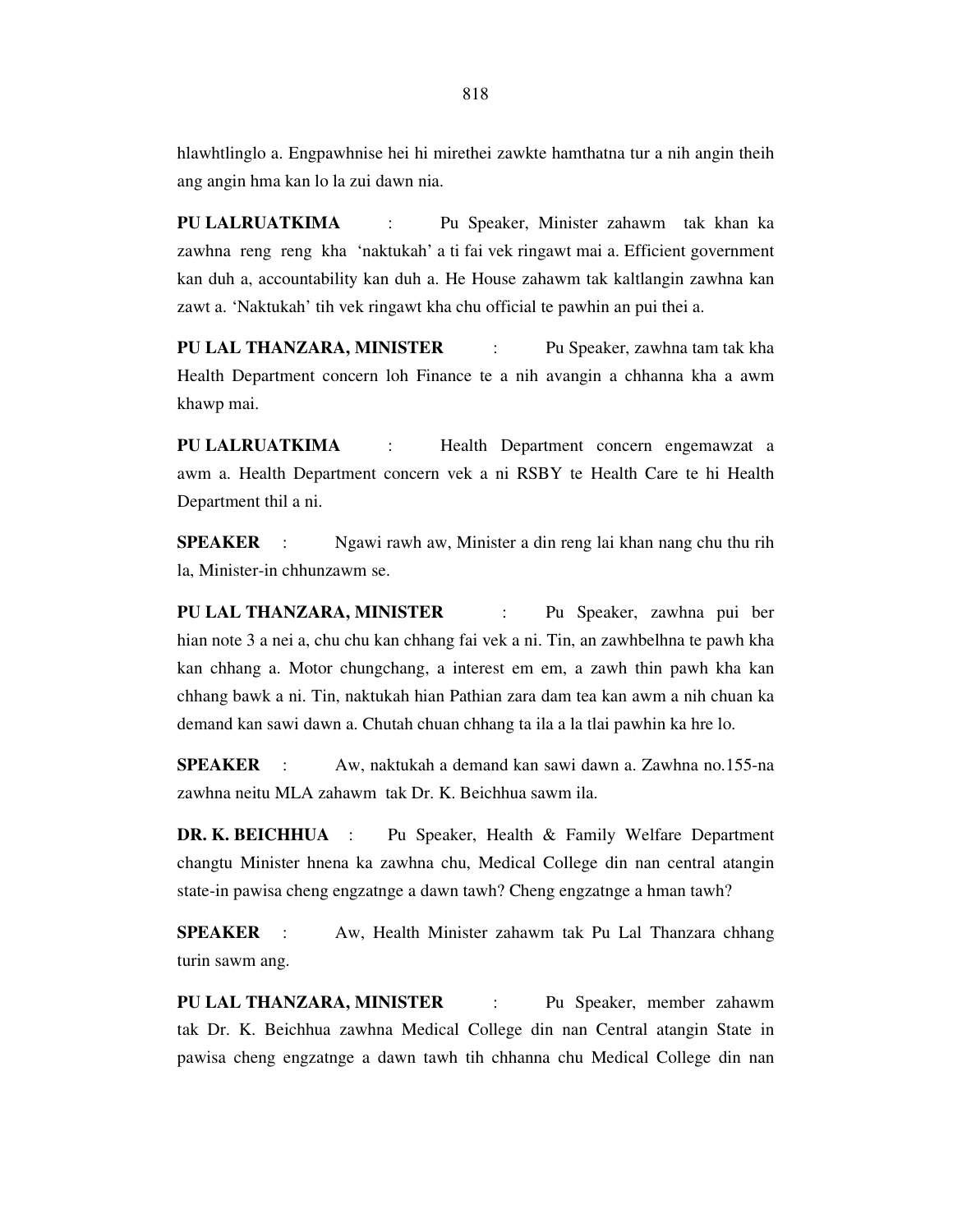hlawhtlinglo a. Engpawhnise hei hi mirethei zawkte hamthatna tur a nih angin theih ang angin hma kan lo la zui dawn nia.

**PU LALRUATKIMA** : Pu Speaker, Minister zahawm tak khan ka zawhna reng reng kha 'naktukah' a ti fai vek ringawt mai a. Efficient government kan duh a, accountability kan duh a. He House zahawm tak kaltlangin zawhna kan zawt a. 'Naktukah' tih vek ringawt kha chu official te pawhin an pui thei a.

**PU LAL THANZARA, MINISTER** : Pu Speaker, zawhna tam tak kha Health Department concern loh Finance te a nih avangin a chhanna kha a awm khawp mai.

**PU LALRUATKIMA** : Health Department concern engemawzat a awm a. Health Department concern vek a ni RSBY te Health Care te hi Health Department thil a ni.

**SPEAKER** : Ngawi rawh aw, Minister a din reng lai khan nang chu thu rih la, Minister-in chhunzawm se.

**PU LAL THANZARA, MINISTER** : Pu Speaker, zawhna pui ber hian note 3 a nei a, chu chu kan chhang fai vek a ni. Tin, an zawhbelhna te pawh kha kan chhang a. Motor chungchang, a interest em em, a zawh thin pawh kha kan chhang bawk a ni. Tin, naktukah hian Pathian zara dam tea kan awm a nih chuan ka demand kan sawi dawn a. Chutah chuan chhang ta ila a la tlai pawhin ka hre lo.

**SPEAKER** : Aw, naktukah a demand kan sawi dawn a. Zawhna no.155-na zawhna neitu MLA zahawm tak Dr. K. Beichhua sawm ila.

**DR. K. BEICHHUA** : Pu Speaker, Health & Family Welfare Department changtu Minister hnena ka zawhna chu, Medical College din nan central atangin state-in pawisa cheng engzatnge a dawn tawh? Cheng engzatnge a hman tawh?

**SPEAKER** : Aw, Health Minister zahawm tak Pu Lal Thanzara chhang turin sawm ang.

**PU LAL THANZARA, MINISTER** : Pu Speaker, member zahawm tak Dr. K. Beichhua zawhna Medical College din nan Central atangin State in pawisa cheng engzatnge a dawn tawh tih chhanna chu Medical College din nan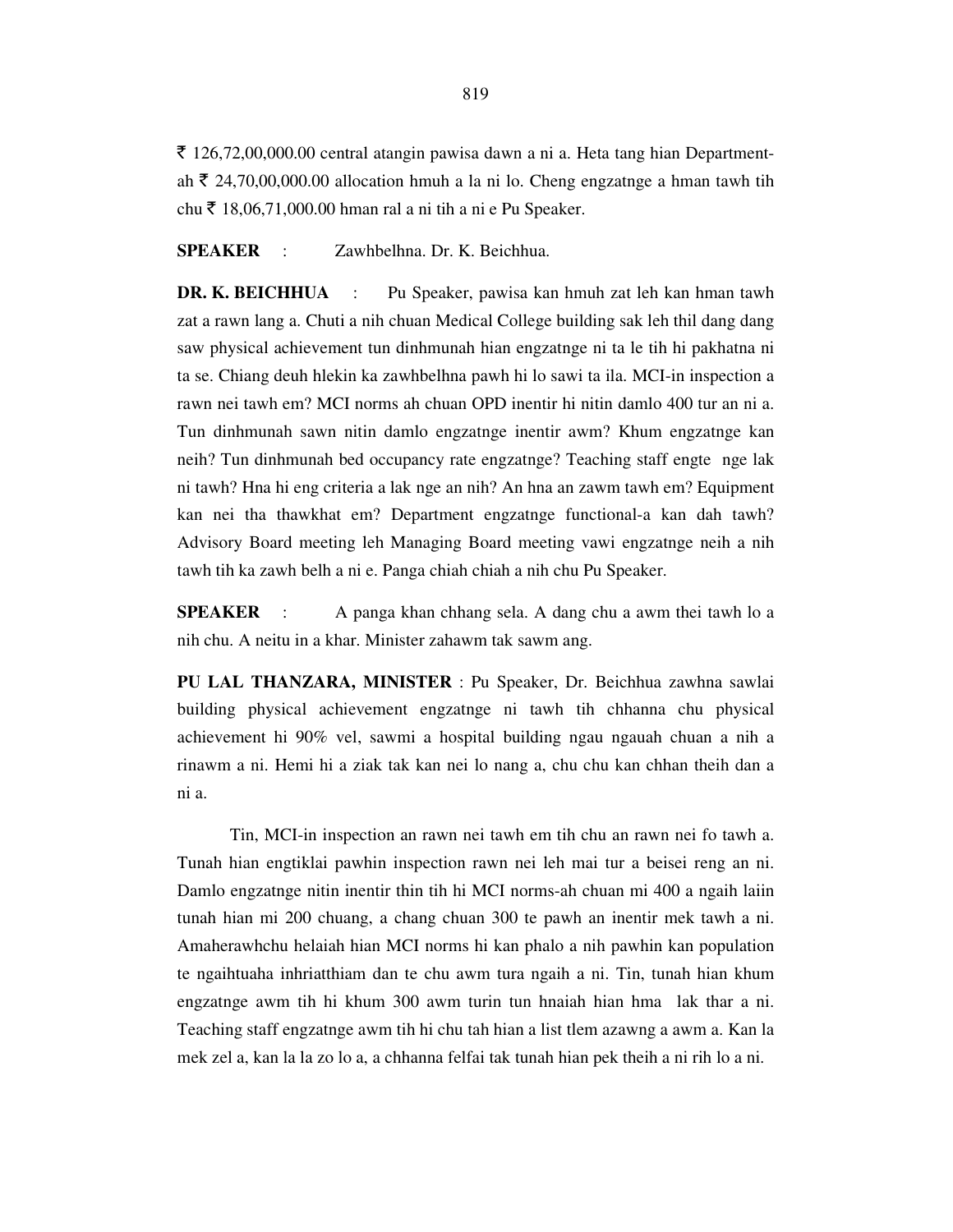$\bar{\xi}$  126,72,00,000.00 central atangin pawisa dawn a ni a. Heta tang hian Departmentah  $\bar{\tau}$  24,70,00,000.00 allocation hmuh a la ni lo. Cheng engzatnge a hman tawh tih chu ₹ 18,06,71,000.00 hman ral a ni tih a ni e Pu Speaker.

### **SPEAKER** : Zawhbelhna. Dr. K. Beichhua.

**DR. K. BEICHHUA** : Pu Speaker, pawisa kan hmuh zat leh kan hman tawh zat a rawn lang a. Chuti a nih chuan Medical College building sak leh thil dang dang saw physical achievement tun dinhmunah hian engzatnge ni ta le tih hi pakhatna ni ta se. Chiang deuh hlekin ka zawhbelhna pawh hi lo sawi ta ila. MCI-in inspection a rawn nei tawh em? MCI norms ah chuan OPD inentir hi nitin damlo 400 tur an ni a. Tun dinhmunah sawn nitin damlo engzatnge inentir awm? Khum engzatnge kan neih? Tun dinhmunah bed occupancy rate engzatnge? Teaching staff engte nge lak ni tawh? Hna hi eng criteria a lak nge an nih? An hna an zawm tawh em? Equipment kan nei tha thawkhat em? Department engzatnge functional-a kan dah tawh? Advisory Board meeting leh Managing Board meeting vawi engzatnge neih a nih tawh tih ka zawh belh a ni e. Panga chiah chiah a nih chu Pu Speaker.

**SPEAKER** : A panga khan chhang sela. A dang chu a awm thei tawh lo a nih chu. A neitu in a khar. Minister zahawm tak sawm ang.

**PU LAL THANZARA, MINISTER** : Pu Speaker, Dr. Beichhua zawhna sawlai building physical achievement engzatnge ni tawh tih chhanna chu physical achievement hi 90% vel, sawmi a hospital building ngau ngauah chuan a nih a rinawm a ni. Hemi hi a ziak tak kan nei lo nang a, chu chu kan chhan theih dan a ni a.

 Tin, MCI-in inspection an rawn nei tawh em tih chu an rawn nei fo tawh a. Tunah hian engtiklai pawhin inspection rawn nei leh mai tur a beisei reng an ni. Damlo engzatnge nitin inentir thin tih hi MCI norms-ah chuan mi 400 a ngaih laiin tunah hian mi 200 chuang, a chang chuan 300 te pawh an inentir mek tawh a ni. Amaherawhchu helaiah hian MCI norms hi kan phalo a nih pawhin kan population te ngaihtuaha inhriatthiam dan te chu awm tura ngaih a ni. Tin, tunah hian khum engzatnge awm tih hi khum 300 awm turin tun hnaiah hian hma lak thar a ni. Teaching staff engzatnge awm tih hi chu tah hian a list tlem azawng a awm a. Kan la mek zel a, kan la la zo lo a, a chhanna felfai tak tunah hian pek theih a ni rih lo a ni.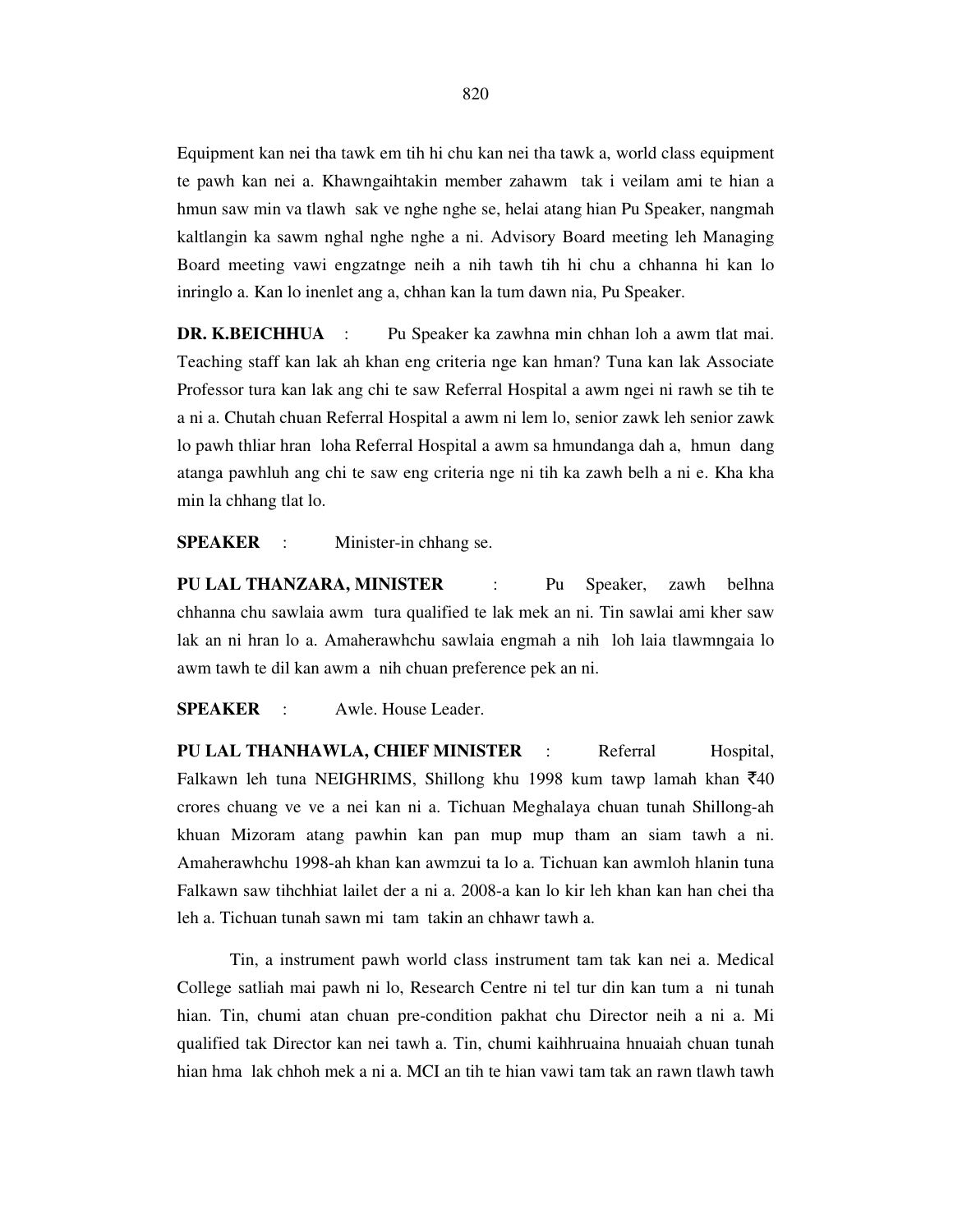Equipment kan nei tha tawk em tih hi chu kan nei tha tawk a, world class equipment te pawh kan nei a. Khawngaihtakin member zahawm tak i veilam ami te hian a hmun saw min va tlawh sak ve nghe nghe se, helai atang hian Pu Speaker, nangmah kaltlangin ka sawm nghal nghe nghe a ni. Advisory Board meeting leh Managing Board meeting vawi engzatnge neih a nih tawh tih hi chu a chhanna hi kan lo inringlo a. Kan lo inenlet ang a, chhan kan la tum dawn nia, Pu Speaker.

**DR. K.BEICHHUA** : Pu Speaker ka zawhna min chhan loh a awm tlat mai. Teaching staff kan lak ah khan eng criteria nge kan hman? Tuna kan lak Associate Professor tura kan lak ang chi te saw Referral Hospital a awm ngei ni rawh se tih te a ni a. Chutah chuan Referral Hospital a awm ni lem lo, senior zawk leh senior zawk lo pawh thliar hran loha Referral Hospital a awm sa hmundanga dah a, hmun dang atanga pawhluh ang chi te saw eng criteria nge ni tih ka zawh belh a ni e. Kha kha min la chhang tlat lo.

**SPEAKER** : Minister-in chhang se.

**PU LAL THANZARA, MINISTER** : Pu Speaker, zawh belhna chhanna chu sawlaia awm tura qualified te lak mek an ni. Tin sawlai ami kher saw lak an ni hran lo a. Amaherawhchu sawlaia engmah a nih loh laia tlawmngaia lo awm tawh te dil kan awm a nih chuan preference pek an ni.

**SPEAKER** : Awle. House Leader.

PU LAL THANHAWLA, CHIEF MINISTER : Referral Hospital, Falkawn leh tuna NEIGHRIMS, Shillong khu 1998 kum tawp lamah khan  $\bar{x}$ 40 crores chuang ve ve a nei kan ni a. Tichuan Meghalaya chuan tunah Shillong-ah khuan Mizoram atang pawhin kan pan mup mup tham an siam tawh a ni. Amaherawhchu 1998-ah khan kan awmzui ta lo a. Tichuan kan awmloh hlanin tuna Falkawn saw tihchhiat lailet der a ni a. 2008-a kan lo kir leh khan kan han chei tha leh a. Tichuan tunah sawn mi tam takin an chhawr tawh a.

 Tin, a instrument pawh world class instrument tam tak kan nei a. Medical College satliah mai pawh ni lo, Research Centre ni tel tur din kan tum a ni tunah hian. Tin, chumi atan chuan pre-condition pakhat chu Director neih a ni a. Mi qualified tak Director kan nei tawh a. Tin, chumi kaihhruaina hnuaiah chuan tunah hian hma lak chhoh mek a ni a. MCI an tih te hian vawi tam tak an rawn tlawh tawh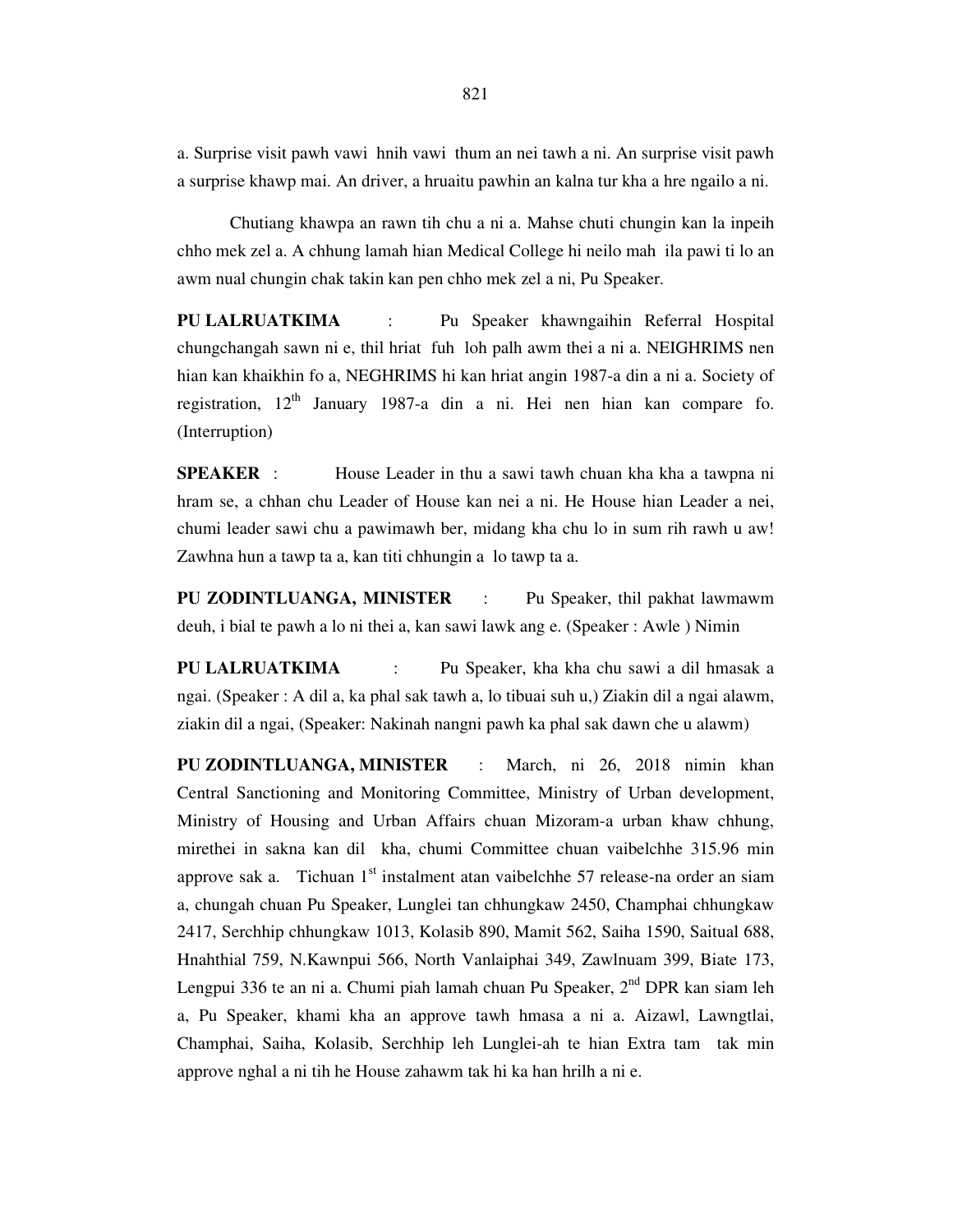a. Surprise visit pawh vawi hnih vawi thum an nei tawh a ni. An surprise visit pawh a surprise khawp mai. An driver, a hruaitu pawhin an kalna tur kha a hre ngailo a ni.

 Chutiang khawpa an rawn tih chu a ni a. Mahse chuti chungin kan la inpeih chho mek zel a. A chhung lamah hian Medical College hi neilo mah ila pawi ti lo an awm nual chungin chak takin kan pen chho mek zel a ni, Pu Speaker.

**PU LALRUATKIMA** : Pu Speaker khawngaihin Referral Hospital chungchangah sawn ni e, thil hriat fuh loh palh awm thei a ni a. NEIGHRIMS nen hian kan khaikhin fo a, NEGHRIMS hi kan hriat angin 1987-a din a ni a. Society of registration,  $12<sup>th</sup>$  January 1987-a din a ni. Hei nen hian kan compare fo. (Interruption)

**SPEAKER** : House Leader in thu a sawi tawh chuan kha kha a tawpna ni hram se, a chhan chu Leader of House kan nei a ni. He House hian Leader a nei, chumi leader sawi chu a pawimawh ber, midang kha chu lo in sum rih rawh u aw! Zawhna hun a tawp ta a, kan titi chhungin a lo tawp ta a.

**PU ZODINTLUANGA, MINISTER** : Pu Speaker, thil pakhat lawmawm deuh, i bial te pawh a lo ni thei a, kan sawi lawk ang e. (Speaker : Awle ) Nimin

**PU LALRUATKIMA** : Pu Speaker, kha kha chu sawi a dil hmasak a ngai. (Speaker : A dil a, ka phal sak tawh a, lo tibuai suh u,) Ziakin dil a ngai alawm, ziakin dil a ngai, (Speaker: Nakinah nangni pawh ka phal sak dawn che u alawm)

**PU ZODINTLUANGA, MINISTER** : March, ni 26, 2018 nimin khan Central Sanctioning and Monitoring Committee, Ministry of Urban development, Ministry of Housing and Urban Affairs chuan Mizoram-a urban khaw chhung, mirethei in sakna kan dil kha, chumi Committee chuan vaibelchhe 315.96 min approve sak a. Tichuan  $1<sup>st</sup>$  instalment atan vaibelchhe 57 release-na order an siam a, chungah chuan Pu Speaker, Lunglei tan chhungkaw 2450, Champhai chhungkaw 2417, Serchhip chhungkaw 1013, Kolasib 890, Mamit 562, Saiha 1590, Saitual 688, Hnahthial 759, N.Kawnpui 566, North Vanlaiphai 349, Zawlnuam 399, Biate 173, Lengpui 336 te an ni a. Chumi piah lamah chuan Pu Speaker,  $2^{nd}$  DPR kan siam leh a, Pu Speaker, khami kha an approve tawh hmasa a ni a. Aizawl, Lawngtlai, Champhai, Saiha, Kolasib, Serchhip leh Lunglei-ah te hian Extra tam tak min approve nghal a ni tih he House zahawm tak hi ka han hrilh a ni e.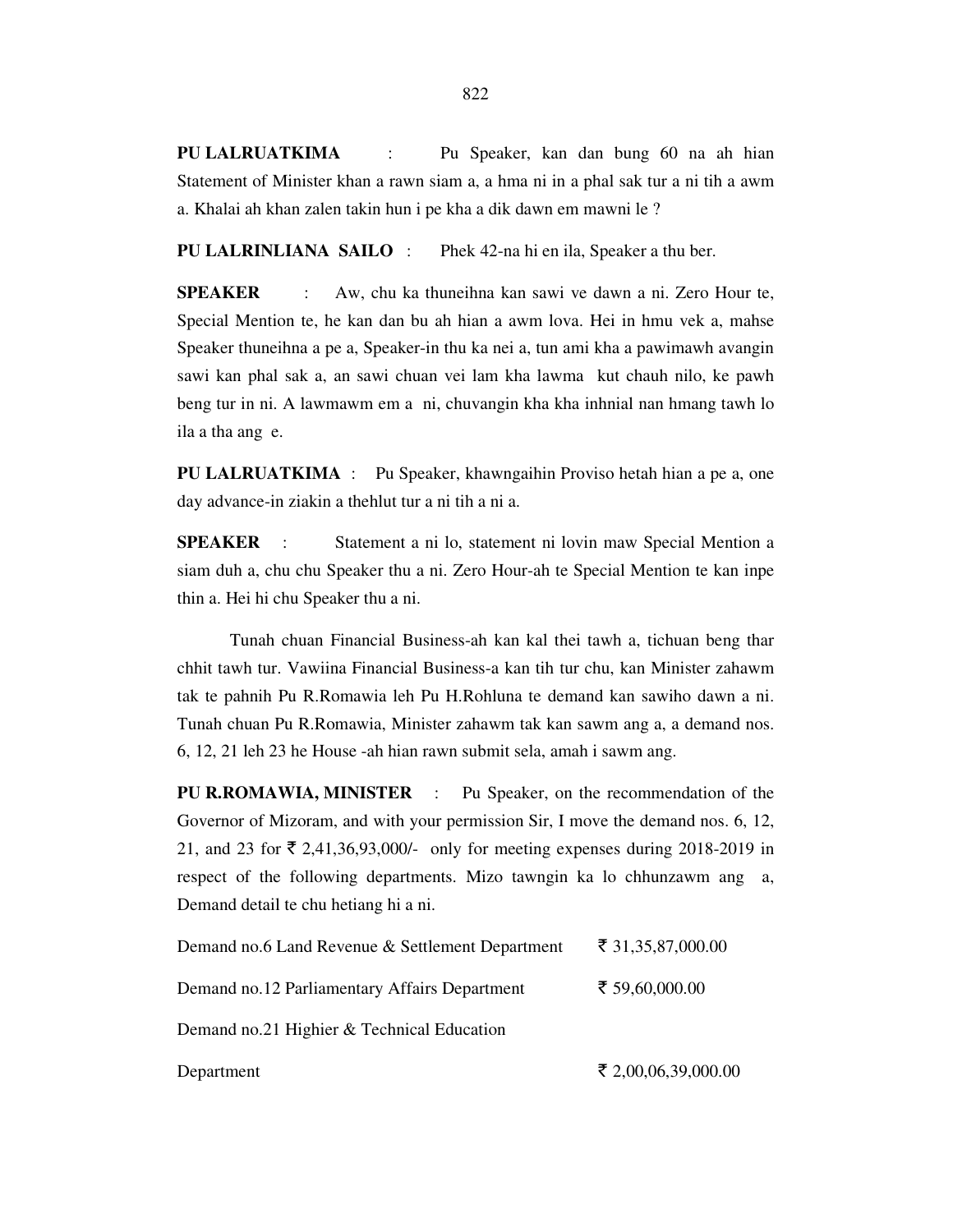**PU LALRUATKIMA** : Pu Speaker, kan dan bung 60 na ah hian Statement of Minister khan a rawn siam a, a hma ni in a phal sak tur a ni tih a awm a. Khalai ah khan zalen takin hun i pe kha a dik dawn em mawni le ?

**PU LALRINLIANA SAILO** : Phek 42-na hi en ila, Speaker a thu ber.

**SPEAKER** : Aw, chu ka thuneihna kan sawi ve dawn a ni. Zero Hour te, Special Mention te, he kan dan bu ah hian a awm lova. Hei in hmu vek a, mahse Speaker thuneihna a pe a, Speaker-in thu ka nei a, tun ami kha a pawimawh avangin sawi kan phal sak a, an sawi chuan vei lam kha lawma kut chauh nilo, ke pawh beng tur in ni. A lawmawm em a ni, chuvangin kha kha inhnial nan hmang tawh lo ila a tha ang e.

**PU LALRUATKIMA** : Pu Speaker, khawngaihin Proviso hetah hian a pe a, one day advance-in ziakin a thehlut tur a ni tih a ni a.

**SPEAKER** : Statement a ni lo, statement ni lovin maw Special Mention a siam duh a, chu chu Speaker thu a ni. Zero Hour-ah te Special Mention te kan inpe thin a. Hei hi chu Speaker thu a ni.

 Tunah chuan Financial Business-ah kan kal thei tawh a, tichuan beng thar chhit tawh tur. Vawiina Financial Business-a kan tih tur chu, kan Minister zahawm tak te pahnih Pu R.Romawia leh Pu H.Rohluna te demand kan sawiho dawn a ni. Tunah chuan Pu R.Romawia, Minister zahawm tak kan sawm ang a, a demand nos. 6, 12, 21 leh 23 he House -ah hian rawn submit sela, amah i sawm ang.

**PU R.ROMAWIA, MINISTER** : Pu Speaker, on the recommendation of the Governor of Mizoram, and with your permission Sir, I move the demand nos. 6, 12, 21, and 23 for  $\bar{\xi}$  2,41,36,93,000/- only for meeting expenses during 2018-2019 in respect of the following departments. Mizo tawngin ka lo chhunzawm ang a, Demand detail te chu hetiang hi a ni.

| Demand no.6 Land Revenue & Settlement Department | ₹ 31,35,87,000.00   |  |
|--------------------------------------------------|---------------------|--|
| Demand no.12 Parliamentary Affairs Department    | ₹ 59,60,000.00      |  |
| Demand no.21 Highier & Technical Education       |                     |  |
| Department                                       | ₹ 2,00,06,39,000.00 |  |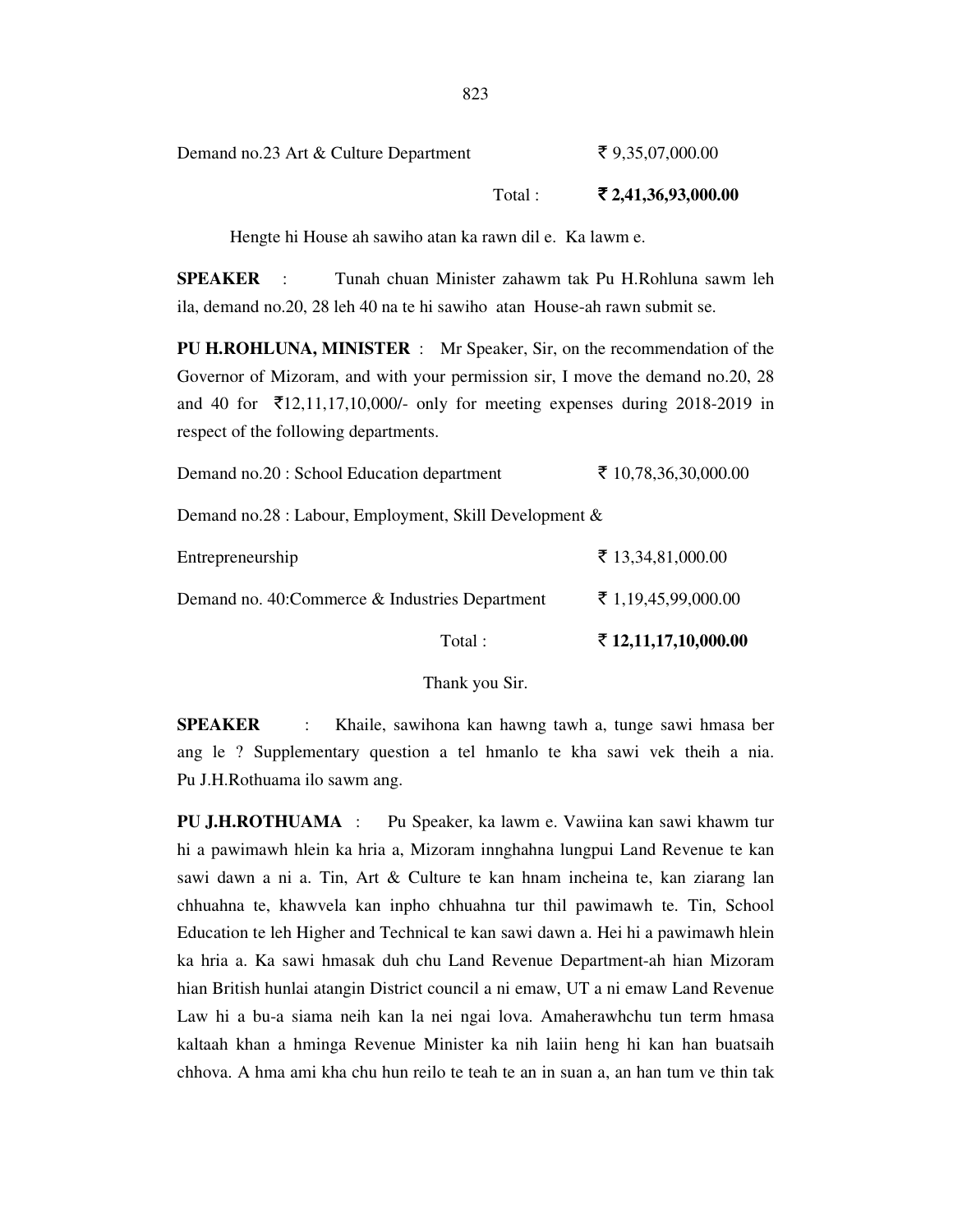Demand no.23 Art & Culture Department  $\bar{\tau}$  9,35,07,000.00

Total : ` **2,41,36,93,000.00** 

Hengte hi House ah sawiho atan ka rawn dil e. Ka lawm e.

**SPEAKER** : Tunah chuan Minister zahawm tak Pu H.Rohluna sawm leh ila, demand no.20, 28 leh 40 na te hi sawiho atan House-ah rawn submit se.

**PU H.ROHLUNA, MINISTER** : Mr Speaker, Sir, on the recommendation of the Governor of Mizoram, and with your permission sir, I move the demand no.20, 28 and 40 for  $\bar{\mathcal{L}}$ 12,11,17,10,000/- only for meeting expenses during 2018-2019 in respect of the following departments.

|                                                        | Total: | ₹ 12,11,17,10,000.00 |  |
|--------------------------------------------------------|--------|----------------------|--|
| Demand no. 40: Commerce & Industries Department        |        | ₹ 1,19,45,99,000.00  |  |
| Entrepreneurship                                       |        | ₹ 13,34,81,000.00    |  |
| Demand no.28 : Labour, Employment, Skill Development & |        |                      |  |
| Demand no.20 : School Education department             |        | ₹ 10,78,36,30,000.00 |  |

Thank you Sir.

**SPEAKER** : Khaile, sawihona kan hawng tawh a, tunge sawi hmasa ber ang le ? Supplementary question a tel hmanlo te kha sawi vek theih a nia. Pu J.H.Rothuama ilo sawm ang.

**PU J.H.ROTHUAMA** : Pu Speaker, ka lawm e. Vawiina kan sawi khawm tur hi a pawimawh hlein ka hria a, Mizoram innghahna lungpui Land Revenue te kan sawi dawn a ni a. Tin, Art & Culture te kan hnam incheina te, kan ziarang lan chhuahna te, khawvela kan inpho chhuahna tur thil pawimawh te. Tin, School Education te leh Higher and Technical te kan sawi dawn a. Hei hi a pawimawh hlein ka hria a. Ka sawi hmasak duh chu Land Revenue Department-ah hian Mizoram hian British hunlai atangin District council a ni emaw, UT a ni emaw Land Revenue Law hi a bu-a siama neih kan la nei ngai lova. Amaherawhchu tun term hmasa kaltaah khan a hminga Revenue Minister ka nih laiin heng hi kan han buatsaih chhova. A hma ami kha chu hun reilo te teah te an in suan a, an han tum ve thin tak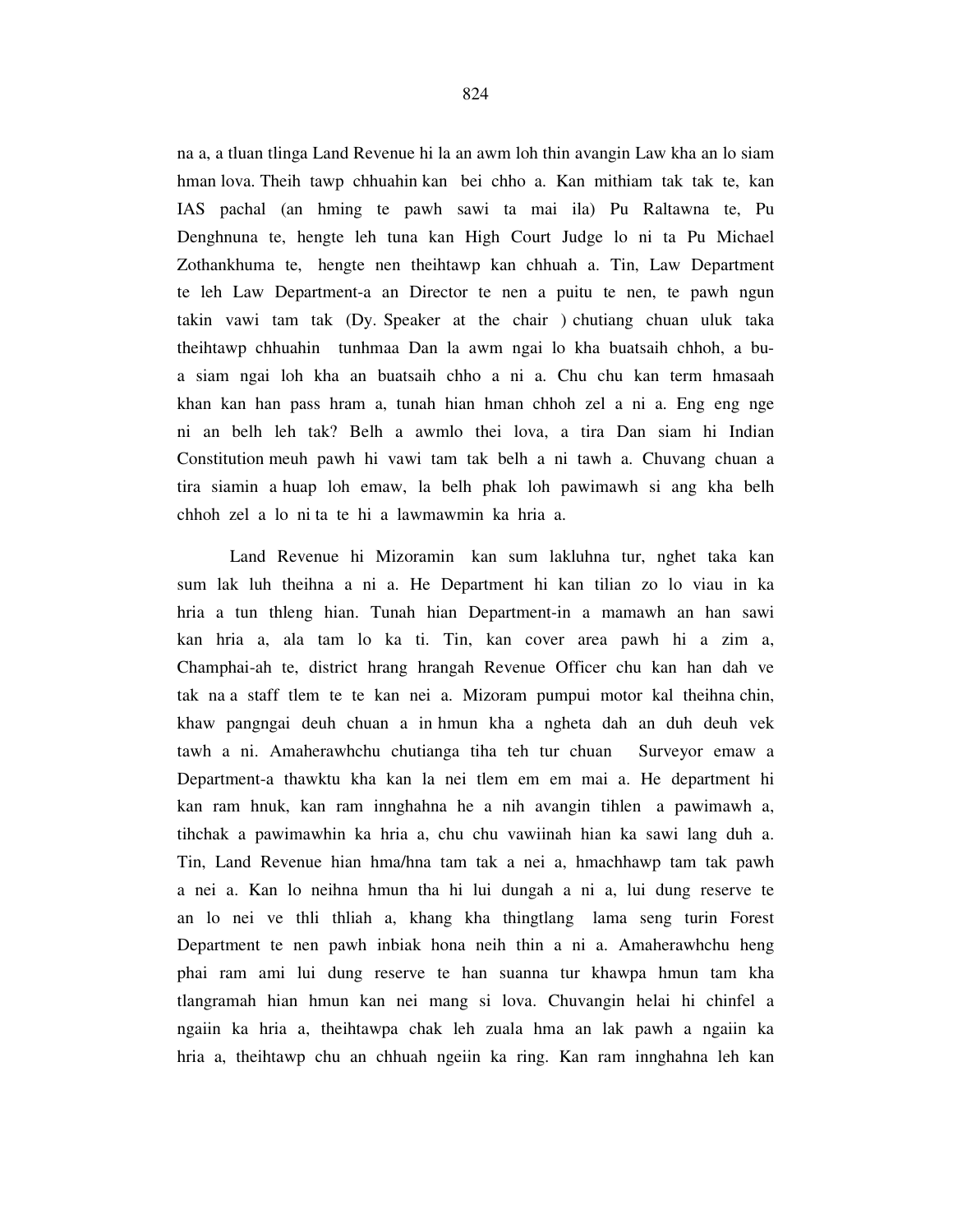na a, a tluan tlinga Land Revenue hi la an awm loh thin avangin Law kha an lo siam hman lova. Theih tawp chhuahin kan bei chho a. Kan mithiam tak tak te, kan IAS pachal (an hming te pawh sawi ta mai ila) Pu Raltawna te, Pu Denghnuna te, hengte leh tuna kan High Court Judge lo ni ta Pu Michael Zothankhuma te, hengte nen theihtawp kan chhuah a. Tin, Law Department te leh Law Department-a an Director te nen a puitu te nen, te pawh ngun takin vawi tam tak (Dy. Speaker at the chair ) chutiang chuan uluk taka theihtawp chhuahin tunhmaa Dan la awm ngai lo kha buatsaih chhoh, a bua siam ngai loh kha an buatsaih chho a ni a. Chu chu kan term hmasaah khan kan han pass hram a, tunah hian hman chhoh zel a ni a. Eng eng nge ni an belh leh tak? Belh a awmlo thei lova, a tira Dan siam hi Indian Constitution meuh pawh hi vawi tam tak belh a ni tawh a. Chuvang chuan a tira siamin a huap loh emaw, la belh phak loh pawimawh si ang kha belh chhoh zel a lo ni ta te hi a lawmawmin ka hria a.

 Land Revenue hi Mizoramin kan sum lakluhna tur, nghet taka kan sum lak luh theihna a ni a. He Department hi kan tilian zo lo viau in ka hria a tun thleng hian. Tunah hian Department-in a mamawh an han sawi kan hria a, ala tam lo ka ti. Tin, kan cover area pawh hi a zim a, Champhai-ah te, district hrang hrangah Revenue Officer chu kan han dah ve tak na a staff tlem te te kan nei a. Mizoram pumpui motor kal theihna chin, khaw pangngai deuh chuan a in hmun kha a ngheta dah an duh deuh vek tawh a ni. Amaherawhchu chutianga tiha teh tur chuan Surveyor emaw a Department-a thawktu kha kan la nei tlem em em mai a. He department hi kan ram hnuk, kan ram innghahna he a nih avangin tihlen a pawimawh a, tihchak a pawimawhin ka hria a, chu chu vawiinah hian ka sawi lang duh a. Tin, Land Revenue hian hma/hna tam tak a nei a, hmachhawp tam tak pawh a nei a. Kan lo neihna hmun tha hi lui dungah a ni a, lui dung reserve te an lo nei ve thli thliah a, khang kha thingtlang lama seng turin Forest Department te nen pawh inbiak hona neih thin a ni a. Amaherawhchu heng phai ram ami lui dung reserve te han suanna tur khawpa hmun tam kha tlangramah hian hmun kan nei mang si lova. Chuvangin helai hi chinfel a ngaiin ka hria a, theihtawpa chak leh zuala hma an lak pawh a ngaiin ka hria a, theihtawp chu an chhuah ngeiin ka ring. Kan ram innghahna leh kan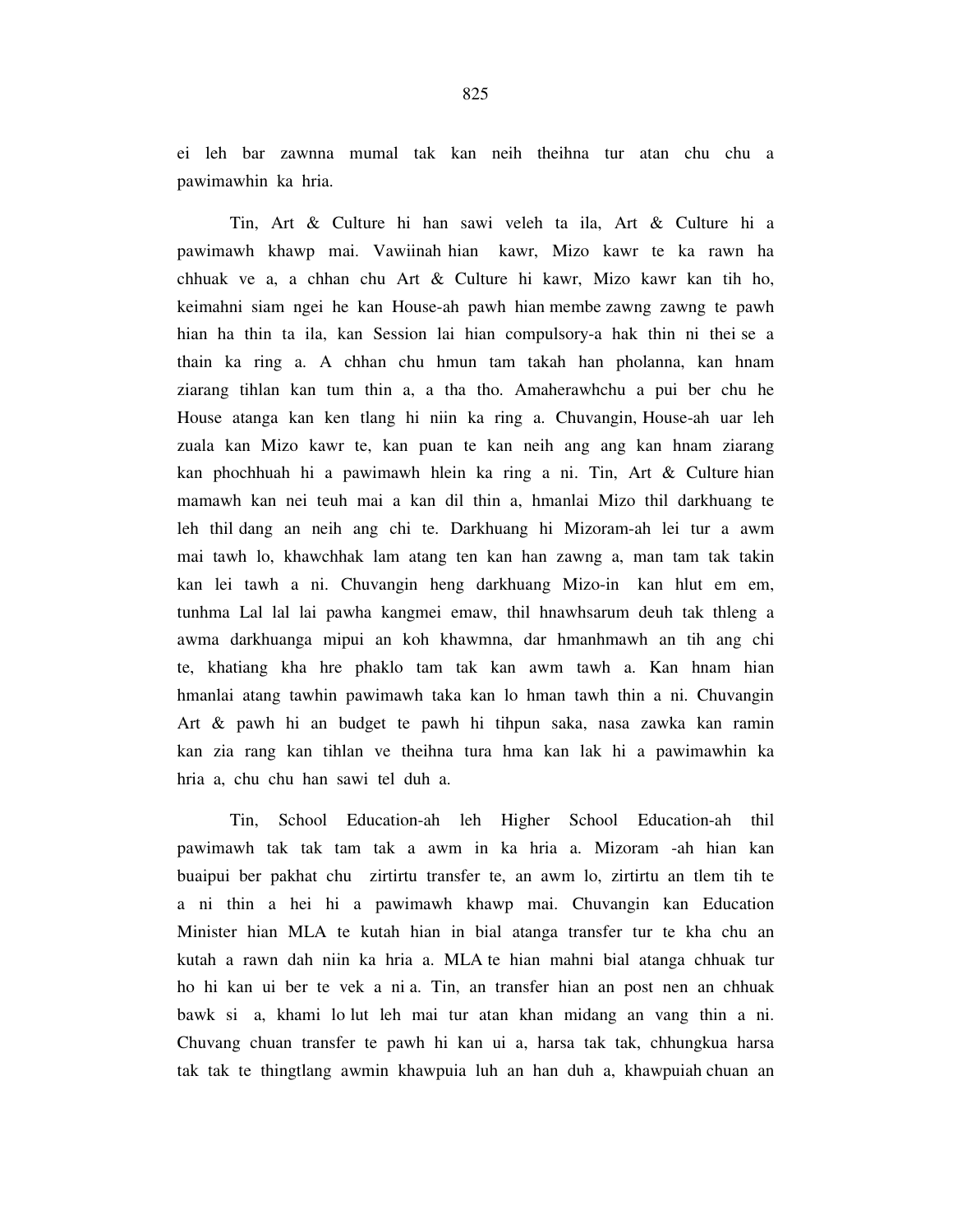ei leh bar zawnna mumal tak kan neih theihna tur atan chu chu a pawimawhin ka hria.

 Tin, Art & Culture hi han sawi veleh ta ila, Art & Culture hi a pawimawh khawp mai. Vawiinah hian kawr, Mizo kawr te ka rawn ha chhuak ve a, a chhan chu Art & Culture hi kawr, Mizo kawr kan tih ho, keimahni siam ngei he kan House-ah pawh hian membe zawng zawng te pawh hian ha thin ta ila, kan Session lai hian compulsory-a hak thin ni thei se a thain ka ring a. A chhan chu hmun tam takah han pholanna, kan hnam ziarang tihlan kan tum thin a, a tha tho. Amaherawhchu a pui ber chu he House atanga kan ken tlang hi niin ka ring a. Chuvangin, House-ah uar leh zuala kan Mizo kawr te, kan puan te kan neih ang ang kan hnam ziarang kan phochhuah hi a pawimawh hlein ka ring a ni. Tin, Art & Culture hian mamawh kan nei teuh mai a kan dil thin a, hmanlai Mizo thil darkhuang te leh thil dang an neih ang chi te. Darkhuang hi Mizoram-ah lei tur a awm mai tawh lo, khawchhak lam atang ten kan han zawng a, man tam tak takin kan lei tawh a ni. Chuvangin heng darkhuang Mizo-in kan hlut em em, tunhma Lal lal lai pawha kangmei emaw, thil hnawhsarum deuh tak thleng a awma darkhuanga mipui an koh khawmna, dar hmanhmawh an tih ang chi te, khatiang kha hre phaklo tam tak kan awm tawh a. Kan hnam hian hmanlai atang tawhin pawimawh taka kan lo hman tawh thin a ni. Chuvangin Art & pawh hi an budget te pawh hi tihpun saka, nasa zawka kan ramin kan zia rang kan tihlan ve theihna tura hma kan lak hi a pawimawhin ka hria a, chu chu han sawi tel duh a.

 Tin, School Education-ah leh Higher School Education-ah thil pawimawh tak tak tam tak a awm in ka hria a. Mizoram -ah hian kan buaipui ber pakhat chu zirtirtu transfer te, an awm lo, zirtirtu an tlem tih te a ni thin a hei hi a pawimawh khawp mai. Chuvangin kan Education Minister hian MLA te kutah hian in bial atanga transfer tur te kha chu an kutah a rawn dah niin ka hria a. MLA te hian mahni bial atanga chhuak tur ho hi kan ui ber te vek a ni a. Tin, an transfer hian an post nen an chhuak bawk si a, khami lo lut leh mai tur atan khan midang an vang thin a ni. Chuvang chuan transfer te pawh hi kan ui a, harsa tak tak, chhungkua harsa tak tak te thingtlang awmin khawpuia luh an han duh a, khawpuiah chuan an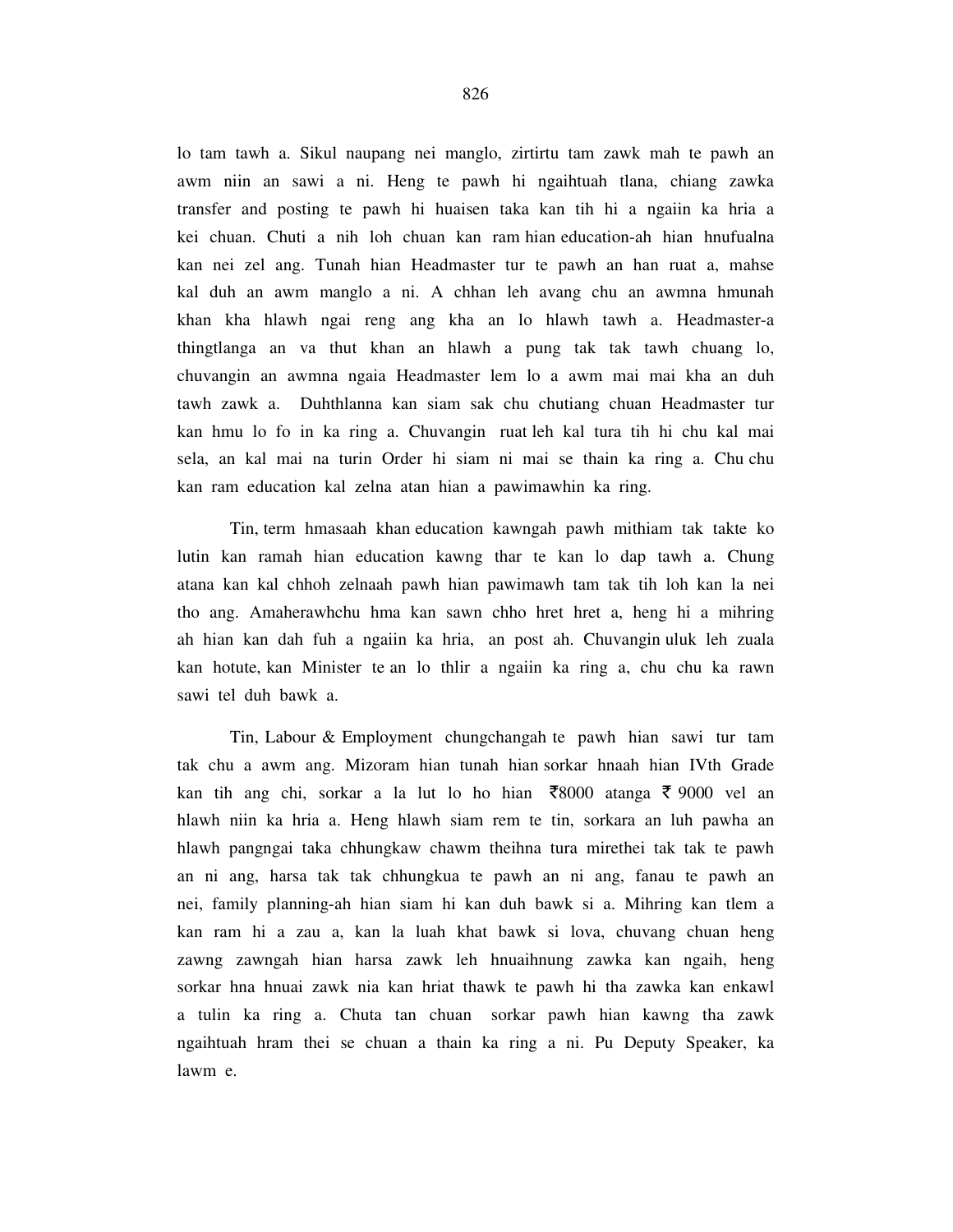lo tam tawh a. Sikul naupang nei manglo, zirtirtu tam zawk mah te pawh an awm niin an sawi a ni. Heng te pawh hi ngaihtuah tlana, chiang zawka transfer and posting te pawh hi huaisen taka kan tih hi a ngaiin ka hria a kei chuan. Chuti a nih loh chuan kan ram hian education-ah hian hnufualna kan nei zel ang. Tunah hian Headmaster tur te pawh an han ruat a, mahse kal duh an awm manglo a ni. A chhan leh avang chu an awmna hmunah khan kha hlawh ngai reng ang kha an lo hlawh tawh a. Headmaster-a thingtlanga an va thut khan an hlawh a pung tak tak tawh chuang lo, chuvangin an awmna ngaia Headmaster lem lo a awm mai mai kha an duh tawh zawk a. Duhthlanna kan siam sak chu chutiang chuan Headmaster tur kan hmu lo fo in ka ring a. Chuvangin ruat leh kal tura tih hi chu kal mai sela, an kal mai na turin Order hi siam ni mai se thain ka ring a. Chu chu kan ram education kal zelna atan hian a pawimawhin ka ring.

 Tin, term hmasaah khan education kawngah pawh mithiam tak takte ko lutin kan ramah hian education kawng thar te kan lo dap tawh a. Chung atana kan kal chhoh zelnaah pawh hian pawimawh tam tak tih loh kan la nei tho ang. Amaherawhchu hma kan sawn chho hret hret a, heng hi a mihring ah hian kan dah fuh a ngaiin ka hria, an post ah. Chuvangin uluk leh zuala kan hotute, kan Minister te an lo thlir a ngaiin ka ring a, chu chu ka rawn sawi tel duh bawk a.

 Tin, Labour & Employment chungchangah te pawh hian sawi tur tam tak chu a awm ang. Mizoram hian tunah hian sorkar hnaah hian IVth Grade kan tih ang chi, sorkar a la lut lo ho hian  $\overline{$}8000$  atanga  $\overline{$}9000$  vel an hlawh niin ka hria a. Heng hlawh siam rem te tin, sorkara an luh pawha an hlawh pangngai taka chhungkaw chawm theihna tura mirethei tak tak te pawh an ni ang, harsa tak tak chhungkua te pawh an ni ang, fanau te pawh an nei, family planning-ah hian siam hi kan duh bawk si a. Mihring kan tlem a kan ram hi a zau a, kan la luah khat bawk si lova, chuvang chuan heng zawng zawngah hian harsa zawk leh hnuaihnung zawka kan ngaih, heng sorkar hna hnuai zawk nia kan hriat thawk te pawh hi tha zawka kan enkawl a tulin ka ring a. Chuta tan chuan sorkar pawh hian kawng tha zawk ngaihtuah hram thei se chuan a thain ka ring a ni. Pu Deputy Speaker, ka lawm e.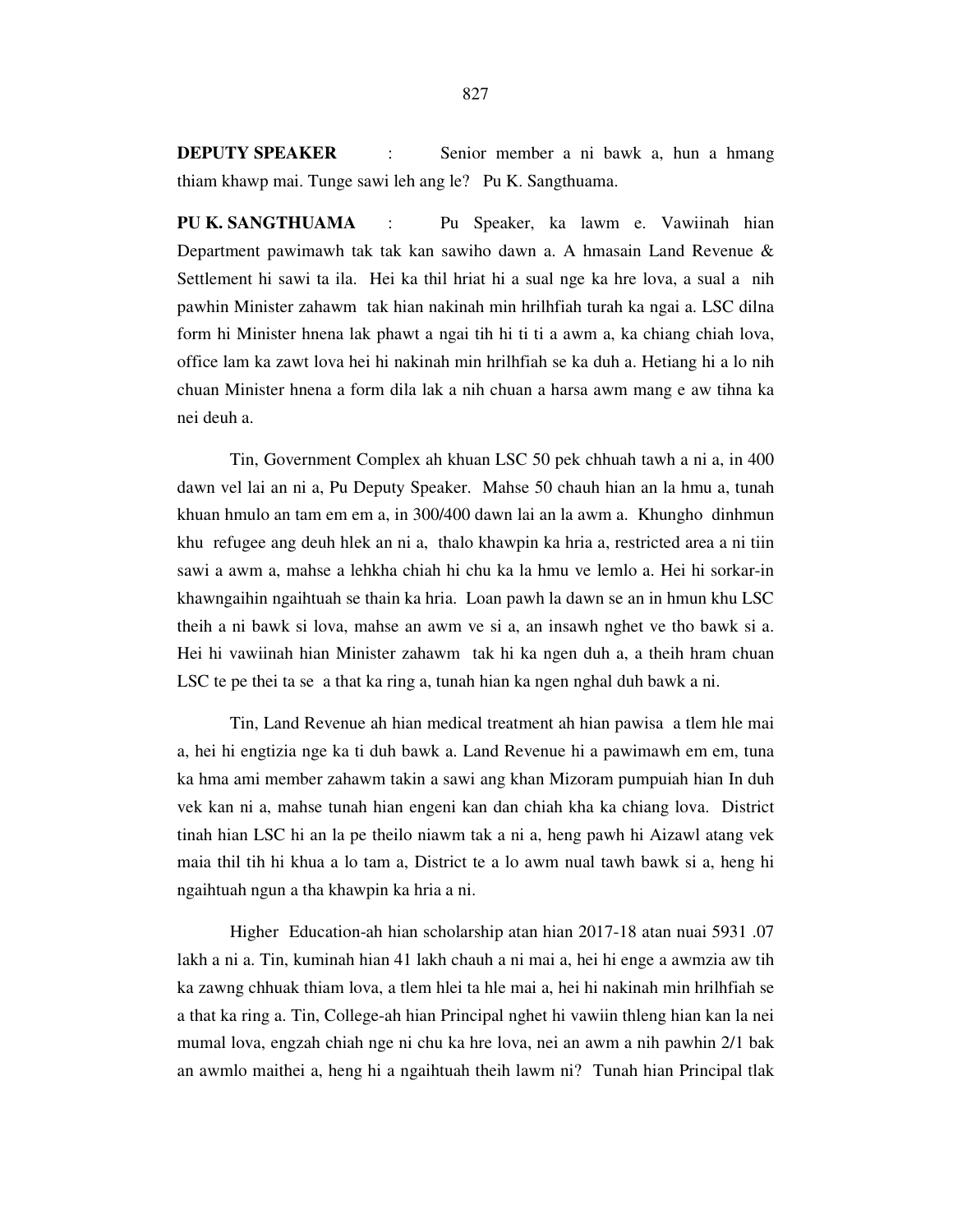**DEPUTY SPEAKER** : Senior member a ni bawk a, hun a hmang thiam khawp mai. Tunge sawi leh ang le? Pu K. Sangthuama.

**PU K. SANGTHUAMA** : Pu Speaker, ka lawm e. Vawiinah hian Department pawimawh tak tak kan sawiho dawn a. A hmasain Land Revenue & Settlement hi sawi ta ila. Hei ka thil hriat hi a sual nge ka hre lova, a sual a nih pawhin Minister zahawm tak hian nakinah min hrilhfiah turah ka ngai a. LSC dilna form hi Minister hnena lak phawt a ngai tih hi ti ti a awm a, ka chiang chiah lova, office lam ka zawt lova hei hi nakinah min hrilhfiah se ka duh a. Hetiang hi a lo nih chuan Minister hnena a form dila lak a nih chuan a harsa awm mang e aw tihna ka nei deuh a.

 Tin, Government Complex ah khuan LSC 50 pek chhuah tawh a ni a, in 400 dawn vel lai an ni a, Pu Deputy Speaker. Mahse 50 chauh hian an la hmu a, tunah khuan hmulo an tam em em a, in 300/400 dawn lai an la awm a. Khungho dinhmun khu refugee ang deuh hlek an ni a, thalo khawpin ka hria a, restricted area a ni tiin sawi a awm a, mahse a lehkha chiah hi chu ka la hmu ve lemlo a. Hei hi sorkar-in khawngaihin ngaihtuah se thain ka hria. Loan pawh la dawn se an in hmun khu LSC theih a ni bawk si lova, mahse an awm ve si a, an insawh nghet ve tho bawk si a. Hei hi vawiinah hian Minister zahawm tak hi ka ngen duh a, a theih hram chuan LSC te pe thei ta se a that ka ring a, tunah hian ka ngen nghal duh bawk a ni.

 Tin, Land Revenue ah hian medical treatment ah hian pawisa a tlem hle mai a, hei hi engtizia nge ka ti duh bawk a. Land Revenue hi a pawimawh em em, tuna ka hma ami member zahawm takin a sawi ang khan Mizoram pumpuiah hian In duh vek kan ni a, mahse tunah hian engeni kan dan chiah kha ka chiang lova. District tinah hian LSC hi an la pe theilo niawm tak a ni a, heng pawh hi Aizawl atang vek maia thil tih hi khua a lo tam a, District te a lo awm nual tawh bawk si a, heng hi ngaihtuah ngun a tha khawpin ka hria a ni.

 Higher Education-ah hian scholarship atan hian 2017-18 atan nuai 5931 .07 lakh a ni a. Tin, kuminah hian 41 lakh chauh a ni mai a, hei hi enge a awmzia aw tih ka zawng chhuak thiam lova, a tlem hlei ta hle mai a, hei hi nakinah min hrilhfiah se a that ka ring a. Tin, College-ah hian Principal nghet hi vawiin thleng hian kan la nei mumal lova, engzah chiah nge ni chu ka hre lova, nei an awm a nih pawhin 2/1 bak an awmlo maithei a, heng hi a ngaihtuah theih lawm ni? Tunah hian Principal tlak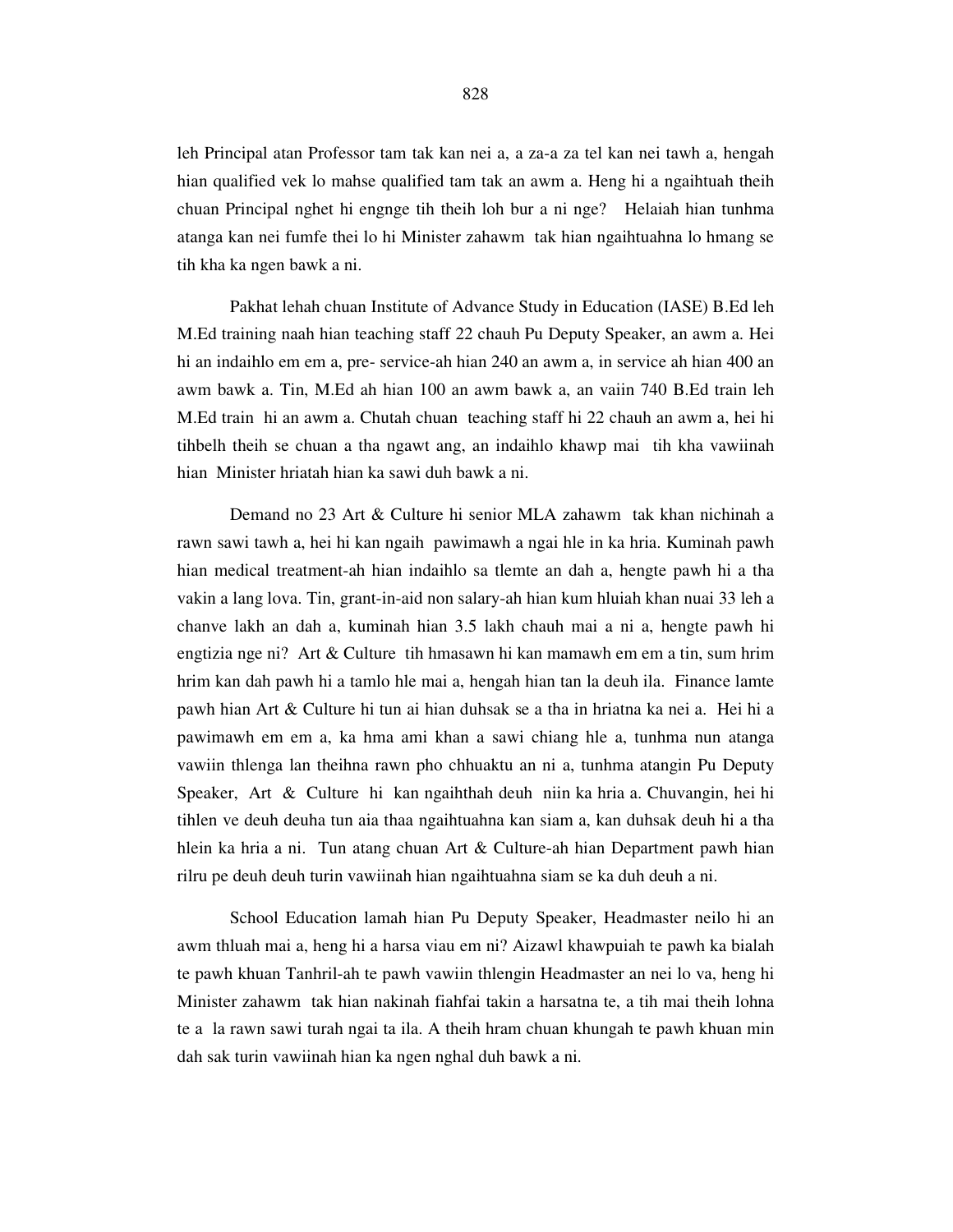leh Principal atan Professor tam tak kan nei a, a za-a za tel kan nei tawh a, hengah hian qualified vek lo mahse qualified tam tak an awm a. Heng hi a ngaihtuah theih chuan Principal nghet hi engnge tih theih loh bur a ni nge? Helaiah hian tunhma atanga kan nei fumfe thei lo hi Minister zahawm tak hian ngaihtuahna lo hmang se tih kha ka ngen bawk a ni.

 Pakhat lehah chuan Institute of Advance Study in Education (IASE) B.Ed leh M.Ed training naah hian teaching staff 22 chauh Pu Deputy Speaker, an awm a. Hei hi an indaihlo em em a, pre- service-ah hian 240 an awm a, in service ah hian 400 an awm bawk a. Tin, M.Ed ah hian 100 an awm bawk a, an vaiin 740 B.Ed train leh M.Ed train hi an awm a. Chutah chuan teaching staff hi 22 chauh an awm a, hei hi tihbelh theih se chuan a tha ngawt ang, an indaihlo khawp mai tih kha vawiinah hian Minister hriatah hian ka sawi duh bawk a ni.

 Demand no 23 Art & Culture hi senior MLA zahawm tak khan nichinah a rawn sawi tawh a, hei hi kan ngaih pawimawh a ngai hle in ka hria. Kuminah pawh hian medical treatment-ah hian indaihlo sa tlemte an dah a, hengte pawh hi a tha vakin a lang lova. Tin, grant-in-aid non salary-ah hian kum hluiah khan nuai 33 leh a chanve lakh an dah a, kuminah hian 3.5 lakh chauh mai a ni a, hengte pawh hi engtizia nge ni? Art & Culture tih hmasawn hi kan mamawh em em a tin, sum hrim hrim kan dah pawh hi a tamlo hle mai a, hengah hian tan la deuh ila. Finance lamte pawh hian Art & Culture hi tun ai hian duhsak se a tha in hriatna ka nei a. Hei hi a pawimawh em em a, ka hma ami khan a sawi chiang hle a, tunhma nun atanga vawiin thlenga lan theihna rawn pho chhuaktu an ni a, tunhma atangin Pu Deputy Speaker, Art & Culture hi kan ngaihthah deuh niin ka hria a. Chuvangin, hei hi tihlen ve deuh deuha tun aia thaa ngaihtuahna kan siam a, kan duhsak deuh hi a tha hlein ka hria a ni. Tun atang chuan Art & Culture-ah hian Department pawh hian rilru pe deuh deuh turin vawiinah hian ngaihtuahna siam se ka duh deuh a ni.

 School Education lamah hian Pu Deputy Speaker, Headmaster neilo hi an awm thluah mai a, heng hi a harsa viau em ni? Aizawl khawpuiah te pawh ka bialah te pawh khuan Tanhril-ah te pawh vawiin thlengin Headmaster an nei lo va, heng hi Minister zahawm tak hian nakinah fiahfai takin a harsatna te, a tih mai theih lohna te a la rawn sawi turah ngai ta ila. A theih hram chuan khungah te pawh khuan min dah sak turin vawiinah hian ka ngen nghal duh bawk a ni.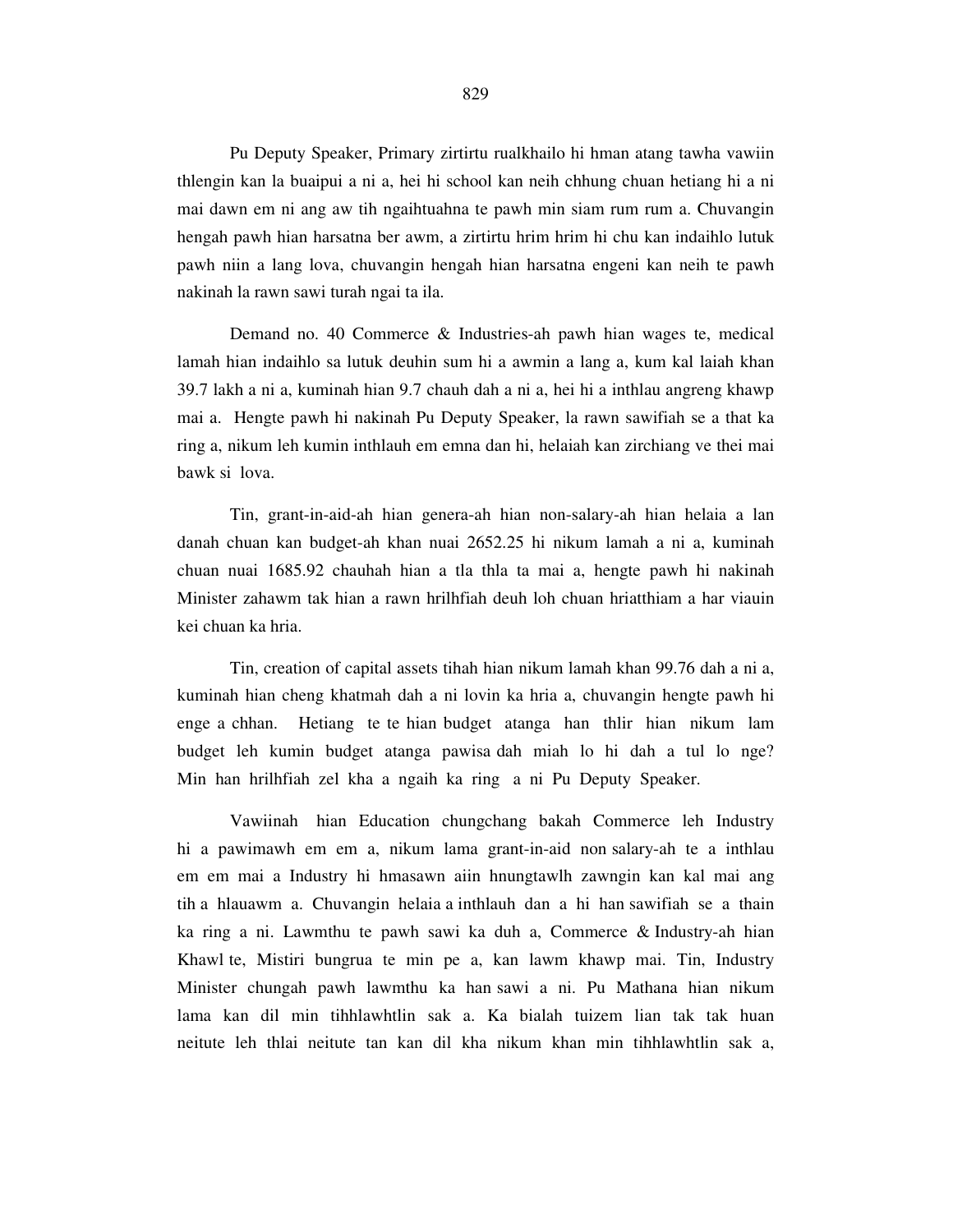Pu Deputy Speaker, Primary zirtirtu rualkhailo hi hman atang tawha vawiin thlengin kan la buaipui a ni a, hei hi school kan neih chhung chuan hetiang hi a ni mai dawn em ni ang aw tih ngaihtuahna te pawh min siam rum rum a. Chuvangin hengah pawh hian harsatna ber awm, a zirtirtu hrim hrim hi chu kan indaihlo lutuk pawh niin a lang lova, chuvangin hengah hian harsatna engeni kan neih te pawh nakinah la rawn sawi turah ngai ta ila.

 Demand no. 40 Commerce & Industries-ah pawh hian wages te, medical lamah hian indaihlo sa lutuk deuhin sum hi a awmin a lang a, kum kal laiah khan 39.7 lakh a ni a, kuminah hian 9.7 chauh dah a ni a, hei hi a inthlau angreng khawp mai a. Hengte pawh hi nakinah Pu Deputy Speaker, la rawn sawifiah se a that ka ring a, nikum leh kumin inthlauh em emna dan hi, helaiah kan zirchiang ve thei mai bawk si lova.

 Tin, grant-in-aid-ah hian genera-ah hian non-salary-ah hian helaia a lan danah chuan kan budget-ah khan nuai 2652.25 hi nikum lamah a ni a, kuminah chuan nuai 1685.92 chauhah hian a tla thla ta mai a, hengte pawh hi nakinah Minister zahawm tak hian a rawn hrilhfiah deuh loh chuan hriatthiam a har viauin kei chuan ka hria.

 Tin, creation of capital assets tihah hian nikum lamah khan 99.76 dah a ni a, kuminah hian cheng khatmah dah a ni lovin ka hria a, chuvangin hengte pawh hi enge a chhan. Hetiang te te hian budget atanga han thlir hian nikum lam budget leh kumin budget atanga pawisa dah miah lo hi dah a tul lo nge? Min han hrilhfiah zel kha a ngaih ka ring a ni Pu Deputy Speaker.

 Vawiinah hian Education chungchang bakah Commerce leh Industry hi a pawimawh em em a, nikum lama grant-in-aid non salary-ah te a inthlau em em mai a Industry hi hmasawn aiin hnungtawlh zawngin kan kal mai ang tih a hlauawm a. Chuvangin helaia a inthlauh dan a hi han sawifiah se a thain ka ring a ni. Lawmthu te pawh sawi ka duh a, Commerce & Industry-ah hian Khawl te, Mistiri bungrua te min pe a, kan lawm khawp mai. Tin, Industry Minister chungah pawh lawmthu ka han sawi a ni. Pu Mathana hian nikum lama kan dil min tihhlawhtlin sak a. Ka bialah tuizem lian tak tak huan neitute leh thlai neitute tan kan dil kha nikum khan min tihhlawhtlin sak a,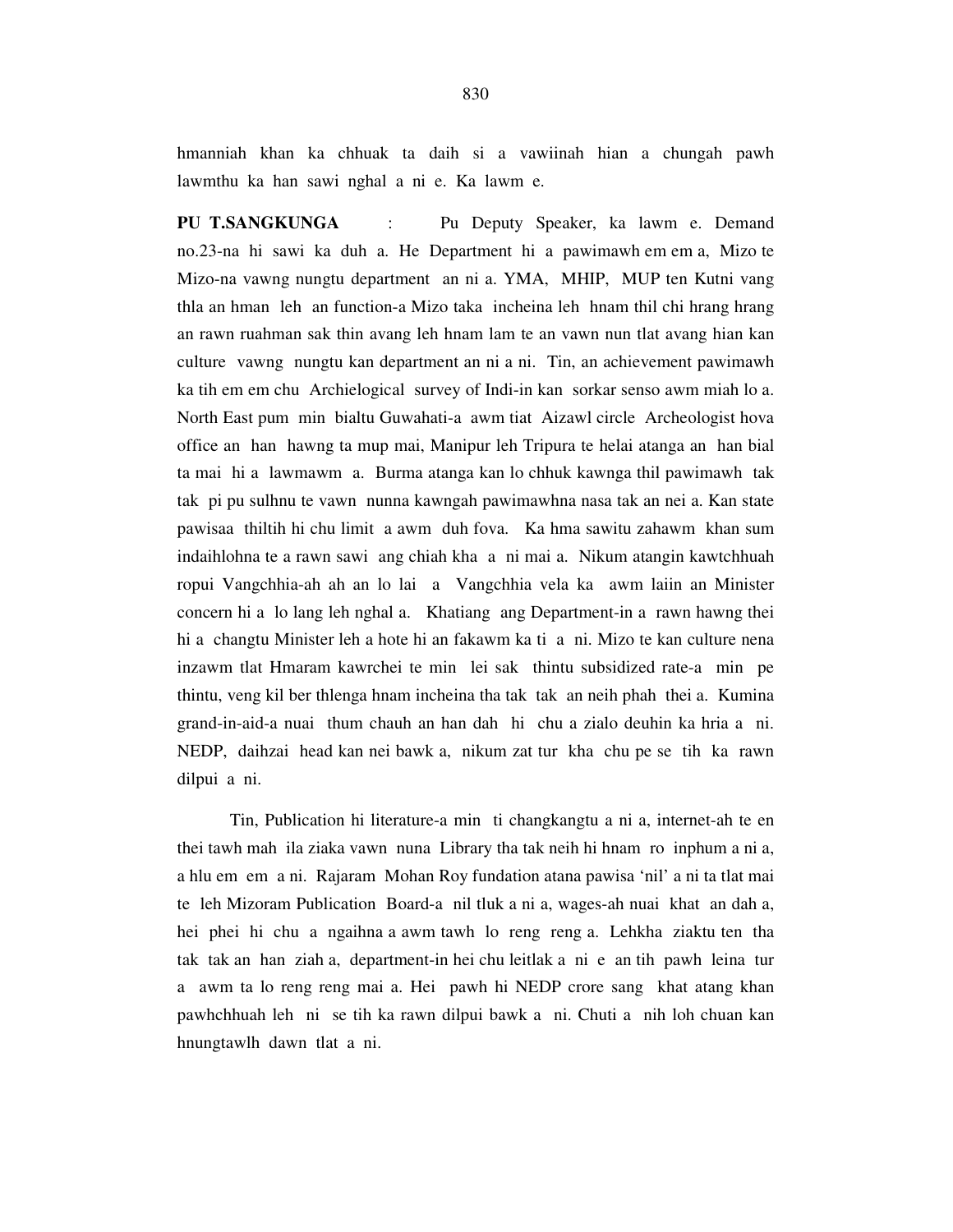hmanniah khan ka chhuak ta daih si a vawiinah hian a chungah pawh lawmthu ka han sawi nghal a ni e. Ka lawm e.

**PU T.SANGKUNGA** : Pu Deputy Speaker, ka lawm e. Demand no.23-na hi sawi ka duh a. He Department hi a pawimawh em em a, Mizo te Mizo-na vawng nungtu department an ni a. YMA, MHIP, MUP ten Kutni vang thla an hman leh an function-a Mizo taka incheina leh hnam thil chi hrang hrang an rawn ruahman sak thin avang leh hnam lam te an vawn nun tlat avang hian kan culture vawng nungtu kan department an ni a ni. Tin, an achievement pawimawh ka tih em em chu Archielogical survey of Indi-in kan sorkar senso awm miah lo a. North East pum min bialtu Guwahati-a awm tiat Aizawl circle Archeologist hova office an han hawng ta mup mai, Manipur leh Tripura te helai atanga an han bial ta mai hi a lawmawm a. Burma atanga kan lo chhuk kawnga thil pawimawh tak tak pi pu sulhnu te vawn nunna kawngah pawimawhna nasa tak an nei a. Kan state pawisaa thiltih hi chu limit a awm duh fova. Ka hma sawitu zahawm khan sum indaihlohna te a rawn sawi ang chiah kha a ni mai a. Nikum atangin kawtchhuah ropui Vangchhia-ah ah an lo lai a Vangchhia vela ka awm laiin an Minister concern hi a lo lang leh nghal a. Khatiang ang Department-in a rawn hawng thei hi a changtu Minister leh a hote hi an fakawm ka ti a ni. Mizo te kan culture nena inzawm tlat Hmaram kawrchei te min lei sak thintu subsidized rate-a min pe thintu, veng kil ber thlenga hnam incheina tha tak tak an neih phah thei a. Kumina grand-in-aid-a nuai thum chauh an han dah hi chu a zialo deuhin ka hria a ni. NEDP, daihzai head kan nei bawk a, nikum zat tur kha chu pe se tih ka rawn dilpui a ni.

 Tin, Publication hi literature-a min ti changkangtu a ni a, internet-ah te en thei tawh mah ila ziaka vawn nuna Library tha tak neih hi hnam ro inphum a ni a, a hlu em em a ni. Rajaram Mohan Roy fundation atana pawisa 'nil' a ni ta tlat mai te leh Mizoram Publication Board-a nil tluk a ni a, wages-ah nuai khat an dah a, hei phei hi chu a ngaihna a awm tawh lo reng reng a. Lehkha ziaktu ten tha tak tak an han ziah a, department-in hei chu leitlak a ni e an tih pawh leina tur a awm ta lo reng reng mai a. Hei pawh hi NEDP crore sang khat atang khan pawhchhuah leh ni se tih ka rawn dilpui bawk a ni. Chuti a nih loh chuan kan hnungtawlh dawn tlat a ni.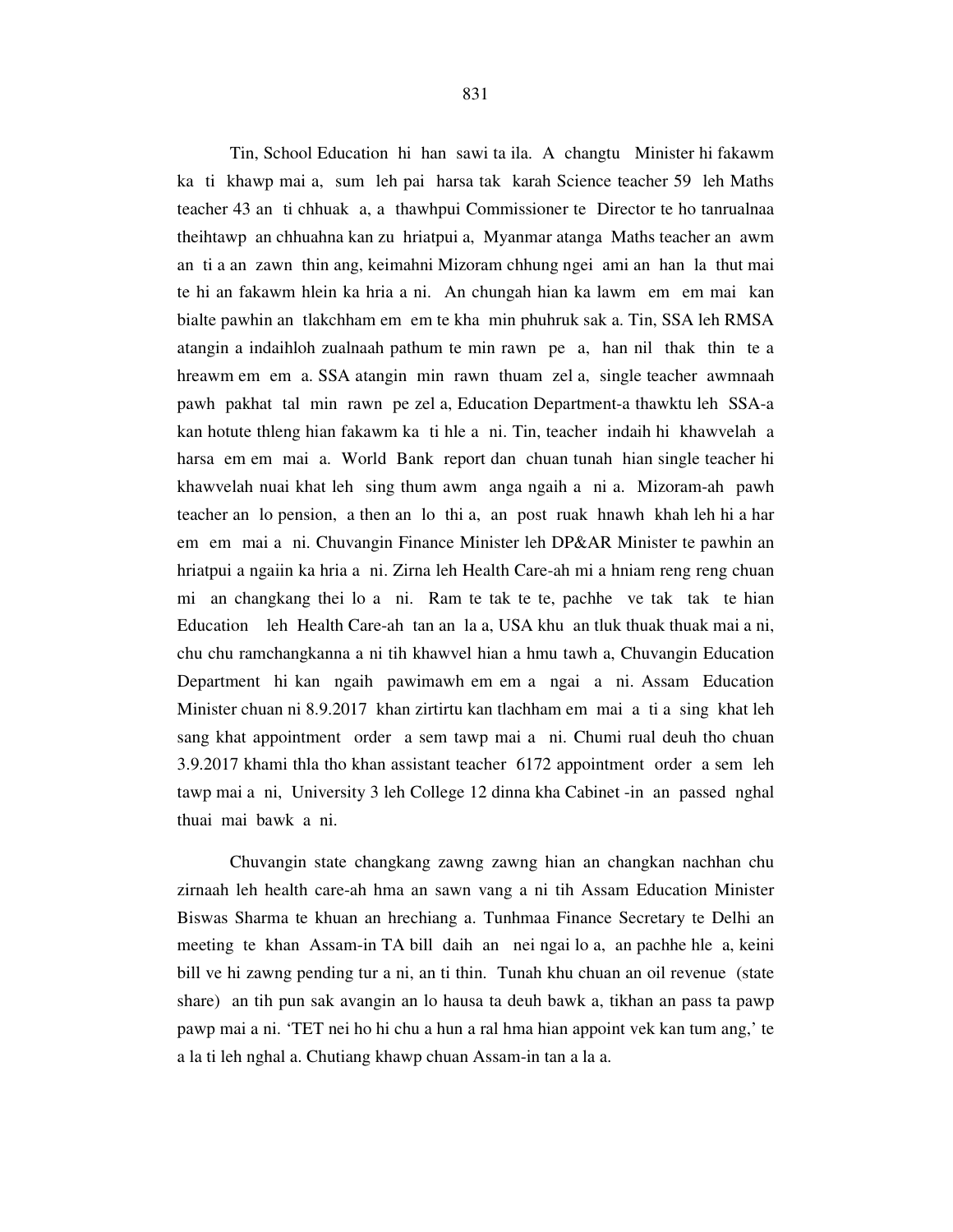Tin, School Education hi han sawi ta ila. A changtu Minister hi fakawm ka ti khawp mai a, sum leh pai harsa tak karah Science teacher 59 leh Maths teacher 43 an ti chhuak a, a thawhpui Commissioner te Director te ho tanrualnaa theihtawp an chhuahna kan zu hriatpui a, Myanmar atanga Maths teacher an awm an ti a an zawn thin ang, keimahni Mizoram chhung ngei ami an han la thut mai te hi an fakawm hlein ka hria a ni. An chungah hian ka lawm em em mai kan bialte pawhin an tlakchham em em te kha min phuhruk sak a. Tin, SSA leh RMSA atangin a indaihloh zualnaah pathum te min rawn pe a, han nil thak thin te a hreawm em em a. SSA atangin min rawn thuam zel a, single teacher awmnaah pawh pakhat tal min rawn pe zel a, Education Department-a thawktu leh SSA-a kan hotute thleng hian fakawm ka ti hle a ni. Tin, teacher indaih hi khawvelah a harsa em em mai a. World Bank report dan chuan tunah hian single teacher hi khawvelah nuai khat leh sing thum awm anga ngaih a ni a. Mizoram-ah pawh teacher an lo pension, a then an lo thi a, an post ruak hnawh khah leh hi a har em em mai a ni. Chuvangin Finance Minister leh DP&AR Minister te pawhin an hriatpui a ngaiin ka hria a ni. Zirna leh Health Care-ah mi a hniam reng reng chuan mi an changkang thei lo a ni. Ram te tak te te, pachhe ve tak tak te hian Education leh Health Care-ah tan an la a, USA khu an tluk thuak thuak mai a ni, chu chu ramchangkanna a ni tih khawvel hian a hmu tawh a, Chuvangin Education Department hi kan ngaih pawimawh em em a ngai a ni. Assam Education Minister chuan ni 8.9.2017 khan zirtirtu kan tlachham em mai a ti a sing khat leh sang khat appointment order a sem tawp mai a ni. Chumi rual deuh tho chuan 3.9.2017 khami thla tho khan assistant teacher 6172 appointment order a sem leh tawp mai a ni, University 3 leh College 12 dinna kha Cabinet -in an passed nghal thuai mai bawk a ni.

 Chuvangin state changkang zawng zawng hian an changkan nachhan chu zirnaah leh health care-ah hma an sawn vang a ni tih Assam Education Minister Biswas Sharma te khuan an hrechiang a. Tunhmaa Finance Secretary te Delhi an meeting te khan Assam-in TA bill daih an nei ngai lo a, an pachhe hle a, keini bill ve hi zawng pending tur a ni, an ti thin. Tunah khu chuan an oil revenue (state share) an tih pun sak avangin an lo hausa ta deuh bawk a, tikhan an pass ta pawp pawp mai a ni. 'TET nei ho hi chu a hun a ral hma hian appoint vek kan tum ang,' te a la ti leh nghal a. Chutiang khawp chuan Assam-in tan a la a.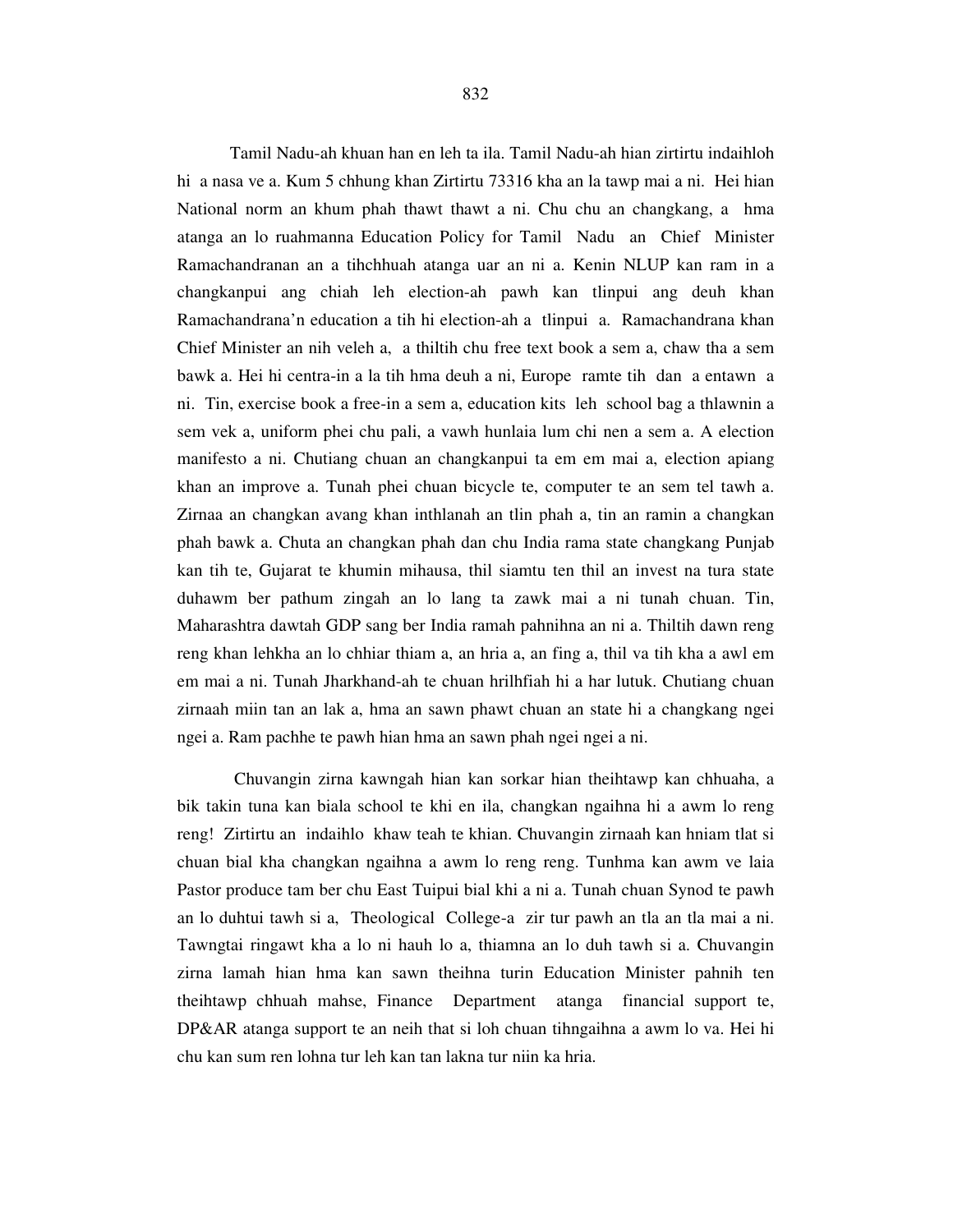Tamil Nadu-ah khuan han en leh ta ila. Tamil Nadu-ah hian zirtirtu indaihloh hi a nasa ve a. Kum 5 chhung khan Zirtirtu 73316 kha an la tawp mai a ni. Hei hian National norm an khum phah thawt thawt a ni. Chu chu an changkang, a hma atanga an lo ruahmanna Education Policy for Tamil Nadu an Chief Minister Ramachandranan an a tihchhuah atanga uar an ni a. Kenin NLUP kan ram in a changkanpui ang chiah leh election-ah pawh kan tlinpui ang deuh khan Ramachandrana'n education a tih hi election-ah a tlinpui a. Ramachandrana khan Chief Minister an nih veleh a, a thiltih chu free text book a sem a, chaw tha a sem bawk a. Hei hi centra-in a la tih hma deuh a ni, Europe ramte tih dan a entawn a ni. Tin, exercise book a free-in a sem a, education kits leh school bag a thlawnin a sem vek a, uniform phei chu pali, a vawh hunlaia lum chi nen a sem a. A election manifesto a ni. Chutiang chuan an changkanpui ta em em mai a, election apiang khan an improve a. Tunah phei chuan bicycle te, computer te an sem tel tawh a. Zirnaa an changkan avang khan inthlanah an tlin phah a, tin an ramin a changkan phah bawk a. Chuta an changkan phah dan chu India rama state changkang Punjab kan tih te, Gujarat te khumin mihausa, thil siamtu ten thil an invest na tura state duhawm ber pathum zingah an lo lang ta zawk mai a ni tunah chuan. Tin, Maharashtra dawtah GDP sang ber India ramah pahnihna an ni a. Thiltih dawn reng reng khan lehkha an lo chhiar thiam a, an hria a, an fing a, thil va tih kha a awl em em mai a ni. Tunah Jharkhand-ah te chuan hrilhfiah hi a har lutuk. Chutiang chuan zirnaah miin tan an lak a, hma an sawn phawt chuan an state hi a changkang ngei ngei a. Ram pachhe te pawh hian hma an sawn phah ngei ngei a ni.

 Chuvangin zirna kawngah hian kan sorkar hian theihtawp kan chhuaha, a bik takin tuna kan biala school te khi en ila, changkan ngaihna hi a awm lo reng reng! Zirtirtu an indaihlo khaw teah te khian. Chuvangin zirnaah kan hniam tlat si chuan bial kha changkan ngaihna a awm lo reng reng. Tunhma kan awm ve laia Pastor produce tam ber chu East Tuipui bial khi a ni a. Tunah chuan Synod te pawh an lo duhtui tawh si a, Theological College-a zir tur pawh an tla an tla mai a ni. Tawngtai ringawt kha a lo ni hauh lo a, thiamna an lo duh tawh si a. Chuvangin zirna lamah hian hma kan sawn theihna turin Education Minister pahnih ten theihtawp chhuah mahse, Finance Department atanga financial support te, DP&AR atanga support te an neih that si loh chuan tihngaihna a awm lo va. Hei hi chu kan sum ren lohna tur leh kan tan lakna tur niin ka hria.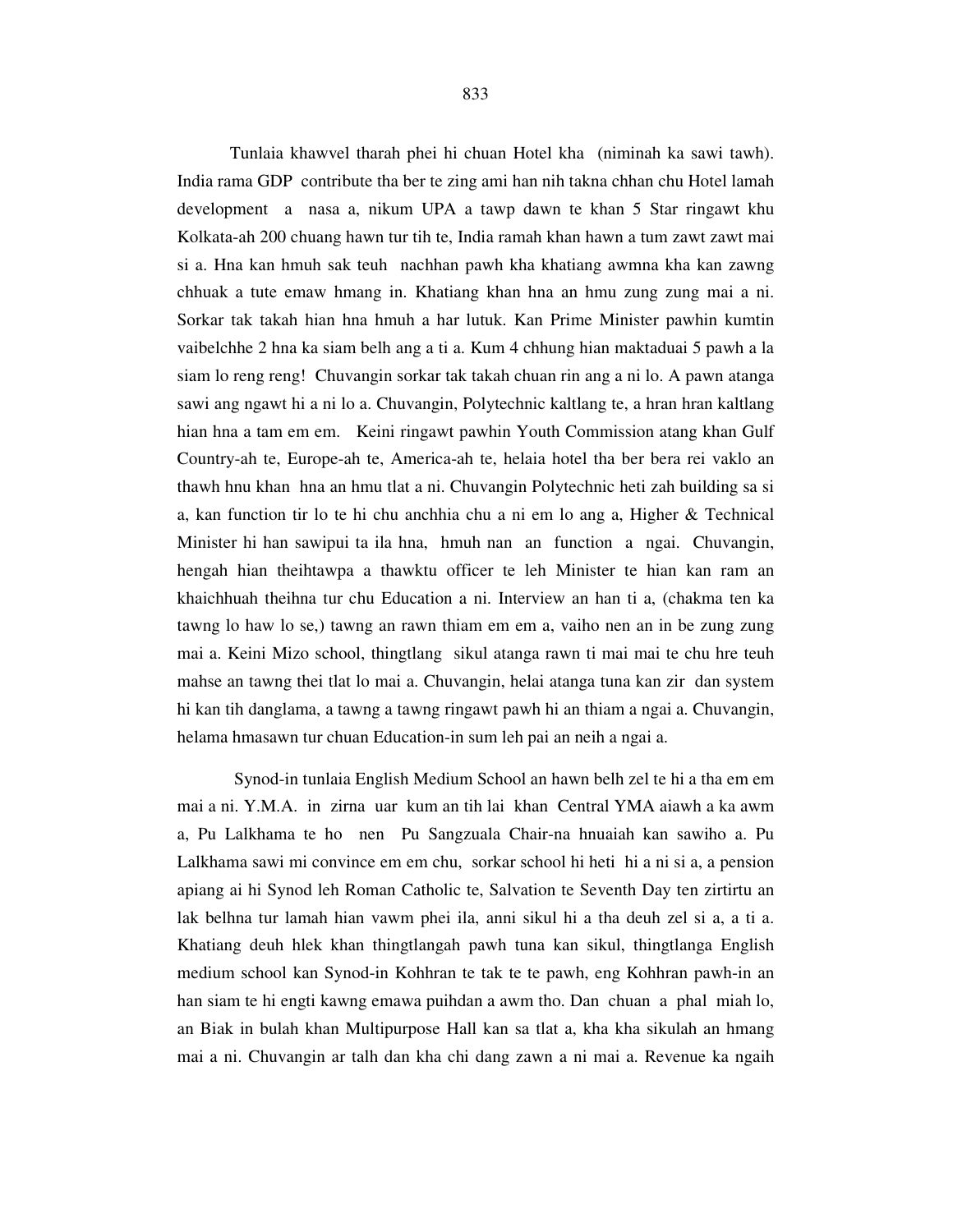Tunlaia khawvel tharah phei hi chuan Hotel kha (niminah ka sawi tawh). India rama GDP contribute tha ber te zing ami han nih takna chhan chu Hotel lamah development a nasa a, nikum UPA a tawp dawn te khan 5 Star ringawt khu Kolkata-ah 200 chuang hawn tur tih te, India ramah khan hawn a tum zawt zawt mai si a. Hna kan hmuh sak teuh nachhan pawh kha khatiang awmna kha kan zawng chhuak a tute emaw hmang in. Khatiang khan hna an hmu zung zung mai a ni. Sorkar tak takah hian hna hmuh a har lutuk. Kan Prime Minister pawhin kumtin vaibelchhe 2 hna ka siam belh ang a ti a. Kum 4 chhung hian maktaduai 5 pawh a la siam lo reng reng! Chuvangin sorkar tak takah chuan rin ang a ni lo. A pawn atanga sawi ang ngawt hi a ni lo a. Chuvangin, Polytechnic kaltlang te, a hran hran kaltlang hian hna a tam em em. Keini ringawt pawhin Youth Commission atang khan Gulf Country-ah te, Europe-ah te, America-ah te, helaia hotel tha ber bera rei vaklo an thawh hnu khan hna an hmu tlat a ni. Chuvangin Polytechnic heti zah building sa si a, kan function tir lo te hi chu anchhia chu a ni em lo ang a, Higher & Technical Minister hi han sawipui ta ila hna, hmuh nan an function a ngai. Chuvangin, hengah hian theihtawpa a thawktu officer te leh Minister te hian kan ram an khaichhuah theihna tur chu Education a ni. Interview an han ti a, (chakma ten ka tawng lo haw lo se,) tawng an rawn thiam em em a, vaiho nen an in be zung zung mai a. Keini Mizo school, thingtlang sikul atanga rawn ti mai mai te chu hre teuh mahse an tawng thei tlat lo mai a. Chuvangin, helai atanga tuna kan zir dan system hi kan tih danglama, a tawng a tawng ringawt pawh hi an thiam a ngai a. Chuvangin, helama hmasawn tur chuan Education-in sum leh pai an neih a ngai a.

 Synod-in tunlaia English Medium School an hawn belh zel te hi a tha em em mai a ni. Y.M.A. in zirna uar kum an tih lai khan Central YMA aiawh a ka awm a, Pu Lalkhama te ho nen Pu Sangzuala Chair-na hnuaiah kan sawiho a. Pu Lalkhama sawi mi convince em em chu, sorkar school hi heti hi a ni si a, a pension apiang ai hi Synod leh Roman Catholic te, Salvation te Seventh Day ten zirtirtu an lak belhna tur lamah hian vawm phei ila, anni sikul hi a tha deuh zel si a, a ti a. Khatiang deuh hlek khan thingtlangah pawh tuna kan sikul, thingtlanga English medium school kan Synod-in Kohhran te tak te te pawh, eng Kohhran pawh-in an han siam te hi engti kawng emawa puihdan a awm tho. Dan chuan a phal miah lo, an Biak in bulah khan Multipurpose Hall kan sa tlat a, kha kha sikulah an hmang mai a ni. Chuvangin ar talh dan kha chi dang zawn a ni mai a. Revenue ka ngaih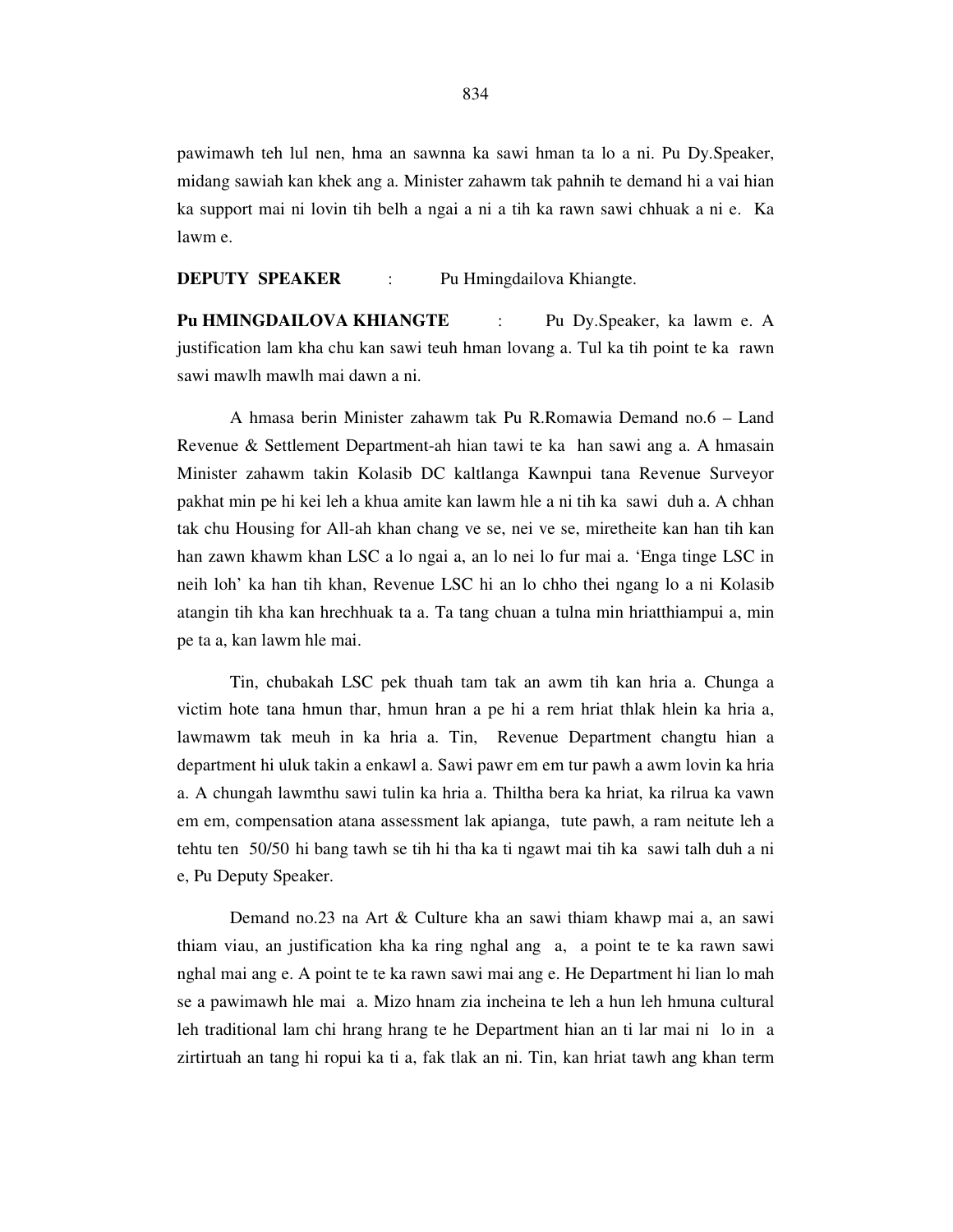pawimawh teh lul nen, hma an sawnna ka sawi hman ta lo a ni. Pu Dy.Speaker, midang sawiah kan khek ang a. Minister zahawm tak pahnih te demand hi a vai hian ka support mai ni lovin tih belh a ngai a ni a tih ka rawn sawi chhuak a ni e. Ka lawm e.

**DEPUTY SPEAKER** : Pu Hmingdailova Khiangte.

**Pu HMINGDAILOVA KHIANGTE** : Pu Dy.Speaker, ka lawm e. A justification lam kha chu kan sawi teuh hman lovang a. Tul ka tih point te ka rawn sawi mawlh mawlh mai dawn a ni.

 A hmasa berin Minister zahawm tak Pu R.Romawia Demand no.6 – Land Revenue & Settlement Department-ah hian tawi te ka han sawi ang a. A hmasain Minister zahawm takin Kolasib DC kaltlanga Kawnpui tana Revenue Surveyor pakhat min pe hi kei leh a khua amite kan lawm hle a ni tih ka sawi duh a. A chhan tak chu Housing for All-ah khan chang ve se, nei ve se, miretheite kan han tih kan han zawn khawm khan LSC a lo ngai a, an lo nei lo fur mai a. 'Enga tinge LSC in neih loh' ka han tih khan, Revenue LSC hi an lo chho thei ngang lo a ni Kolasib atangin tih kha kan hrechhuak ta a. Ta tang chuan a tulna min hriatthiampui a, min pe ta a, kan lawm hle mai.

 Tin, chubakah LSC pek thuah tam tak an awm tih kan hria a. Chunga a victim hote tana hmun thar, hmun hran a pe hi a rem hriat thlak hlein ka hria a, lawmawm tak meuh in ka hria a. Tin, Revenue Department changtu hian a department hi uluk takin a enkawl a. Sawi pawr em em tur pawh a awm lovin ka hria a. A chungah lawmthu sawi tulin ka hria a. Thiltha bera ka hriat, ka rilrua ka vawn em em, compensation atana assessment lak apianga, tute pawh, a ram neitute leh a tehtu ten 50/50 hi bang tawh se tih hi tha ka ti ngawt mai tih ka sawi talh duh a ni e, Pu Deputy Speaker.

 Demand no.23 na Art & Culture kha an sawi thiam khawp mai a, an sawi thiam viau, an justification kha ka ring nghal ang a, a point te te ka rawn sawi nghal mai ang e. A point te te ka rawn sawi mai ang e. He Department hi lian lo mah se a pawimawh hle mai a. Mizo hnam zia incheina te leh a hun leh hmuna cultural leh traditional lam chi hrang hrang te he Department hian an ti lar mai ni lo in a zirtirtuah an tang hi ropui ka ti a, fak tlak an ni. Tin, kan hriat tawh ang khan term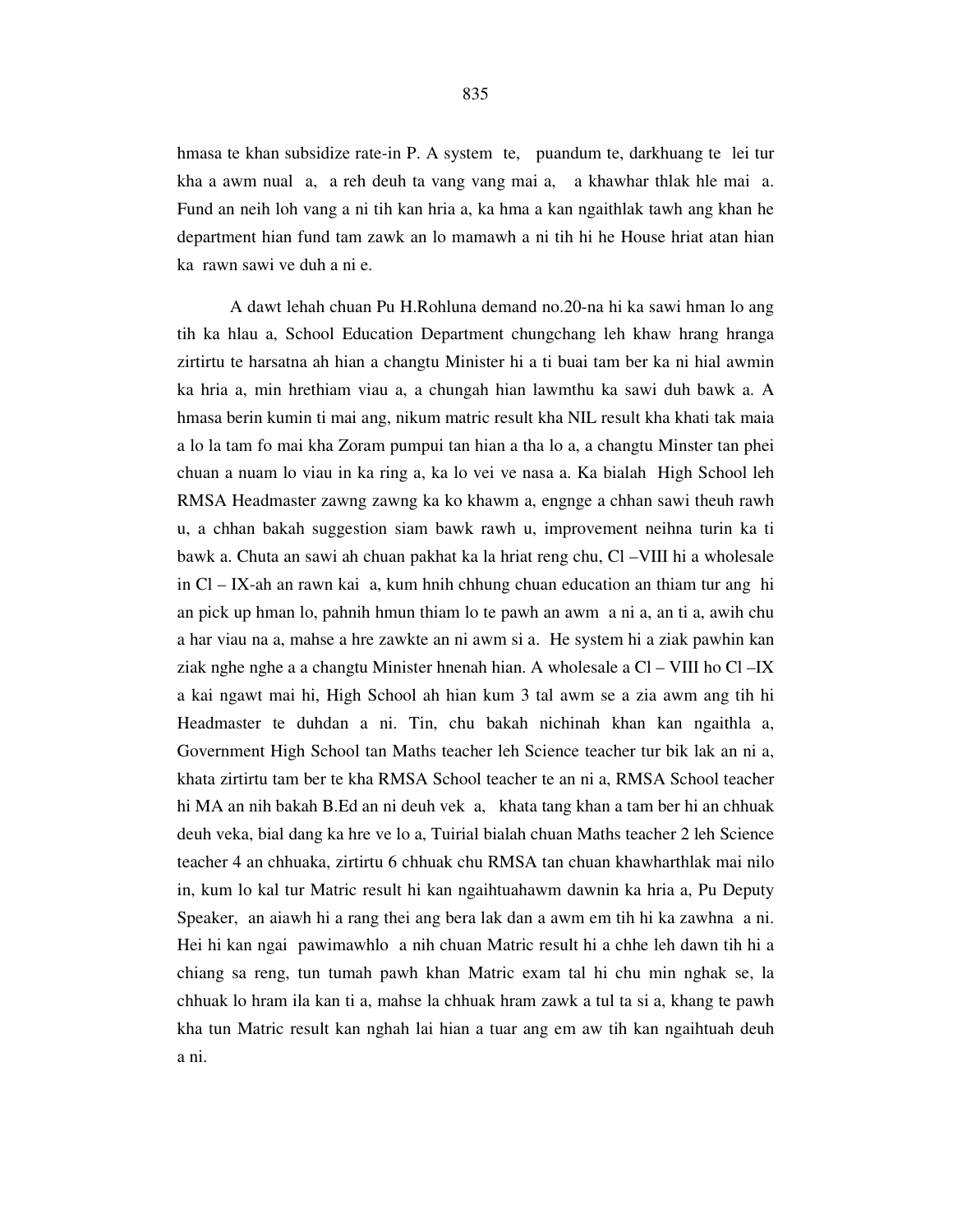hmasa te khan subsidize rate-in P. A system te, puandum te, darkhuang te lei tur kha a awm nual a, a reh deuh ta vang vang mai a, a khawhar thlak hle mai a. Fund an neih loh vang a ni tih kan hria a, ka hma a kan ngaithlak tawh ang khan he department hian fund tam zawk an lo mamawh a ni tih hi he House hriat atan hian ka rawn sawi ve duh a ni e.

 A dawt lehah chuan Pu H.Rohluna demand no.20-na hi ka sawi hman lo ang tih ka hlau a, School Education Department chungchang leh khaw hrang hranga zirtirtu te harsatna ah hian a changtu Minister hi a ti buai tam ber ka ni hial awmin ka hria a, min hrethiam viau a, a chungah hian lawmthu ka sawi duh bawk a. A hmasa berin kumin ti mai ang, nikum matric result kha NIL result kha khati tak maia a lo la tam fo mai kha Zoram pumpui tan hian a tha lo a, a changtu Minster tan phei chuan a nuam lo viau in ka ring a, ka lo vei ve nasa a. Ka bialah High School leh RMSA Headmaster zawng zawng ka ko khawm a, engnge a chhan sawi theuh rawh u, a chhan bakah suggestion siam bawk rawh u, improvement neihna turin ka ti bawk a. Chuta an sawi ah chuan pakhat ka la hriat reng chu, Cl –VIII hi a wholesale in Cl – IX-ah an rawn kai a, kum hnih chhung chuan education an thiam tur ang hi an pick up hman lo, pahnih hmun thiam lo te pawh an awm a ni a, an ti a, awih chu a har viau na a, mahse a hre zawkte an ni awm si a. He system hi a ziak pawhin kan ziak nghe nghe a a changtu Minister hnenah hian. A wholesale a Cl – VIII ho Cl –IX a kai ngawt mai hi, High School ah hian kum 3 tal awm se a zia awm ang tih hi Headmaster te duhdan a ni. Tin, chu bakah nichinah khan kan ngaithla a, Government High School tan Maths teacher leh Science teacher tur bik lak an ni a, khata zirtirtu tam ber te kha RMSA School teacher te an ni a, RMSA School teacher hi MA an nih bakah B.Ed an ni deuh vek a, khata tang khan a tam ber hi an chhuak deuh veka, bial dang ka hre ve lo a, Tuirial bialah chuan Maths teacher 2 leh Science teacher 4 an chhuaka, zirtirtu 6 chhuak chu RMSA tan chuan khawharthlak mai nilo in, kum lo kal tur Matric result hi kan ngaihtuahawm dawnin ka hria a, Pu Deputy Speaker, an aiawh hi a rang thei ang bera lak dan a awm em tih hi ka zawhna a ni. Hei hi kan ngai pawimawhlo a nih chuan Matric result hi a chhe leh dawn tih hi a chiang sa reng, tun tumah pawh khan Matric exam tal hi chu min nghak se, la chhuak lo hram ila kan ti a, mahse la chhuak hram zawk a tul ta si a, khang te pawh kha tun Matric result kan nghah lai hian a tuar ang em aw tih kan ngaihtuah deuh a ni.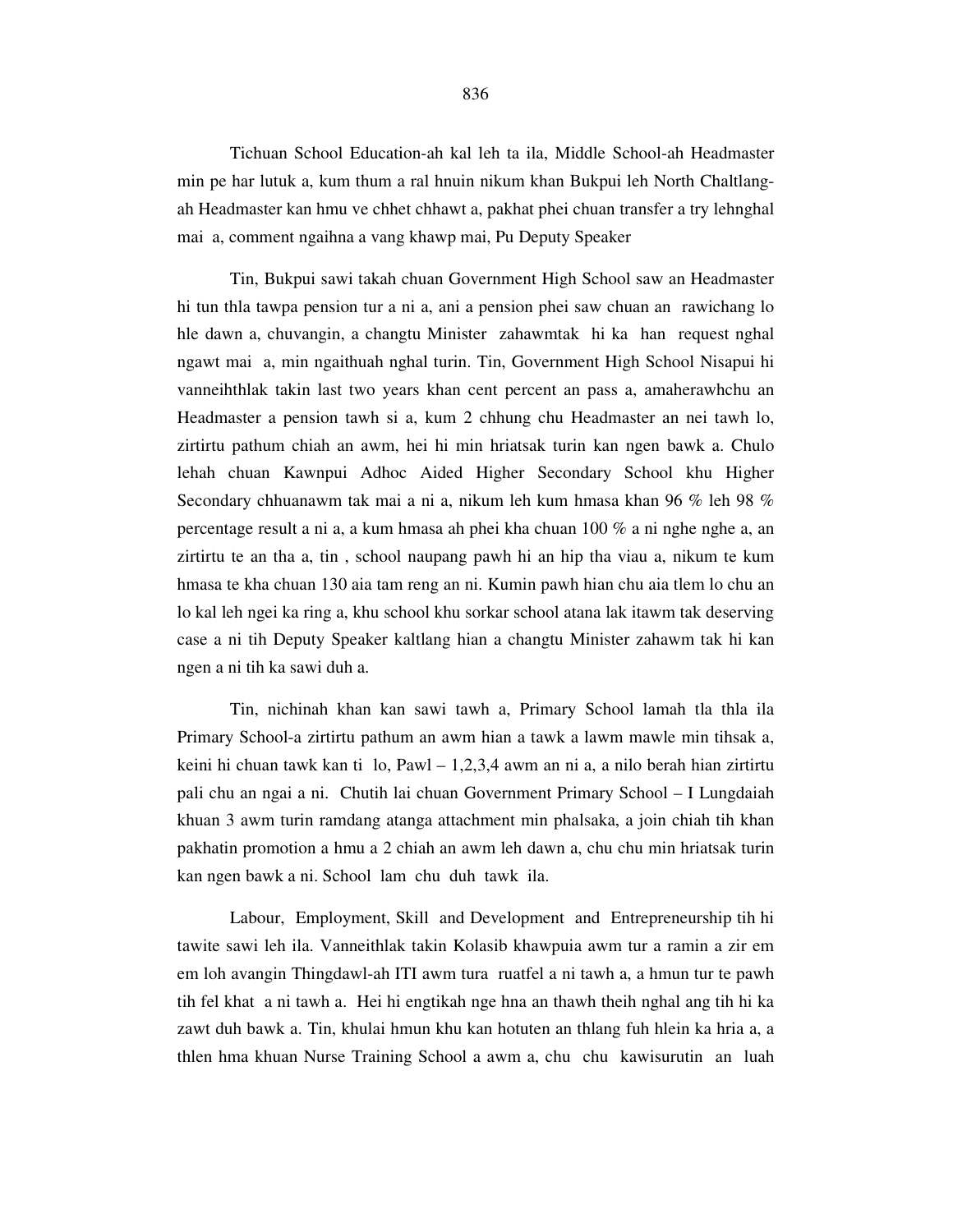Tichuan School Education-ah kal leh ta ila, Middle School-ah Headmaster min pe har lutuk a, kum thum a ral hnuin nikum khan Bukpui leh North Chaltlangah Headmaster kan hmu ve chhet chhawt a, pakhat phei chuan transfer a try lehnghal mai a, comment ngaihna a vang khawp mai, Pu Deputy Speaker

 Tin, Bukpui sawi takah chuan Government High School saw an Headmaster hi tun thla tawpa pension tur a ni a, ani a pension phei saw chuan an rawichang lo hle dawn a, chuvangin, a changtu Minister zahawmtak hi ka han request nghal ngawt mai a, min ngaithuah nghal turin. Tin, Government High School Nisapui hi vanneihthlak takin last two years khan cent percent an pass a, amaherawhchu an Headmaster a pension tawh si a, kum 2 chhung chu Headmaster an nei tawh lo, zirtirtu pathum chiah an awm, hei hi min hriatsak turin kan ngen bawk a. Chulo lehah chuan Kawnpui Adhoc Aided Higher Secondary School khu Higher Secondary chhuanawm tak mai a ni a, nikum leh kum hmasa khan 96 % leh 98 % percentage result a ni a, a kum hmasa ah phei kha chuan 100 % a ni nghe nghe a, an zirtirtu te an tha a, tin , school naupang pawh hi an hip tha viau a, nikum te kum hmasa te kha chuan 130 aia tam reng an ni. Kumin pawh hian chu aia tlem lo chu an lo kal leh ngei ka ring a, khu school khu sorkar school atana lak itawm tak deserving case a ni tih Deputy Speaker kaltlang hian a changtu Minister zahawm tak hi kan ngen a ni tih ka sawi duh a.

 Tin, nichinah khan kan sawi tawh a, Primary School lamah tla thla ila Primary School-a zirtirtu pathum an awm hian a tawk a lawm mawle min tihsak a, keini hi chuan tawk kan ti lo, Pawl – 1,2,3,4 awm an ni a, a nilo berah hian zirtirtu pali chu an ngai a ni. Chutih lai chuan Government Primary School – I Lungdaiah khuan 3 awm turin ramdang atanga attachment min phalsaka, a join chiah tih khan pakhatin promotion a hmu a 2 chiah an awm leh dawn a, chu chu min hriatsak turin kan ngen bawk a ni. School lam chu duh tawk ila.

 Labour, Employment, Skill and Development and Entrepreneurship tih hi tawite sawi leh ila. Vanneithlak takin Kolasib khawpuia awm tur a ramin a zir em em loh avangin Thingdawl-ah ITI awm tura ruatfel a ni tawh a, a hmun tur te pawh tih fel khat a ni tawh a. Hei hi engtikah nge hna an thawh theih nghal ang tih hi ka zawt duh bawk a. Tin, khulai hmun khu kan hotuten an thlang fuh hlein ka hria a, a thlen hma khuan Nurse Training School a awm a, chu chu kawisurutin an luah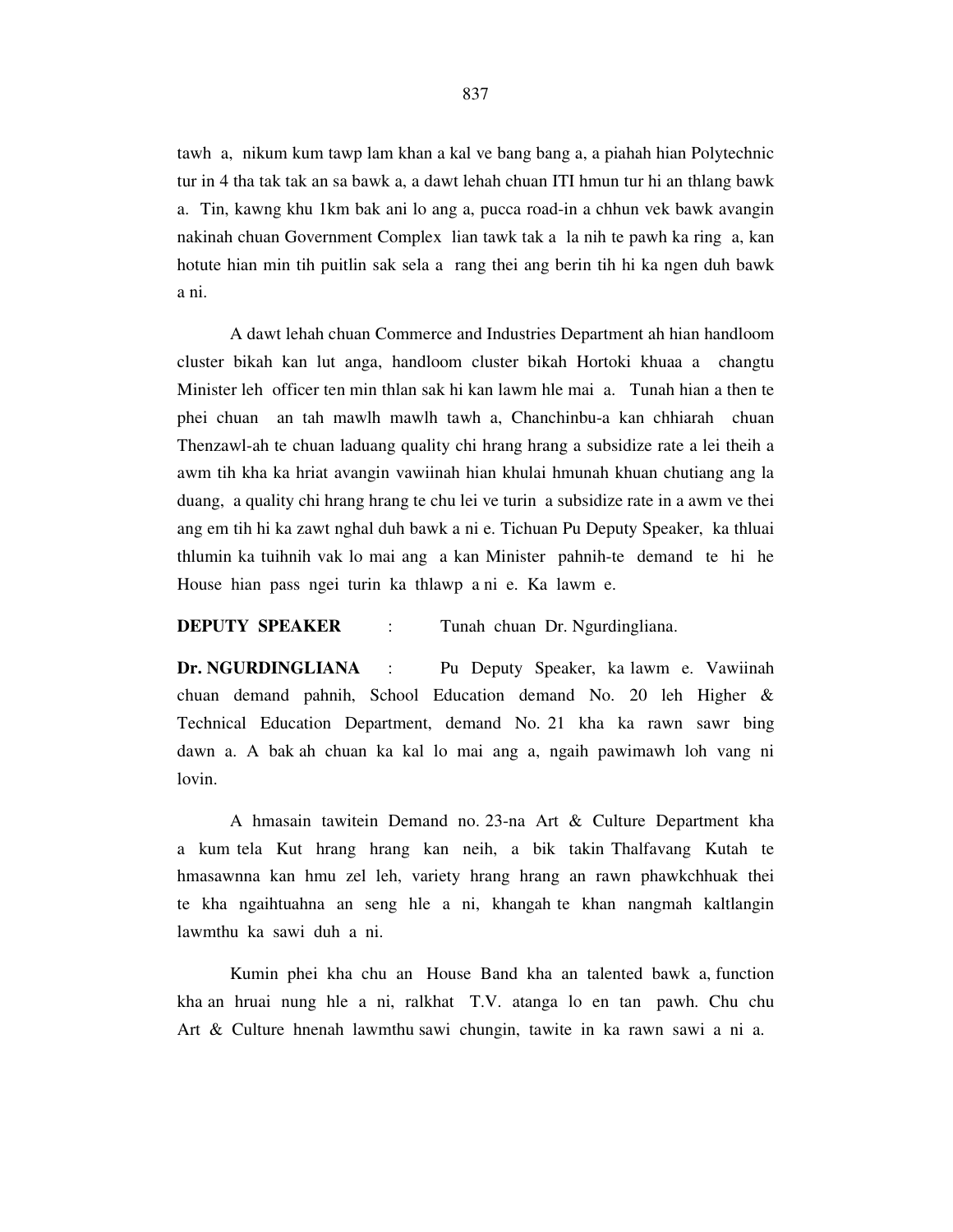tawh a, nikum kum tawp lam khan a kal ve bang bang a, a piahah hian Polytechnic tur in 4 tha tak tak an sa bawk a, a dawt lehah chuan ITI hmun tur hi an thlang bawk a. Tin, kawng khu 1km bak ani lo ang a, pucca road-in a chhun vek bawk avangin nakinah chuan Government Complex lian tawk tak a la nih te pawh ka ring a, kan hotute hian min tih puitlin sak sela a rang thei ang berin tih hi ka ngen duh bawk a ni.

 A dawt lehah chuan Commerce and Industries Department ah hian handloom cluster bikah kan lut anga, handloom cluster bikah Hortoki khuaa a changtu Minister leh officer ten min thlan sak hi kan lawm hle mai a. Tunah hian a then te phei chuan an tah mawlh mawlh tawh a, Chanchinbu-a kan chhiarah chuan Thenzawl-ah te chuan laduang quality chi hrang hrang a subsidize rate a lei theih a awm tih kha ka hriat avangin vawiinah hian khulai hmunah khuan chutiang ang la duang, a quality chi hrang hrang te chu lei ve turin a subsidize rate in a awm ve thei ang em tih hi ka zawt nghal duh bawk a ni e. Tichuan Pu Deputy Speaker, ka thluai thlumin ka tuihnih vak lo mai ang a kan Minister pahnih-te demand te hi he House hian pass ngei turin ka thlawp a ni e. Ka lawm e.

# **DEPUTY SPEAKER** : Tunah chuan Dr. Ngurdingliana.

**Dr. NGURDINGLIANA** : Pu Deputy Speaker, ka lawm e. Vawiinah chuan demand pahnih, School Education demand No. 20 leh Higher & Technical Education Department, demand No. 21 kha ka rawn sawr bing dawn a. A bak ah chuan ka kal lo mai ang a, ngaih pawimawh loh vang ni lovin.

 A hmasain tawitein Demand no. 23-na Art & Culture Department kha a kum tela Kut hrang hrang kan neih, a bik takin Thalfavang Kutah te hmasawnna kan hmu zel leh, variety hrang hrang an rawn phawkchhuak thei te kha ngaihtuahna an seng hle a ni, khangah te khan nangmah kaltlangin lawmthu ka sawi duh a ni.

 Kumin phei kha chu an House Band kha an talented bawk a, function kha an hruai nung hle a ni, ralkhat T.V. atanga lo en tan pawh. Chu chu Art & Culture hnenah lawmthu sawi chungin, tawite in ka rawn sawi a ni a.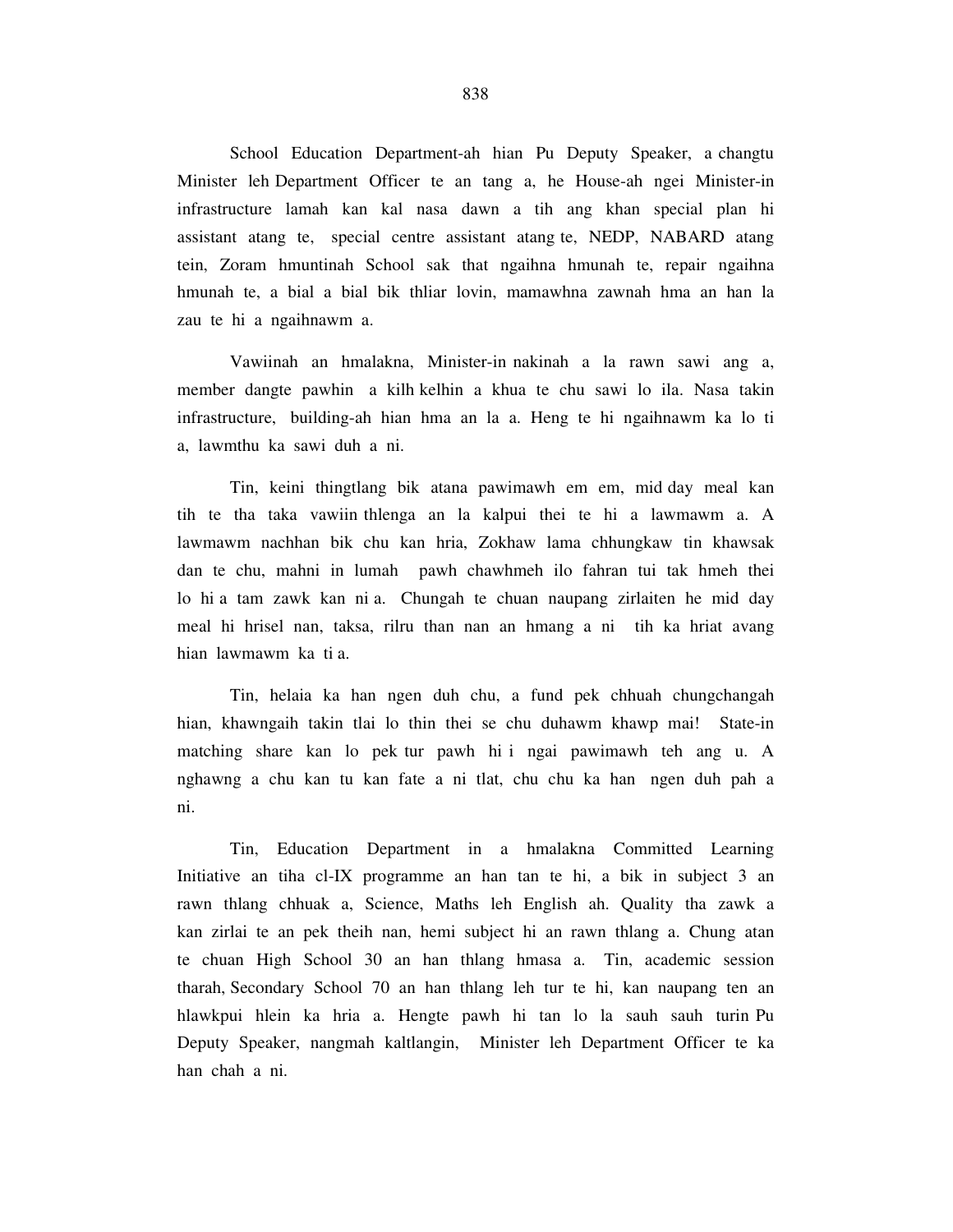School Education Department-ah hian Pu Deputy Speaker, a changtu Minister leh Department Officer te an tang a, he House-ah ngei Minister-in infrastructure lamah kan kal nasa dawn a tih ang khan special plan hi assistant atang te, special centre assistant atang te, NEDP, NABARD atang tein, Zoram hmuntinah School sak that ngaihna hmunah te, repair ngaihna hmunah te, a bial a bial bik thliar lovin, mamawhna zawnah hma an han la zau te hi a ngaihnawm a.

 Vawiinah an hmalakna, Minister-in nakinah a la rawn sawi ang a, member dangte pawhin a kilh kelhin a khua te chu sawi lo ila. Nasa takin infrastructure, building-ah hian hma an la a. Heng te hi ngaihnawm ka lo ti a, lawmthu ka sawi duh a ni.

 Tin, keini thingtlang bik atana pawimawh em em, mid day meal kan tih te tha taka vawiin thlenga an la kalpui thei te hi a lawmawm a. A lawmawm nachhan bik chu kan hria, Zokhaw lama chhungkaw tin khawsak dan te chu, mahni in lumah pawh chawhmeh ilo fahran tui tak hmeh thei lo hi a tam zawk kan ni a. Chungah te chuan naupang zirlaiten he mid day meal hi hrisel nan, taksa, rilru than nan an hmang a ni tih ka hriat avang hian lawmawm ka ti a.

 Tin, helaia ka han ngen duh chu, a fund pek chhuah chungchangah hian, khawngaih takin tlai lo thin thei se chu duhawm khawp mai! State-in matching share kan lo pek tur pawh hi i ngai pawimawh teh ang u. A nghawng a chu kan tu kan fate a ni tlat, chu chu ka han ngen duh pah a ni.

 Tin, Education Department in a hmalakna Committed Learning Initiative an tiha cl-IX programme an han tan te hi, a bik in subject 3 an rawn thlang chhuak a, Science, Maths leh English ah. Quality tha zawk a kan zirlai te an pek theih nan, hemi subject hi an rawn thlang a. Chung atan te chuan High School 30 an han thlang hmasa a. Tin, academic session tharah, Secondary School 70 an han thlang leh tur te hi, kan naupang ten an hlawkpui hlein ka hria a. Hengte pawh hi tan lo la sauh sauh turin Pu Deputy Speaker, nangmah kaltlangin, Minister leh Department Officer te ka han chah a ni.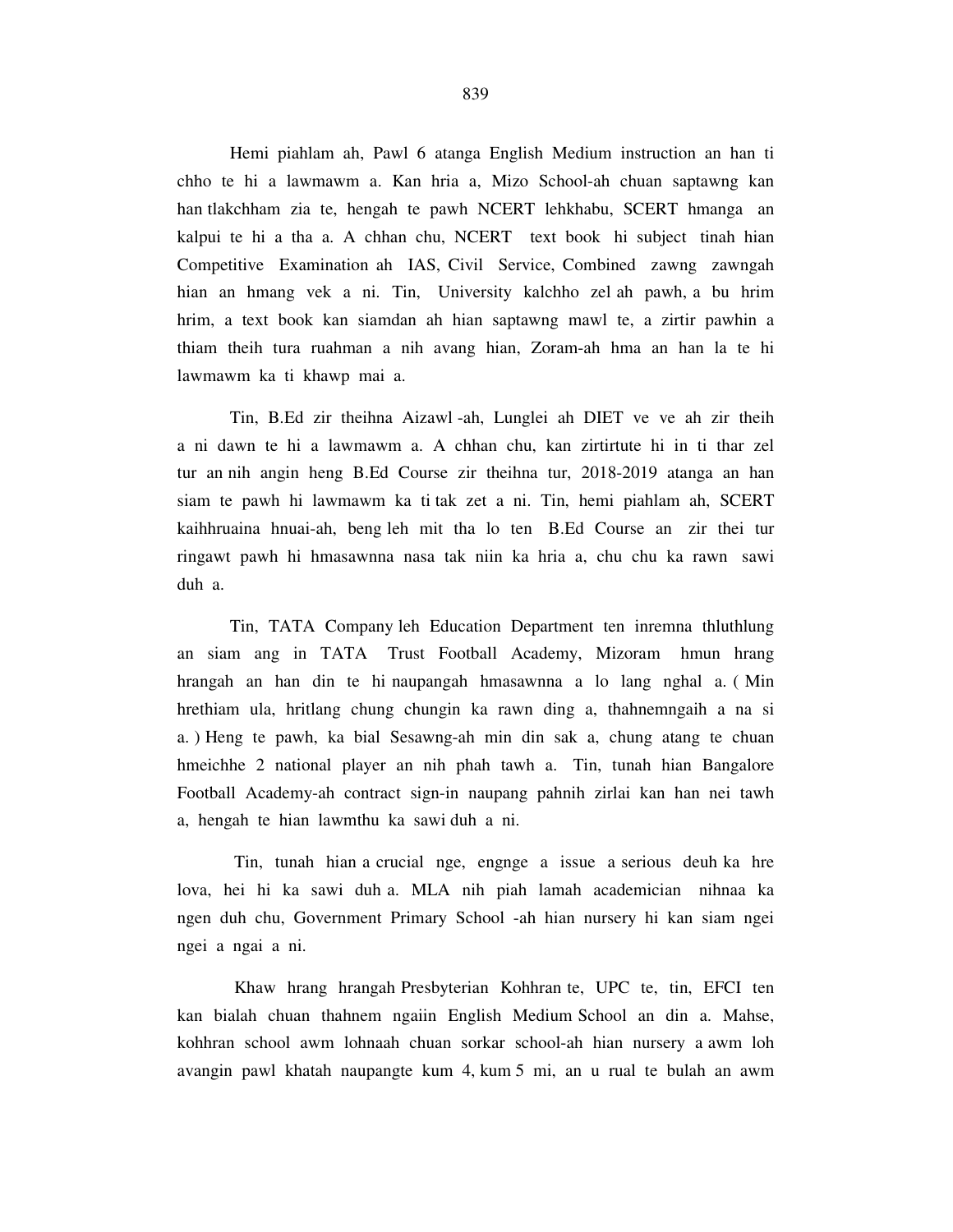Hemi piahlam ah, Pawl 6 atanga English Medium instruction an han ti chho te hi a lawmawm a. Kan hria a, Mizo School-ah chuan saptawng kan han tlakchham zia te, hengah te pawh NCERT lehkhabu, SCERT hmanga an kalpui te hi a tha a. A chhan chu, NCERT text book hi subject tinah hian Competitive Examination ah IAS, Civil Service, Combined zawng zawngah hian an hmang vek a ni. Tin, University kalchho zel ah pawh, a bu hrim hrim, a text book kan siamdan ah hian saptawng mawl te, a zirtir pawhin a thiam theih tura ruahman a nih avang hian, Zoram-ah hma an han la te hi lawmawm ka ti khawp mai a.

 Tin, B.Ed zir theihna Aizawl -ah, Lunglei ah DIET ve ve ah zir theih a ni dawn te hi a lawmawm a. A chhan chu, kan zirtirtute hi in ti thar zel tur an nih angin heng B.Ed Course zir theihna tur, 2018-2019 atanga an han siam te pawh hi lawmawm ka ti tak zet a ni. Tin, hemi piahlam ah, SCERT kaihhruaina hnuai-ah, beng leh mit tha lo ten B.Ed Course an zir thei tur ringawt pawh hi hmasawnna nasa tak niin ka hria a, chu chu ka rawn sawi duh a.

 Tin, TATA Company leh Education Department ten inremna thluthlung an siam ang in TATA Trust Football Academy, Mizoram hmun hrang hrangah an han din te hi naupangah hmasawnna a lo lang nghal a. ( Min hrethiam ula, hritlang chung chungin ka rawn ding a, thahnemngaih a na si a. ) Heng te pawh, ka bial Sesawng-ah min din sak a, chung atang te chuan hmeichhe 2 national player an nih phah tawh a. Tin, tunah hian Bangalore Football Academy-ah contract sign-in naupang pahnih zirlai kan han nei tawh a, hengah te hian lawmthu ka sawi duh a ni.

 Tin, tunah hian a crucial nge, engnge a issue a serious deuh ka hre lova, hei hi ka sawi duh a. MLA nih piah lamah academician nihnaa ka ngen duh chu, Government Primary School -ah hian nursery hi kan siam ngei ngei a ngai a ni.

 Khaw hrang hrangah Presbyterian Kohhran te, UPC te, tin, EFCI ten kan bialah chuan thahnem ngaiin English Medium School an din a. Mahse, kohhran school awm lohnaah chuan sorkar school-ah hian nursery a awm loh avangin pawl khatah naupangte kum 4, kum 5 mi, an u rual te bulah an awm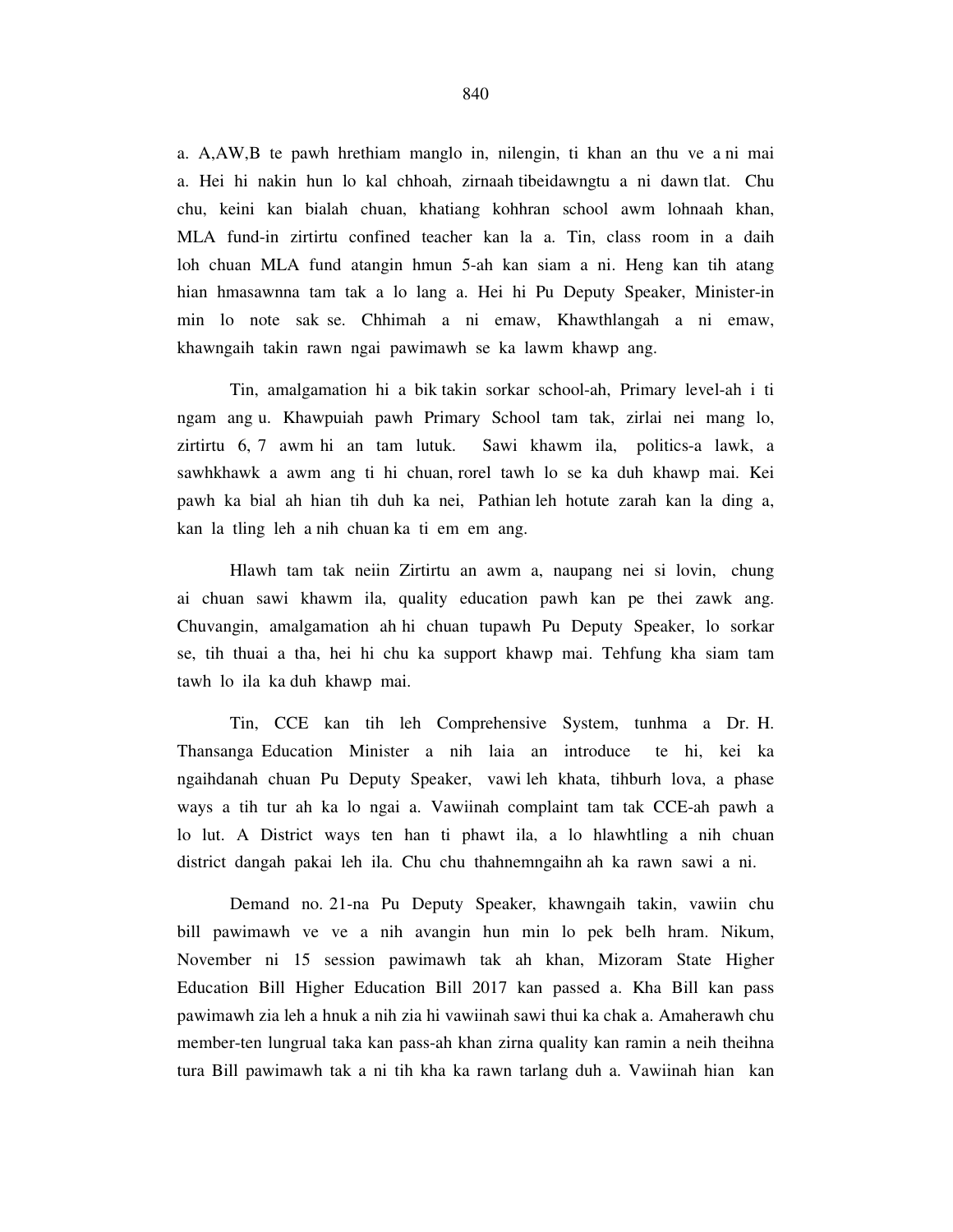a. A,AW,B te pawh hrethiam manglo in, nilengin, ti khan an thu ve a ni mai a. Hei hi nakin hun lo kal chhoah, zirnaah tibeidawngtu a ni dawn tlat. Chu chu, keini kan bialah chuan, khatiang kohhran school awm lohnaah khan, MLA fund-in zirtirtu confined teacher kan la a. Tin, class room in a daih loh chuan MLA fund atangin hmun 5-ah kan siam a ni. Heng kan tih atang hian hmasawnna tam tak a lo lang a. Hei hi Pu Deputy Speaker, Minister-in min lo note sak se. Chhimah a ni emaw, Khawthlangah a ni emaw, khawngaih takin rawn ngai pawimawh se ka lawm khawp ang.

 Tin, amalgamation hi a bik takin sorkar school-ah, Primary level-ah i ti ngam ang u. Khawpuiah pawh Primary School tam tak, zirlai nei mang lo, zirtirtu 6, 7 awm hi an tam lutuk. Sawi khawm ila, politics-a lawk, a sawhkhawk a awm ang ti hi chuan, rorel tawh lo se ka duh khawp mai. Kei pawh ka bial ah hian tih duh ka nei, Pathian leh hotute zarah kan la ding a, kan la tling leh a nih chuan ka ti em em ang.

 Hlawh tam tak neiin Zirtirtu an awm a, naupang nei si lovin, chung ai chuan sawi khawm ila, quality education pawh kan pe thei zawk ang. Chuvangin, amalgamation ah hi chuan tupawh Pu Deputy Speaker, lo sorkar se, tih thuai a tha, hei hi chu ka support khawp mai. Tehfung kha siam tam tawh lo ila ka duh khawp mai.

 Tin, CCE kan tih leh Comprehensive System, tunhma a Dr. H. Thansanga Education Minister a nih laia an introduce te hi, kei ka ngaihdanah chuan Pu Deputy Speaker, vawi leh khata, tihburh lova, a phase ways a tih tur ah ka lo ngai a. Vawiinah complaint tam tak CCE-ah pawh a lo lut. A District ways ten han ti phawt ila, a lo hlawhtling a nih chuan district dangah pakai leh ila. Chu chu thahnemngaihn ah ka rawn sawi a ni.

 Demand no. 21-na Pu Deputy Speaker, khawngaih takin, vawiin chu bill pawimawh ve ve a nih avangin hun min lo pek belh hram. Nikum, November ni 15 session pawimawh tak ah khan, Mizoram State Higher Education Bill Higher Education Bill 2017 kan passed a. Kha Bill kan pass pawimawh zia leh a hnuk a nih zia hi vawiinah sawi thui ka chak a. Amaherawh chu member-ten lungrual taka kan pass-ah khan zirna quality kan ramin a neih theihna tura Bill pawimawh tak a ni tih kha ka rawn tarlang duh a. Vawiinah hian kan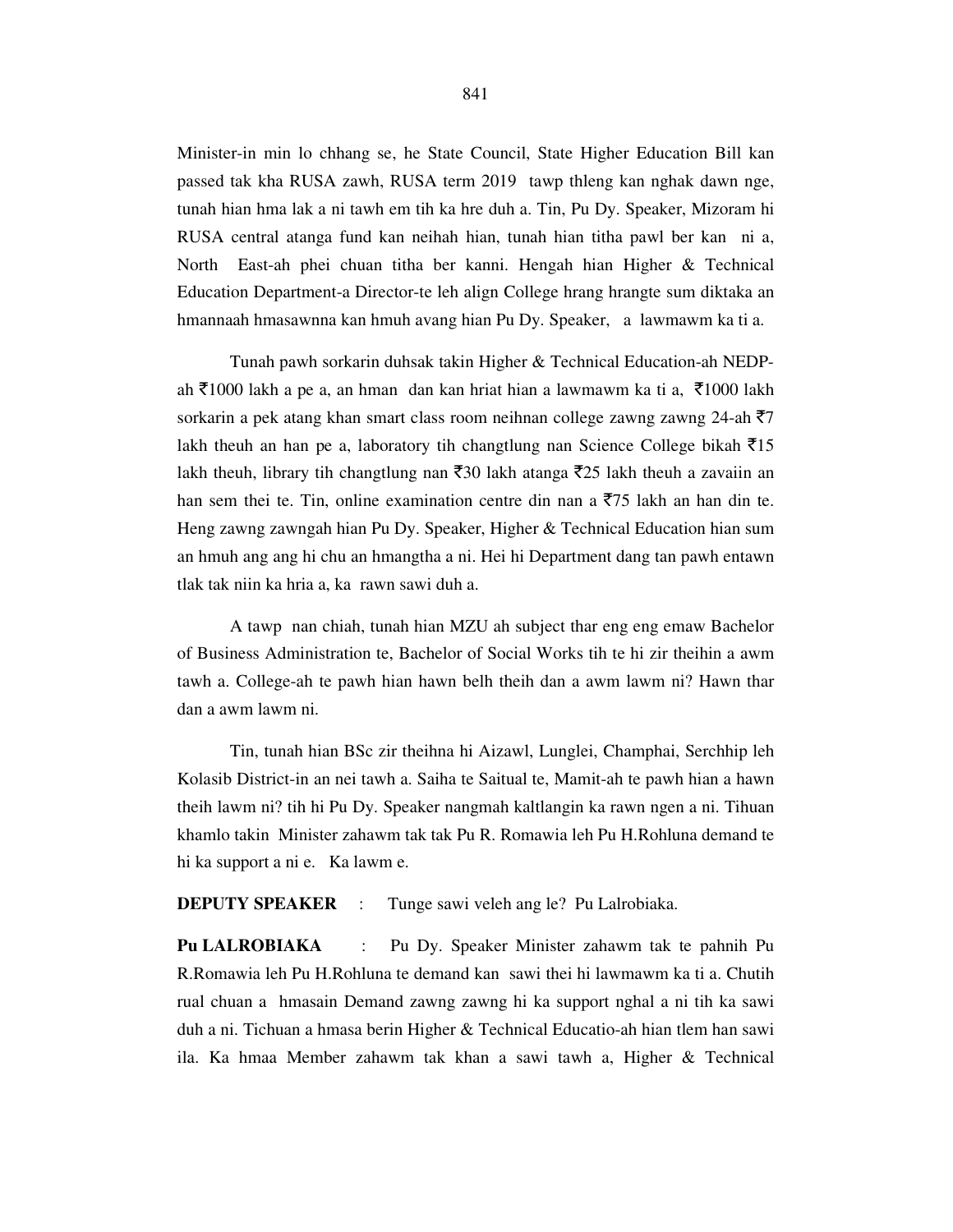Minister-in min lo chhang se, he State Council, State Higher Education Bill kan passed tak kha RUSA zawh, RUSA term 2019 tawp thleng kan nghak dawn nge, tunah hian hma lak a ni tawh em tih ka hre duh a. Tin, Pu Dy. Speaker, Mizoram hi RUSA central atanga fund kan neihah hian, tunah hian titha pawl ber kan ni a, North East-ah phei chuan titha ber kanni. Hengah hian Higher & Technical Education Department-a Director-te leh align College hrang hrangte sum diktaka an hmannaah hmasawnna kan hmuh avang hian Pu Dy. Speaker, a lawmawm ka ti a.

 Tunah pawh sorkarin duhsak takin Higher & Technical Education-ah NEDPah ₹1000 lakh a pe a, an hman dan kan hriat hian a lawmawm ka ti a, ₹1000 lakh sorkarin a pek atang khan smart class room neihnan college zawng zawng 24-ah  $\overline{5}7$ lakh theuh an han pe a, laboratory tih changtlung nan Science College bikah  $\bar{z}$ 15 lakh theuh, library tih changtlung nan  $\bar{z}$ 30 lakh atanga  $\bar{z}$ 25 lakh theuh a zavaiin an han sem thei te. Tin, online examination centre din nan a  $\overline{5}$ 75 lakh an han din te. Heng zawng zawngah hian Pu Dy. Speaker, Higher & Technical Education hian sum an hmuh ang ang hi chu an hmangtha a ni. Hei hi Department dang tan pawh entawn tlak tak niin ka hria a, ka rawn sawi duh a.

 A tawp nan chiah, tunah hian MZU ah subject thar eng eng emaw Bachelor of Business Administration te, Bachelor of Social Works tih te hi zir theihin a awm tawh a. College-ah te pawh hian hawn belh theih dan a awm lawm ni? Hawn thar dan a awm lawm ni.

 Tin, tunah hian BSc zir theihna hi Aizawl, Lunglei, Champhai, Serchhip leh Kolasib District-in an nei tawh a. Saiha te Saitual te, Mamit-ah te pawh hian a hawn theih lawm ni? tih hi Pu Dy. Speaker nangmah kaltlangin ka rawn ngen a ni. Tihuan khamlo takin Minister zahawm tak tak Pu R. Romawia leh Pu H.Rohluna demand te hi ka support a ni e. Ka lawm e.

#### **DEPUTY SPEAKER** : Tunge sawi veleh ang le? Pu Lalrobiaka.

**Pu LALROBIAKA** : Pu Dy. Speaker Minister zahawm tak te pahnih Pu R.Romawia leh Pu H.Rohluna te demand kan sawi thei hi lawmawm ka ti a. Chutih rual chuan a hmasain Demand zawng zawng hi ka support nghal a ni tih ka sawi duh a ni. Tichuan a hmasa berin Higher & Technical Educatio-ah hian tlem han sawi ila. Ka hmaa Member zahawm tak khan a sawi tawh a, Higher & Technical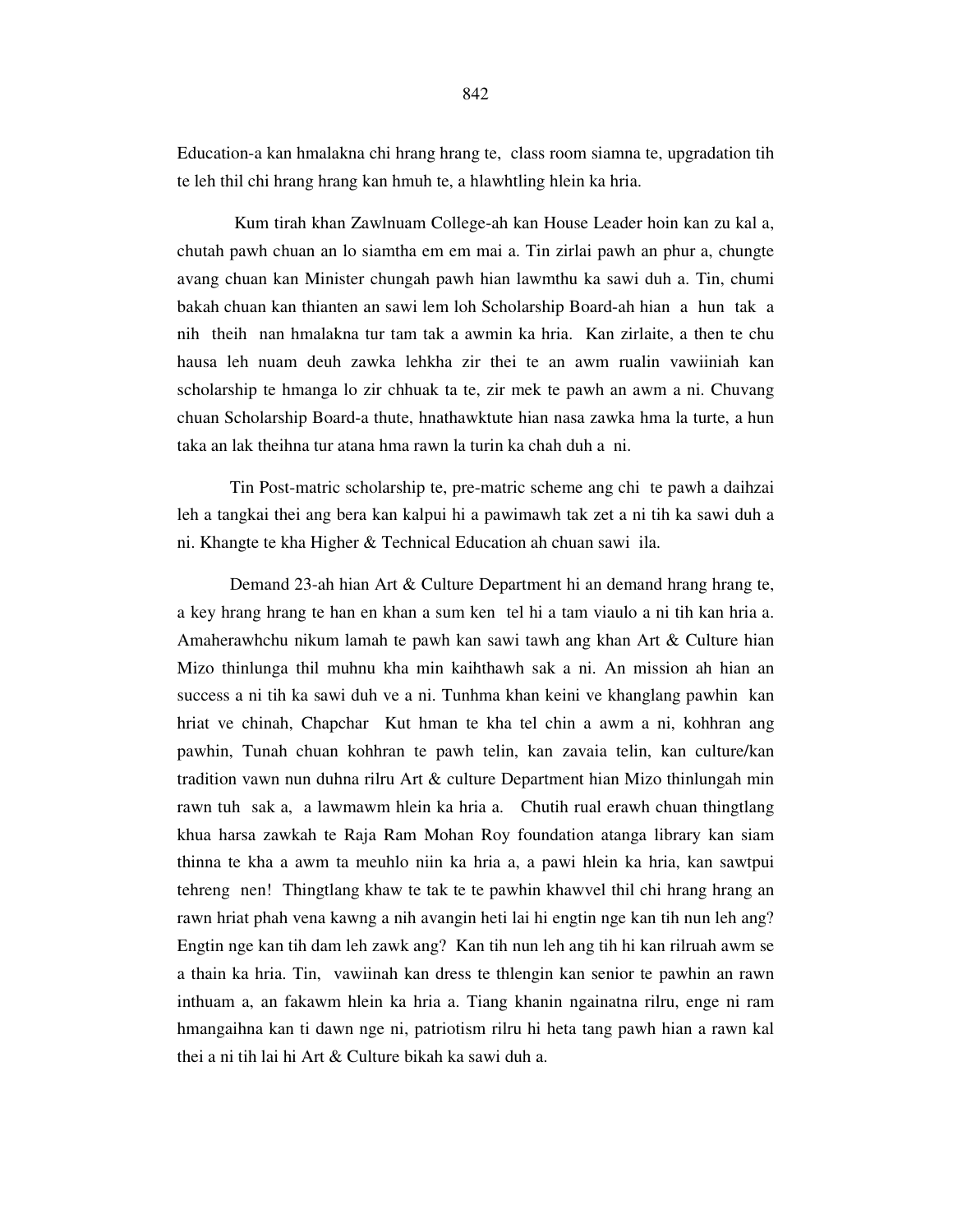Education-a kan hmalakna chi hrang hrang te, class room siamna te, upgradation tih te leh thil chi hrang hrang kan hmuh te, a hlawhtling hlein ka hria.

 Kum tirah khan Zawlnuam College-ah kan House Leader hoin kan zu kal a, chutah pawh chuan an lo siamtha em em mai a. Tin zirlai pawh an phur a, chungte avang chuan kan Minister chungah pawh hian lawmthu ka sawi duh a. Tin, chumi bakah chuan kan thianten an sawi lem loh Scholarship Board-ah hian a hun tak a nih theih nan hmalakna tur tam tak a awmin ka hria. Kan zirlaite, a then te chu hausa leh nuam deuh zawka lehkha zir thei te an awm rualin vawiiniah kan scholarship te hmanga lo zir chhuak ta te, zir mek te pawh an awm a ni. Chuvang chuan Scholarship Board-a thute, hnathawktute hian nasa zawka hma la turte, a hun taka an lak theihna tur atana hma rawn la turin ka chah duh a ni.

 Tin Post-matric scholarship te, pre-matric scheme ang chi te pawh a daihzai leh a tangkai thei ang bera kan kalpui hi a pawimawh tak zet a ni tih ka sawi duh a ni. Khangte te kha Higher & Technical Education ah chuan sawi ila.

 Demand 23-ah hian Art & Culture Department hi an demand hrang hrang te, a key hrang hrang te han en khan a sum ken tel hi a tam viaulo a ni tih kan hria a. Amaherawhchu nikum lamah te pawh kan sawi tawh ang khan Art & Culture hian Mizo thinlunga thil muhnu kha min kaihthawh sak a ni. An mission ah hian an success a ni tih ka sawi duh ve a ni. Tunhma khan keini ve khanglang pawhin kan hriat ve chinah, Chapchar Kut hman te kha tel chin a awm a ni, kohhran ang pawhin, Tunah chuan kohhran te pawh telin, kan zavaia telin, kan culture/kan tradition vawn nun duhna rilru Art & culture Department hian Mizo thinlungah min rawn tuh sak a, a lawmawm hlein ka hria a. Chutih rual erawh chuan thingtlang khua harsa zawkah te Raja Ram Mohan Roy foundation atanga library kan siam thinna te kha a awm ta meuhlo niin ka hria a, a pawi hlein ka hria, kan sawtpui tehreng nen! Thingtlang khaw te tak te te pawhin khawvel thil chi hrang hrang an rawn hriat phah vena kawng a nih avangin heti lai hi engtin nge kan tih nun leh ang? Engtin nge kan tih dam leh zawk ang? Kan tih nun leh ang tih hi kan rilruah awm se a thain ka hria. Tin, vawiinah kan dress te thlengin kan senior te pawhin an rawn inthuam a, an fakawm hlein ka hria a. Tiang khanin ngainatna rilru, enge ni ram hmangaihna kan ti dawn nge ni, patriotism rilru hi heta tang pawh hian a rawn kal thei a ni tih lai hi Art & Culture bikah ka sawi duh a.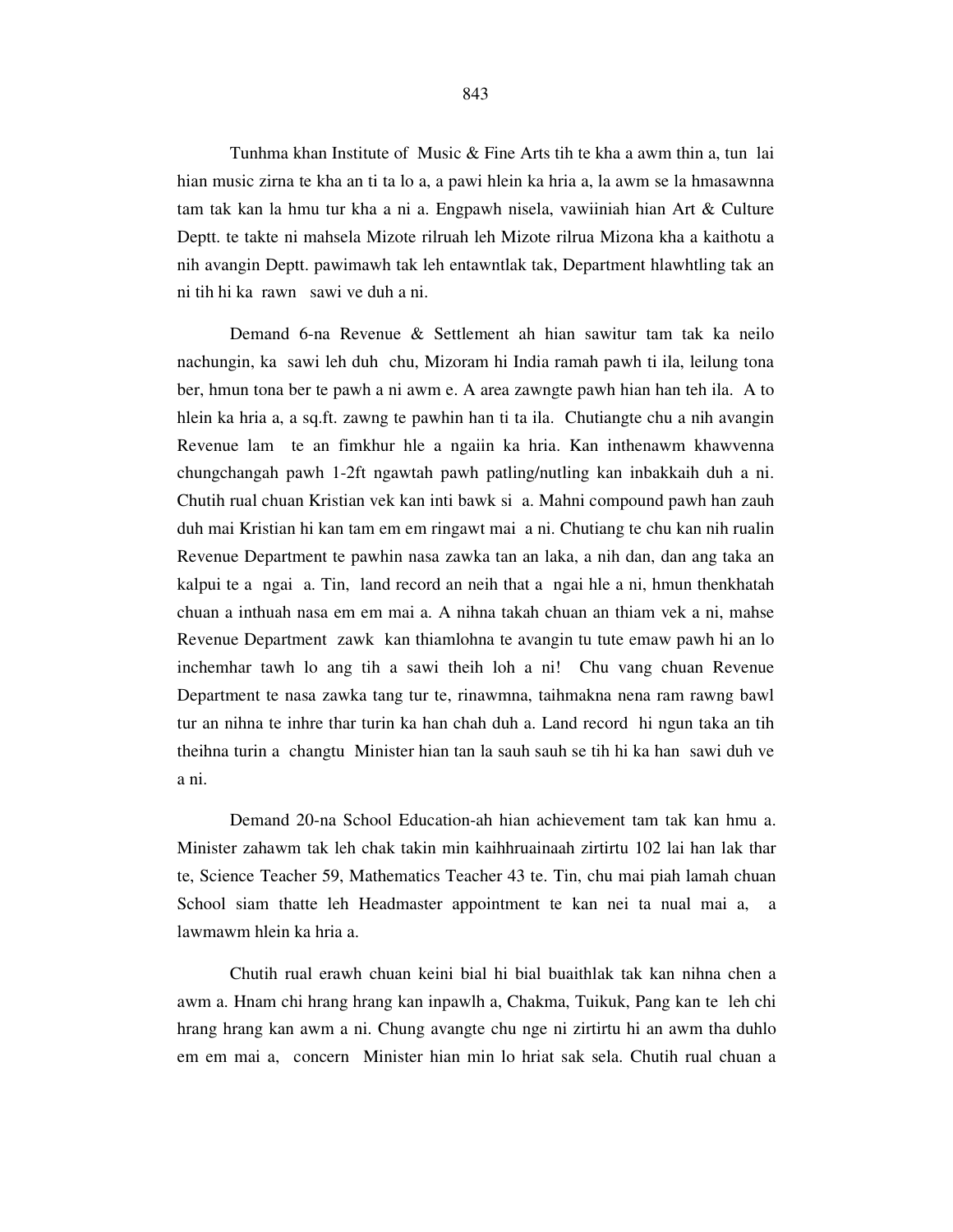Tunhma khan Institute of Music & Fine Arts tih te kha a awm thin a, tun lai hian music zirna te kha an ti ta lo a, a pawi hlein ka hria a, la awm se la hmasawnna tam tak kan la hmu tur kha a ni a. Engpawh nisela, vawiiniah hian Art & Culture Deptt. te takte ni mahsela Mizote rilruah leh Mizote rilrua Mizona kha a kaithotu a nih avangin Deptt. pawimawh tak leh entawntlak tak, Department hlawhtling tak an ni tih hi ka rawn sawi ve duh a ni.

 Demand 6-na Revenue & Settlement ah hian sawitur tam tak ka neilo nachungin, ka sawi leh duh chu, Mizoram hi India ramah pawh ti ila, leilung tona ber, hmun tona ber te pawh a ni awm e. A area zawngte pawh hian han teh ila. A to hlein ka hria a, a sq.ft. zawng te pawhin han ti ta ila. Chutiangte chu a nih avangin Revenue lam te an fimkhur hle a ngaiin ka hria. Kan inthenawm khawvenna chungchangah pawh 1-2ft ngawtah pawh patling/nutling kan inbakkaih duh a ni. Chutih rual chuan Kristian vek kan inti bawk si a. Mahni compound pawh han zauh duh mai Kristian hi kan tam em em ringawt mai a ni. Chutiang te chu kan nih rualin Revenue Department te pawhin nasa zawka tan an laka, a nih dan, dan ang taka an kalpui te a ngai a. Tin, land record an neih that a ngai hle a ni, hmun thenkhatah chuan a inthuah nasa em em mai a. A nihna takah chuan an thiam vek a ni, mahse Revenue Department zawk kan thiamlohna te avangin tu tute emaw pawh hi an lo inchemhar tawh lo ang tih a sawi theih loh a ni! Chu vang chuan Revenue Department te nasa zawka tang tur te, rinawmna, taihmakna nena ram rawng bawl tur an nihna te inhre thar turin ka han chah duh a. Land record hi ngun taka an tih theihna turin a changtu Minister hian tan la sauh sauh se tih hi ka han sawi duh ve a ni.

 Demand 20-na School Education-ah hian achievement tam tak kan hmu a. Minister zahawm tak leh chak takin min kaihhruainaah zirtirtu 102 lai han lak thar te, Science Teacher 59, Mathematics Teacher 43 te. Tin, chu mai piah lamah chuan School siam thatte leh Headmaster appointment te kan nei ta nual mai a, a lawmawm hlein ka hria a.

 Chutih rual erawh chuan keini bial hi bial buaithlak tak kan nihna chen a awm a. Hnam chi hrang hrang kan inpawlh a, Chakma, Tuikuk, Pang kan te leh chi hrang hrang kan awm a ni. Chung avangte chu nge ni zirtirtu hi an awm tha duhlo em em mai a, concern Minister hian min lo hriat sak sela. Chutih rual chuan a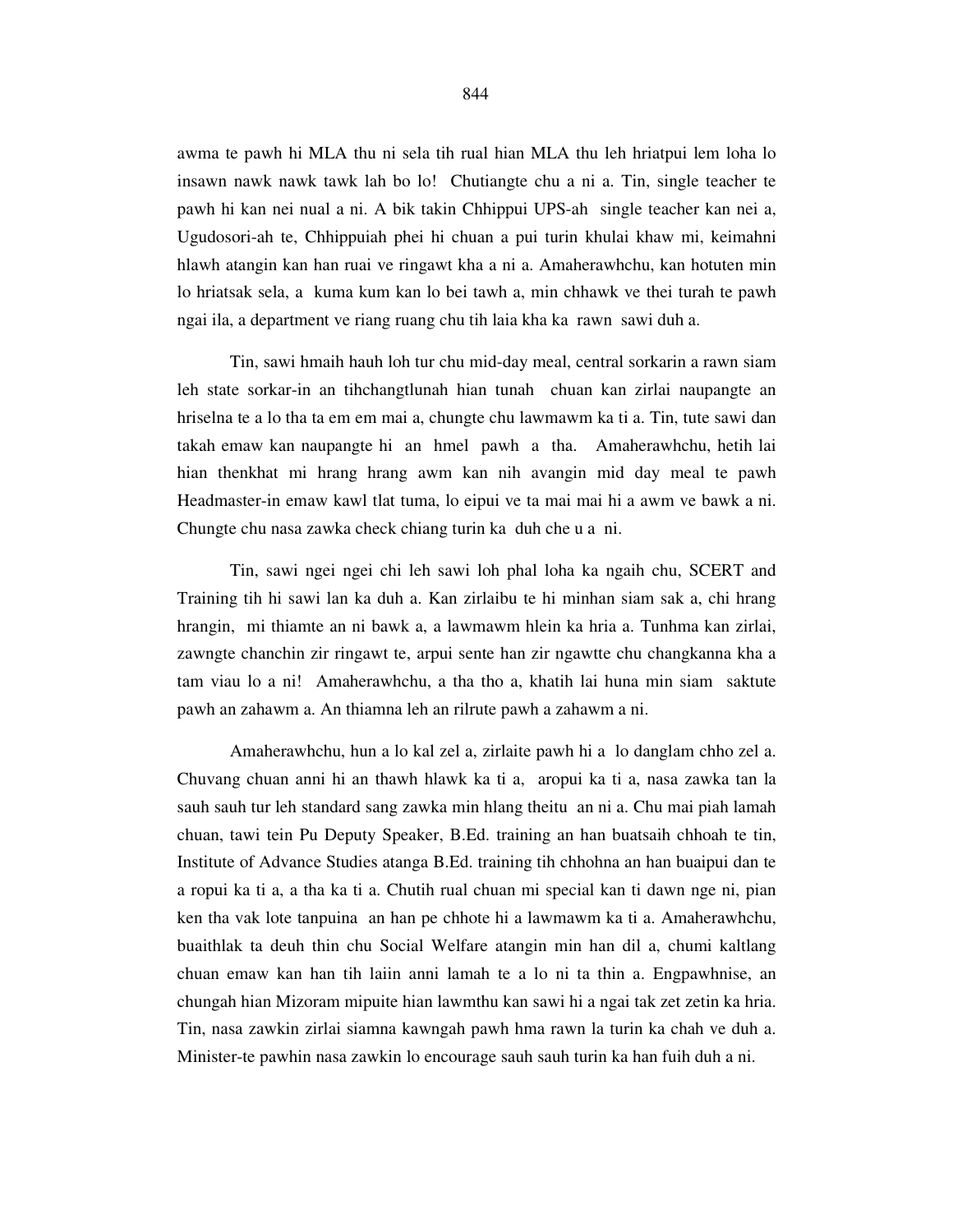awma te pawh hi MLA thu ni sela tih rual hian MLA thu leh hriatpui lem loha lo insawn nawk nawk tawk lah bo lo! Chutiangte chu a ni a. Tin, single teacher te pawh hi kan nei nual a ni. A bik takin Chhippui UPS-ah single teacher kan nei a, Ugudosori-ah te, Chhippuiah phei hi chuan a pui turin khulai khaw mi, keimahni hlawh atangin kan han ruai ve ringawt kha a ni a. Amaherawhchu, kan hotuten min lo hriatsak sela, a kuma kum kan lo bei tawh a, min chhawk ve thei turah te pawh ngai ila, a department ve riang ruang chu tih laia kha ka rawn sawi duh a.

 Tin, sawi hmaih hauh loh tur chu mid-day meal, central sorkarin a rawn siam leh state sorkar-in an tihchangtlunah hian tunah chuan kan zirlai naupangte an hriselna te a lo tha ta em em mai a, chungte chu lawmawm ka ti a. Tin, tute sawi dan takah emaw kan naupangte hi an hmel pawh a tha. Amaherawhchu, hetih lai hian thenkhat mi hrang hrang awm kan nih avangin mid day meal te pawh Headmaster-in emaw kawl tlat tuma, lo eipui ve ta mai mai hi a awm ve bawk a ni. Chungte chu nasa zawka check chiang turin ka duh che u a ni.

 Tin, sawi ngei ngei chi leh sawi loh phal loha ka ngaih chu, SCERT and Training tih hi sawi lan ka duh a. Kan zirlaibu te hi minhan siam sak a, chi hrang hrangin, mi thiamte an ni bawk a, a lawmawm hlein ka hria a. Tunhma kan zirlai, zawngte chanchin zir ringawt te, arpui sente han zir ngawtte chu changkanna kha a tam viau lo a ni! Amaherawhchu, a tha tho a, khatih lai huna min siam saktute pawh an zahawm a. An thiamna leh an rilrute pawh a zahawm a ni.

 Amaherawhchu, hun a lo kal zel a, zirlaite pawh hi a lo danglam chho zel a. Chuvang chuan anni hi an thawh hlawk ka ti a, aropui ka ti a, nasa zawka tan la sauh sauh tur leh standard sang zawka min hlang theitu an ni a. Chu mai piah lamah chuan, tawi tein Pu Deputy Speaker, B.Ed. training an han buatsaih chhoah te tin, Institute of Advance Studies atanga B.Ed. training tih chhohna an han buaipui dan te a ropui ka ti a, a tha ka ti a. Chutih rual chuan mi special kan ti dawn nge ni, pian ken tha vak lote tanpuina an han pe chhote hi a lawmawm ka ti a. Amaherawhchu, buaithlak ta deuh thin chu Social Welfare atangin min han dil a, chumi kaltlang chuan emaw kan han tih laiin anni lamah te a lo ni ta thin a. Engpawhnise, an chungah hian Mizoram mipuite hian lawmthu kan sawi hi a ngai tak zet zetin ka hria. Tin, nasa zawkin zirlai siamna kawngah pawh hma rawn la turin ka chah ve duh a. Minister-te pawhin nasa zawkin lo encourage sauh sauh turin ka han fuih duh a ni.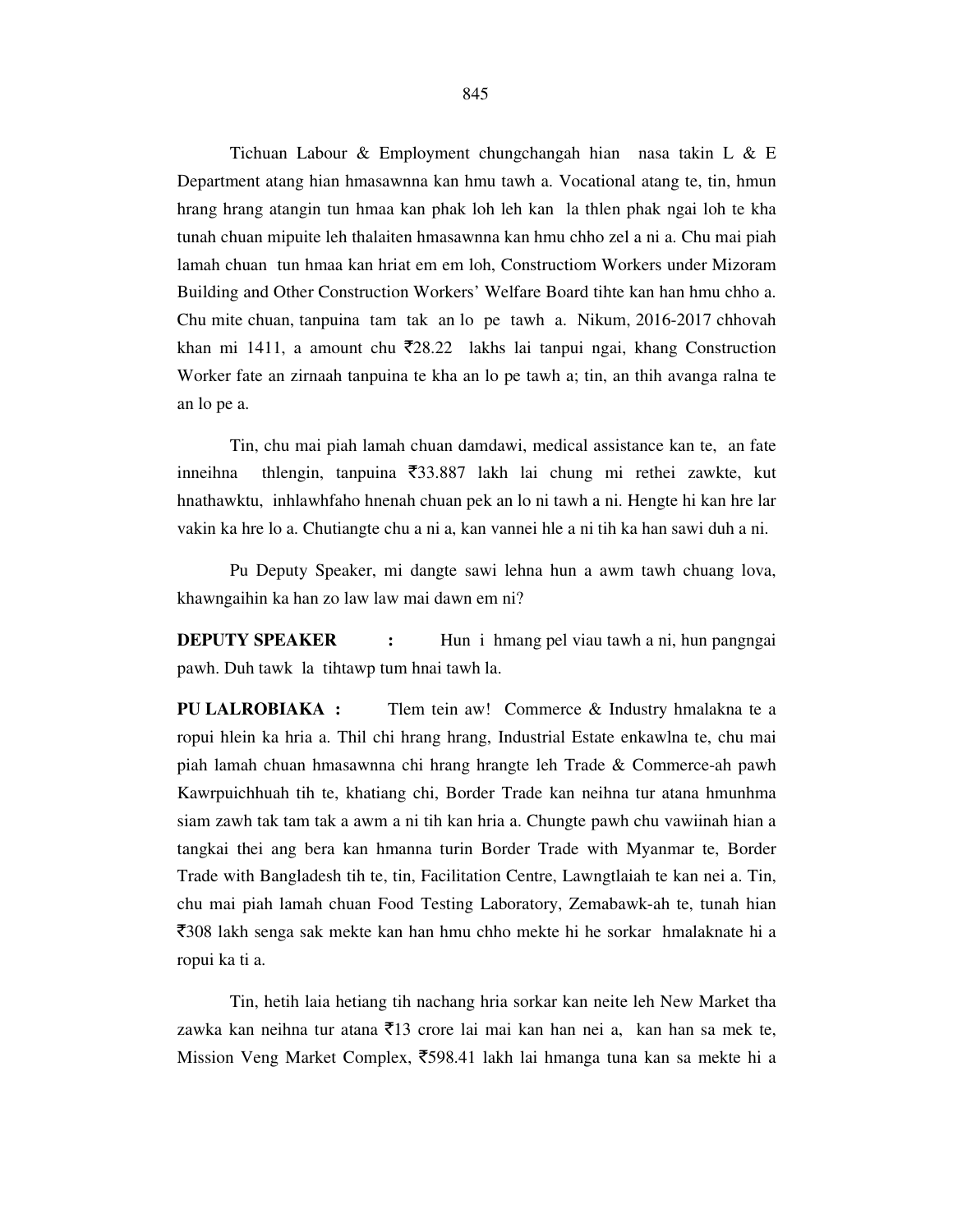Tichuan Labour & Employment chungchangah hian nasa takin L & E Department atang hian hmasawnna kan hmu tawh a. Vocational atang te, tin, hmun hrang hrang atangin tun hmaa kan phak loh leh kan la thlen phak ngai loh te kha tunah chuan mipuite leh thalaiten hmasawnna kan hmu chho zel a ni a. Chu mai piah lamah chuan tun hmaa kan hriat em em loh, Constructiom Workers under Mizoram Building and Other Construction Workers' Welfare Board tihte kan han hmu chho a. Chu mite chuan, tanpuina tam tak an lo pe tawh a. Nikum, 2016-2017 chhovah khan mi 1411, a amount chu  $\bar{\zeta}$ 28.22 lakhs lai tanpui ngai, khang Construction Worker fate an zirnaah tanpuina te kha an lo pe tawh a; tin, an thih avanga ralna te an lo pe a.

 Tin, chu mai piah lamah chuan damdawi, medical assistance kan te, an fate inneihna thlengin, tanpuina  $\overline{5}33.887$  lakh lai chung mi rethei zawkte, kut hnathawktu, inhlawhfaho hnenah chuan pek an lo ni tawh a ni. Hengte hi kan hre lar vakin ka hre lo a. Chutiangte chu a ni a, kan vannei hle a ni tih ka han sawi duh a ni.

 Pu Deputy Speaker, mi dangte sawi lehna hun a awm tawh chuang lova, khawngaihin ka han zo law law mai dawn em ni?

**DEPUTY SPEAKER** : Hun i hmang pel viau tawh a ni, hun pangngai pawh. Duh tawk la tihtawp tum hnai tawh la.

**PU LALROBIAKA :** Tlem tein aw! Commerce & Industry hmalakna te a ropui hlein ka hria a. Thil chi hrang hrang, Industrial Estate enkawlna te, chu mai piah lamah chuan hmasawnna chi hrang hrangte leh Trade & Commerce-ah pawh Kawrpuichhuah tih te, khatiang chi, Border Trade kan neihna tur atana hmunhma siam zawh tak tam tak a awm a ni tih kan hria a. Chungte pawh chu vawiinah hian a tangkai thei ang bera kan hmanna turin Border Trade with Myanmar te, Border Trade with Bangladesh tih te, tin, Facilitation Centre, Lawngtlaiah te kan nei a. Tin, chu mai piah lamah chuan Food Testing Laboratory, Zemabawk-ah te, tunah hian `308 lakh senga sak mekte kan han hmu chho mekte hi he sorkar hmalaknate hi a ropui ka ti a.

 Tin, hetih laia hetiang tih nachang hria sorkar kan neite leh New Market tha zawka kan neihna tur atana  $\bar{\tau}$ 13 crore lai mai kan han nei a, kan han sa mek te, Mission Veng Market Complex,  $\overline{5}598.41$  lakh lai hmanga tuna kan sa mekte hi a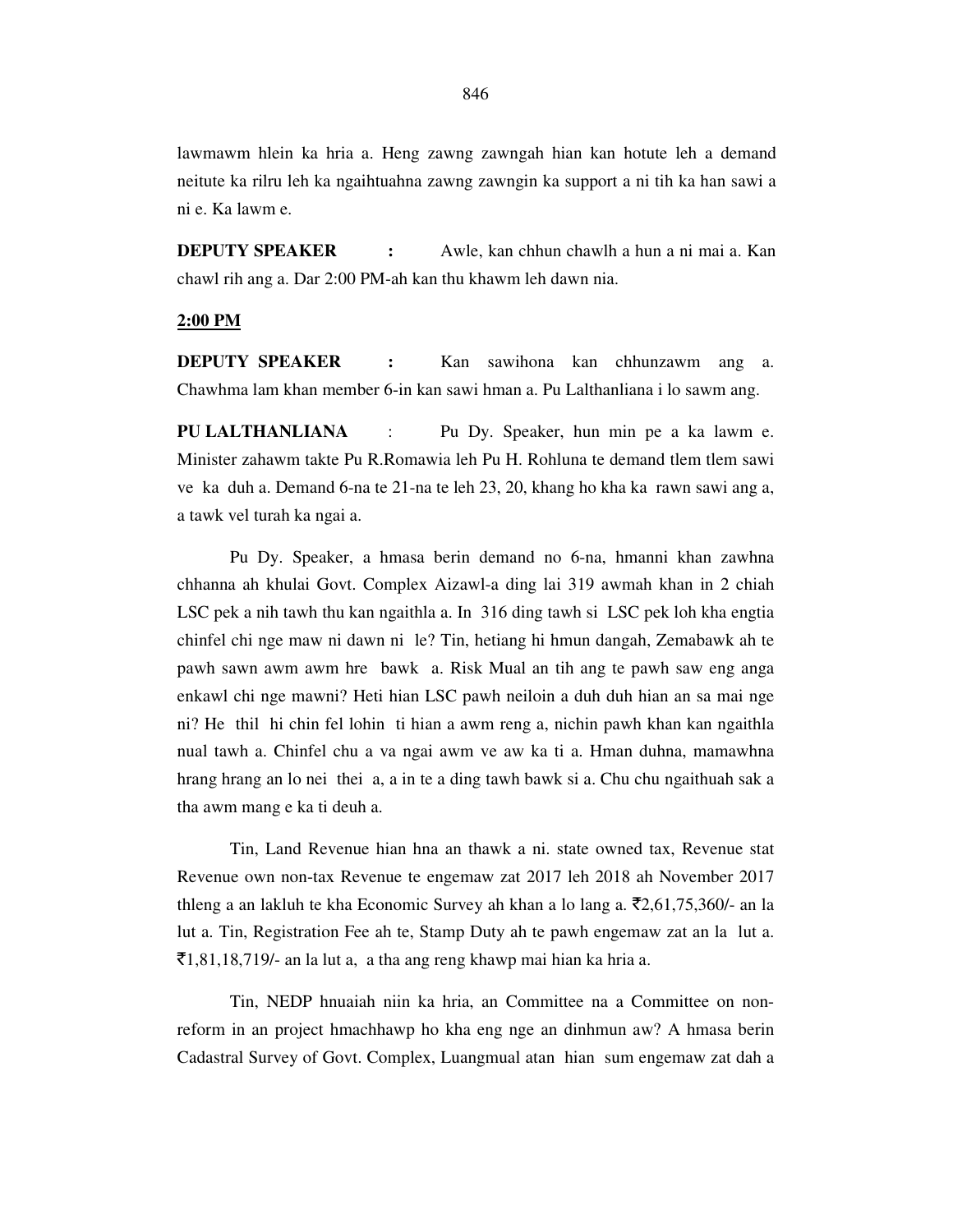lawmawm hlein ka hria a. Heng zawng zawngah hian kan hotute leh a demand neitute ka rilru leh ka ngaihtuahna zawng zawngin ka support a ni tih ka han sawi a ni e. Ka lawm e.

**DEPUTY SPEAKER :** Awle, kan chhun chawlh a hun a ni mai a. Kan chawl rih ang a. Dar 2:00 PM-ah kan thu khawm leh dawn nia.

### **2:00 PM**

**DEPUTY SPEAKER :** Kan sawihona kan chhunzawm ang a. Chawhma lam khan member 6-in kan sawi hman a. Pu Lalthanliana i lo sawm ang.

**PU LALTHANLIANA** : Pu Dy. Speaker, hun min pe a ka lawm e. Minister zahawm takte Pu R.Romawia leh Pu H. Rohluna te demand tlem tlem sawi ve ka duh a. Demand 6-na te 21-na te leh 23, 20, khang ho kha ka rawn sawi ang a, a tawk vel turah ka ngai a.

 Pu Dy. Speaker, a hmasa berin demand no 6-na, hmanni khan zawhna chhanna ah khulai Govt. Complex Aizawl-a ding lai 319 awmah khan in 2 chiah LSC pek a nih tawh thu kan ngaithla a. In 316 ding tawh si LSC pek loh kha engtia chinfel chi nge maw ni dawn ni le? Tin, hetiang hi hmun dangah, Zemabawk ah te pawh sawn awm awm hre bawk a. Risk Mual an tih ang te pawh saw eng anga enkawl chi nge mawni? Heti hian LSC pawh neiloin a duh duh hian an sa mai nge ni? He thil hi chin fel lohin ti hian a awm reng a, nichin pawh khan kan ngaithla nual tawh a. Chinfel chu a va ngai awm ve aw ka ti a. Hman duhna, mamawhna hrang hrang an lo nei thei a, a in te a ding tawh bawk si a. Chu chu ngaithuah sak a tha awm mang e ka ti deuh a.

 Tin, Land Revenue hian hna an thawk a ni. state owned tax, Revenue stat Revenue own non-tax Revenue te engemaw zat 2017 leh 2018 ah November 2017 thleng a an lakluh te kha Economic Survey ah khan a lo lang a.  $\bar{\mathcal{L}}2,61,75,360/$ - an la lut a. Tin, Registration Fee ah te, Stamp Duty ah te pawh engemaw zat an la lut a.  $\bar{\mathcal{F}}$ 1,81,18,719/- an la lut a, a tha ang reng khawp mai hian ka hria a.

 Tin, NEDP hnuaiah niin ka hria, an Committee na a Committee on nonreform in an project hmachhawp ho kha eng nge an dinhmun aw? A hmasa berin Cadastral Survey of Govt. Complex, Luangmual atan hian sum engemaw zat dah a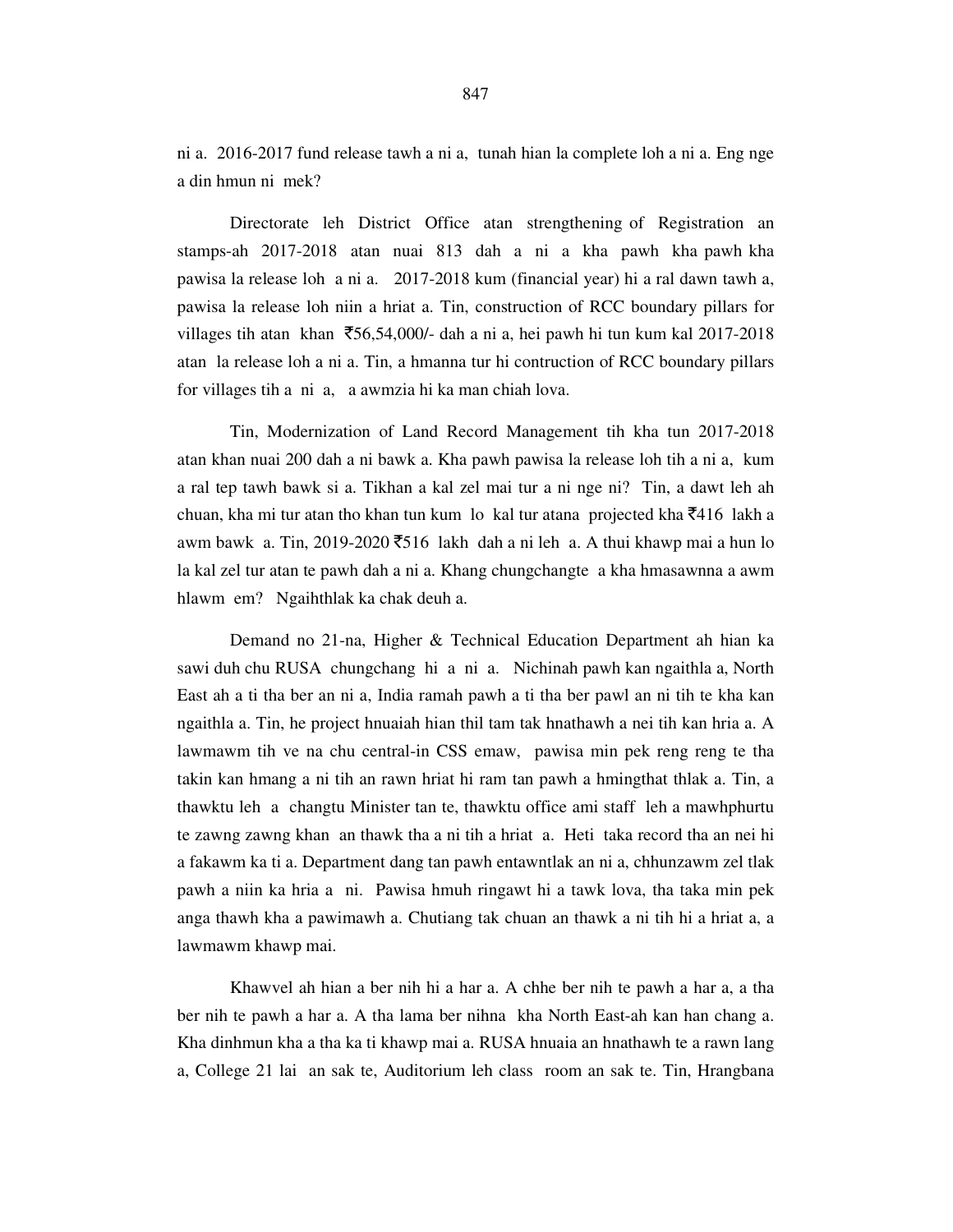ni a. 2016-2017 fund release tawh a ni a, tunah hian la complete loh a ni a. Eng nge a din hmun ni mek?

 Directorate leh District Office atan strengthening of Registration an stamps-ah 2017-2018 atan nuai 813 dah a ni a kha pawh kha pawh kha pawisa la release loh a ni a. 2017-2018 kum (financial year) hi a ral dawn tawh a, pawisa la release loh niin a hriat a. Tin, construction of RCC boundary pillars for villages tih atan khan  $\overline{56,54,000}$  dah a ni a, hei pawh hi tun kum kal 2017-2018 atan la release loh a ni a. Tin, a hmanna tur hi contruction of RCC boundary pillars for villages tih a ni a, a awmzia hi ka man chiah lova.

 Tin, Modernization of Land Record Management tih kha tun 2017-2018 atan khan nuai 200 dah a ni bawk a. Kha pawh pawisa la release loh tih a ni a, kum a ral tep tawh bawk si a. Tikhan a kal zel mai tur a ni nge ni? Tin, a dawt leh ah chuan, kha mi tur atan tho khan tun kum lo kal tur atana projected kha  $\bar{z}$ 416 lakh a awm bawk a. Tin, 2019-2020  $\overline{5}$ 16 lakh dah a ni leh a. A thui khawp mai a hun lo la kal zel tur atan te pawh dah a ni a. Khang chungchangte a kha hmasawnna a awm hlawm em? Ngaihthlak ka chak deuh a.

 Demand no 21-na, Higher & Technical Education Department ah hian ka sawi duh chu RUSA chungchang hi a ni a. Nichinah pawh kan ngaithla a, North East ah a ti tha ber an ni a, India ramah pawh a ti tha ber pawl an ni tih te kha kan ngaithla a. Tin, he project hnuaiah hian thil tam tak hnathawh a nei tih kan hria a. A lawmawm tih ve na chu central-in CSS emaw, pawisa min pek reng reng te tha takin kan hmang a ni tih an rawn hriat hi ram tan pawh a hmingthat thlak a. Tin, a thawktu leh a changtu Minister tan te, thawktu office ami staff leh a mawhphurtu te zawng zawng khan an thawk tha a ni tih a hriat a. Heti taka record tha an nei hi a fakawm ka ti a. Department dang tan pawh entawntlak an ni a, chhunzawm zel tlak pawh a niin ka hria a ni. Pawisa hmuh ringawt hi a tawk lova, tha taka min pek anga thawh kha a pawimawh a. Chutiang tak chuan an thawk a ni tih hi a hriat a, a lawmawm khawp mai.

 Khawvel ah hian a ber nih hi a har a. A chhe ber nih te pawh a har a, a tha ber nih te pawh a har a. A tha lama ber nihna kha North East-ah kan han chang a. Kha dinhmun kha a tha ka ti khawp mai a. RUSA hnuaia an hnathawh te a rawn lang a, College 21 lai an sak te, Auditorium leh class room an sak te. Tin, Hrangbana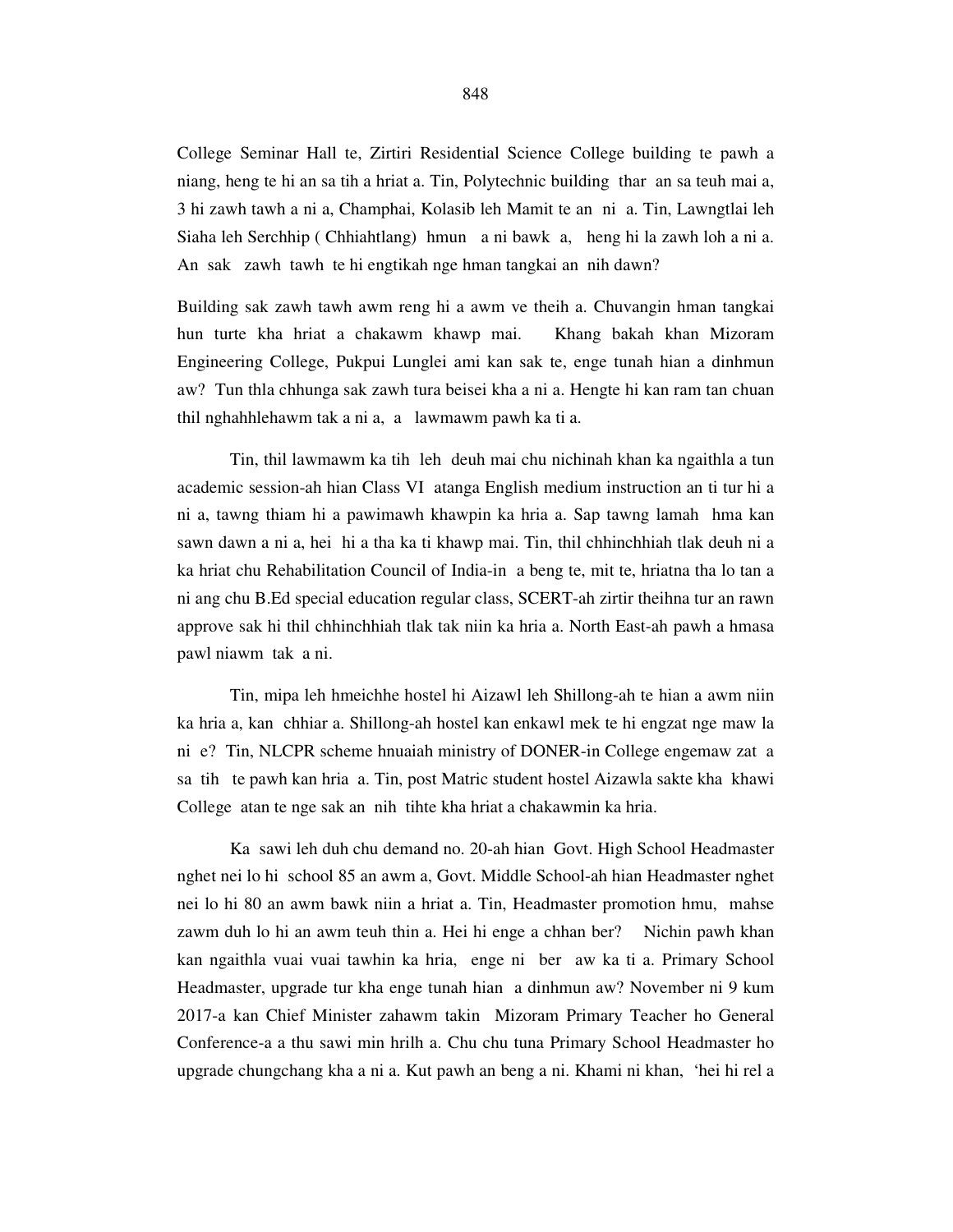College Seminar Hall te, Zirtiri Residential Science College building te pawh a niang, heng te hi an sa tih a hriat a. Tin, Polytechnic building thar an sa teuh mai a, 3 hi zawh tawh a ni a, Champhai, Kolasib leh Mamit te an ni a. Tin, Lawngtlai leh Siaha leh Serchhip ( Chhiahtlang) hmun a ni bawk a, heng hi la zawh loh a ni a. An sak zawh tawh te hi engtikah nge hman tangkai an nih dawn?

Building sak zawh tawh awm reng hi a awm ve theih a. Chuvangin hman tangkai hun turte kha hriat a chakawm khawp mai. Khang bakah khan Mizoram Engineering College, Pukpui Lunglei ami kan sak te, enge tunah hian a dinhmun aw? Tun thla chhunga sak zawh tura beisei kha a ni a. Hengte hi kan ram tan chuan thil nghahhlehawm tak a ni a, a lawmawm pawh ka ti a.

 Tin, thil lawmawm ka tih leh deuh mai chu nichinah khan ka ngaithla a tun academic session-ah hian Class VI atanga English medium instruction an ti tur hi a ni a, tawng thiam hi a pawimawh khawpin ka hria a. Sap tawng lamah hma kan sawn dawn a ni a, hei hi a tha ka ti khawp mai. Tin, thil chhinchhiah tlak deuh ni a ka hriat chu Rehabilitation Council of India-in a beng te, mit te, hriatna tha lo tan a ni ang chu B.Ed special education regular class, SCERT-ah zirtir theihna tur an rawn approve sak hi thil chhinchhiah tlak tak niin ka hria a. North East-ah pawh a hmasa pawl niawm tak a ni.

 Tin, mipa leh hmeichhe hostel hi Aizawl leh Shillong-ah te hian a awm niin ka hria a, kan chhiar a. Shillong-ah hostel kan enkawl mek te hi engzat nge maw la ni e? Tin, NLCPR scheme hnuaiah ministry of DONER-in College engemaw zat a sa tih te pawh kan hria a. Tin, post Matric student hostel Aizawla sakte kha khawi College atan te nge sak an nih tihte kha hriat a chakawmin ka hria.

 Ka sawi leh duh chu demand no. 20-ah hian Govt. High School Headmaster nghet nei lo hi school 85 an awm a, Govt. Middle School-ah hian Headmaster nghet nei lo hi 80 an awm bawk niin a hriat a. Tin, Headmaster promotion hmu, mahse zawm duh lo hi an awm teuh thin a. Hei hi enge a chhan ber? Nichin pawh khan kan ngaithla vuai vuai tawhin ka hria, enge ni ber aw ka ti a. Primary School Headmaster, upgrade tur kha enge tunah hian a dinhmun aw? November ni 9 kum 2017-a kan Chief Minister zahawm takin Mizoram Primary Teacher ho General Conference-a a thu sawi min hrilh a. Chu chu tuna Primary School Headmaster ho upgrade chungchang kha a ni a. Kut pawh an beng a ni. Khami ni khan, 'hei hi rel a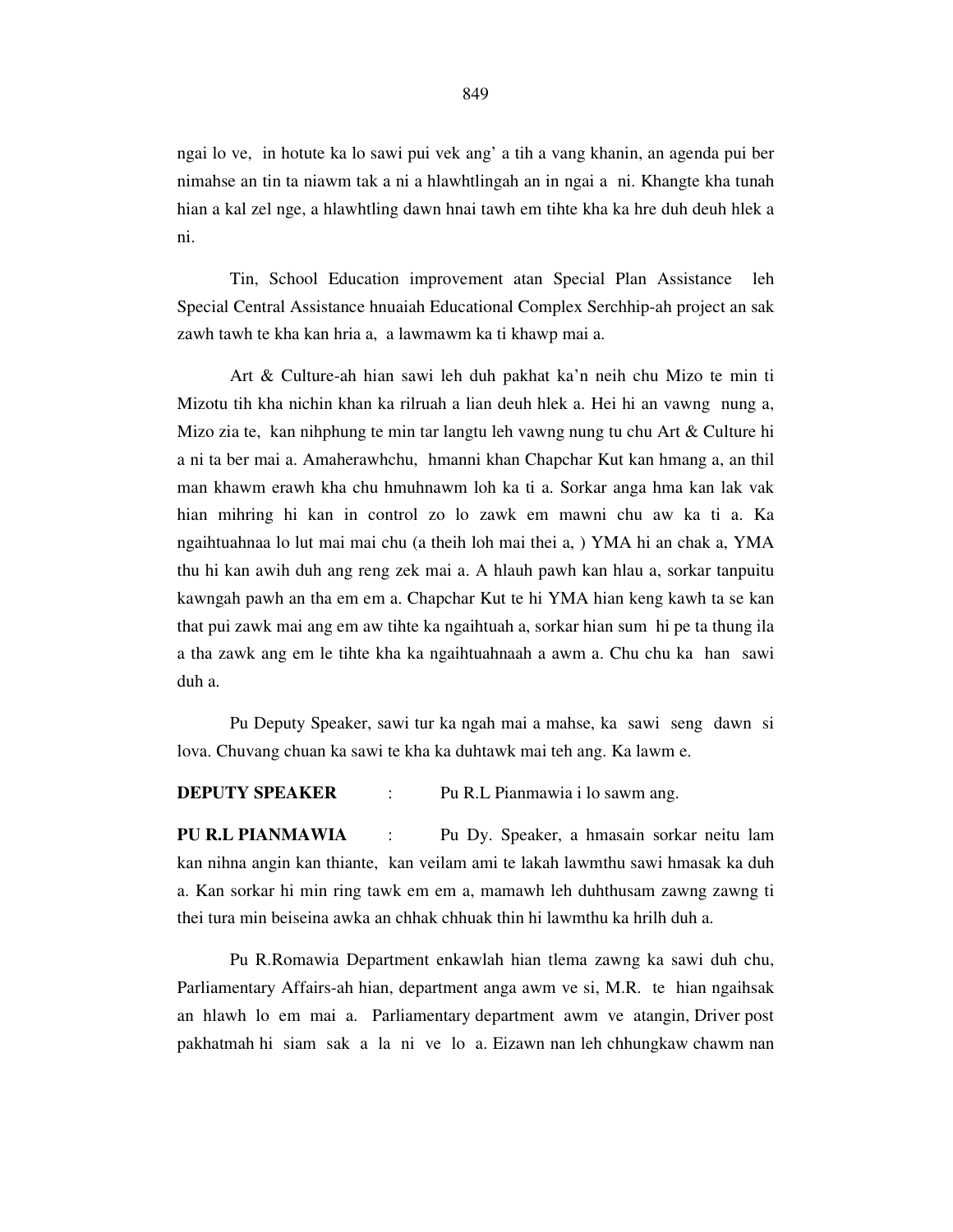ngai lo ve, in hotute ka lo sawi pui vek ang' a tih a vang khanin, an agenda pui ber nimahse an tin ta niawm tak a ni a hlawhtlingah an in ngai a ni. Khangte kha tunah hian a kal zel nge, a hlawhtling dawn hnai tawh em tihte kha ka hre duh deuh hlek a ni.

 Tin, School Education improvement atan Special Plan Assistance leh Special Central Assistance hnuaiah Educational Complex Serchhip-ah project an sak zawh tawh te kha kan hria a, a lawmawm ka ti khawp mai a.

 Art & Culture-ah hian sawi leh duh pakhat ka'n neih chu Mizo te min ti Mizotu tih kha nichin khan ka rilruah a lian deuh hlek a. Hei hi an vawng nung a, Mizo zia te, kan nihphung te min tar langtu leh vawng nung tu chu Art  $\&$  Culture hi a ni ta ber mai a. Amaherawhchu, hmanni khan Chapchar Kut kan hmang a, an thil man khawm erawh kha chu hmuhnawm loh ka ti a. Sorkar anga hma kan lak vak hian mihring hi kan in control zo lo zawk em mawni chu aw ka ti a. Ka ngaihtuahnaa lo lut mai mai chu (a theih loh mai thei a, ) YMA hi an chak a, YMA thu hi kan awih duh ang reng zek mai a. A hlauh pawh kan hlau a, sorkar tanpuitu kawngah pawh an tha em em a. Chapchar Kut te hi YMA hian keng kawh ta se kan that pui zawk mai ang em aw tihte ka ngaihtuah a, sorkar hian sum hi pe ta thung ila a tha zawk ang em le tihte kha ka ngaihtuahnaah a awm a. Chu chu ka han sawi duh a.

 Pu Deputy Speaker, sawi tur ka ngah mai a mahse, ka sawi seng dawn si lova. Chuvang chuan ka sawi te kha ka duhtawk mai teh ang. Ka lawm e.

**DEPUTY SPEAKER** : Pu R.L Pianmawia i lo sawm ang.

**PU R.L PIANMAWIA** : Pu Dy. Speaker, a hmasain sorkar neitu lam kan nihna angin kan thiante, kan veilam ami te lakah lawmthu sawi hmasak ka duh a. Kan sorkar hi min ring tawk em em a, mamawh leh duhthusam zawng zawng ti thei tura min beiseina awka an chhak chhuak thin hi lawmthu ka hrilh duh a.

 Pu R.Romawia Department enkawlah hian tlema zawng ka sawi duh chu, Parliamentary Affairs-ah hian, department anga awm ve si, M.R. te hian ngaihsak an hlawh lo em mai a. Parliamentary department awm ve atangin, Driver post pakhatmah hi siam sak a la ni ve lo a. Eizawn nan leh chhungkaw chawm nan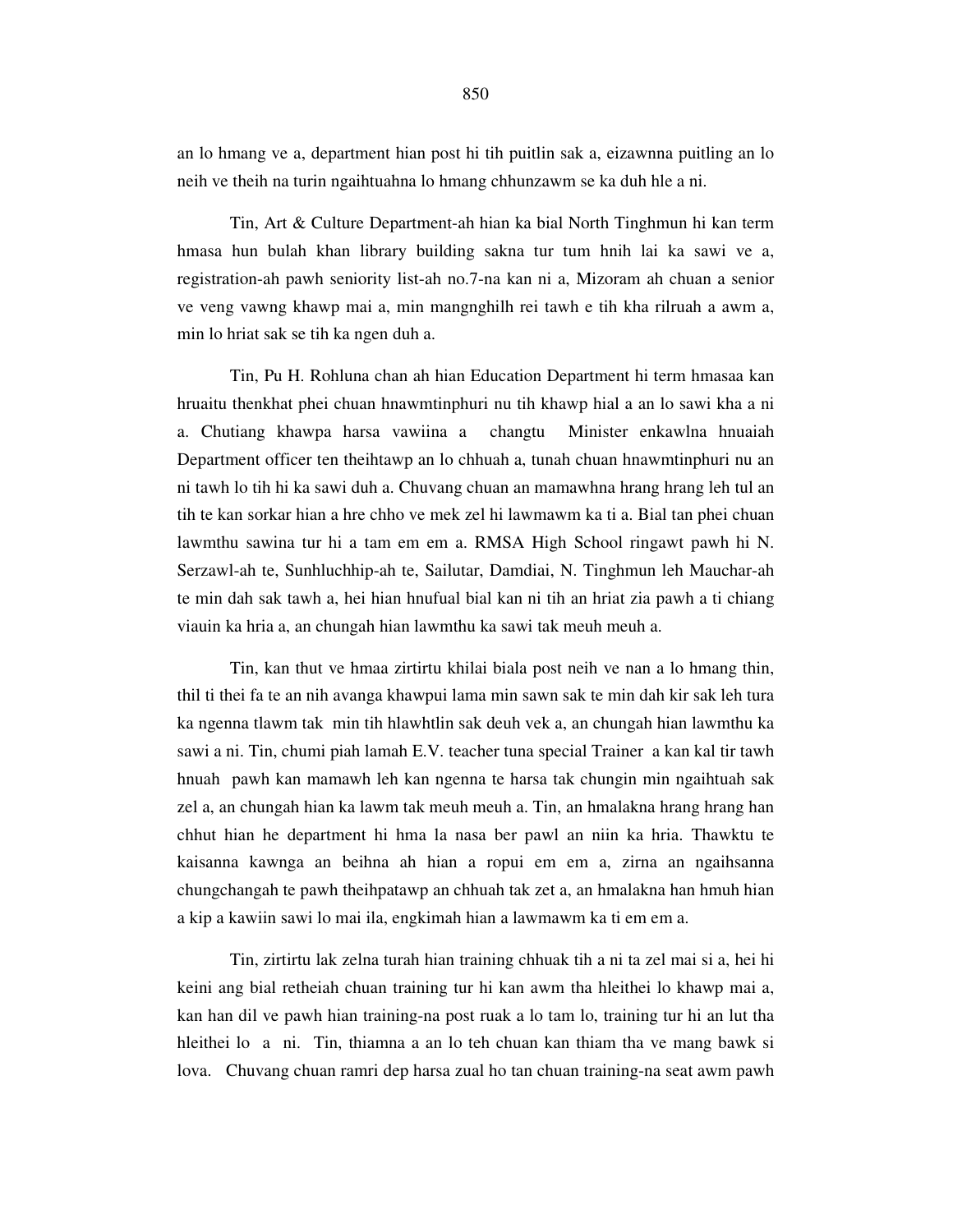an lo hmang ve a, department hian post hi tih puitlin sak a, eizawnna puitling an lo neih ve theih na turin ngaihtuahna lo hmang chhunzawm se ka duh hle a ni.

 Tin, Art & Culture Department-ah hian ka bial North Tinghmun hi kan term hmasa hun bulah khan library building sakna tur tum hnih lai ka sawi ve a, registration-ah pawh seniority list-ah no.7-na kan ni a, Mizoram ah chuan a senior ve veng vawng khawp mai a, min mangnghilh rei tawh e tih kha rilruah a awm a, min lo hriat sak se tih ka ngen duh a.

 Tin, Pu H. Rohluna chan ah hian Education Department hi term hmasaa kan hruaitu thenkhat phei chuan hnawmtinphuri nu tih khawp hial a an lo sawi kha a ni a. Chutiang khawpa harsa vawiina a changtu Minister enkawlna hnuaiah Department officer ten theihtawp an lo chhuah a, tunah chuan hnawmtinphuri nu an ni tawh lo tih hi ka sawi duh a. Chuvang chuan an mamawhna hrang hrang leh tul an tih te kan sorkar hian a hre chho ve mek zel hi lawmawm ka ti a. Bial tan phei chuan lawmthu sawina tur hi a tam em em a. RMSA High School ringawt pawh hi N. Serzawl-ah te, Sunhluchhip-ah te, Sailutar, Damdiai, N. Tinghmun leh Mauchar-ah te min dah sak tawh a, hei hian hnufual bial kan ni tih an hriat zia pawh a ti chiang viauin ka hria a, an chungah hian lawmthu ka sawi tak meuh meuh a.

 Tin, kan thut ve hmaa zirtirtu khilai biala post neih ve nan a lo hmang thin, thil ti thei fa te an nih avanga khawpui lama min sawn sak te min dah kir sak leh tura ka ngenna tlawm tak min tih hlawhtlin sak deuh vek a, an chungah hian lawmthu ka sawi a ni. Tin, chumi piah lamah E.V. teacher tuna special Trainer a kan kal tir tawh hnuah pawh kan mamawh leh kan ngenna te harsa tak chungin min ngaihtuah sak zel a, an chungah hian ka lawm tak meuh meuh a. Tin, an hmalakna hrang hrang han chhut hian he department hi hma la nasa ber pawl an niin ka hria. Thawktu te kaisanna kawnga an beihna ah hian a ropui em em a, zirna an ngaihsanna chungchangah te pawh theihpatawp an chhuah tak zet a, an hmalakna han hmuh hian a kip a kawiin sawi lo mai ila, engkimah hian a lawmawm ka ti em em a.

 Tin, zirtirtu lak zelna turah hian training chhuak tih a ni ta zel mai si a, hei hi keini ang bial retheiah chuan training tur hi kan awm tha hleithei lo khawp mai a, kan han dil ve pawh hian training-na post ruak a lo tam lo, training tur hi an lut tha hleithei lo a ni. Tin, thiamna a an lo teh chuan kan thiam tha ve mang bawk si lova. Chuvang chuan ramri dep harsa zual ho tan chuan training-na seat awm pawh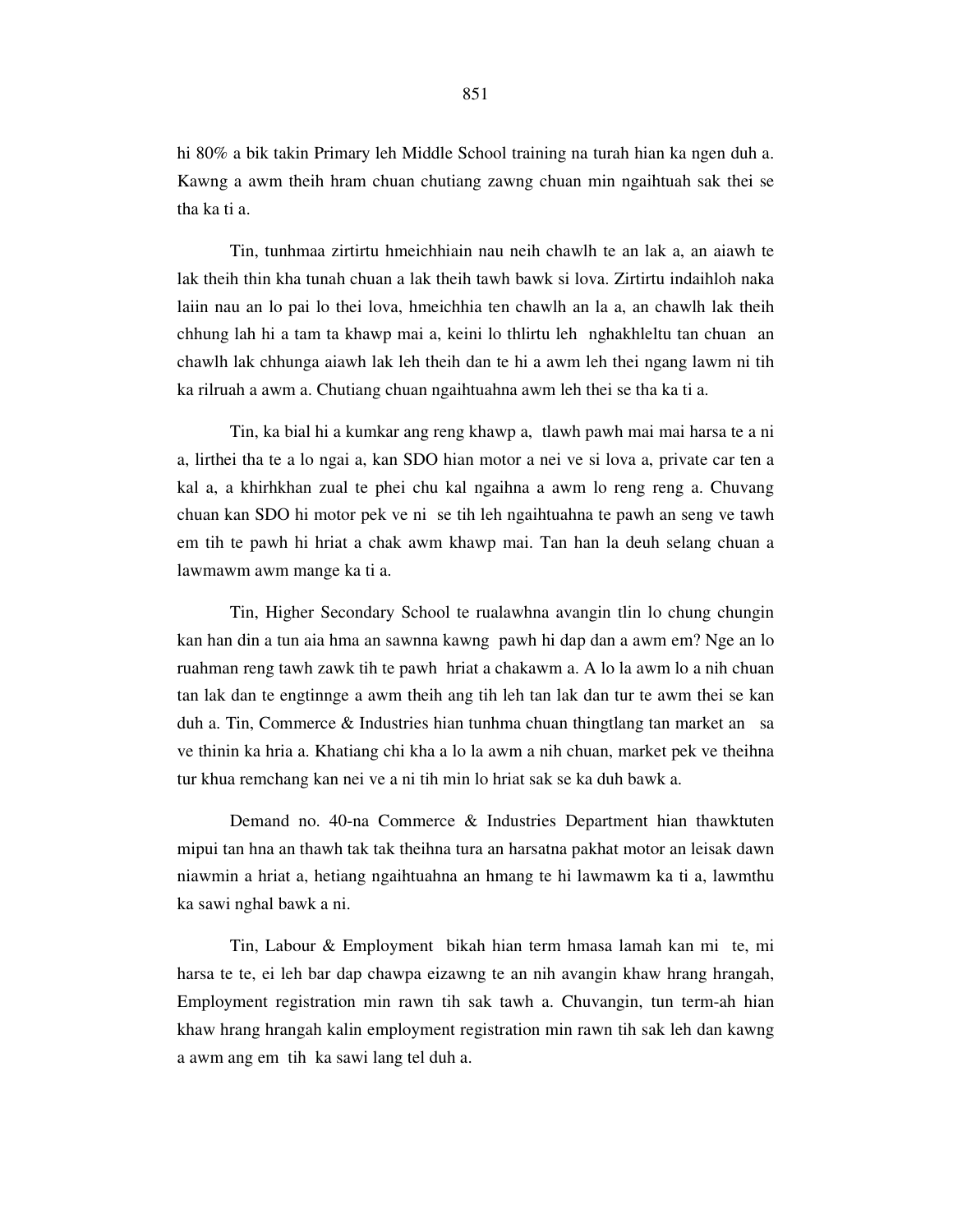hi 80% a bik takin Primary leh Middle School training na turah hian ka ngen duh a. Kawng a awm theih hram chuan chutiang zawng chuan min ngaihtuah sak thei se tha ka ti a.

 Tin, tunhmaa zirtirtu hmeichhiain nau neih chawlh te an lak a, an aiawh te lak theih thin kha tunah chuan a lak theih tawh bawk si lova. Zirtirtu indaihloh naka laiin nau an lo pai lo thei lova, hmeichhia ten chawlh an la a, an chawlh lak theih chhung lah hi a tam ta khawp mai a, keini lo thlirtu leh nghakhleltu tan chuan an chawlh lak chhunga aiawh lak leh theih dan te hi a awm leh thei ngang lawm ni tih ka rilruah a awm a. Chutiang chuan ngaihtuahna awm leh thei se tha ka ti a.

 Tin, ka bial hi a kumkar ang reng khawp a, tlawh pawh mai mai harsa te a ni a, lirthei tha te a lo ngai a, kan SDO hian motor a nei ve si lova a, private car ten a kal a, a khirhkhan zual te phei chu kal ngaihna a awm lo reng reng a. Chuvang chuan kan SDO hi motor pek ve ni se tih leh ngaihtuahna te pawh an seng ve tawh em tih te pawh hi hriat a chak awm khawp mai. Tan han la deuh selang chuan a lawmawm awm mange ka ti a.

 Tin, Higher Secondary School te rualawhna avangin tlin lo chung chungin kan han din a tun aia hma an sawnna kawng pawh hi dap dan a awm em? Nge an lo ruahman reng tawh zawk tih te pawh hriat a chakawm a. A lo la awm lo a nih chuan tan lak dan te engtinnge a awm theih ang tih leh tan lak dan tur te awm thei se kan duh a. Tin, Commerce & Industries hian tunhma chuan thingtlang tan market an sa ve thinin ka hria a. Khatiang chi kha a lo la awm a nih chuan, market pek ve theihna tur khua remchang kan nei ve a ni tih min lo hriat sak se ka duh bawk a.

 Demand no. 40-na Commerce & Industries Department hian thawktuten mipui tan hna an thawh tak tak theihna tura an harsatna pakhat motor an leisak dawn niawmin a hriat a, hetiang ngaihtuahna an hmang te hi lawmawm ka ti a, lawmthu ka sawi nghal bawk a ni.

 Tin, Labour & Employment bikah hian term hmasa lamah kan mi te, mi harsa te te, ei leh bar dap chawpa eizawng te an nih avangin khaw hrang hrangah, Employment registration min rawn tih sak tawh a. Chuvangin, tun term-ah hian khaw hrang hrangah kalin employment registration min rawn tih sak leh dan kawng a awm ang em tih ka sawi lang tel duh a.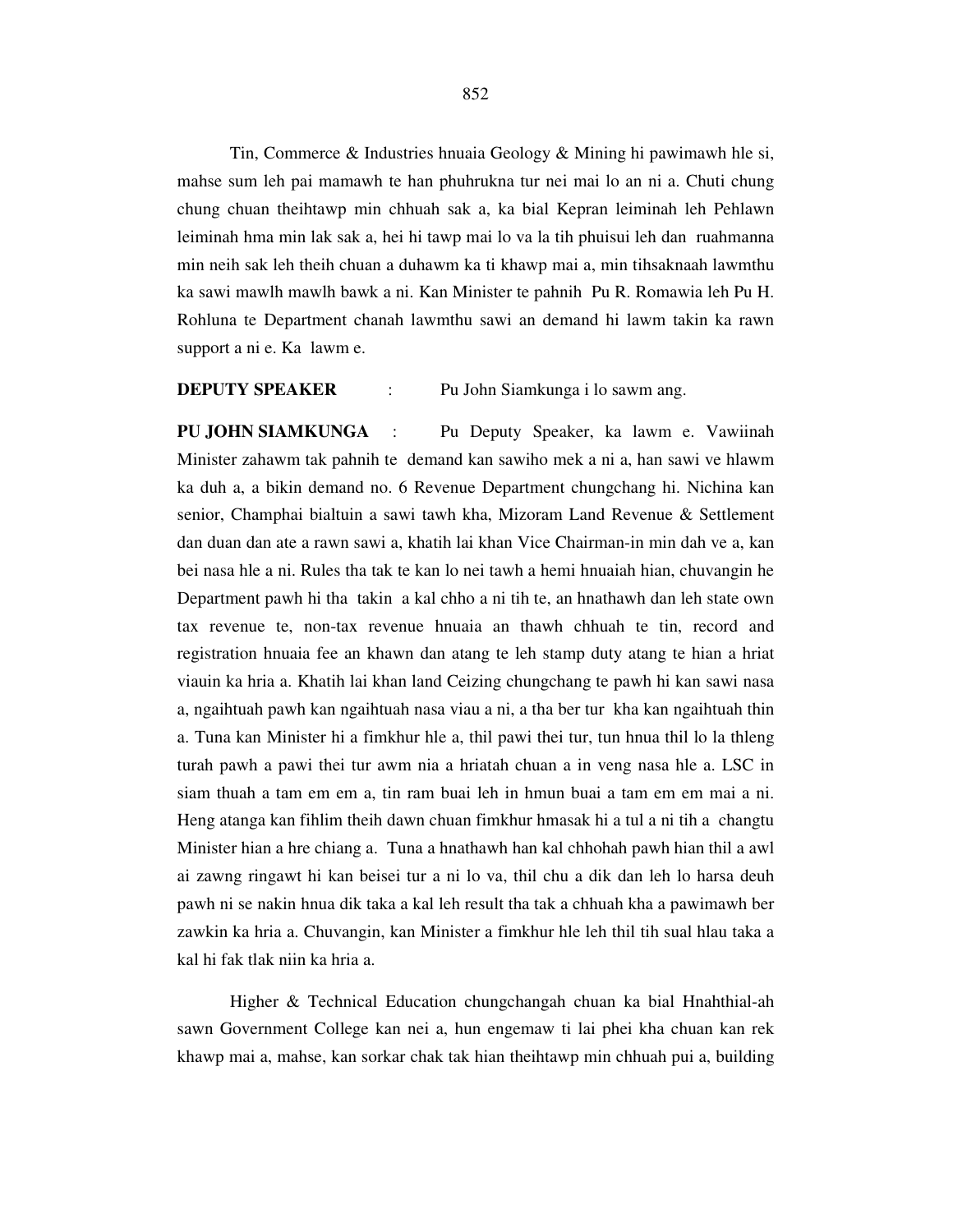Tin, Commerce & Industries hnuaia Geology & Mining hi pawimawh hle si, mahse sum leh pai mamawh te han phuhrukna tur nei mai lo an ni a. Chuti chung chung chuan theihtawp min chhuah sak a, ka bial Kepran leiminah leh Pehlawn leiminah hma min lak sak a, hei hi tawp mai lo va la tih phuisui leh dan ruahmanna min neih sak leh theih chuan a duhawm ka ti khawp mai a, min tihsaknaah lawmthu ka sawi mawlh mawlh bawk a ni. Kan Minister te pahnih Pu R. Romawia leh Pu H. Rohluna te Department chanah lawmthu sawi an demand hi lawm takin ka rawn support a ni e. Ka lawm e.

## **DEPUTY SPEAKER** : Pu John Siamkunga i lo sawm ang.

**PU JOHN SIAMKUNGA** : Pu Deputy Speaker, ka lawm e. Vawiinah Minister zahawm tak pahnih te demand kan sawiho mek a ni a, han sawi ve hlawm ka duh a, a bikin demand no. 6 Revenue Department chungchang hi. Nichina kan senior, Champhai bialtuin a sawi tawh kha, Mizoram Land Revenue & Settlement dan duan dan ate a rawn sawi a, khatih lai khan Vice Chairman-in min dah ve a, kan bei nasa hle a ni. Rules tha tak te kan lo nei tawh a hemi hnuaiah hian, chuvangin he Department pawh hi tha takin a kal chho a ni tih te, an hnathawh dan leh state own tax revenue te, non-tax revenue hnuaia an thawh chhuah te tin, record and registration hnuaia fee an khawn dan atang te leh stamp duty atang te hian a hriat viauin ka hria a. Khatih lai khan land Ceizing chungchang te pawh hi kan sawi nasa a, ngaihtuah pawh kan ngaihtuah nasa viau a ni, a tha ber tur kha kan ngaihtuah thin a. Tuna kan Minister hi a fimkhur hle a, thil pawi thei tur, tun hnua thil lo la thleng turah pawh a pawi thei tur awm nia a hriatah chuan a in veng nasa hle a. LSC in siam thuah a tam em em a, tin ram buai leh in hmun buai a tam em em mai a ni. Heng atanga kan fihlim theih dawn chuan fimkhur hmasak hi a tul a ni tih a changtu Minister hian a hre chiang a. Tuna a hnathawh han kal chhohah pawh hian thil a awl ai zawng ringawt hi kan beisei tur a ni lo va, thil chu a dik dan leh lo harsa deuh pawh ni se nakin hnua dik taka a kal leh result tha tak a chhuah kha a pawimawh ber zawkin ka hria a. Chuvangin, kan Minister a fimkhur hle leh thil tih sual hlau taka a kal hi fak tlak niin ka hria a.

 Higher & Technical Education chungchangah chuan ka bial Hnahthial-ah sawn Government College kan nei a, hun engemaw ti lai phei kha chuan kan rek khawp mai a, mahse, kan sorkar chak tak hian theihtawp min chhuah pui a, building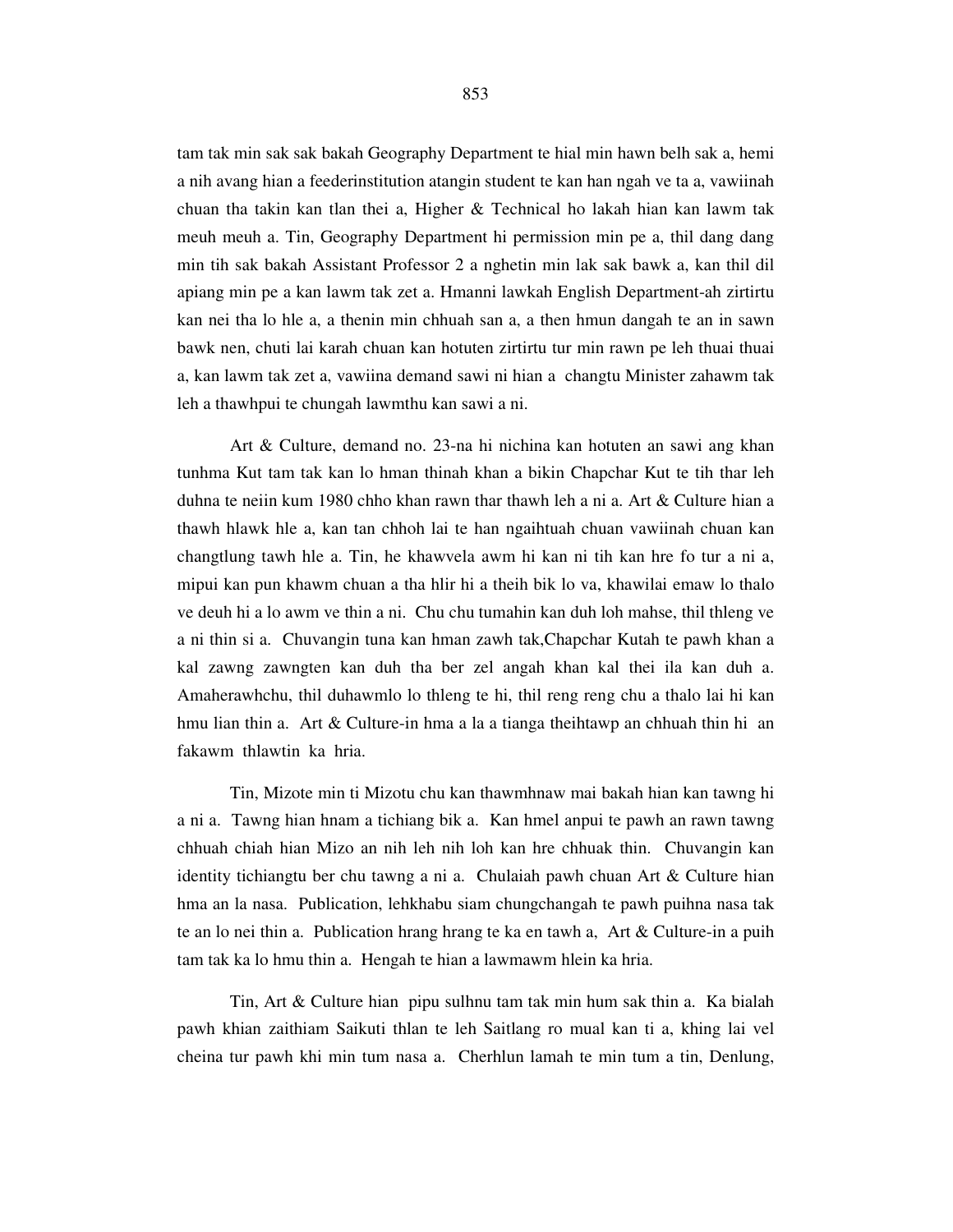tam tak min sak sak bakah Geography Department te hial min hawn belh sak a, hemi a nih avang hian a feederinstitution atangin student te kan han ngah ve ta a, vawiinah chuan tha takin kan tlan thei a, Higher & Technical ho lakah hian kan lawm tak meuh meuh a. Tin, Geography Department hi permission min pe a, thil dang dang min tih sak bakah Assistant Professor 2 a nghetin min lak sak bawk a, kan thil dil apiang min pe a kan lawm tak zet a. Hmanni lawkah English Department-ah zirtirtu kan nei tha lo hle a, a thenin min chhuah san a, a then hmun dangah te an in sawn bawk nen, chuti lai karah chuan kan hotuten zirtirtu tur min rawn pe leh thuai thuai a, kan lawm tak zet a, vawiina demand sawi ni hian a changtu Minister zahawm tak leh a thawhpui te chungah lawmthu kan sawi a ni.

 Art & Culture, demand no. 23-na hi nichina kan hotuten an sawi ang khan tunhma Kut tam tak kan lo hman thinah khan a bikin Chapchar Kut te tih thar leh duhna te neiin kum 1980 chho khan rawn thar thawh leh a ni a. Art & Culture hian a thawh hlawk hle a, kan tan chhoh lai te han ngaihtuah chuan vawiinah chuan kan changtlung tawh hle a. Tin, he khawvela awm hi kan ni tih kan hre fo tur a ni a, mipui kan pun khawm chuan a tha hlir hi a theih bik lo va, khawilai emaw lo thalo ve deuh hi a lo awm ve thin a ni. Chu chu tumahin kan duh loh mahse, thil thleng ve a ni thin si a. Chuvangin tuna kan hman zawh tak,Chapchar Kutah te pawh khan a kal zawng zawngten kan duh tha ber zel angah khan kal thei ila kan duh a. Amaherawhchu, thil duhawmlo lo thleng te hi, thil reng reng chu a thalo lai hi kan hmu lian thin a. Art & Culture-in hma a la a tianga theihtawp an chhuah thin hi an fakawm thlawtin ka hria.

 Tin, Mizote min ti Mizotu chu kan thawmhnaw mai bakah hian kan tawng hi a ni a. Tawng hian hnam a tichiang bik a. Kan hmel anpui te pawh an rawn tawng chhuah chiah hian Mizo an nih leh nih loh kan hre chhuak thin. Chuvangin kan identity tichiangtu ber chu tawng a ni a. Chulaiah pawh chuan Art & Culture hian hma an la nasa. Publication, lehkhabu siam chungchangah te pawh puihna nasa tak te an lo nei thin a. Publication hrang hrang te ka en tawh a, Art  $&$  Culture-in a puih tam tak ka lo hmu thin a. Hengah te hian a lawmawm hlein ka hria.

 Tin, Art & Culture hian pipu sulhnu tam tak min hum sak thin a. Ka bialah pawh khian zaithiam Saikuti thlan te leh Saitlang ro mual kan ti a, khing lai vel cheina tur pawh khi min tum nasa a. Cherhlun lamah te min tum a tin, Denlung,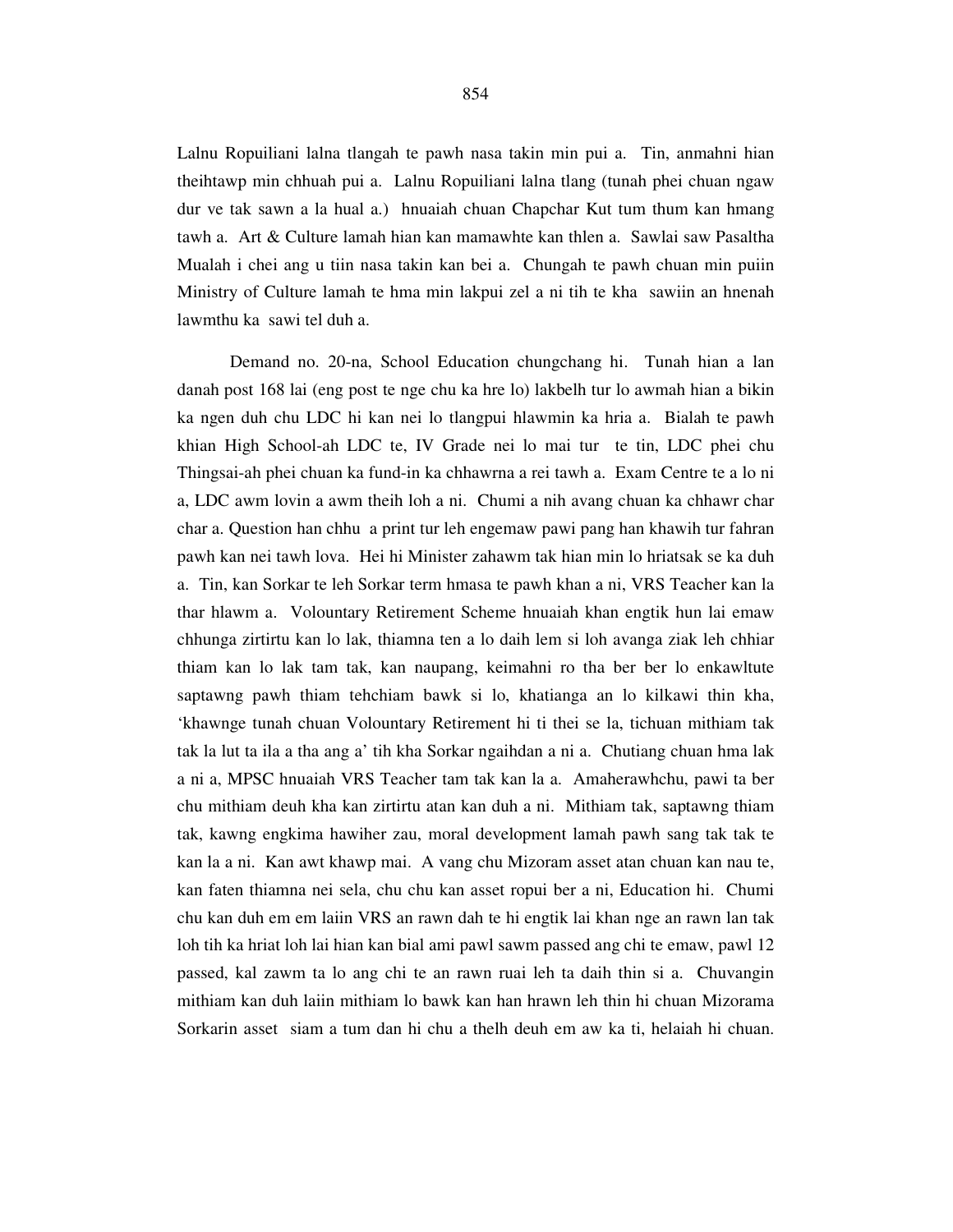Lalnu Ropuiliani lalna tlangah te pawh nasa takin min pui a. Tin, anmahni hian theihtawp min chhuah pui a. Lalnu Ropuiliani lalna tlang (tunah phei chuan ngaw dur ve tak sawn a la hual a.) hnuaiah chuan Chapchar Kut tum thum kan hmang tawh a. Art & Culture lamah hian kan mamawhte kan thlen a. Sawlai saw Pasaltha Mualah i chei ang u tiin nasa takin kan bei a. Chungah te pawh chuan min puiin Ministry of Culture lamah te hma min lakpui zel a ni tih te kha sawiin an hnenah lawmthu ka sawi tel duh a.

 Demand no. 20-na, School Education chungchang hi. Tunah hian a lan danah post 168 lai (eng post te nge chu ka hre lo) lakbelh tur lo awmah hian a bikin ka ngen duh chu LDC hi kan nei lo tlangpui hlawmin ka hria a. Bialah te pawh khian High School-ah LDC te, IV Grade nei lo mai tur te tin, LDC phei chu Thingsai-ah phei chuan ka fund-in ka chhawrna a rei tawh a. Exam Centre te a lo ni a, LDC awm lovin a awm theih loh a ni. Chumi a nih avang chuan ka chhawr char char a. Question han chhu a print tur leh engemaw pawi pang han khawih tur fahran pawh kan nei tawh lova. Hei hi Minister zahawm tak hian min lo hriatsak se ka duh a. Tin, kan Sorkar te leh Sorkar term hmasa te pawh khan a ni, VRS Teacher kan la thar hlawm a. Volountary Retirement Scheme hnuaiah khan engtik hun lai emaw chhunga zirtirtu kan lo lak, thiamna ten a lo daih lem si loh avanga ziak leh chhiar thiam kan lo lak tam tak, kan naupang, keimahni ro tha ber ber lo enkawltute saptawng pawh thiam tehchiam bawk si lo, khatianga an lo kilkawi thin kha, 'khawnge tunah chuan Volountary Retirement hi ti thei se la, tichuan mithiam tak tak la lut ta ila a tha ang a' tih kha Sorkar ngaihdan a ni a. Chutiang chuan hma lak a ni a, MPSC hnuaiah VRS Teacher tam tak kan la a. Amaherawhchu, pawi ta ber chu mithiam deuh kha kan zirtirtu atan kan duh a ni. Mithiam tak, saptawng thiam tak, kawng engkima hawiher zau, moral development lamah pawh sang tak tak te kan la a ni. Kan awt khawp mai. A vang chu Mizoram asset atan chuan kan nau te, kan faten thiamna nei sela, chu chu kan asset ropui ber a ni, Education hi. Chumi chu kan duh em em laiin VRS an rawn dah te hi engtik lai khan nge an rawn lan tak loh tih ka hriat loh lai hian kan bial ami pawl sawm passed ang chi te emaw, pawl 12 passed, kal zawm ta lo ang chi te an rawn ruai leh ta daih thin si a. Chuvangin mithiam kan duh laiin mithiam lo bawk kan han hrawn leh thin hi chuan Mizorama Sorkarin asset siam a tum dan hi chu a thelh deuh em aw ka ti, helaiah hi chuan.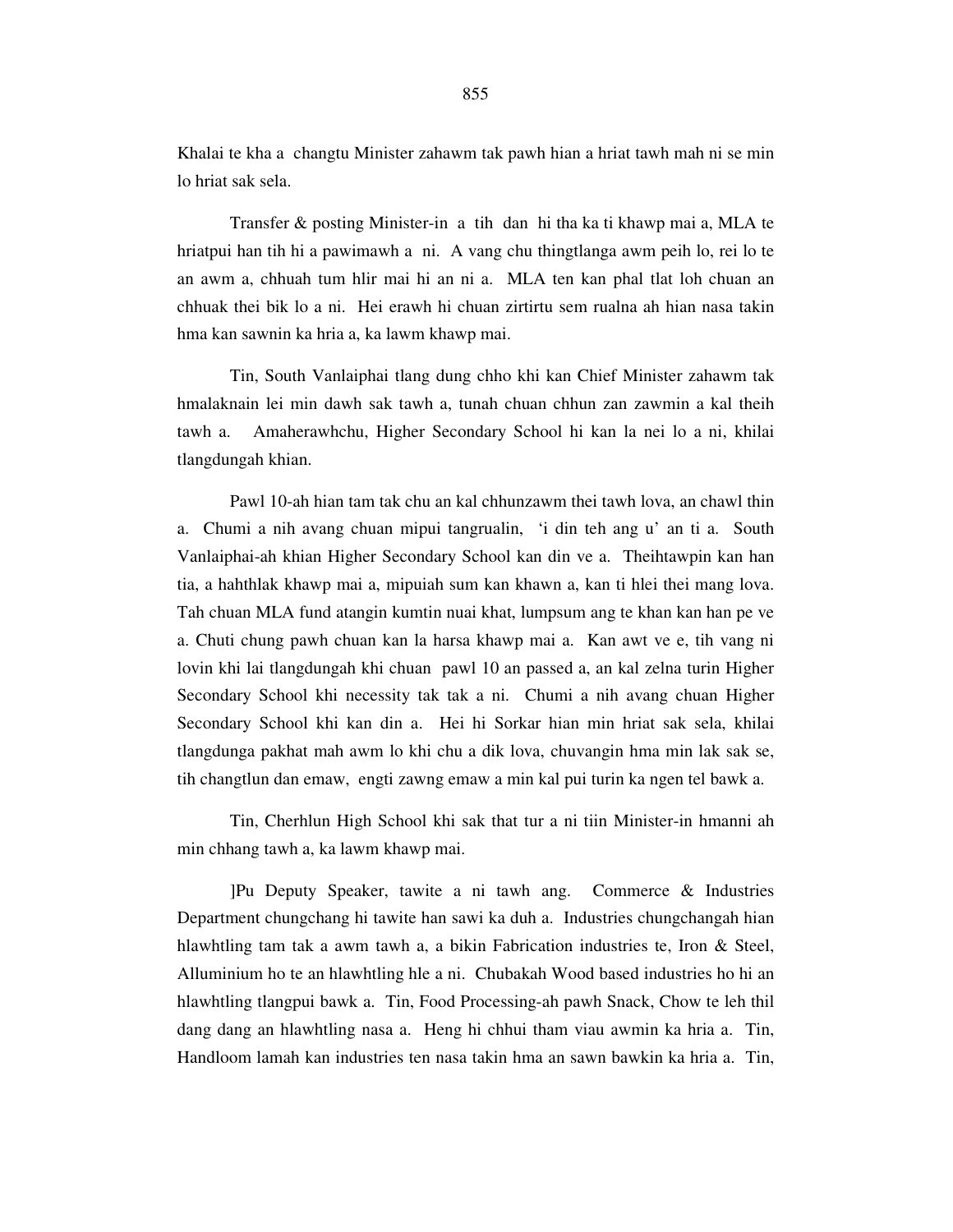Khalai te kha a changtu Minister zahawm tak pawh hian a hriat tawh mah ni se min lo hriat sak sela.

 Transfer & posting Minister-in a tih dan hi tha ka ti khawp mai a, MLA te hriatpui han tih hi a pawimawh a ni. A vang chu thingtlanga awm peih lo, rei lo te an awm a, chhuah tum hlir mai hi an ni a. MLA ten kan phal tlat loh chuan an chhuak thei bik lo a ni. Hei erawh hi chuan zirtirtu sem rualna ah hian nasa takin hma kan sawnin ka hria a, ka lawm khawp mai.

 Tin, South Vanlaiphai tlang dung chho khi kan Chief Minister zahawm tak hmalaknain lei min dawh sak tawh a, tunah chuan chhun zan zawmin a kal theih tawh a. Amaherawhchu, Higher Secondary School hi kan la nei lo a ni, khilai tlangdungah khian.

 Pawl 10-ah hian tam tak chu an kal chhunzawm thei tawh lova, an chawl thin a. Chumi a nih avang chuan mipui tangrualin, 'i din teh ang u' an ti a. South Vanlaiphai-ah khian Higher Secondary School kan din ve a. Theihtawpin kan han tia, a hahthlak khawp mai a, mipuiah sum kan khawn a, kan ti hlei thei mang lova. Tah chuan MLA fund atangin kumtin nuai khat, lumpsum ang te khan kan han pe ve a. Chuti chung pawh chuan kan la harsa khawp mai a. Kan awt ve e, tih vang ni lovin khi lai tlangdungah khi chuan pawl 10 an passed a, an kal zelna turin Higher Secondary School khi necessity tak tak a ni. Chumi a nih avang chuan Higher Secondary School khi kan din a. Hei hi Sorkar hian min hriat sak sela, khilai tlangdunga pakhat mah awm lo khi chu a dik lova, chuvangin hma min lak sak se, tih changtlun dan emaw, engti zawng emaw a min kal pui turin ka ngen tel bawk a.

 Tin, Cherhlun High School khi sak that tur a ni tiin Minister-in hmanni ah min chhang tawh a, ka lawm khawp mai.

 ]Pu Deputy Speaker, tawite a ni tawh ang. Commerce & Industries Department chungchang hi tawite han sawi ka duh a. Industries chungchangah hian hlawhtling tam tak a awm tawh a, a bikin Fabrication industries te, Iron & Steel, Alluminium ho te an hlawhtling hle a ni. Chubakah Wood based industries ho hi an hlawhtling tlangpui bawk a. Tin, Food Processing-ah pawh Snack, Chow te leh thil dang dang an hlawhtling nasa a. Heng hi chhui tham viau awmin ka hria a. Tin, Handloom lamah kan industries ten nasa takin hma an sawn bawkin ka hria a. Tin,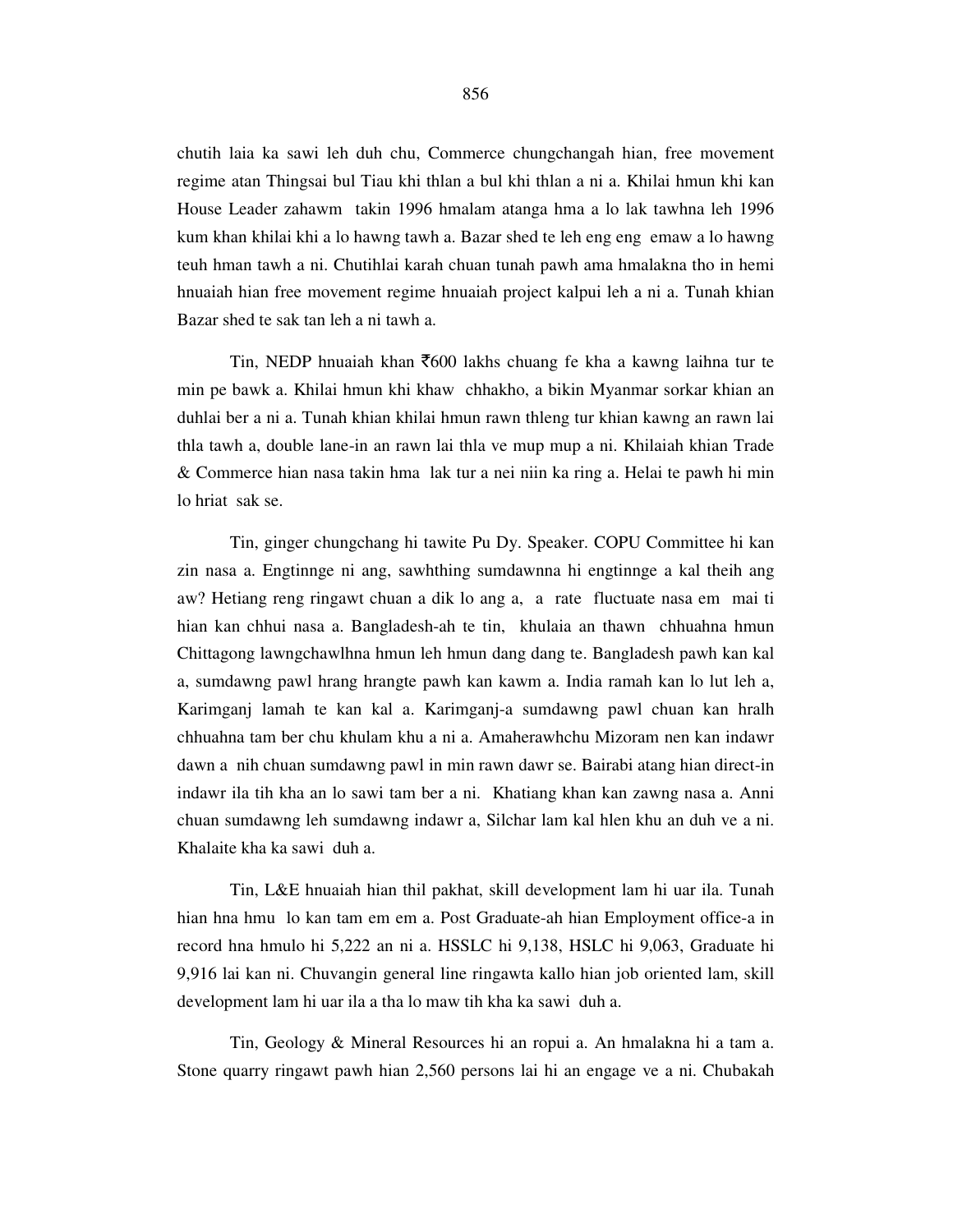chutih laia ka sawi leh duh chu, Commerce chungchangah hian, free movement regime atan Thingsai bul Tiau khi thlan a bul khi thlan a ni a. Khilai hmun khi kan House Leader zahawm takin 1996 hmalam atanga hma a lo lak tawhna leh 1996 kum khan khilai khi a lo hawng tawh a. Bazar shed te leh eng eng emaw a lo hawng teuh hman tawh a ni. Chutihlai karah chuan tunah pawh ama hmalakna tho in hemi hnuaiah hian free movement regime hnuaiah project kalpui leh a ni a. Tunah khian Bazar shed te sak tan leh a ni tawh a.

Tin, NEDP hnuaiah khan  $\overline{600}$  lakhs chuang fe kha a kawng laihna tur te min pe bawk a. Khilai hmun khi khaw chhakho, a bikin Myanmar sorkar khian an duhlai ber a ni a. Tunah khian khilai hmun rawn thleng tur khian kawng an rawn lai thla tawh a, double lane-in an rawn lai thla ve mup mup a ni. Khilaiah khian Trade & Commerce hian nasa takin hma lak tur a nei niin ka ring a. Helai te pawh hi min lo hriat sak se.

 Tin, ginger chungchang hi tawite Pu Dy. Speaker. COPU Committee hi kan zin nasa a. Engtinnge ni ang, sawhthing sumdawnna hi engtinnge a kal theih ang aw? Hetiang reng ringawt chuan a dik lo ang a, a rate fluctuate nasa em mai ti hian kan chhui nasa a. Bangladesh-ah te tin, khulaia an thawn chhuahna hmun Chittagong lawngchawlhna hmun leh hmun dang dang te. Bangladesh pawh kan kal a, sumdawng pawl hrang hrangte pawh kan kawm a. India ramah kan lo lut leh a, Karimganj lamah te kan kal a. Karimganj-a sumdawng pawl chuan kan hralh chhuahna tam ber chu khulam khu a ni a. Amaherawhchu Mizoram nen kan indawr dawn a nih chuan sumdawng pawl in min rawn dawr se. Bairabi atang hian direct-in indawr ila tih kha an lo sawi tam ber a ni. Khatiang khan kan zawng nasa a. Anni chuan sumdawng leh sumdawng indawr a, Silchar lam kal hlen khu an duh ve a ni. Khalaite kha ka sawi duh a.

 Tin, L&E hnuaiah hian thil pakhat, skill development lam hi uar ila. Tunah hian hna hmu lo kan tam em em a. Post Graduate-ah hian Employment office-a in record hna hmulo hi 5,222 an ni a. HSSLC hi 9,138, HSLC hi 9,063, Graduate hi 9,916 lai kan ni. Chuvangin general line ringawta kallo hian job oriented lam, skill development lam hi uar ila a tha lo maw tih kha ka sawi duh a.

 Tin, Geology & Mineral Resources hi an ropui a. An hmalakna hi a tam a. Stone quarry ringawt pawh hian 2,560 persons lai hi an engage ve a ni. Chubakah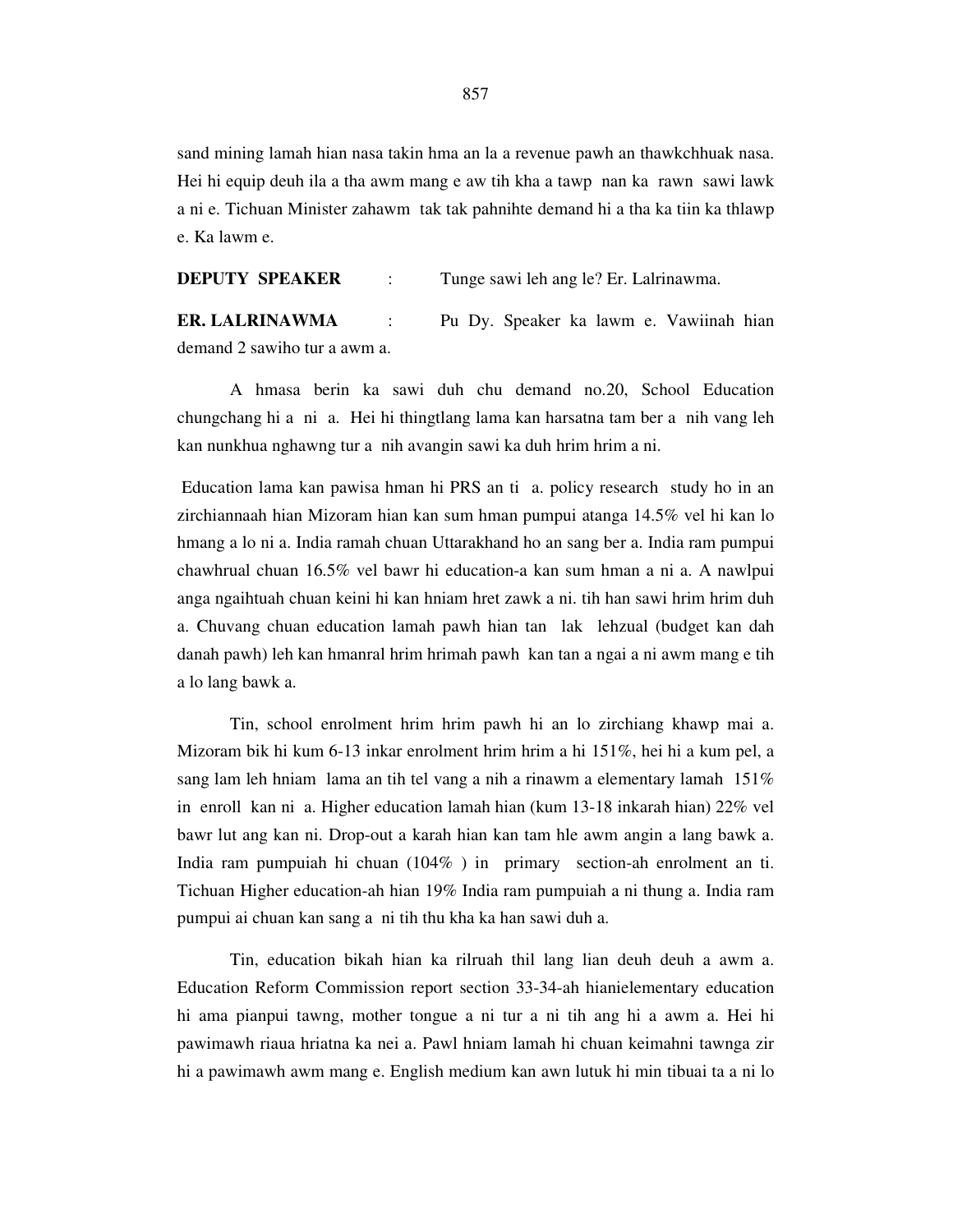sand mining lamah hian nasa takin hma an la a revenue pawh an thawkchhuak nasa. Hei hi equip deuh ila a tha awm mang e aw tih kha a tawp nan ka rawn sawi lawk a ni e. Tichuan Minister zahawm tak tak pahnihte demand hi a tha ka tiin ka thlawp e. Ka lawm e.

**DEPUTY SPEAKER** : Tunge sawi leh ang le? Er. Lalrinawma.

**ER. LALRINAWMA** : Pu Dy. Speaker ka lawm e. Vawiinah hian demand 2 sawiho tur a awm a.

 A hmasa berin ka sawi duh chu demand no.20, School Education chungchang hi a ni a. Hei hi thingtlang lama kan harsatna tam ber a nih vang leh kan nunkhua nghawng tur a nih avangin sawi ka duh hrim hrim a ni.

 Education lama kan pawisa hman hi PRS an ti a. policy research study ho in an zirchiannaah hian Mizoram hian kan sum hman pumpui atanga 14.5% vel hi kan lo hmang a lo ni a. India ramah chuan Uttarakhand ho an sang ber a. India ram pumpui chawhrual chuan 16.5% vel bawr hi education-a kan sum hman a ni a. A nawlpui anga ngaihtuah chuan keini hi kan hniam hret zawk a ni. tih han sawi hrim hrim duh a. Chuvang chuan education lamah pawh hian tan lak lehzual (budget kan dah danah pawh) leh kan hmanral hrim hrimah pawh kan tan a ngai a ni awm mang e tih a lo lang bawk a.

 Tin, school enrolment hrim hrim pawh hi an lo zirchiang khawp mai a. Mizoram bik hi kum 6-13 inkar enrolment hrim hrim a hi 151%, hei hi a kum pel, a sang lam leh hniam lama an tih tel vang a nih a rinawm a elementary lamah 151% in enroll kan ni a. Higher education lamah hian (kum 13-18 inkarah hian) 22% vel bawr lut ang kan ni. Drop-out a karah hian kan tam hle awm angin a lang bawk a. India ram pumpuiah hi chuan (104% ) in primary section-ah enrolment an ti. Tichuan Higher education-ah hian 19% India ram pumpuiah a ni thung a. India ram pumpui ai chuan kan sang a ni tih thu kha ka han sawi duh a.

 Tin, education bikah hian ka rilruah thil lang lian deuh deuh a awm a. Education Reform Commission report section 33-34-ah hianielementary education hi ama pianpui tawng, mother tongue a ni tur a ni tih ang hi a awm a. Hei hi pawimawh riaua hriatna ka nei a. Pawl hniam lamah hi chuan keimahni tawnga zir hi a pawimawh awm mang e. English medium kan awn lutuk hi min tibuai ta a ni lo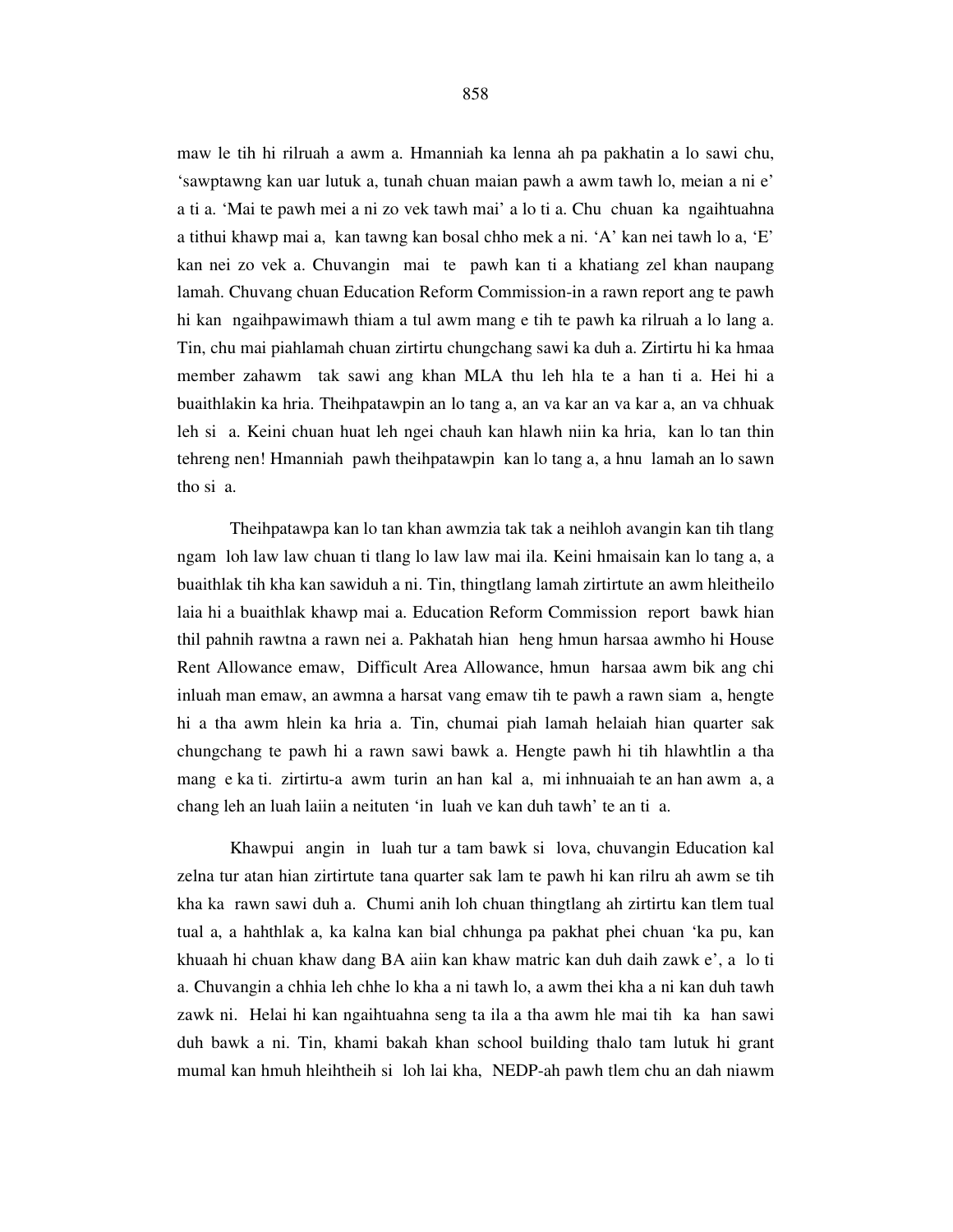maw le tih hi rilruah a awm a. Hmanniah ka lenna ah pa pakhatin a lo sawi chu, 'sawptawng kan uar lutuk a, tunah chuan maian pawh a awm tawh lo, meian a ni e' a ti a. 'Mai te pawh mei a ni zo vek tawh mai' a lo ti a. Chu chuan ka ngaihtuahna a tithui khawp mai a, kan tawng kan bosal chho mek a ni. 'A' kan nei tawh lo a, 'E' kan nei zo vek a. Chuvangin mai te pawh kan ti a khatiang zel khan naupang lamah. Chuvang chuan Education Reform Commission-in a rawn report ang te pawh hi kan ngaihpawimawh thiam a tul awm mang e tih te pawh ka rilruah a lo lang a. Tin, chu mai piahlamah chuan zirtirtu chungchang sawi ka duh a. Zirtirtu hi ka hmaa member zahawm tak sawi ang khan MLA thu leh hla te a han ti a. Hei hi a buaithlakin ka hria. Theihpatawpin an lo tang a, an va kar an va kar a, an va chhuak leh si a. Keini chuan huat leh ngei chauh kan hlawh niin ka hria, kan lo tan thin tehreng nen! Hmanniah pawh theihpatawpin kan lo tang a, a hnu lamah an lo sawn tho si a.

 Theihpatawpa kan lo tan khan awmzia tak tak a neihloh avangin kan tih tlang ngam loh law law chuan ti tlang lo law law mai ila. Keini hmaisain kan lo tang a, a buaithlak tih kha kan sawiduh a ni. Tin, thingtlang lamah zirtirtute an awm hleitheilo laia hi a buaithlak khawp mai a. Education Reform Commission report bawk hian thil pahnih rawtna a rawn nei a. Pakhatah hian heng hmun harsaa awmho hi House Rent Allowance emaw, Difficult Area Allowance, hmun harsaa awm bik ang chi inluah man emaw, an awmna a harsat vang emaw tih te pawh a rawn siam a, hengte hi a tha awm hlein ka hria a. Tin, chumai piah lamah helaiah hian quarter sak chungchang te pawh hi a rawn sawi bawk a. Hengte pawh hi tih hlawhtlin a tha mang e ka ti. zirtirtu-a awm turin an han kal a, mi inhnuaiah te an han awm a, a chang leh an luah laiin a neituten 'in luah ve kan duh tawh' te an ti a.

 Khawpui angin in luah tur a tam bawk si lova, chuvangin Education kal zelna tur atan hian zirtirtute tana quarter sak lam te pawh hi kan rilru ah awm se tih kha ka rawn sawi duh a. Chumi anih loh chuan thingtlang ah zirtirtu kan tlem tual tual a, a hahthlak a, ka kalna kan bial chhunga pa pakhat phei chuan 'ka pu, kan khuaah hi chuan khaw dang BA aiin kan khaw matric kan duh daih zawk e', a lo ti a. Chuvangin a chhia leh chhe lo kha a ni tawh lo, a awm thei kha a ni kan duh tawh zawk ni. Helai hi kan ngaihtuahna seng ta ila a tha awm hle mai tih ka han sawi duh bawk a ni. Tin, khami bakah khan school building thalo tam lutuk hi grant mumal kan hmuh hleihtheih si loh lai kha, NEDP-ah pawh tlem chu an dah niawm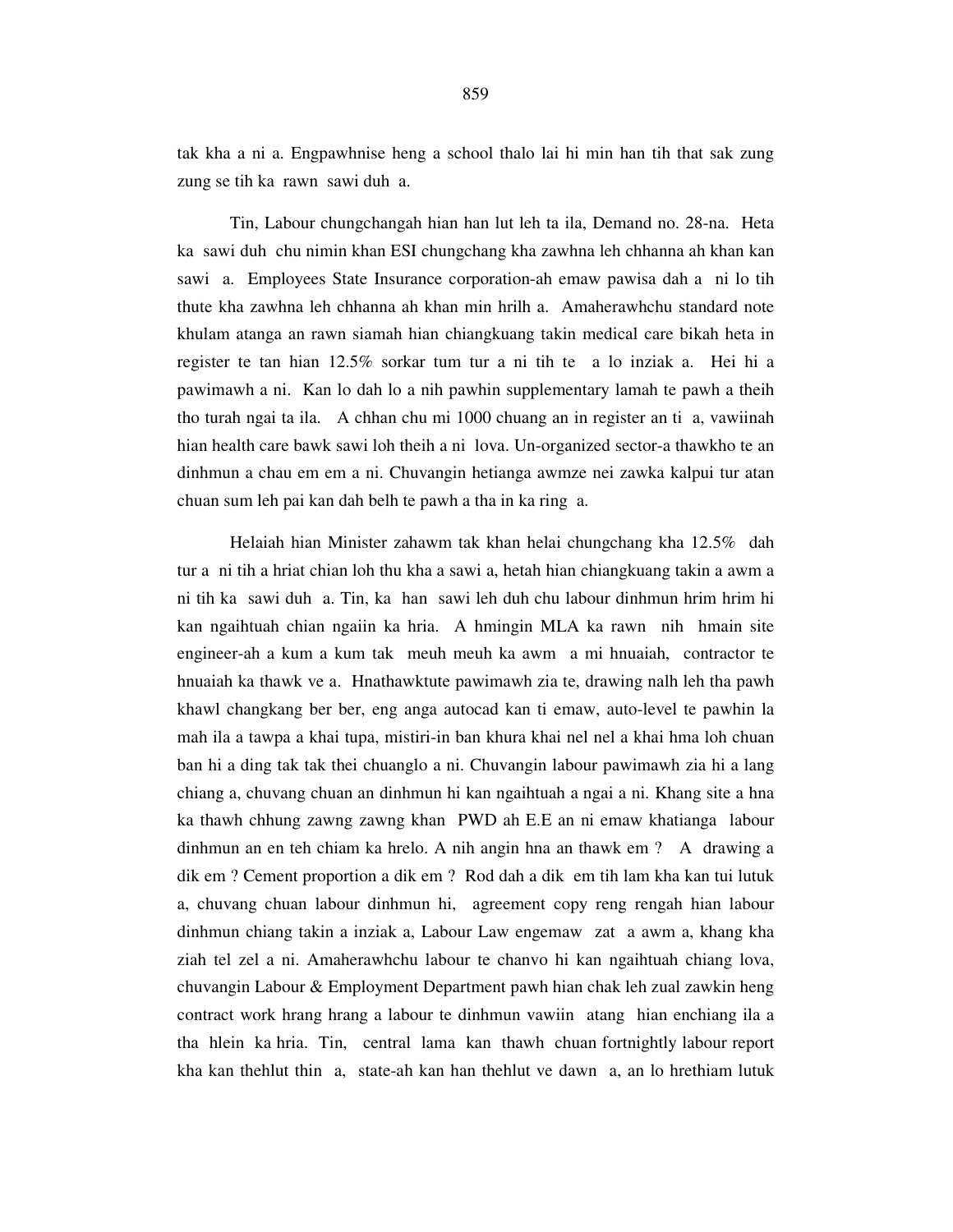Tin, Labour chungchangah hian han lut leh ta ila, Demand no. 28-na. Heta ka sawi duh chu nimin khan ESI chungchang kha zawhna leh chhanna ah khan kan sawi a. Employees State Insurance corporation-ah emaw pawisa dah a ni lo tih thute kha zawhna leh chhanna ah khan min hrilh a. Amaherawhchu standard note khulam atanga an rawn siamah hian chiangkuang takin medical care bikah heta in register te tan hian 12.5% sorkar tum tur a ni tih te a lo inziak a. Hei hi a pawimawh a ni. Kan lo dah lo a nih pawhin supplementary lamah te pawh a theih tho turah ngai ta ila. A chhan chu mi 1000 chuang an in register an ti a, vawiinah hian health care bawk sawi loh theih a ni lova. Un-organized sector-a thawkho te an dinhmun a chau em em a ni. Chuvangin hetianga awmze nei zawka kalpui tur atan chuan sum leh pai kan dah belh te pawh a tha in ka ring a.

 Helaiah hian Minister zahawm tak khan helai chungchang kha 12.5% dah tur a ni tih a hriat chian loh thu kha a sawi a, hetah hian chiangkuang takin a awm a ni tih ka sawi duh a. Tin, ka han sawi leh duh chu labour dinhmun hrim hrim hi kan ngaihtuah chian ngaiin ka hria. A hmingin MLA ka rawn nih hmain site engineer-ah a kum a kum tak meuh meuh ka awm a mi hnuaiah, contractor te hnuaiah ka thawk ve a. Hnathawktute pawimawh zia te, drawing nalh leh tha pawh khawl changkang ber ber, eng anga autocad kan ti emaw, auto-level te pawhin la mah ila a tawpa a khai tupa, mistiri-in ban khura khai nel nel a khai hma loh chuan ban hi a ding tak tak thei chuanglo a ni. Chuvangin labour pawimawh zia hi a lang chiang a, chuvang chuan an dinhmun hi kan ngaihtuah a ngai a ni. Khang site a hna ka thawh chhung zawng zawng khan PWD ah E.E an ni emaw khatianga labour dinhmun an en teh chiam ka hrelo. A nih angin hna an thawk em ? A drawing a dik em ? Cement proportion a dik em ? Rod dah a dik em tih lam kha kan tui lutuk a, chuvang chuan labour dinhmun hi, agreement copy reng rengah hian labour dinhmun chiang takin a inziak a, Labour Law engemaw zat a awm a, khang kha ziah tel zel a ni. Amaherawhchu labour te chanvo hi kan ngaihtuah chiang lova, chuvangin Labour & Employment Department pawh hian chak leh zual zawkin heng contract work hrang hrang a labour te dinhmun vawiin atang hian enchiang ila a tha hlein ka hria. Tin, central lama kan thawh chuan fortnightly labour report kha kan thehlut thin a, state-ah kan han thehlut ve dawn a, an lo hrethiam lutuk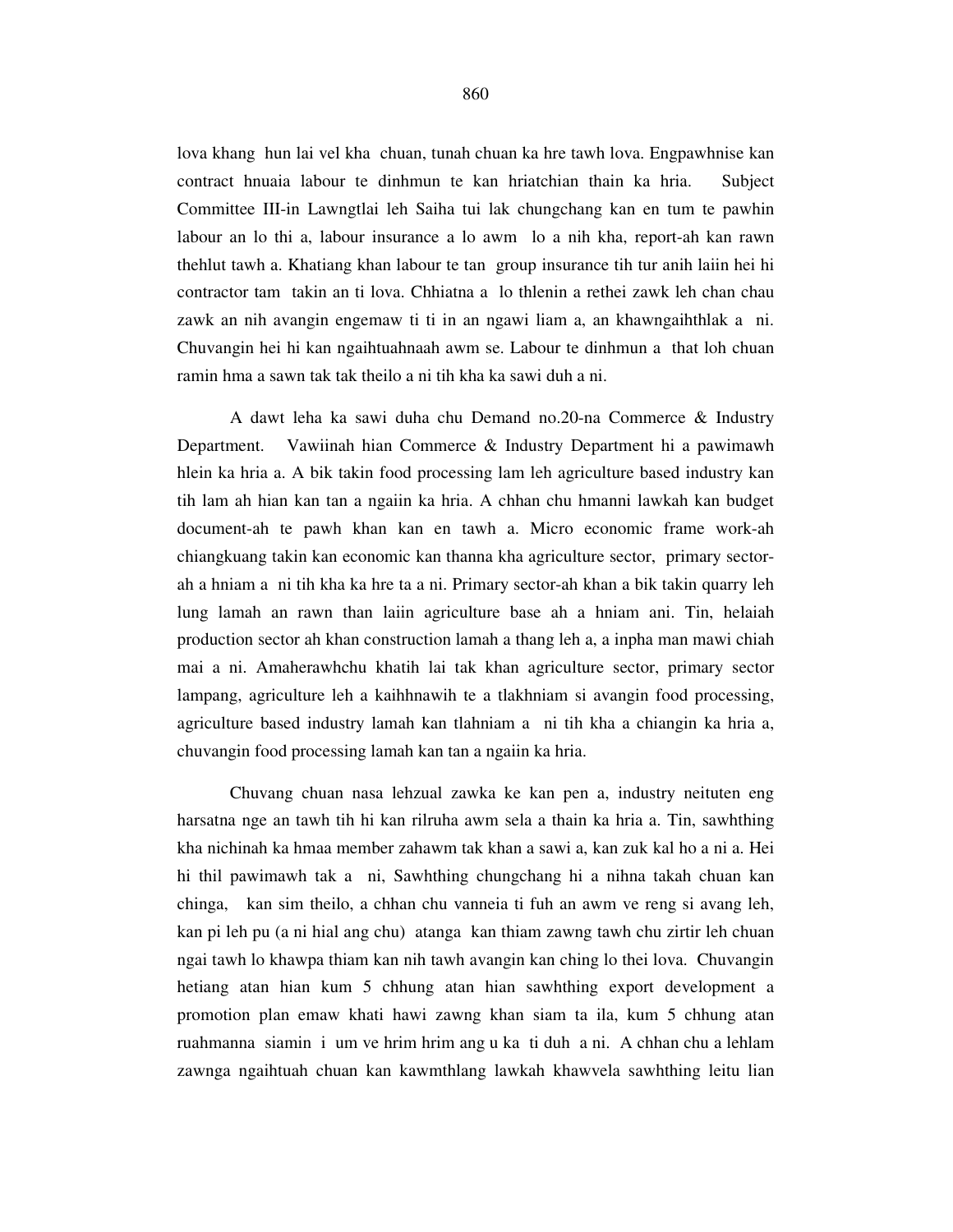lova khang hun lai vel kha chuan, tunah chuan ka hre tawh lova. Engpawhnise kan contract hnuaia labour te dinhmun te kan hriatchian thain ka hria. Subject Committee III-in Lawngtlai leh Saiha tui lak chungchang kan en tum te pawhin labour an lo thi a, labour insurance a lo awm lo a nih kha, report-ah kan rawn thehlut tawh a. Khatiang khan labour te tan group insurance tih tur anih laiin hei hi contractor tam takin an ti lova. Chhiatna a lo thlenin a rethei zawk leh chan chau zawk an nih avangin engemaw ti ti in an ngawi liam a, an khawngaihthlak a ni. Chuvangin hei hi kan ngaihtuahnaah awm se. Labour te dinhmun a that loh chuan ramin hma a sawn tak tak theilo a ni tih kha ka sawi duh a ni.

 A dawt leha ka sawi duha chu Demand no.20-na Commerce & Industry Department. Vawiinah hian Commerce & Industry Department hi a pawimawh hlein ka hria a. A bik takin food processing lam leh agriculture based industry kan tih lam ah hian kan tan a ngaiin ka hria. A chhan chu hmanni lawkah kan budget document-ah te pawh khan kan en tawh a. Micro economic frame work-ah chiangkuang takin kan economic kan thanna kha agriculture sector, primary sectorah a hniam a ni tih kha ka hre ta a ni. Primary sector-ah khan a bik takin quarry leh lung lamah an rawn than laiin agriculture base ah a hniam ani. Tin, helaiah production sector ah khan construction lamah a thang leh a, a inpha man mawi chiah mai a ni. Amaherawhchu khatih lai tak khan agriculture sector, primary sector lampang, agriculture leh a kaihhnawih te a tlakhniam si avangin food processing, agriculture based industry lamah kan tlahniam a ni tih kha a chiangin ka hria a, chuvangin food processing lamah kan tan a ngaiin ka hria.

 Chuvang chuan nasa lehzual zawka ke kan pen a, industry neituten eng harsatna nge an tawh tih hi kan rilruha awm sela a thain ka hria a. Tin, sawhthing kha nichinah ka hmaa member zahawm tak khan a sawi a, kan zuk kal ho a ni a. Hei hi thil pawimawh tak a ni, Sawhthing chungchang hi a nihna takah chuan kan chinga, kan sim theilo, a chhan chu vanneia ti fuh an awm ve reng si avang leh, kan pi leh pu (a ni hial ang chu) atanga kan thiam zawng tawh chu zirtir leh chuan ngai tawh lo khawpa thiam kan nih tawh avangin kan ching lo thei lova. Chuvangin hetiang atan hian kum 5 chhung atan hian sawhthing export development a promotion plan emaw khati hawi zawng khan siam ta ila, kum 5 chhung atan ruahmanna siamin i um ve hrim hrim ang u ka ti duh a ni. A chhan chu a lehlam zawnga ngaihtuah chuan kan kawmthlang lawkah khawvela sawhthing leitu lian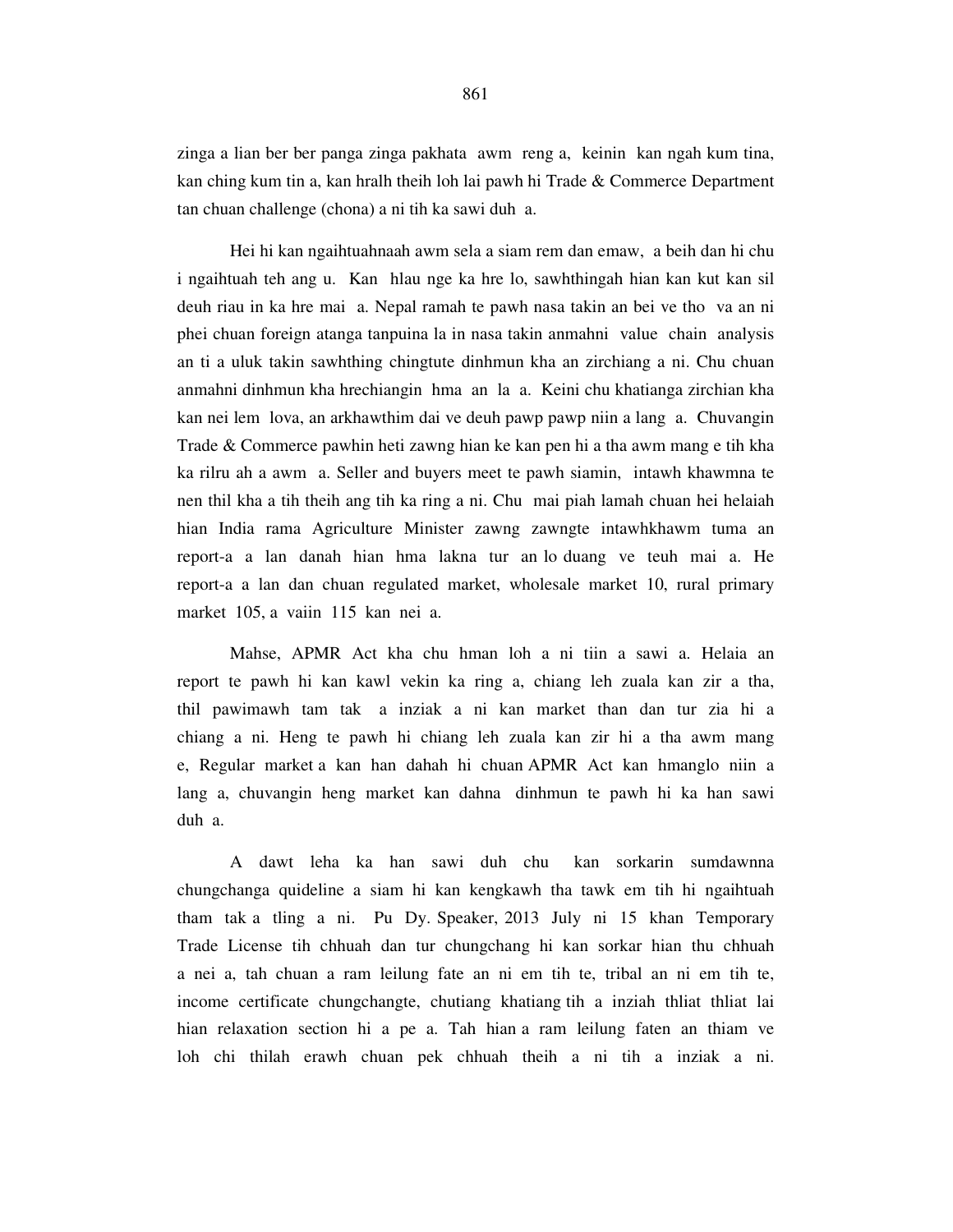zinga a lian ber ber panga zinga pakhata awm reng a, keinin kan ngah kum tina, kan ching kum tin a, kan hralh theih loh lai pawh hi Trade & Commerce Department tan chuan challenge (chona) a ni tih ka sawi duh a.

 Hei hi kan ngaihtuahnaah awm sela a siam rem dan emaw, a beih dan hi chu i ngaihtuah teh ang u. Kan hlau nge ka hre lo, sawhthingah hian kan kut kan sil deuh riau in ka hre mai a. Nepal ramah te pawh nasa takin an bei ve tho va an ni phei chuan foreign atanga tanpuina la in nasa takin anmahni value chain analysis an ti a uluk takin sawhthing chingtute dinhmun kha an zirchiang a ni. Chu chuan anmahni dinhmun kha hrechiangin hma an la a. Keini chu khatianga zirchian kha kan nei lem lova, an arkhawthim dai ve deuh pawp pawp niin a lang a. Chuvangin Trade & Commerce pawhin heti zawng hian ke kan pen hi a tha awm mang e tih kha ka rilru ah a awm a. Seller and buyers meet te pawh siamin, intawh khawmna te nen thil kha a tih theih ang tih ka ring a ni. Chu mai piah lamah chuan hei helaiah hian India rama Agriculture Minister zawng zawngte intawhkhawm tuma an report-a a lan danah hian hma lakna tur an lo duang ve teuh mai a. He report-a a lan dan chuan regulated market, wholesale market 10, rural primary market 105, a vaiin 115 kan nei a.

 Mahse, APMR Act kha chu hman loh a ni tiin a sawi a. Helaia an report te pawh hi kan kawl vekin ka ring a, chiang leh zuala kan zir a tha, thil pawimawh tam tak a inziak a ni kan market than dan tur zia hi a chiang a ni. Heng te pawh hi chiang leh zuala kan zir hi a tha awm mang e, Regular market a kan han dahah hi chuan APMR Act kan hmanglo niin a lang a, chuvangin heng market kan dahna dinhmun te pawh hi ka han sawi duh a.

 A dawt leha ka han sawi duh chu kan sorkarin sumdawnna chungchanga quideline a siam hi kan kengkawh tha tawk em tih hi ngaihtuah tham tak a tling a ni. Pu Dy. Speaker, 2013 July ni 15 khan Temporary Trade License tih chhuah dan tur chungchang hi kan sorkar hian thu chhuah a nei a, tah chuan a ram leilung fate an ni em tih te, tribal an ni em tih te, income certificate chungchangte, chutiang khatiang tih a inziah thliat thliat lai hian relaxation section hi a pe a. Tah hian a ram leilung faten an thiam ve loh chi thilah erawh chuan pek chhuah theih a ni tih a inziak a ni.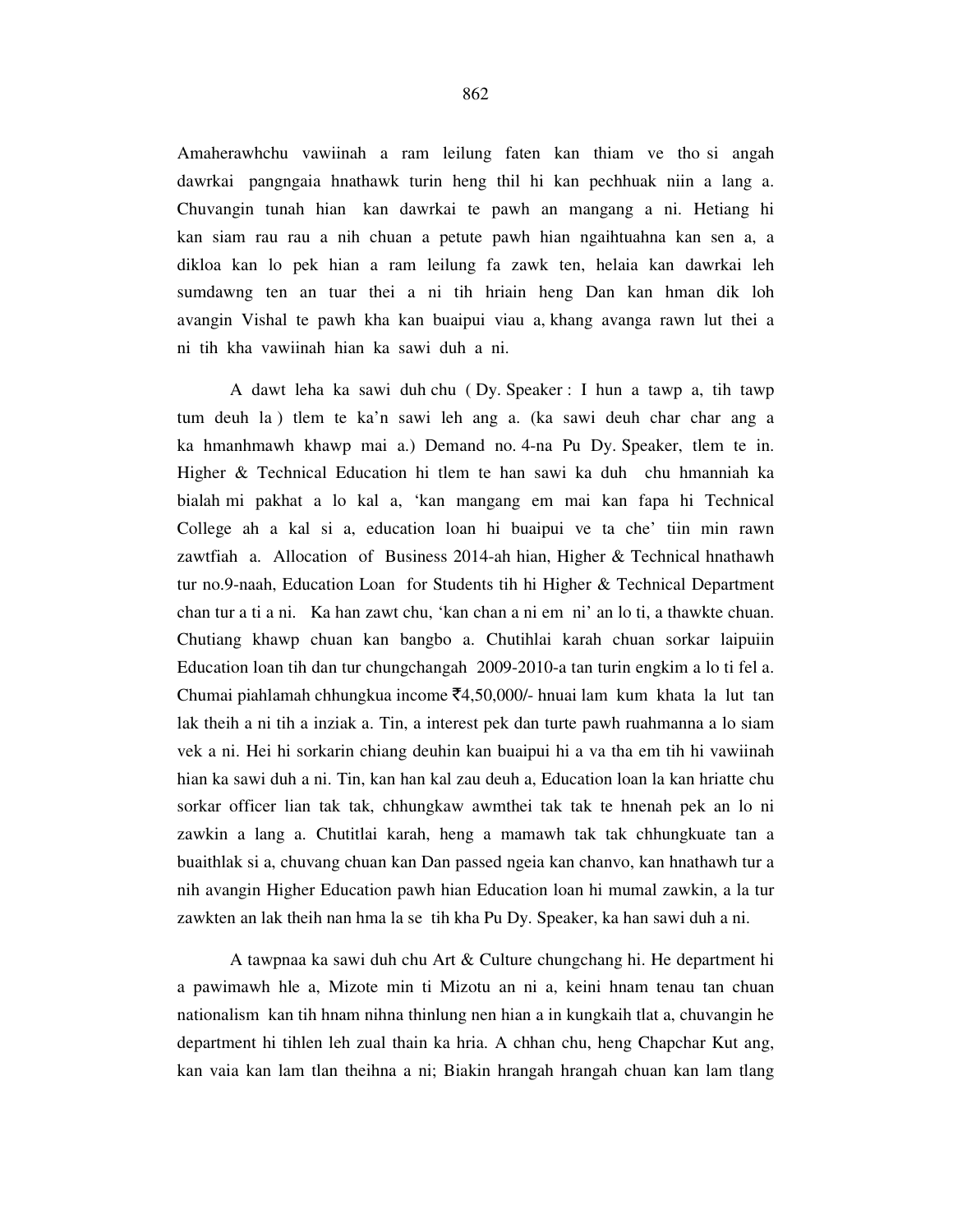Amaherawhchu vawiinah a ram leilung faten kan thiam ve tho si angah dawrkai pangngaia hnathawk turin heng thil hi kan pechhuak niin a lang a. Chuvangin tunah hian kan dawrkai te pawh an mangang a ni. Hetiang hi kan siam rau rau a nih chuan a petute pawh hian ngaihtuahna kan sen a, a dikloa kan lo pek hian a ram leilung fa zawk ten, helaia kan dawrkai leh sumdawng ten an tuar thei a ni tih hriain heng Dan kan hman dik loh avangin Vishal te pawh kha kan buaipui viau a, khang avanga rawn lut thei a ni tih kha vawiinah hian ka sawi duh a ni.

 A dawt leha ka sawi duh chu ( Dy. Speaker : I hun a tawp a, tih tawp tum deuh la ) tlem te ka'n sawi leh ang a. (ka sawi deuh char char ang a ka hmanhmawh khawp mai a.) Demand no. 4-na Pu Dy. Speaker, tlem te in. Higher & Technical Education hi tlem te han sawi ka duh chu hmanniah ka bialah mi pakhat a lo kal a, 'kan mangang em mai kan fapa hi Technical College ah a kal si a, education loan hi buaipui ve ta che' tiin min rawn zawtfiah a. Allocation of Business 2014-ah hian, Higher & Technical hnathawh tur no.9-naah, Education Loan for Students tih hi Higher & Technical Department chan tur a ti a ni. Ka han zawt chu, 'kan chan a ni em ni' an lo ti, a thawkte chuan. Chutiang khawp chuan kan bangbo a. Chutihlai karah chuan sorkar laipuiin Education loan tih dan tur chungchangah 2009-2010-a tan turin engkim a lo ti fel a. Chumai piahlamah chhungkua income  $\bar{z}$ 4,50,000/- hnuai lam kum khata la lut tan lak theih a ni tih a inziak a. Tin, a interest pek dan turte pawh ruahmanna a lo siam vek a ni. Hei hi sorkarin chiang deuhin kan buaipui hi a va tha em tih hi vawiinah hian ka sawi duh a ni. Tin, kan han kal zau deuh a, Education loan la kan hriatte chu sorkar officer lian tak tak, chhungkaw awmthei tak tak te hnenah pek an lo ni zawkin a lang a. Chutitlai karah, heng a mamawh tak tak chhungkuate tan a buaithlak si a, chuvang chuan kan Dan passed ngeia kan chanvo, kan hnathawh tur a nih avangin Higher Education pawh hian Education loan hi mumal zawkin, a la tur zawkten an lak theih nan hma la se tih kha Pu Dy. Speaker, ka han sawi duh a ni.

 A tawpnaa ka sawi duh chu Art & Culture chungchang hi. He department hi a pawimawh hle a, Mizote min ti Mizotu an ni a, keini hnam tenau tan chuan nationalism kan tih hnam nihna thinlung nen hian a in kungkaih tlat a, chuvangin he department hi tihlen leh zual thain ka hria. A chhan chu, heng Chapchar Kut ang, kan vaia kan lam tlan theihna a ni; Biakin hrangah hrangah chuan kan lam tlang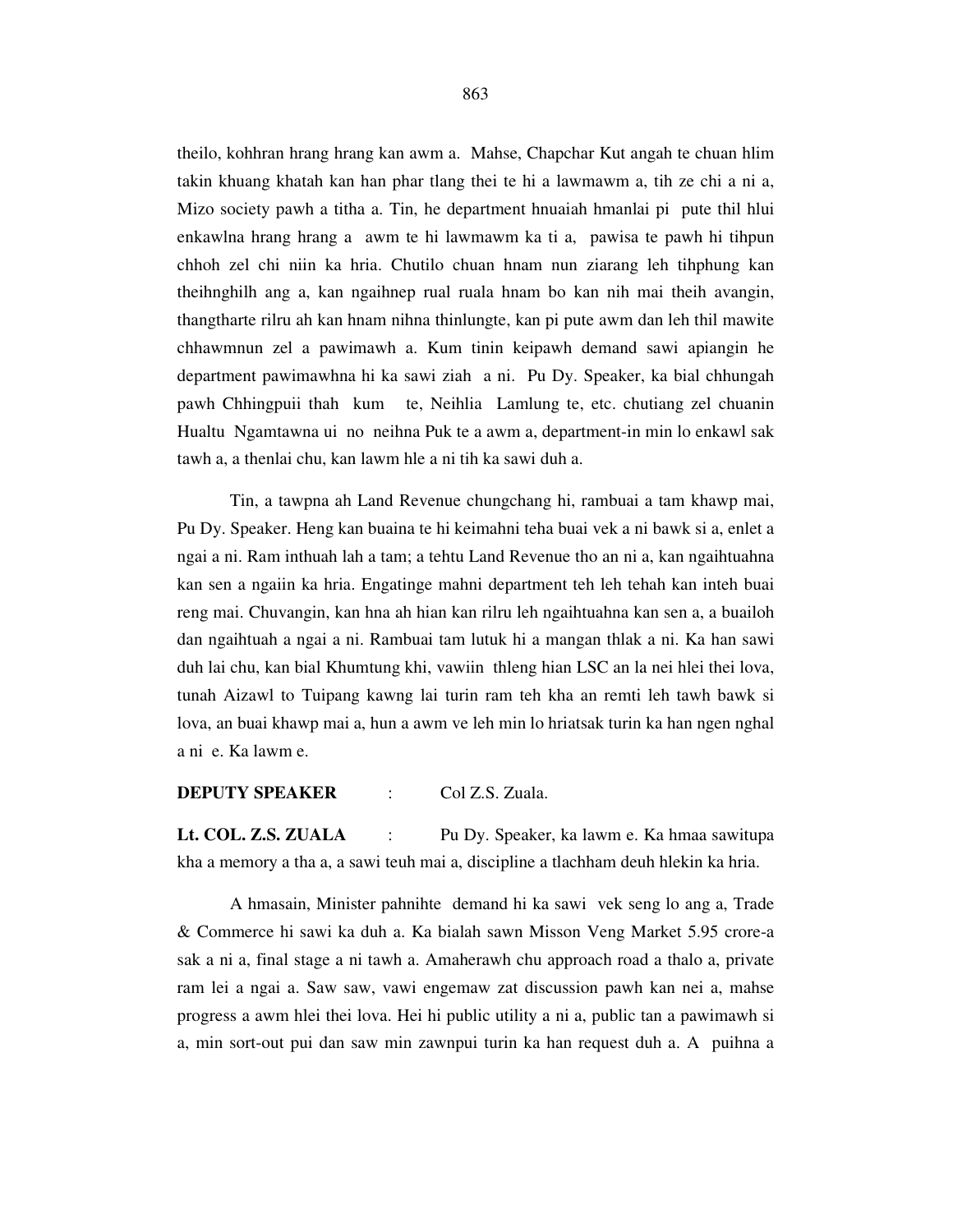theilo, kohhran hrang hrang kan awm a. Mahse, Chapchar Kut angah te chuan hlim takin khuang khatah kan han phar tlang thei te hi a lawmawm a, tih ze chi a ni a, Mizo society pawh a titha a. Tin, he department hnuaiah hmanlai pi pute thil hlui enkawlna hrang hrang a awm te hi lawmawm ka ti a, pawisa te pawh hi tihpun chhoh zel chi niin ka hria. Chutilo chuan hnam nun ziarang leh tihphung kan theihnghilh ang a, kan ngaihnep rual ruala hnam bo kan nih mai theih avangin, thangtharte rilru ah kan hnam nihna thinlungte, kan pi pute awm dan leh thil mawite chhawmnun zel a pawimawh a. Kum tinin keipawh demand sawi apiangin he department pawimawhna hi ka sawi ziah a ni. Pu Dy. Speaker, ka bial chhungah pawh Chhingpuii thah kum te, Neihlia Lamlung te, etc. chutiang zel chuanin Hualtu Ngamtawna ui no neihna Puk te a awm a, department-in min lo enkawl sak tawh a, a thenlai chu, kan lawm hle a ni tih ka sawi duh a.

 Tin, a tawpna ah Land Revenue chungchang hi, rambuai a tam khawp mai, Pu Dy. Speaker. Heng kan buaina te hi keimahni teha buai vek a ni bawk si a, enlet a ngai a ni. Ram inthuah lah a tam; a tehtu Land Revenue tho an ni a, kan ngaihtuahna kan sen a ngaiin ka hria. Engatinge mahni department teh leh tehah kan inteh buai reng mai. Chuvangin, kan hna ah hian kan rilru leh ngaihtuahna kan sen a, a buailoh dan ngaihtuah a ngai a ni. Rambuai tam lutuk hi a mangan thlak a ni. Ka han sawi duh lai chu, kan bial Khumtung khi, vawiin thleng hian LSC an la nei hlei thei lova, tunah Aizawl to Tuipang kawng lai turin ram teh kha an remti leh tawh bawk si lova, an buai khawp mai a, hun a awm ve leh min lo hriatsak turin ka han ngen nghal a ni e. Ka lawm e.

## **DEPUTY SPEAKER** : Col Z.S. Zuala.

**Lt. COL. Z.S. ZUALA** : Pu Dy. Speaker, ka lawm e. Ka hmaa sawitupa kha a memory a tha a, a sawi teuh mai a, discipline a tlachham deuh hlekin ka hria.

 A hmasain, Minister pahnihte demand hi ka sawi vek seng lo ang a, Trade & Commerce hi sawi ka duh a. Ka bialah sawn Misson Veng Market 5.95 crore-a sak a ni a, final stage a ni tawh a. Amaherawh chu approach road a thalo a, private ram lei a ngai a. Saw saw, vawi engemaw zat discussion pawh kan nei a, mahse progress a awm hlei thei lova. Hei hi public utility a ni a, public tan a pawimawh si a, min sort-out pui dan saw min zawnpui turin ka han request duh a. A puihna a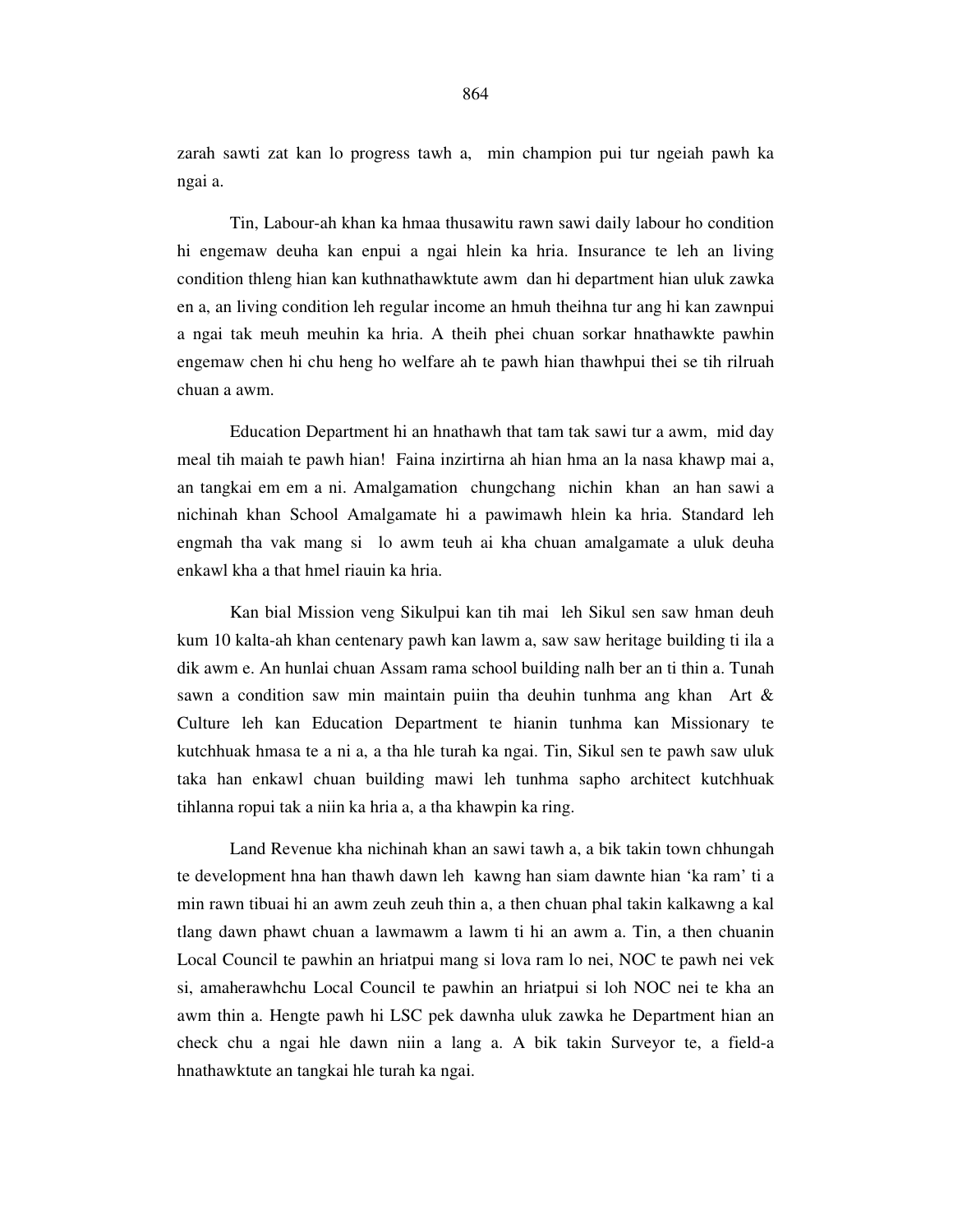zarah sawti zat kan lo progress tawh a, min champion pui tur ngeiah pawh ka ngai a.

 Tin, Labour-ah khan ka hmaa thusawitu rawn sawi daily labour ho condition hi engemaw deuha kan enpui a ngai hlein ka hria. Insurance te leh an living condition thleng hian kan kuthnathawktute awm dan hi department hian uluk zawka en a, an living condition leh regular income an hmuh theihna tur ang hi kan zawnpui a ngai tak meuh meuhin ka hria. A theih phei chuan sorkar hnathawkte pawhin engemaw chen hi chu heng ho welfare ah te pawh hian thawhpui thei se tih rilruah chuan a awm.

 Education Department hi an hnathawh that tam tak sawi tur a awm, mid day meal tih maiah te pawh hian! Faina inzirtirna ah hian hma an la nasa khawp mai a, an tangkai em em a ni. Amalgamation chungchang nichin khan an han sawi a nichinah khan School Amalgamate hi a pawimawh hlein ka hria. Standard leh engmah tha vak mang si lo awm teuh ai kha chuan amalgamate a uluk deuha enkawl kha a that hmel riauin ka hria.

 Kan bial Mission veng Sikulpui kan tih mai leh Sikul sen saw hman deuh kum 10 kalta-ah khan centenary pawh kan lawm a, saw saw heritage building ti ila a dik awm e. An hunlai chuan Assam rama school building nalh ber an ti thin a. Tunah sawn a condition saw min maintain puiin tha deuhin tunhma ang khan Art & Culture leh kan Education Department te hianin tunhma kan Missionary te kutchhuak hmasa te a ni a, a tha hle turah ka ngai. Tin, Sikul sen te pawh saw uluk taka han enkawl chuan building mawi leh tunhma sapho architect kutchhuak tihlanna ropui tak a niin ka hria a, a tha khawpin ka ring.

 Land Revenue kha nichinah khan an sawi tawh a, a bik takin town chhungah te development hna han thawh dawn leh kawng han siam dawnte hian 'ka ram' ti a min rawn tibuai hi an awm zeuh zeuh thin a, a then chuan phal takin kalkawng a kal tlang dawn phawt chuan a lawmawm a lawm ti hi an awm a. Tin, a then chuanin Local Council te pawhin an hriatpui mang si lova ram lo nei, NOC te pawh nei vek si, amaherawhchu Local Council te pawhin an hriatpui si loh NOC nei te kha an awm thin a. Hengte pawh hi LSC pek dawnha uluk zawka he Department hian an check chu a ngai hle dawn niin a lang a. A bik takin Surveyor te, a field-a hnathawktute an tangkai hle turah ka ngai.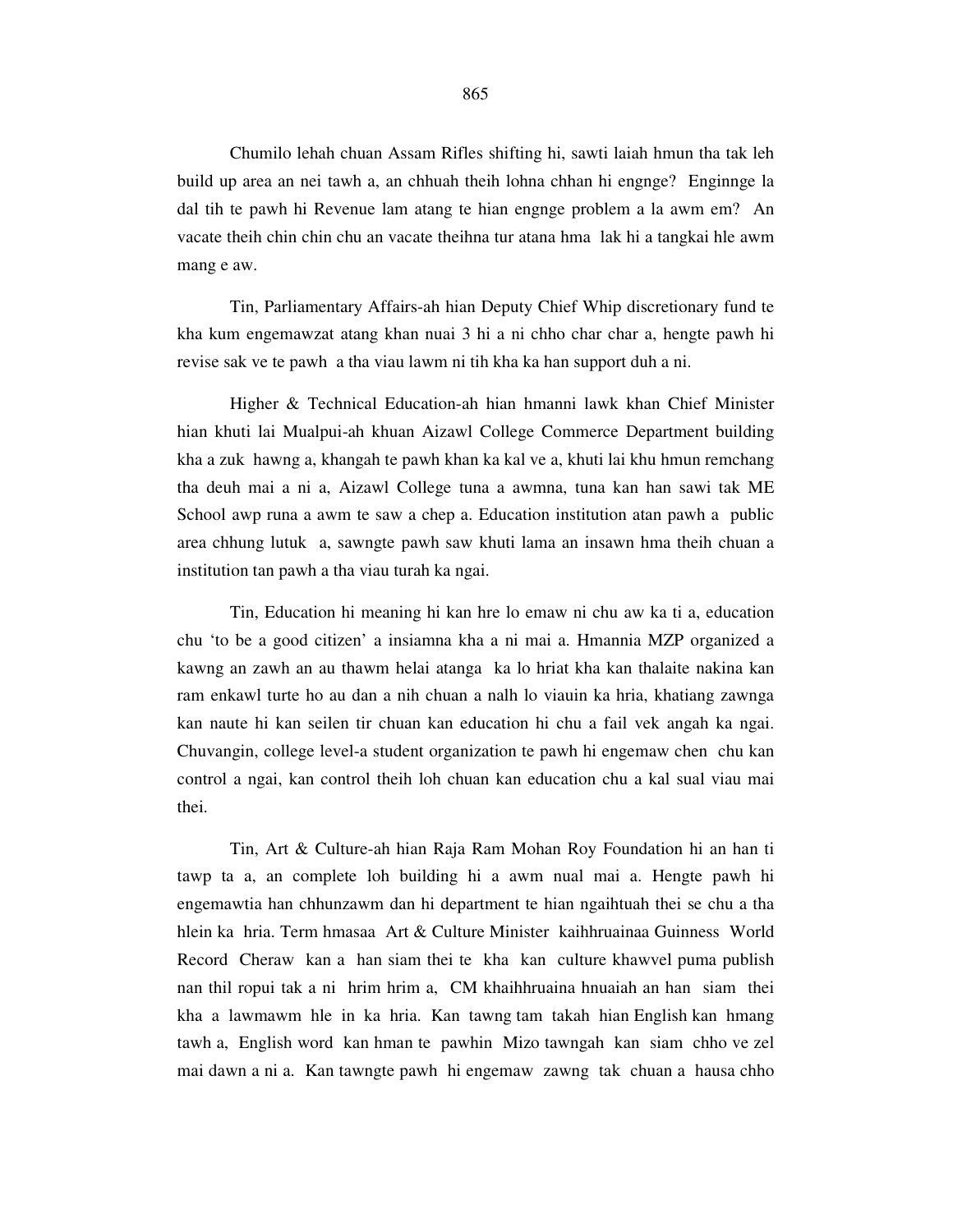Chumilo lehah chuan Assam Rifles shifting hi, sawti laiah hmun tha tak leh build up area an nei tawh a, an chhuah theih lohna chhan hi engnge? Enginnge la dal tih te pawh hi Revenue lam atang te hian engnge problem a la awm em? An vacate theih chin chin chu an vacate theihna tur atana hma lak hi a tangkai hle awm mang e aw.

 Tin, Parliamentary Affairs-ah hian Deputy Chief Whip discretionary fund te kha kum engemawzat atang khan nuai 3 hi a ni chho char char a, hengte pawh hi revise sak ve te pawh a tha viau lawm ni tih kha ka han support duh a ni.

 Higher & Technical Education-ah hian hmanni lawk khan Chief Minister hian khuti lai Mualpui-ah khuan Aizawl College Commerce Department building kha a zuk hawng a, khangah te pawh khan ka kal ve a, khuti lai khu hmun remchang tha deuh mai a ni a, Aizawl College tuna a awmna, tuna kan han sawi tak ME School awp runa a awm te saw a chep a. Education institution atan pawh a public area chhung lutuk a, sawngte pawh saw khuti lama an insawn hma theih chuan a institution tan pawh a tha viau turah ka ngai.

 Tin, Education hi meaning hi kan hre lo emaw ni chu aw ka ti a, education chu 'to be a good citizen' a insiamna kha a ni mai a. Hmannia MZP organized a kawng an zawh an au thawm helai atanga ka lo hriat kha kan thalaite nakina kan ram enkawl turte ho au dan a nih chuan a nalh lo viauin ka hria, khatiang zawnga kan naute hi kan seilen tir chuan kan education hi chu a fail vek angah ka ngai. Chuvangin, college level-a student organization te pawh hi engemaw chen chu kan control a ngai, kan control theih loh chuan kan education chu a kal sual viau mai thei.

 Tin, Art & Culture-ah hian Raja Ram Mohan Roy Foundation hi an han ti tawp ta a, an complete loh building hi a awm nual mai a. Hengte pawh hi engemawtia han chhunzawm dan hi department te hian ngaihtuah thei se chu a tha hlein ka hria. Term hmasaa Art & Culture Minister kaihhruainaa Guinness World Record Cheraw kan a han siam thei te kha kan culture khawvel puma publish nan thil ropui tak a ni hrim hrim a, CM khaihhruaina hnuaiah an han siam thei kha a lawmawm hle in ka hria. Kan tawng tam takah hian English kan hmang tawh a, English word kan hman te pawhin Mizo tawngah kan siam chho ve zel mai dawn a ni a. Kan tawngte pawh hi engemaw zawng tak chuan a hausa chho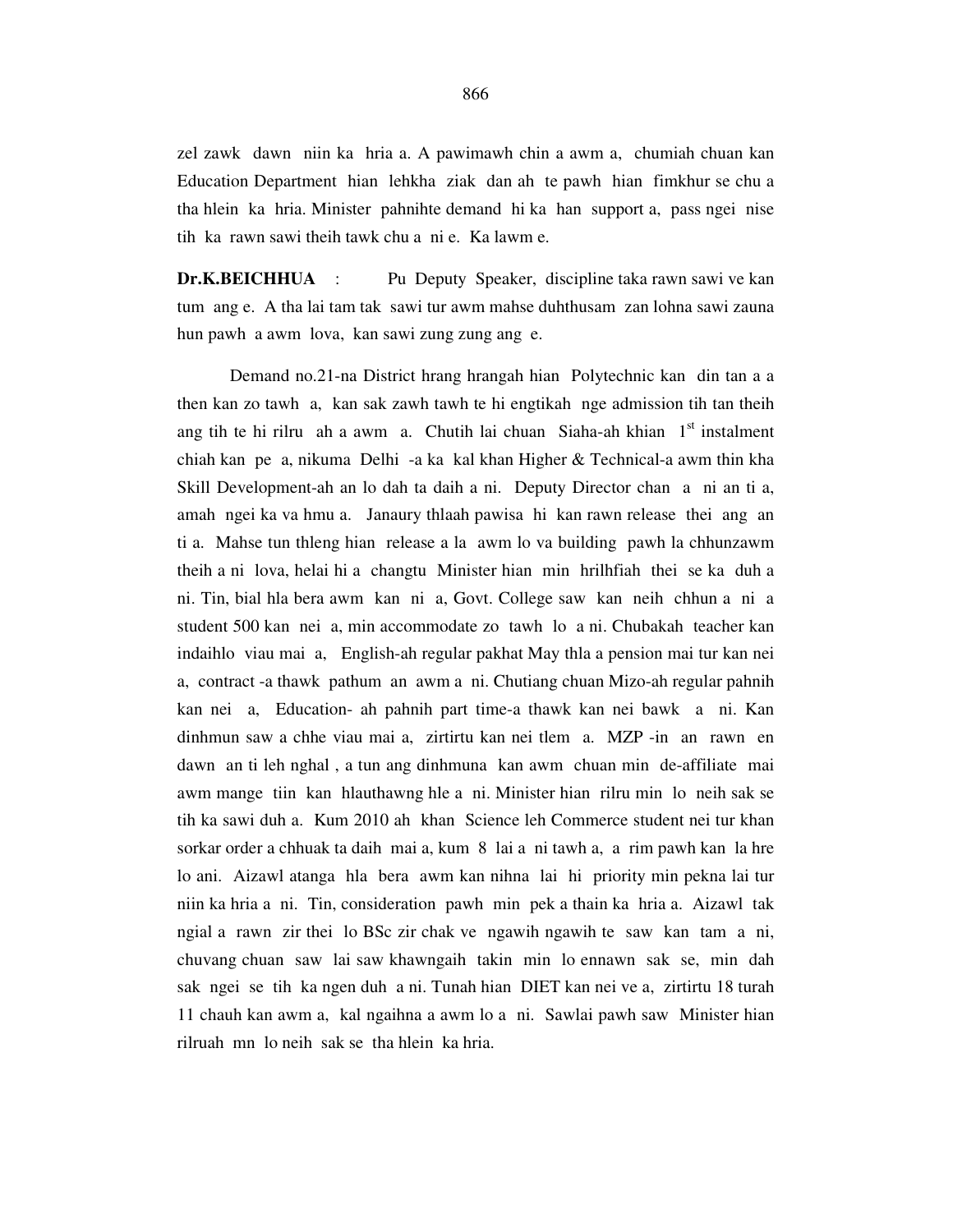zel zawk dawn niin ka hria a. A pawimawh chin a awm a, chumiah chuan kan Education Department hian lehkha ziak dan ah te pawh hian fimkhur se chu a tha hlein ka hria. Minister pahnihte demand hi ka han support a, pass ngei nise tih ka rawn sawi theih tawk chu a ni e. Ka lawm e.

**Dr.K.BEICHHUA** : Pu Deputy Speaker, discipline taka rawn sawi ve kan tum ang e. A tha lai tam tak sawi tur awm mahse duhthusam zan lohna sawi zauna hun pawh a awm lova, kan sawi zung zung ang e.

 Demand no.21-na District hrang hrangah hian Polytechnic kan din tan a a then kan zo tawh a, kan sak zawh tawh te hi engtikah nge admission tih tan theih ang tih te hi rilru ah a awm a. Chutih lai chuan Siaha-ah khian  $1<sup>st</sup>$  instalment chiah kan pe a, nikuma Delhi -a ka kal khan Higher & Technical-a awm thin kha Skill Development-ah an lo dah ta daih a ni. Deputy Director chan a ni an ti a, amah ngei ka va hmu a. Janaury thlaah pawisa hi kan rawn release thei ang an ti a. Mahse tun thleng hian release a la awm lo va building pawh la chhunzawm theih a ni lova, helai hi a changtu Minister hian min hrilhfiah thei se ka duh a ni. Tin, bial hla bera awm kan ni a, Govt. College saw kan neih chhun a ni a student 500 kan nei a, min accommodate zo tawh lo a ni. Chubakah teacher kan indaihlo viau mai a, English-ah regular pakhat May thla a pension mai tur kan nei a, contract -a thawk pathum an awm a ni. Chutiang chuan Mizo-ah regular pahnih kan nei a, Education- ah pahnih part time-a thawk kan nei bawk a ni. Kan dinhmun saw a chhe viau mai a, zirtirtu kan nei tlem a. MZP -in an rawn en dawn an ti leh nghal , a tun ang dinhmuna kan awm chuan min de-affiliate mai awm mange tiin kan hlauthawng hle a ni. Minister hian rilru min lo neih sak se tih ka sawi duh a. Kum 2010 ah khan Science leh Commerce student nei tur khan sorkar order a chhuak ta daih mai a, kum 8 lai a ni tawh a, a rim pawh kan la hre lo ani. Aizawl atanga hla bera awm kan nihna lai hi priority min pekna lai tur niin ka hria a ni. Tin, consideration pawh min pek a thain ka hria a. Aizawl tak ngial a rawn zir thei lo BSc zir chak ve ngawih ngawih te saw kan tam a ni, chuvang chuan saw lai saw khawngaih takin min lo ennawn sak se, min dah sak ngei se tih ka ngen duh a ni. Tunah hian DIET kan nei ve a, zirtirtu 18 turah 11 chauh kan awm a, kal ngaihna a awm lo a ni. Sawlai pawh saw Minister hian rilruah mn lo neih sak se tha hlein ka hria.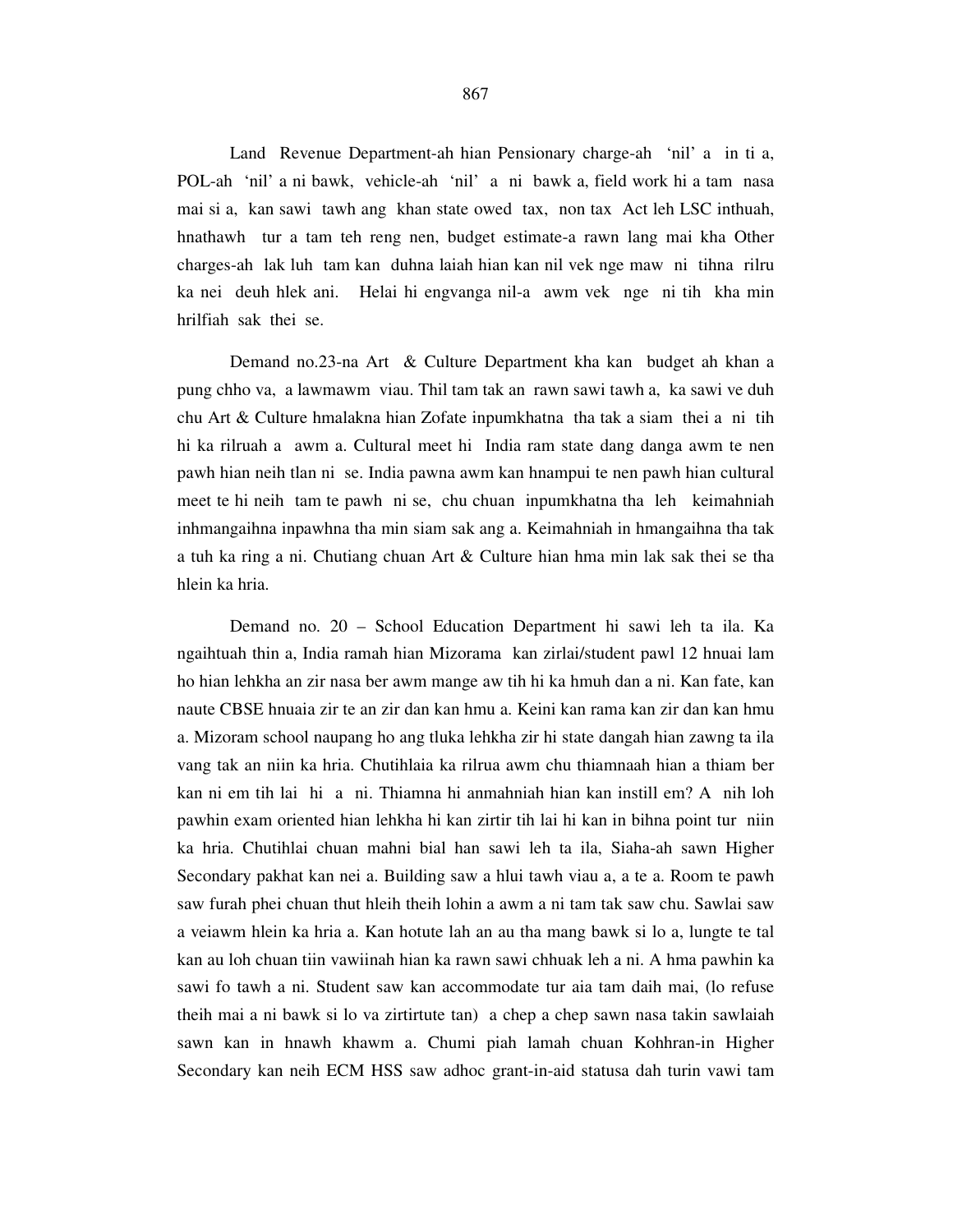Land Revenue Department-ah hian Pensionary charge-ah 'nil' a in ti a, POL-ah 'nil' a ni bawk, vehicle-ah 'nil' a ni bawk a, field work hi a tam nasa mai si a, kan sawi tawh ang khan state owed tax, non tax Act leh LSC inthuah, hnathawh tur a tam teh reng nen, budget estimate-a rawn lang mai kha Other charges-ah lak luh tam kan duhna laiah hian kan nil vek nge maw ni tihna rilru ka nei deuh hlek ani. Helai hi engvanga nil-a awm vek nge ni tih kha min hrilfiah sak thei se.

 Demand no.23-na Art & Culture Department kha kan budget ah khan a pung chho va, a lawmawm viau. Thil tam tak an rawn sawi tawh a, ka sawi ve duh chu Art & Culture hmalakna hian Zofate inpumkhatna tha tak a siam thei a ni tih hi ka rilruah a awm a. Cultural meet hi India ram state dang danga awm te nen pawh hian neih tlan ni se. India pawna awm kan hnampui te nen pawh hian cultural meet te hi neih tam te pawh ni se, chu chuan inpumkhatna tha leh keimahniah inhmangaihna inpawhna tha min siam sak ang a. Keimahniah in hmangaihna tha tak a tuh ka ring a ni. Chutiang chuan Art & Culture hian hma min lak sak thei se tha hlein ka hria.

 Demand no. 20 – School Education Department hi sawi leh ta ila. Ka ngaihtuah thin a, India ramah hian Mizorama kan zirlai/student pawl 12 hnuai lam ho hian lehkha an zir nasa ber awm mange aw tih hi ka hmuh dan a ni. Kan fate, kan naute CBSE hnuaia zir te an zir dan kan hmu a. Keini kan rama kan zir dan kan hmu a. Mizoram school naupang ho ang tluka lehkha zir hi state dangah hian zawng ta ila vang tak an niin ka hria. Chutihlaia ka rilrua awm chu thiamnaah hian a thiam ber kan ni em tih lai hi a ni. Thiamna hi anmahniah hian kan instill em? A nih loh pawhin exam oriented hian lehkha hi kan zirtir tih lai hi kan in bihna point tur niin ka hria. Chutihlai chuan mahni bial han sawi leh ta ila, Siaha-ah sawn Higher Secondary pakhat kan nei a. Building saw a hlui tawh viau a, a te a. Room te pawh saw furah phei chuan thut hleih theih lohin a awm a ni tam tak saw chu. Sawlai saw a veiawm hlein ka hria a. Kan hotute lah an au tha mang bawk si lo a, lungte te tal kan au loh chuan tiin vawiinah hian ka rawn sawi chhuak leh a ni. A hma pawhin ka sawi fo tawh a ni. Student saw kan accommodate tur aia tam daih mai, (lo refuse theih mai a ni bawk si lo va zirtirtute tan) a chep a chep sawn nasa takin sawlaiah sawn kan in hnawh khawm a. Chumi piah lamah chuan Kohhran-in Higher Secondary kan neih ECM HSS saw adhoc grant-in-aid statusa dah turin vawi tam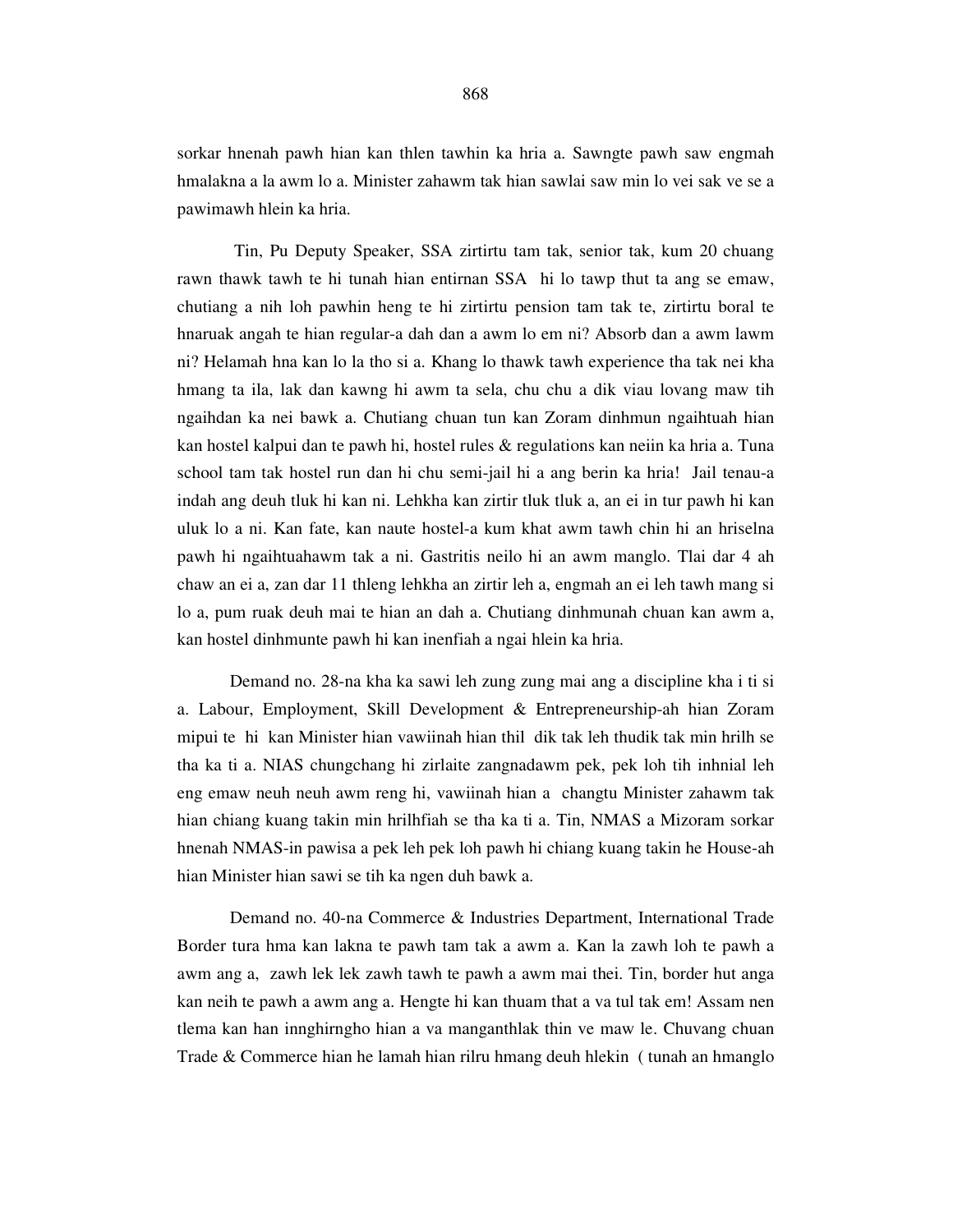sorkar hnenah pawh hian kan thlen tawhin ka hria a. Sawngte pawh saw engmah hmalakna a la awm lo a. Minister zahawm tak hian sawlai saw min lo vei sak ve se a pawimawh hlein ka hria.

 Tin, Pu Deputy Speaker, SSA zirtirtu tam tak, senior tak, kum 20 chuang rawn thawk tawh te hi tunah hian entirnan SSA hi lo tawp thut ta ang se emaw, chutiang a nih loh pawhin heng te hi zirtirtu pension tam tak te, zirtirtu boral te hnaruak angah te hian regular-a dah dan a awm lo em ni? Absorb dan a awm lawm ni? Helamah hna kan lo la tho si a. Khang lo thawk tawh experience tha tak nei kha hmang ta ila, lak dan kawng hi awm ta sela, chu chu a dik viau lovang maw tih ngaihdan ka nei bawk a. Chutiang chuan tun kan Zoram dinhmun ngaihtuah hian kan hostel kalpui dan te pawh hi, hostel rules & regulations kan neiin ka hria a. Tuna school tam tak hostel run dan hi chu semi-jail hi a ang berin ka hria! Jail tenau-a indah ang deuh tluk hi kan ni. Lehkha kan zirtir tluk tluk a, an ei in tur pawh hi kan uluk lo a ni. Kan fate, kan naute hostel-a kum khat awm tawh chin hi an hriselna pawh hi ngaihtuahawm tak a ni. Gastritis neilo hi an awm manglo. Tlai dar 4 ah chaw an ei a, zan dar 11 thleng lehkha an zirtir leh a, engmah an ei leh tawh mang si lo a, pum ruak deuh mai te hian an dah a. Chutiang dinhmunah chuan kan awm a, kan hostel dinhmunte pawh hi kan inenfiah a ngai hlein ka hria.

Demand no. 28-na kha ka sawi leh zung zung mai ang a discipline kha i ti si a. Labour, Employment, Skill Development & Entrepreneurship-ah hian Zoram mipui te hi kan Minister hian vawiinah hian thil dik tak leh thudik tak min hrilh se tha ka ti a. NIAS chungchang hi zirlaite zangnadawm pek, pek loh tih inhnial leh eng emaw neuh neuh awm reng hi, vawiinah hian a changtu Minister zahawm tak hian chiang kuang takin min hrilhfiah se tha ka ti a. Tin, NMAS a Mizoram sorkar hnenah NMAS-in pawisa a pek leh pek loh pawh hi chiang kuang takin he House-ah hian Minister hian sawi se tih ka ngen duh bawk a.

Demand no. 40-na Commerce & Industries Department, International Trade Border tura hma kan lakna te pawh tam tak a awm a. Kan la zawh loh te pawh a awm ang a, zawh lek lek zawh tawh te pawh a awm mai thei. Tin, border hut anga kan neih te pawh a awm ang a. Hengte hi kan thuam that a va tul tak em! Assam nen tlema kan han innghirngho hian a va manganthlak thin ve maw le. Chuvang chuan Trade & Commerce hian he lamah hian rilru hmang deuh hlekin ( tunah an hmanglo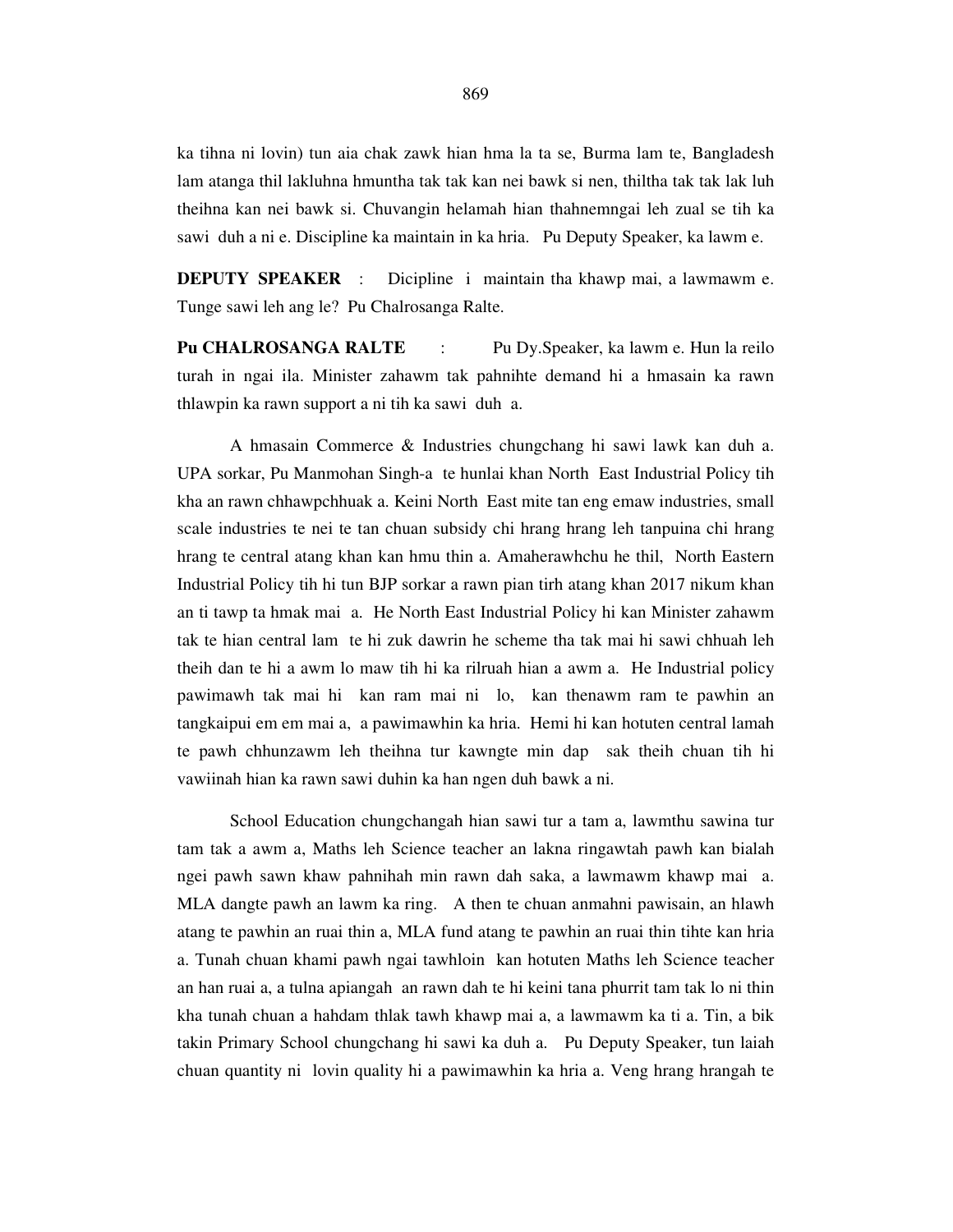ka tihna ni lovin) tun aia chak zawk hian hma la ta se, Burma lam te, Bangladesh lam atanga thil lakluhna hmuntha tak tak kan nei bawk si nen, thiltha tak tak lak luh theihna kan nei bawk si. Chuvangin helamah hian thahnemngai leh zual se tih ka sawi duh a ni e. Discipline ka maintain in ka hria. Pu Deputy Speaker, ka lawm e.

**DEPUTY SPEAKER** : Dicipline i maintain tha khawp mai, a lawmawm e. Tunge sawi leh ang le? Pu Chalrosanga Ralte.

**Pu CHALROSANGA RALTE** : Pu Dy.Speaker, ka lawm e. Hun la reilo turah in ngai ila. Minister zahawm tak pahnihte demand hi a hmasain ka rawn thlawpin ka rawn support a ni tih ka sawi duh a.

 A hmasain Commerce & Industries chungchang hi sawi lawk kan duh a. UPA sorkar, Pu Manmohan Singh-a te hunlai khan North East Industrial Policy tih kha an rawn chhawpchhuak a. Keini North East mite tan eng emaw industries, small scale industries te nei te tan chuan subsidy chi hrang hrang leh tanpuina chi hrang hrang te central atang khan kan hmu thin a. Amaherawhchu he thil, North Eastern Industrial Policy tih hi tun BJP sorkar a rawn pian tirh atang khan 2017 nikum khan an ti tawp ta hmak mai a. He North East Industrial Policy hi kan Minister zahawm tak te hian central lam te hi zuk dawrin he scheme tha tak mai hi sawi chhuah leh theih dan te hi a awm lo maw tih hi ka rilruah hian a awm a. He Industrial policy pawimawh tak mai hi kan ram mai ni lo, kan thenawm ram te pawhin an tangkaipui em em mai a, a pawimawhin ka hria. Hemi hi kan hotuten central lamah te pawh chhunzawm leh theihna tur kawngte min dap sak theih chuan tih hi vawiinah hian ka rawn sawi duhin ka han ngen duh bawk a ni.

 School Education chungchangah hian sawi tur a tam a, lawmthu sawina tur tam tak a awm a, Maths leh Science teacher an lakna ringawtah pawh kan bialah ngei pawh sawn khaw pahnihah min rawn dah saka, a lawmawm khawp mai a. MLA dangte pawh an lawm ka ring. A then te chuan anmahni pawisain, an hlawh atang te pawhin an ruai thin a, MLA fund atang te pawhin an ruai thin tihte kan hria a. Tunah chuan khami pawh ngai tawhloin kan hotuten Maths leh Science teacher an han ruai a, a tulna apiangah an rawn dah te hi keini tana phurrit tam tak lo ni thin kha tunah chuan a hahdam thlak tawh khawp mai a, a lawmawm ka ti a. Tin, a bik takin Primary School chungchang hi sawi ka duh a. Pu Deputy Speaker, tun laiah chuan quantity ni lovin quality hi a pawimawhin ka hria a. Veng hrang hrangah te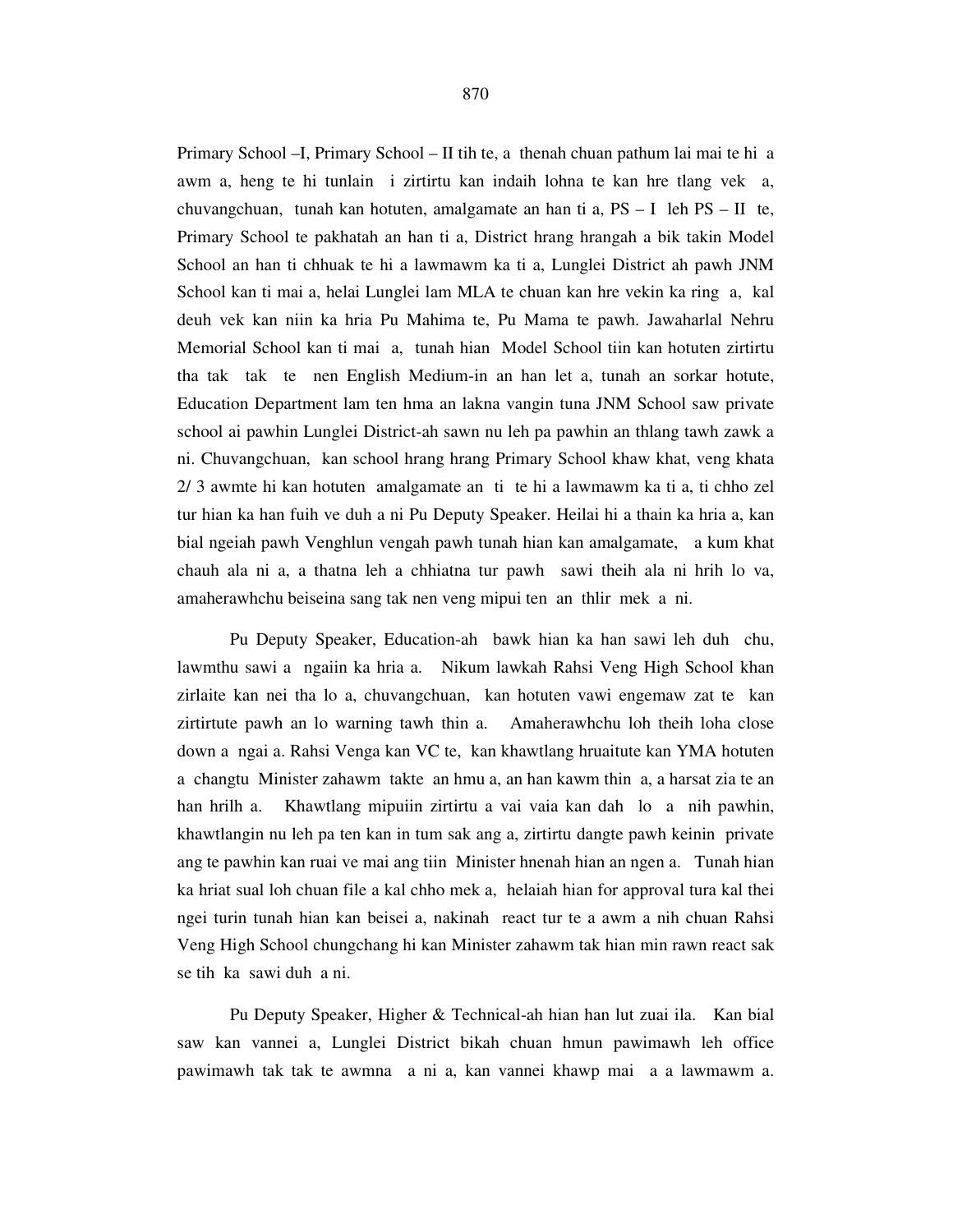Primary School –I, Primary School – II tih te, a thenah chuan pathum lai mai te hi a awm a, heng te hi tunlain i zirtirtu kan indaih lohna te kan hre tlang vek a, chuvangchuan, tunah kan hotuten, amalgamate an han ti a,  $PS - I$  leh  $PS - II$  te, Primary School te pakhatah an han ti a, District hrang hrangah a bik takin Model School an han ti chhuak te hi a lawmawm ka ti a, Lunglei District ah pawh JNM School kan ti mai a, helai Lunglei lam MLA te chuan kan hre vekin ka ring a, kal deuh vek kan niin ka hria Pu Mahima te, Pu Mama te pawh. Jawaharlal Nehru Memorial School kan ti mai a, tunah hian Model School tiin kan hotuten zirtirtu tha tak tak te nen English Medium-in an han let a, tunah an sorkar hotute, Education Department lam ten hma an lakna vangin tuna JNM School saw private school ai pawhin Lunglei District-ah sawn nu leh pa pawhin an thlang tawh zawk a ni. Chuvangchuan, kan school hrang hrang Primary School khaw khat, veng khata 2/ 3 awmte hi kan hotuten amalgamate an ti te hi a lawmawm ka ti a, ti chho zel tur hian ka han fuih ve duh a ni Pu Deputy Speaker. Heilai hi a thain ka hria a, kan bial ngeiah pawh Venghlun vengah pawh tunah hian kan amalgamate, a kum khat chauh ala ni a, a thatna leh a chhiatna tur pawh sawi theih ala ni hrih lo va, amaherawhchu beiseina sang tak nen veng mipui ten an thlir mek a ni.

 Pu Deputy Speaker, Education-ah bawk hian ka han sawi leh duh chu, lawmthu sawi a ngaiin ka hria a. Nikum lawkah Rahsi Veng High School khan zirlaite kan nei tha lo a, chuvangchuan, kan hotuten vawi engemaw zat te kan zirtirtute pawh an lo warning tawh thin a. Amaherawhchu loh theih loha close down a ngai a. Rahsi Venga kan VC te, kan khawtlang hruaitute kan YMA hotuten a changtu Minister zahawm takte an hmu a, an han kawm thin a, a harsat zia te an han hrilh a. Khawtlang mipuiin zirtirtu a vai vaia kan dah lo a nih pawhin, khawtlangin nu leh pa ten kan in tum sak ang a, zirtirtu dangte pawh keinin private ang te pawhin kan ruai ve mai ang tiin Minister hnenah hian an ngen a. Tunah hian ka hriat sual loh chuan file a kal chho mek a, helaiah hian for approval tura kal thei ngei turin tunah hian kan beisei a, nakinah react tur te a awm a nih chuan Rahsi Veng High School chungchang hi kan Minister zahawm tak hian min rawn react sak se tih ka sawi duh a ni.

 Pu Deputy Speaker, Higher & Technical-ah hian han lut zuai ila. Kan bial saw kan vannei a, Lunglei District bikah chuan hmun pawimawh leh office pawimawh tak tak te awmna a ni a, kan vannei khawp mai a a lawmawm a.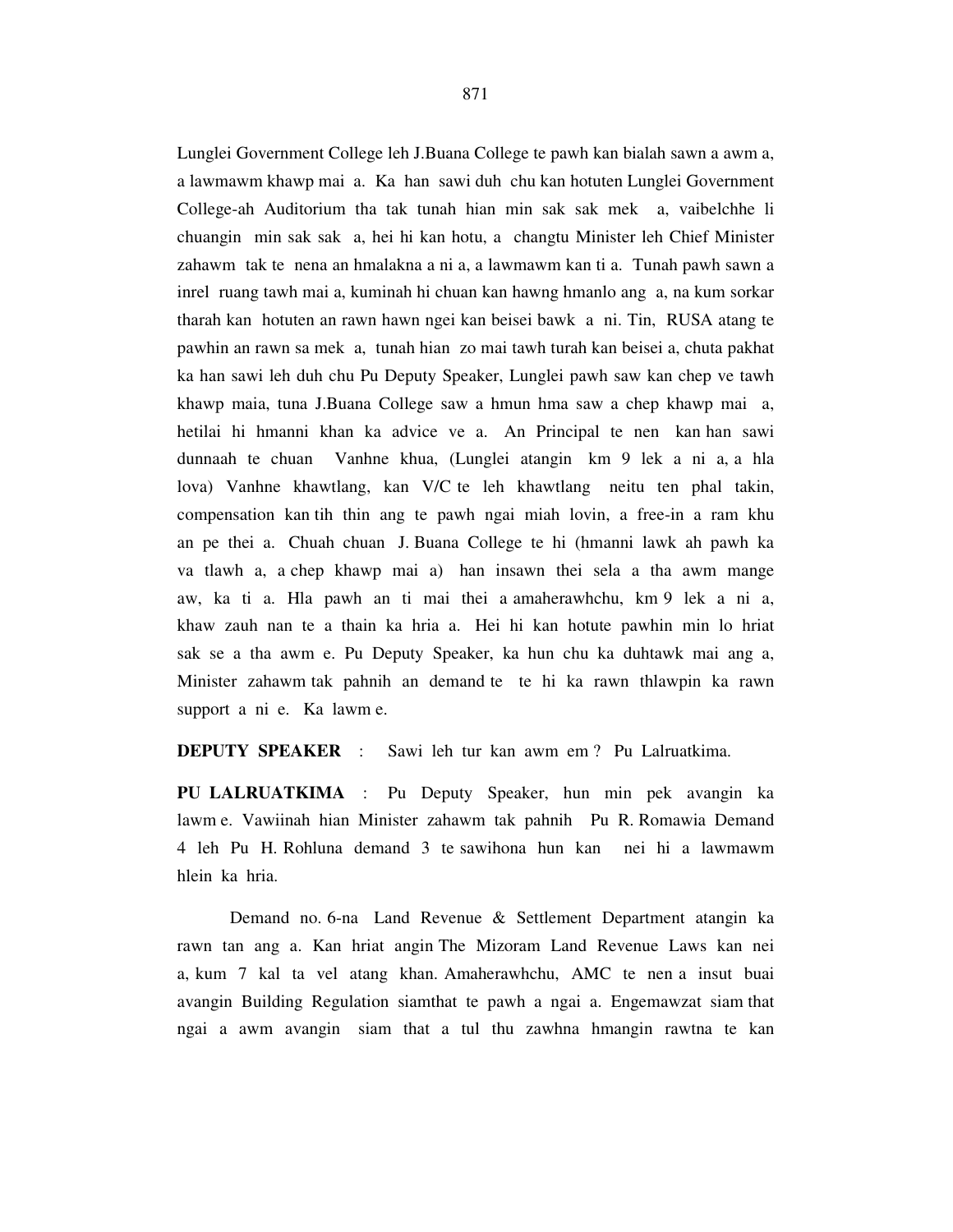Lunglei Government College leh J.Buana College te pawh kan bialah sawn a awm a, a lawmawm khawp mai a. Ka han sawi duh chu kan hotuten Lunglei Government College-ah Auditorium tha tak tunah hian min sak sak mek a, vaibelchhe li chuangin min sak sak a, hei hi kan hotu, a changtu Minister leh Chief Minister zahawm tak te nena an hmalakna a ni a, a lawmawm kan ti a. Tunah pawh sawn a inrel ruang tawh mai a, kuminah hi chuan kan hawng hmanlo ang a, na kum sorkar tharah kan hotuten an rawn hawn ngei kan beisei bawk a ni. Tin, RUSA atang te pawhin an rawn sa mek a, tunah hian zo mai tawh turah kan beisei a, chuta pakhat ka han sawi leh duh chu Pu Deputy Speaker, Lunglei pawh saw kan chep ve tawh khawp maia, tuna J.Buana College saw a hmun hma saw a chep khawp mai a, hetilai hi hmanni khan ka advice ve a. An Principal te nen kan han sawi dunnaah te chuan Vanhne khua, (Lunglei atangin km 9 lek a ni a, a hla lova) Vanhne khawtlang, kan V/C te leh khawtlang neitu ten phal takin, compensation kan tih thin ang te pawh ngai miah lovin, a free-in a ram khu an pe thei a. Chuah chuan J. Buana College te hi (hmanni lawk ah pawh ka va tlawh a, a chep khawp mai a) han insawn thei sela a tha awm mange aw, ka ti a. Hla pawh an ti mai thei a amaherawhchu, km 9 lek a ni a, khaw zauh nan te a thain ka hria a. Hei hi kan hotute pawhin min lo hriat sak se a tha awm e. Pu Deputy Speaker, ka hun chu ka duhtawk mai ang a, Minister zahawm tak pahnih an demand te te hi ka rawn thlawpin ka rawn support a ni e. Ka lawm e.

**DEPUTY SPEAKER** : Sawi leh tur kan awm em ? Pu Lalruatkima.

**PU LALRUATKIMA** : Pu Deputy Speaker, hun min pek avangin ka lawm e. Vawiinah hian Minister zahawm tak pahnih Pu R. Romawia Demand 4 leh Pu H. Rohluna demand 3 te sawihona hun kan nei hi a lawmawm hlein ka hria.

 Demand no. 6-na Land Revenue & Settlement Department atangin ka rawn tan ang a. Kan hriat angin The Mizoram Land Revenue Laws kan nei a, kum 7 kal ta vel atang khan. Amaherawhchu, AMC te nen a insut buai avangin Building Regulation siamthat te pawh a ngai a. Engemawzat siam that ngai a awm avangin siam that a tul thu zawhna hmangin rawtna te kan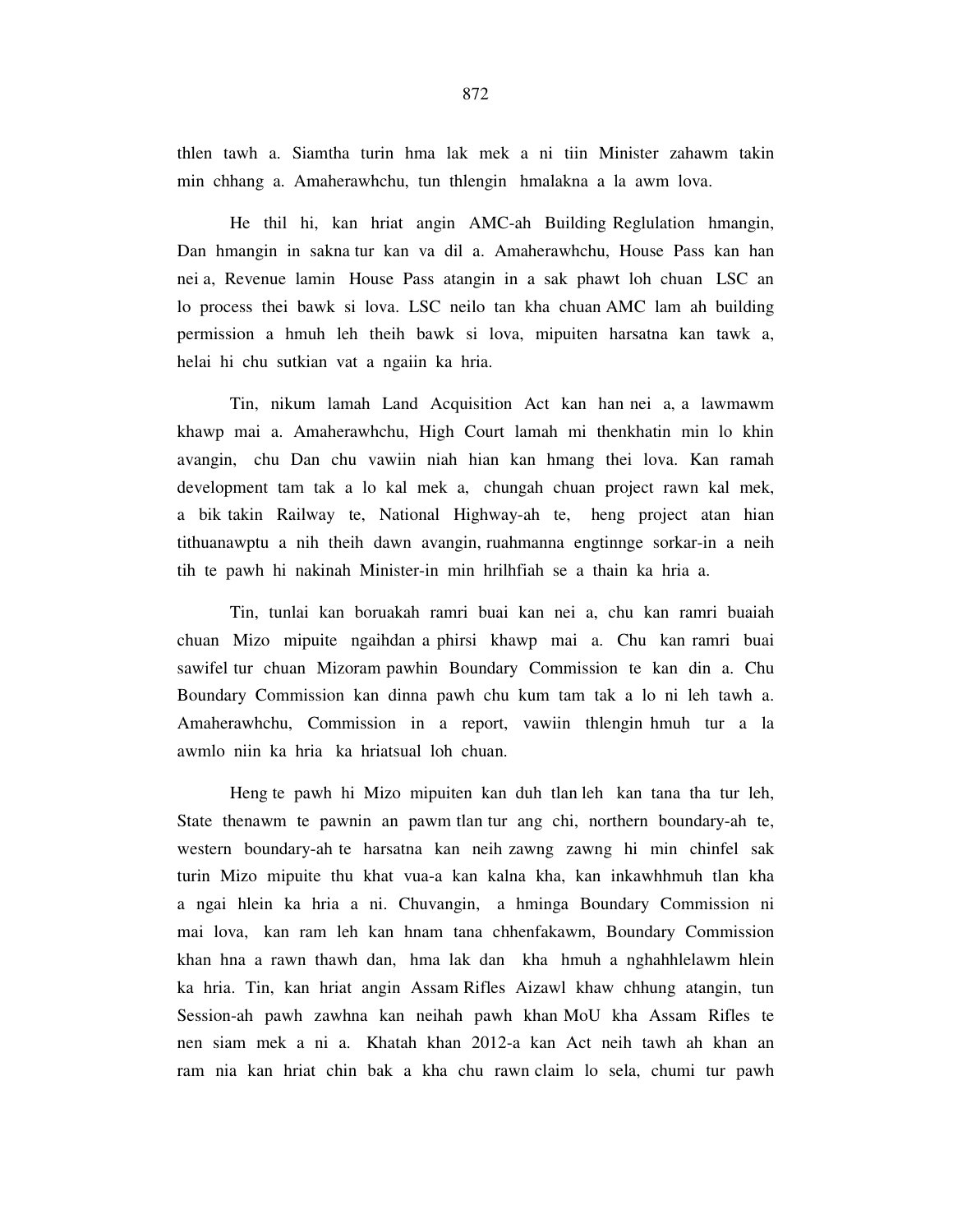thlen tawh a. Siamtha turin hma lak mek a ni tiin Minister zahawm takin min chhang a. Amaherawhchu, tun thlengin hmalakna a la awm lova.

 He thil hi, kan hriat angin AMC-ah Building Reglulation hmangin, Dan hmangin in sakna tur kan va dil a. Amaherawhchu, House Pass kan han nei a, Revenue lamin House Pass atangin in a sak phawt loh chuan LSC an lo process thei bawk si lova. LSC neilo tan kha chuan AMC lam ah building permission a hmuh leh theih bawk si lova, mipuiten harsatna kan tawk a, helai hi chu sutkian vat a ngaiin ka hria.

 Tin, nikum lamah Land Acquisition Act kan han nei a, a lawmawm khawp mai a. Amaherawhchu, High Court lamah mi thenkhatin min lo khin avangin, chu Dan chu vawiin niah hian kan hmang thei lova. Kan ramah development tam tak a lo kal mek a, chungah chuan project rawn kal mek, a bik takin Railway te, National Highway-ah te, heng project atan hian tithuanawptu a nih theih dawn avangin, ruahmanna engtinnge sorkar-in a neih tih te pawh hi nakinah Minister-in min hrilhfiah se a thain ka hria a.

 Tin, tunlai kan boruakah ramri buai kan nei a, chu kan ramri buaiah chuan Mizo mipuite ngaihdan a phirsi khawp mai a. Chu kan ramri buai sawifel tur chuan Mizoram pawhin Boundary Commission te kan din a. Chu Boundary Commission kan dinna pawh chu kum tam tak a lo ni leh tawh a. Amaherawhchu, Commission in a report, vawiin thlengin hmuh tur a la awmlo niin ka hria ka hriatsual loh chuan.

 Heng te pawh hi Mizo mipuiten kan duh tlan leh kan tana tha tur leh, State thenawm te pawnin an pawm tlan tur ang chi, northern boundary-ah te, western boundary-ah te harsatna kan neih zawng zawng hi min chinfel sak turin Mizo mipuite thu khat vua-a kan kalna kha, kan inkawhhmuh tlan kha a ngai hlein ka hria a ni. Chuvangin, a hminga Boundary Commission ni mai lova, kan ram leh kan hnam tana chhenfakawm, Boundary Commission khan hna a rawn thawh dan, hma lak dan kha hmuh a nghahhlelawm hlein ka hria. Tin, kan hriat angin Assam Rifles Aizawl khaw chhung atangin, tun Session-ah pawh zawhna kan neihah pawh khan MoU kha Assam Rifles te nen siam mek a ni a. Khatah khan 2012-a kan Act neih tawh ah khan an ram nia kan hriat chin bak a kha chu rawn claim lo sela, chumi tur pawh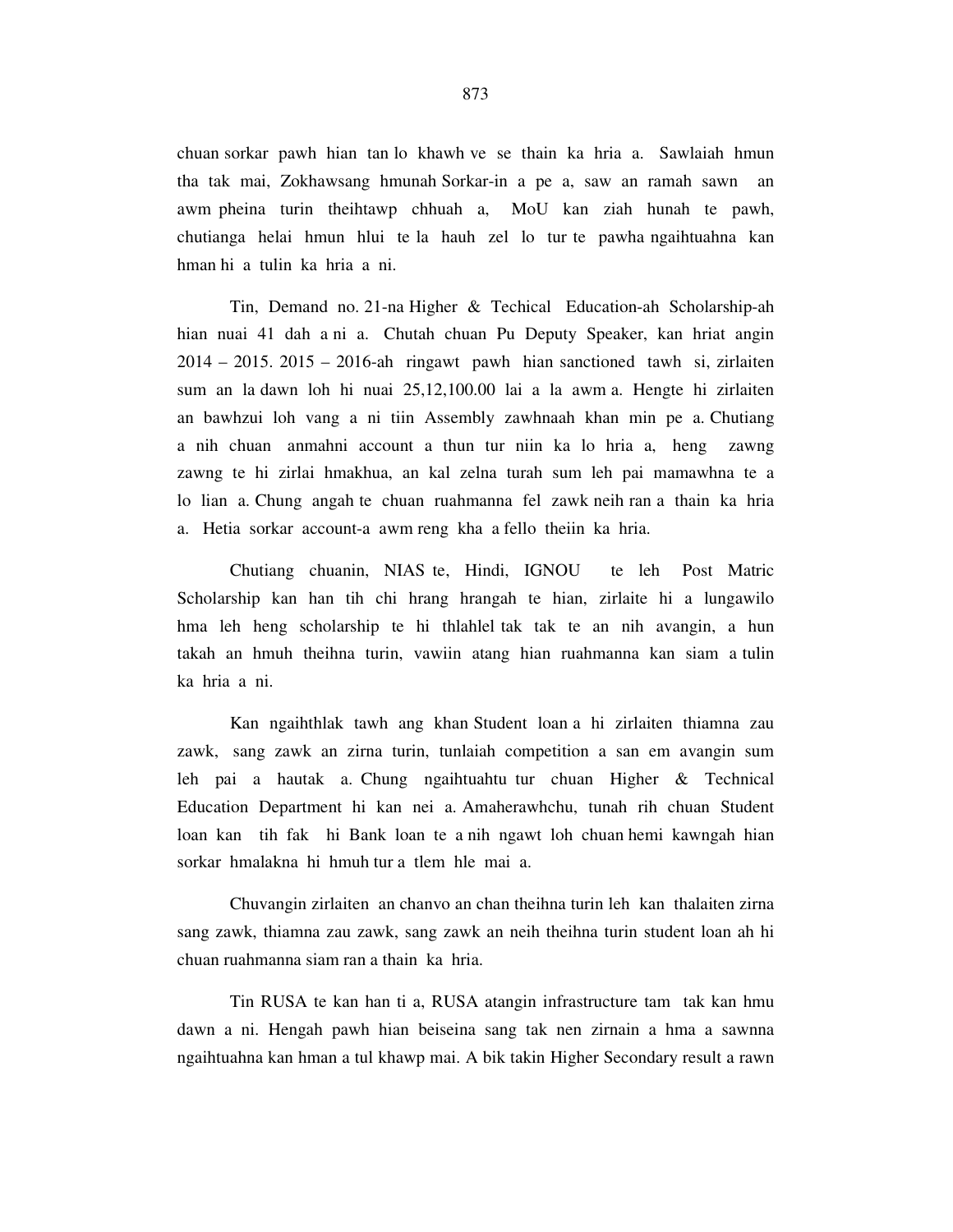chuan sorkar pawh hian tan lo khawh ve se thain ka hria a. Sawlaiah hmun tha tak mai, Zokhawsang hmunah Sorkar-in a pe a, saw an ramah sawn an awm pheina turin theihtawp chhuah a, MoU kan ziah hunah te pawh, chutianga helai hmun hlui te la hauh zel lo tur te pawha ngaihtuahna kan hman hi a tulin ka hria a ni.

 Tin, Demand no. 21-na Higher & Techical Education-ah Scholarship-ah hian nuai 41 dah a ni a. Chutah chuan Pu Deputy Speaker, kan hriat angin 2014 – 2015. 2015 – 2016-ah ringawt pawh hian sanctioned tawh si, zirlaiten sum an la dawn loh hi nuai 25,12,100.00 lai a la awm a. Hengte hi zirlaiten an bawhzui loh vang a ni tiin Assembly zawhnaah khan min pe a. Chutiang a nih chuan anmahni account a thun tur niin ka lo hria a, heng zawng zawng te hi zirlai hmakhua, an kal zelna turah sum leh pai mamawhna te a lo lian a. Chung angah te chuan ruahmanna fel zawk neih ran a thain ka hria a. Hetia sorkar account-a awm reng kha a fello theiin ka hria.

 Chutiang chuanin, NIAS te, Hindi, IGNOU te leh Post Matric Scholarship kan han tih chi hrang hrangah te hian, zirlaite hi a lungawilo hma leh heng scholarship te hi thlahlel tak tak te an nih avangin, a hun takah an hmuh theihna turin, vawiin atang hian ruahmanna kan siam a tulin ka hria a ni.

 Kan ngaihthlak tawh ang khan Student loan a hi zirlaiten thiamna zau zawk, sang zawk an zirna turin, tunlaiah competition a san em avangin sum leh pai a hautak a. Chung ngaihtuahtu tur chuan Higher & Technical Education Department hi kan nei a. Amaherawhchu, tunah rih chuan Student loan kan tih fak hi Bank loan te a nih ngawt loh chuan hemi kawngah hian sorkar hmalakna hi hmuh tur a tlem hle mai a.

 Chuvangin zirlaiten an chanvo an chan theihna turin leh kan thalaiten zirna sang zawk, thiamna zau zawk, sang zawk an neih theihna turin student loan ah hi chuan ruahmanna siam ran a thain ka hria.

 Tin RUSA te kan han ti a, RUSA atangin infrastructure tam tak kan hmu dawn a ni. Hengah pawh hian beiseina sang tak nen zirnain a hma a sawnna ngaihtuahna kan hman a tul khawp mai. A bik takin Higher Secondary result a rawn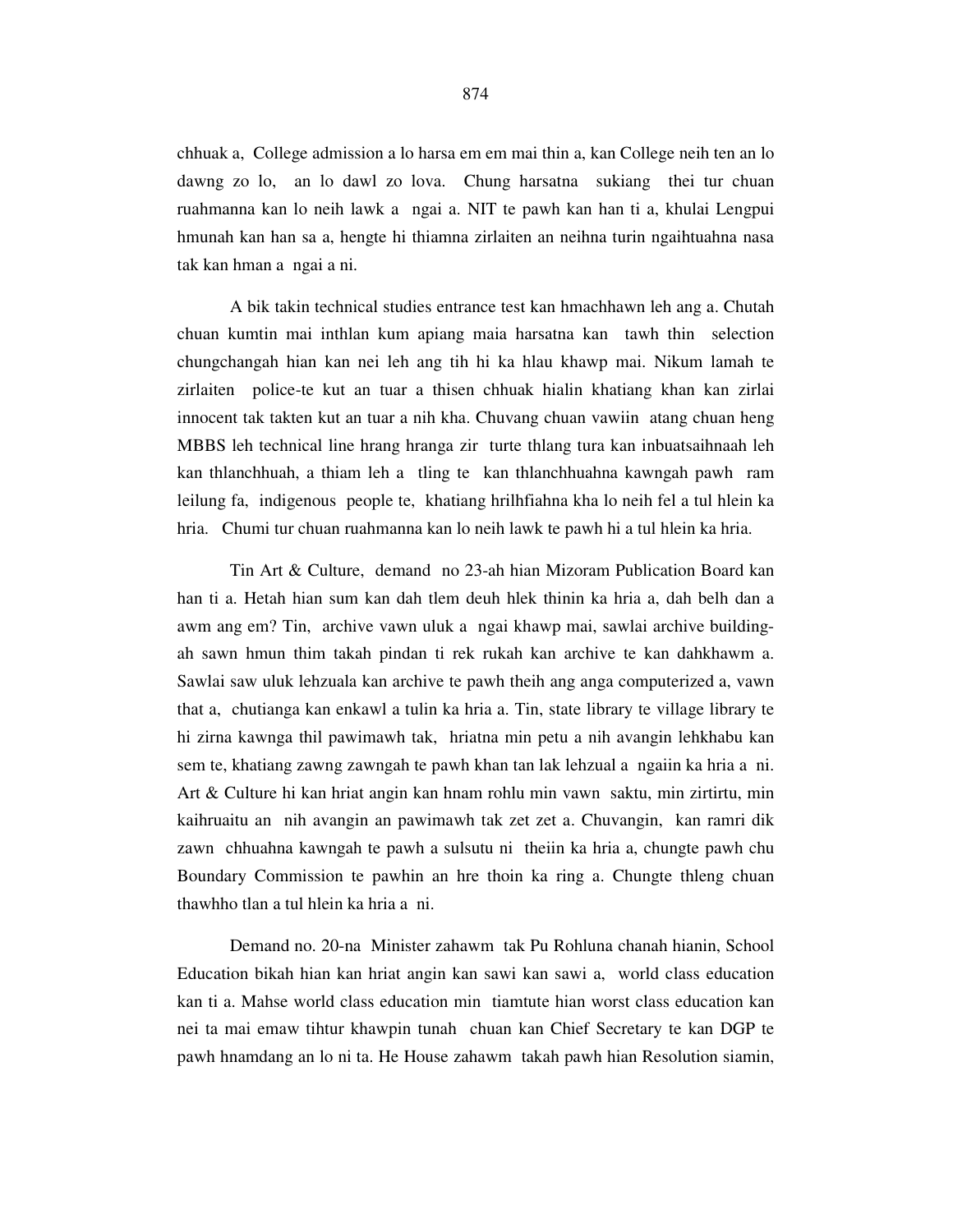chhuak a, College admission a lo harsa em em mai thin a, kan College neih ten an lo dawng zo lo, an lo dawl zo lova. Chung harsatna sukiang thei tur chuan ruahmanna kan lo neih lawk a ngai a. NIT te pawh kan han ti a, khulai Lengpui hmunah kan han sa a, hengte hi thiamna zirlaiten an neihna turin ngaihtuahna nasa tak kan hman a ngai a ni.

 A bik takin technical studies entrance test kan hmachhawn leh ang a. Chutah chuan kumtin mai inthlan kum apiang maia harsatna kan tawh thin selection chungchangah hian kan nei leh ang tih hi ka hlau khawp mai. Nikum lamah te zirlaiten police-te kut an tuar a thisen chhuak hialin khatiang khan kan zirlai innocent tak takten kut an tuar a nih kha. Chuvang chuan vawiin atang chuan heng MBBS leh technical line hrang hranga zir turte thlang tura kan inbuatsaihnaah leh kan thlanchhuah, a thiam leh a tling te kan thlanchhuahna kawngah pawh ram leilung fa, indigenous people te, khatiang hrilhfiahna kha lo neih fel a tul hlein ka hria. Chumi tur chuan ruahmanna kan lo neih lawk te pawh hi a tul hlein ka hria.

 Tin Art & Culture, demand no 23-ah hian Mizoram Publication Board kan han ti a. Hetah hian sum kan dah tlem deuh hlek thinin ka hria a, dah belh dan a awm ang em? Tin, archive vawn uluk a ngai khawp mai, sawlai archive buildingah sawn hmun thim takah pindan ti rek rukah kan archive te kan dahkhawm a. Sawlai saw uluk lehzuala kan archive te pawh theih ang anga computerized a, vawn that a, chutianga kan enkawl a tulin ka hria a. Tin, state library te village library te hi zirna kawnga thil pawimawh tak, hriatna min petu a nih avangin lehkhabu kan sem te, khatiang zawng zawngah te pawh khan tan lak lehzual a ngaiin ka hria a ni. Art & Culture hi kan hriat angin kan hnam rohlu min vawn saktu, min zirtirtu, min kaihruaitu an nih avangin an pawimawh tak zet zet a. Chuvangin, kan ramri dik zawn chhuahna kawngah te pawh a sulsutu ni theiin ka hria a, chungte pawh chu Boundary Commission te pawhin an hre thoin ka ring a. Chungte thleng chuan thawhho tlan a tul hlein ka hria a ni.

 Demand no. 20-na Minister zahawm tak Pu Rohluna chanah hianin, School Education bikah hian kan hriat angin kan sawi kan sawi a, world class education kan ti a. Mahse world class education min tiamtute hian worst class education kan nei ta mai emaw tihtur khawpin tunah chuan kan Chief Secretary te kan DGP te pawh hnamdang an lo ni ta. He House zahawm takah pawh hian Resolution siamin,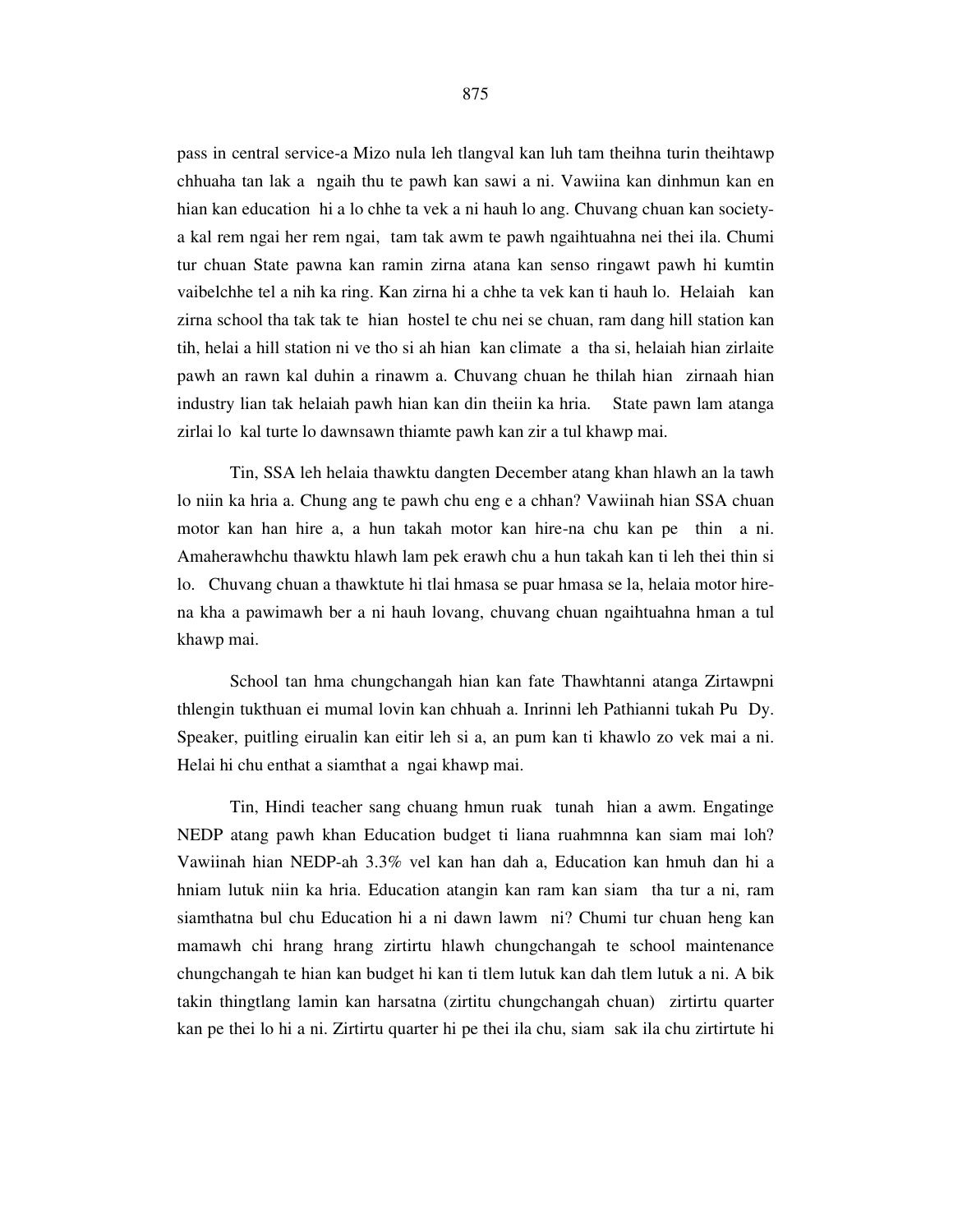pass in central service-a Mizo nula leh tlangval kan luh tam theihna turin theihtawp chhuaha tan lak a ngaih thu te pawh kan sawi a ni. Vawiina kan dinhmun kan en hian kan education hi a lo chhe ta vek a ni hauh lo ang. Chuvang chuan kan societya kal rem ngai her rem ngai, tam tak awm te pawh ngaihtuahna nei thei ila. Chumi tur chuan State pawna kan ramin zirna atana kan senso ringawt pawh hi kumtin vaibelchhe tel a nih ka ring. Kan zirna hi a chhe ta vek kan ti hauh lo. Helaiah kan zirna school tha tak tak te hian hostel te chu nei se chuan, ram dang hill station kan tih, helai a hill station ni ve tho si ah hian kan climate a tha si, helaiah hian zirlaite pawh an rawn kal duhin a rinawm a. Chuvang chuan he thilah hian zirnaah hian industry lian tak helaiah pawh hian kan din theiin ka hria. State pawn lam atanga zirlai lo kal turte lo dawnsawn thiamte pawh kan zir a tul khawp mai.

 Tin, SSA leh helaia thawktu dangten December atang khan hlawh an la tawh lo niin ka hria a. Chung ang te pawh chu eng e a chhan? Vawiinah hian SSA chuan motor kan han hire a, a hun takah motor kan hire-na chu kan pe thin a ni. Amaherawhchu thawktu hlawh lam pek erawh chu a hun takah kan ti leh thei thin si lo. Chuvang chuan a thawktute hi tlai hmasa se puar hmasa se la, helaia motor hirena kha a pawimawh ber a ni hauh lovang, chuvang chuan ngaihtuahna hman a tul khawp mai.

 School tan hma chungchangah hian kan fate Thawhtanni atanga Zirtawpni thlengin tukthuan ei mumal lovin kan chhuah a. Inrinni leh Pathianni tukah Pu Dy. Speaker, puitling eirualin kan eitir leh si a, an pum kan ti khawlo zo vek mai a ni. Helai hi chu enthat a siamthat a ngai khawp mai.

 Tin, Hindi teacher sang chuang hmun ruak tunah hian a awm. Engatinge NEDP atang pawh khan Education budget ti liana ruahmnna kan siam mai loh? Vawiinah hian NEDP-ah 3.3% vel kan han dah a, Education kan hmuh dan hi a hniam lutuk niin ka hria. Education atangin kan ram kan siam tha tur a ni, ram siamthatna bul chu Education hi a ni dawn lawm ni? Chumi tur chuan heng kan mamawh chi hrang hrang zirtirtu hlawh chungchangah te school maintenance chungchangah te hian kan budget hi kan ti tlem lutuk kan dah tlem lutuk a ni. A bik takin thingtlang lamin kan harsatna (zirtitu chungchangah chuan) zirtirtu quarter kan pe thei lo hi a ni. Zirtirtu quarter hi pe thei ila chu, siam sak ila chu zirtirtute hi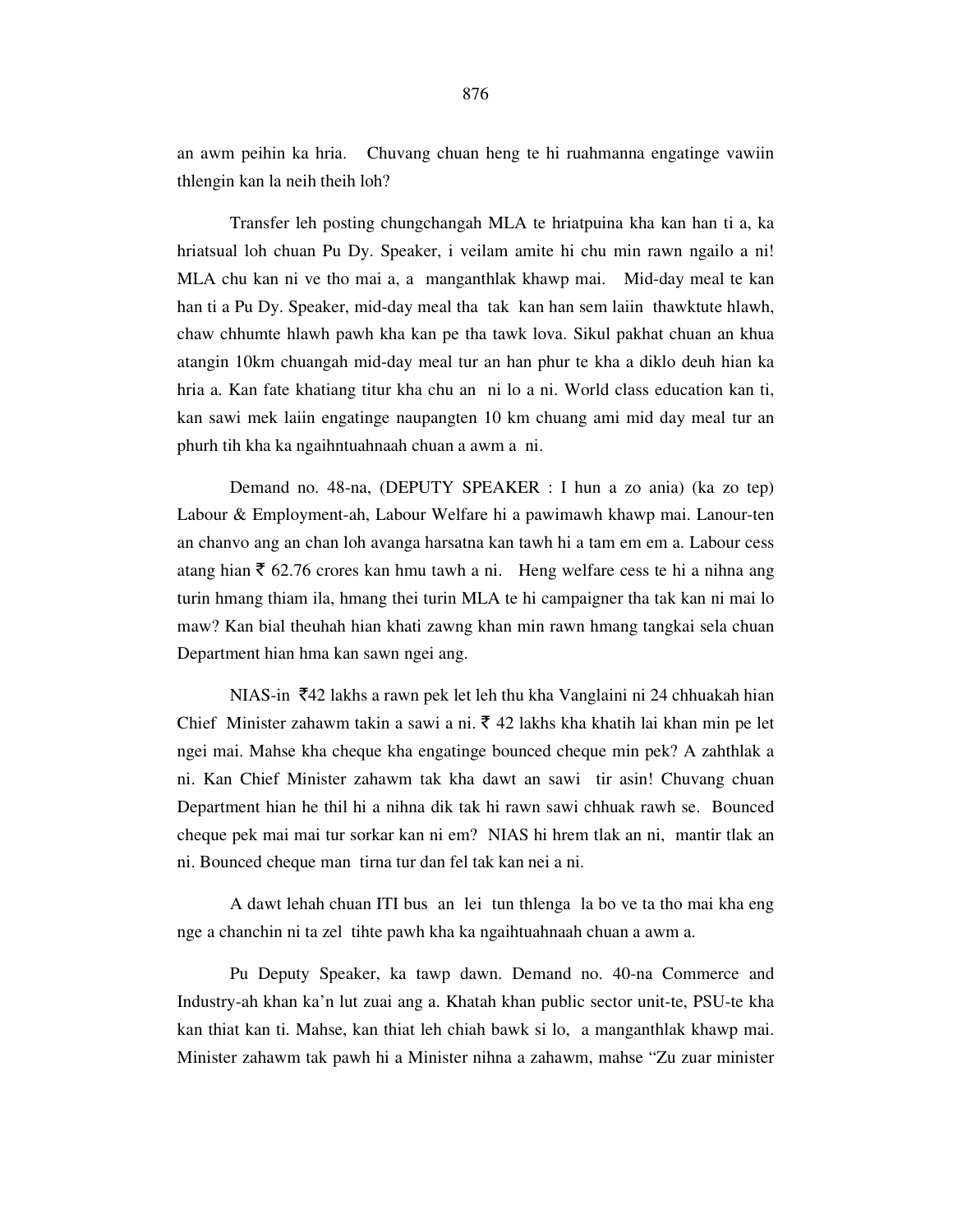an awm peihin ka hria. Chuvang chuan heng te hi ruahmanna engatinge vawiin thlengin kan la neih theih loh?

 Transfer leh posting chungchangah MLA te hriatpuina kha kan han ti a, ka hriatsual loh chuan Pu Dy. Speaker, i veilam amite hi chu min rawn ngailo a ni! MLA chu kan ni ve tho mai a, a manganthlak khawp mai. Mid-day meal te kan han ti a Pu Dy. Speaker, mid-day meal tha tak kan han sem laiin thawktute hlawh, chaw chhumte hlawh pawh kha kan pe tha tawk lova. Sikul pakhat chuan an khua atangin 10km chuangah mid-day meal tur an han phur te kha a diklo deuh hian ka hria a. Kan fate khatiang titur kha chu an ni lo a ni. World class education kan ti, kan sawi mek laiin engatinge naupangten 10 km chuang ami mid day meal tur an phurh tih kha ka ngaihntuahnaah chuan a awm a ni.

 Demand no. 48-na, (DEPUTY SPEAKER : I hun a zo ania) (ka zo tep) Labour & Employment-ah, Labour Welfare hi a pawimawh khawp mai. Lanour-ten an chanvo ang an chan loh avanga harsatna kan tawh hi a tam em em a. Labour cess atang hian  $\bar{\tau}$  62.76 crores kan hmu tawh a ni. Heng welfare cess te hi a nihna ang turin hmang thiam ila, hmang thei turin MLA te hi campaigner tha tak kan ni mai lo maw? Kan bial theuhah hian khati zawng khan min rawn hmang tangkai sela chuan Department hian hma kan sawn ngei ang.

NIAS-in  $\bar{z}$ 42 lakhs a rawn pek let leh thu kha Vanglaini ni 24 chhuakah hian Chief Minister zahawm takin a sawi a ni.  $\bar{\tau}$  42 lakhs kha khatih lai khan min pe let ngei mai. Mahse kha cheque kha engatinge bounced cheque min pek? A zahthlak a ni. Kan Chief Minister zahawm tak kha dawt an sawi tir asin! Chuvang chuan Department hian he thil hi a nihna dik tak hi rawn sawi chhuak rawh se. Bounced cheque pek mai mai tur sorkar kan ni em? NIAS hi hrem tlak an ni, mantir tlak an ni. Bounced cheque man tirna tur dan fel tak kan nei a ni.

 A dawt lehah chuan ITI bus an lei tun thlenga la bo ve ta tho mai kha eng nge a chanchin ni ta zel tihte pawh kha ka ngaihtuahnaah chuan a awm a.

 Pu Deputy Speaker, ka tawp dawn. Demand no. 40-na Commerce and Industry-ah khan ka'n lut zuai ang a. Khatah khan public sector unit-te, PSU-te kha kan thiat kan ti. Mahse, kan thiat leh chiah bawk si lo, a manganthlak khawp mai. Minister zahawm tak pawh hi a Minister nihna a zahawm, mahse "Zu zuar minister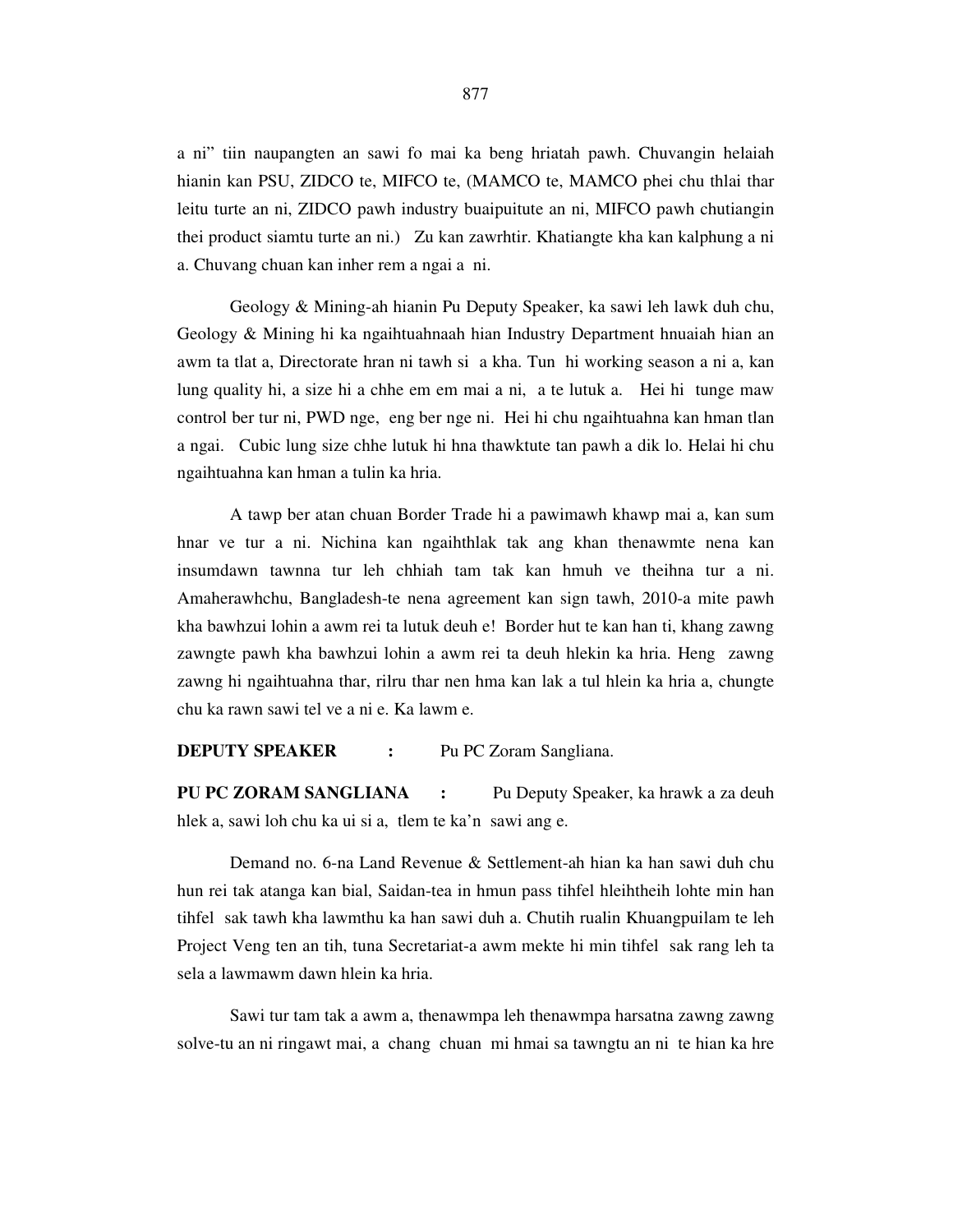a ni" tiin naupangten an sawi fo mai ka beng hriatah pawh. Chuvangin helaiah hianin kan PSU, ZIDCO te, MIFCO te, (MAMCO te, MAMCO phei chu thlai thar leitu turte an ni, ZIDCO pawh industry buaipuitute an ni, MIFCO pawh chutiangin thei product siamtu turte an ni.) Zu kan zawrhtir. Khatiangte kha kan kalphung a ni a. Chuvang chuan kan inher rem a ngai a ni.

 Geology & Mining-ah hianin Pu Deputy Speaker, ka sawi leh lawk duh chu, Geology & Mining hi ka ngaihtuahnaah hian Industry Department hnuaiah hian an awm ta tlat a, Directorate hran ni tawh si a kha. Tun hi working season a ni a, kan lung quality hi, a size hi a chhe em em mai a ni, a te lutuk a. Hei hi tunge maw control ber tur ni, PWD nge, eng ber nge ni. Hei hi chu ngaihtuahna kan hman tlan a ngai. Cubic lung size chhe lutuk hi hna thawktute tan pawh a dik lo. Helai hi chu ngaihtuahna kan hman a tulin ka hria.

 A tawp ber atan chuan Border Trade hi a pawimawh khawp mai a, kan sum hnar ve tur a ni. Nichina kan ngaihthlak tak ang khan thenawmte nena kan insumdawn tawnna tur leh chhiah tam tak kan hmuh ve theihna tur a ni. Amaherawhchu, Bangladesh-te nena agreement kan sign tawh, 2010-a mite pawh kha bawhzui lohin a awm rei ta lutuk deuh e! Border hut te kan han ti, khang zawng zawngte pawh kha bawhzui lohin a awm rei ta deuh hlekin ka hria. Heng zawng zawng hi ngaihtuahna thar, rilru thar nen hma kan lak a tul hlein ka hria a, chungte chu ka rawn sawi tel ve a ni e. Ka lawm e.

**DEPUTY SPEAKER :** Pu PC Zoram Sangliana.

**PU PC ZORAM SANGLIANA :** Pu Deputy Speaker, ka hrawk a za deuh hlek a, sawi loh chu ka ui si a, tlem te ka'n sawi ang e.

 Demand no. 6-na Land Revenue & Settlement-ah hian ka han sawi duh chu hun rei tak atanga kan bial, Saidan-tea in hmun pass tihfel hleihtheih lohte min han tihfel sak tawh kha lawmthu ka han sawi duh a. Chutih rualin Khuangpuilam te leh Project Veng ten an tih, tuna Secretariat-a awm mekte hi min tihfel sak rang leh ta sela a lawmawm dawn hlein ka hria.

 Sawi tur tam tak a awm a, thenawmpa leh thenawmpa harsatna zawng zawng solve-tu an ni ringawt mai, a chang chuan mi hmai sa tawngtu an ni te hian ka hre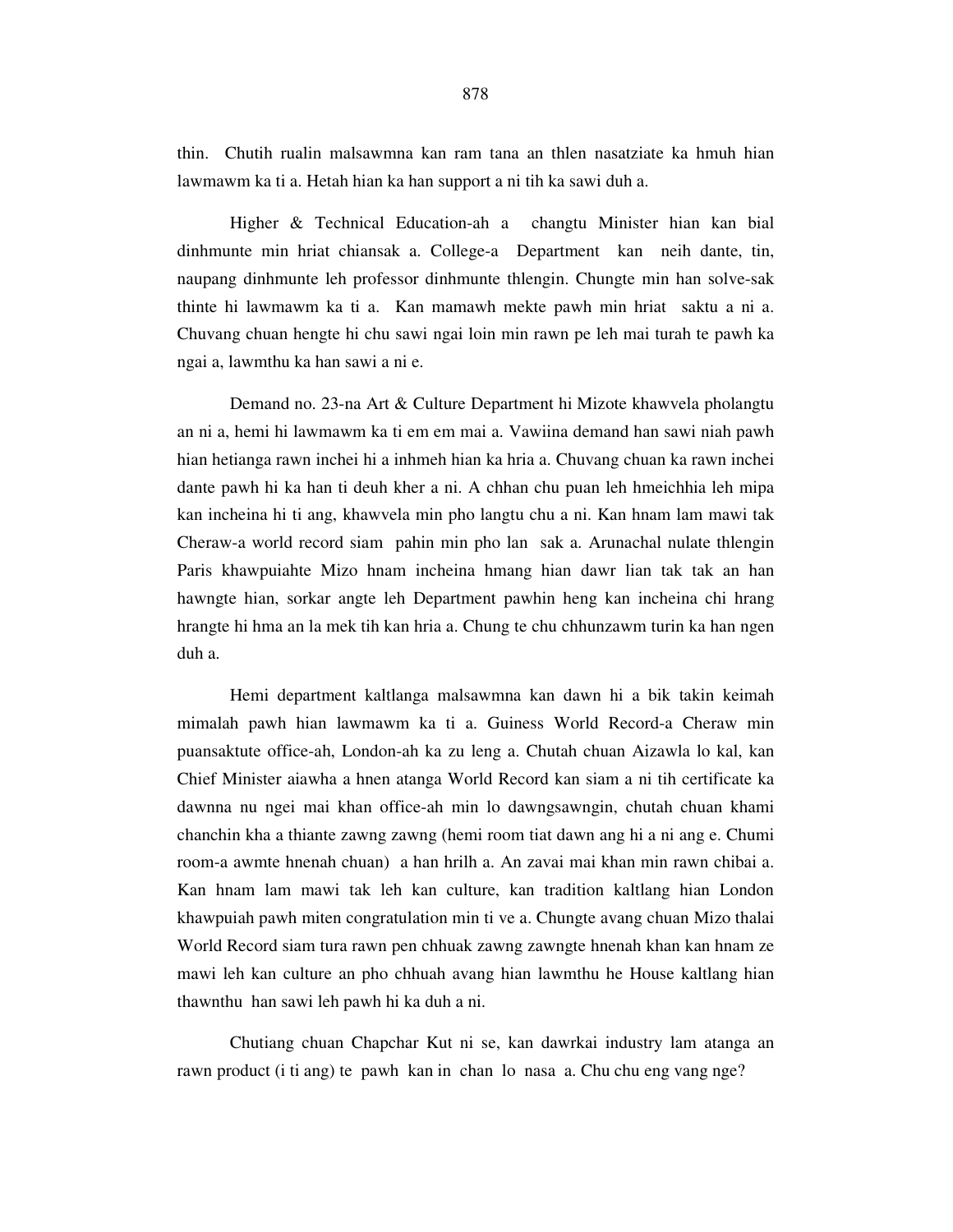thin. Chutih rualin malsawmna kan ram tana an thlen nasatziate ka hmuh hian lawmawm ka ti a. Hetah hian ka han support a ni tih ka sawi duh a.

 Higher & Technical Education-ah a changtu Minister hian kan bial dinhmunte min hriat chiansak a. College-a Department kan neih dante, tin, naupang dinhmunte leh professor dinhmunte thlengin. Chungte min han solve-sak thinte hi lawmawm ka ti a. Kan mamawh mekte pawh min hriat saktu a ni a. Chuvang chuan hengte hi chu sawi ngai loin min rawn pe leh mai turah te pawh ka ngai a, lawmthu ka han sawi a ni e.

 Demand no. 23-na Art & Culture Department hi Mizote khawvela pholangtu an ni a, hemi hi lawmawm ka ti em em mai a. Vawiina demand han sawi niah pawh hian hetianga rawn inchei hi a inhmeh hian ka hria a. Chuvang chuan ka rawn inchei dante pawh hi ka han ti deuh kher a ni. A chhan chu puan leh hmeichhia leh mipa kan incheina hi ti ang, khawvela min pho langtu chu a ni. Kan hnam lam mawi tak Cheraw-a world record siam pahin min pho lan sak a. Arunachal nulate thlengin Paris khawpuiahte Mizo hnam incheina hmang hian dawr lian tak tak an han hawngte hian, sorkar angte leh Department pawhin heng kan incheina chi hrang hrangte hi hma an la mek tih kan hria a. Chung te chu chhunzawm turin ka han ngen duh a.

 Hemi department kaltlanga malsawmna kan dawn hi a bik takin keimah mimalah pawh hian lawmawm ka ti a. Guiness World Record-a Cheraw min puansaktute office-ah, London-ah ka zu leng a. Chutah chuan Aizawla lo kal, kan Chief Minister aiawha a hnen atanga World Record kan siam a ni tih certificate ka dawnna nu ngei mai khan office-ah min lo dawngsawngin, chutah chuan khami chanchin kha a thiante zawng zawng (hemi room tiat dawn ang hi a ni ang e. Chumi room-a awmte hnenah chuan) a han hrilh a. An zavai mai khan min rawn chibai a. Kan hnam lam mawi tak leh kan culture, kan tradition kaltlang hian London khawpuiah pawh miten congratulation min ti ve a. Chungte avang chuan Mizo thalai World Record siam tura rawn pen chhuak zawng zawngte hnenah khan kan hnam ze mawi leh kan culture an pho chhuah avang hian lawmthu he House kaltlang hian thawnthu han sawi leh pawh hi ka duh a ni.

 Chutiang chuan Chapchar Kut ni se, kan dawrkai industry lam atanga an rawn product (i ti ang) te pawh kan in chan lo nasa a. Chu chu eng vang nge?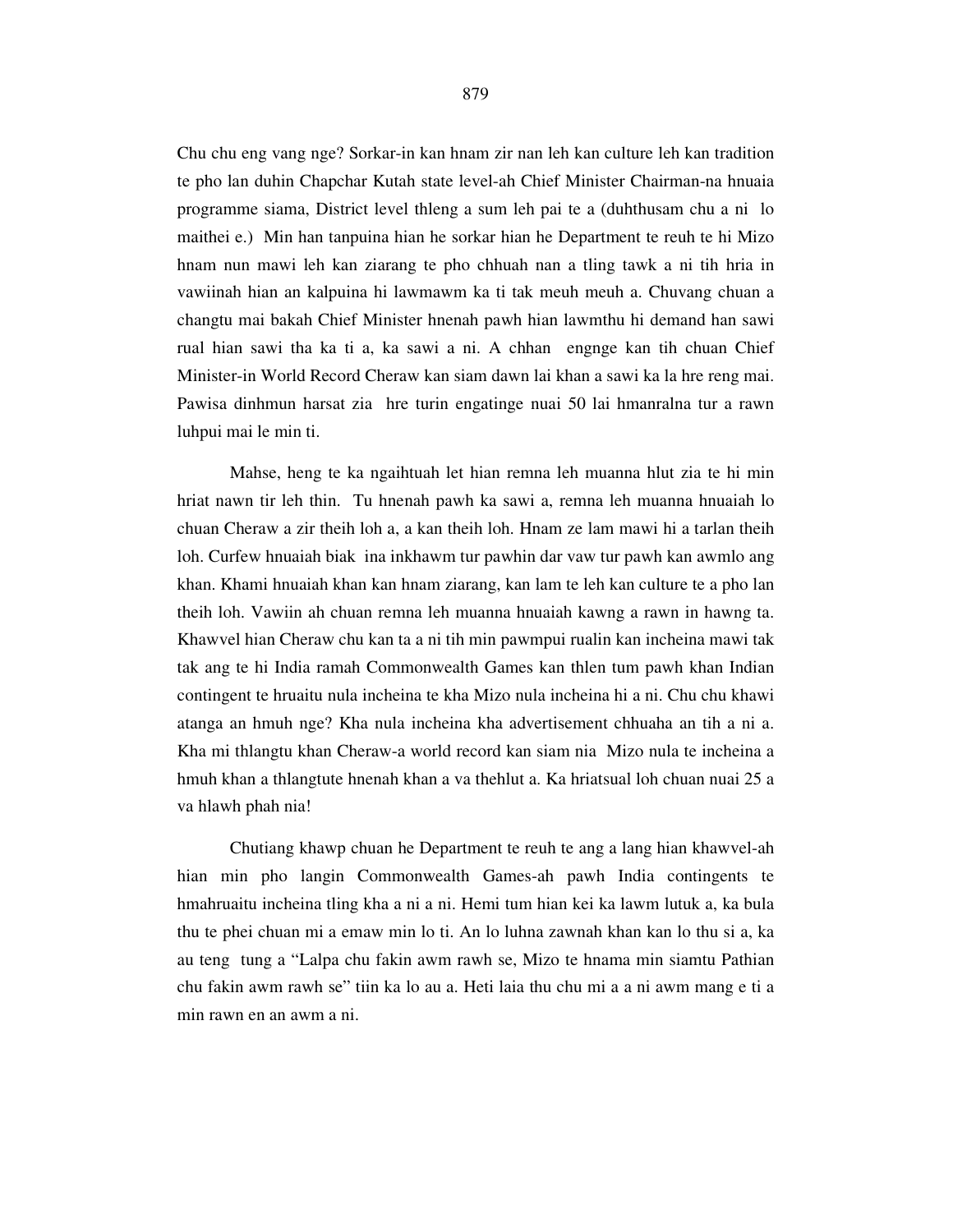Chu chu eng vang nge? Sorkar-in kan hnam zir nan leh kan culture leh kan tradition te pho lan duhin Chapchar Kutah state level-ah Chief Minister Chairman-na hnuaia programme siama, District level thleng a sum leh pai te a (duhthusam chu a ni lo maithei e.) Min han tanpuina hian he sorkar hian he Department te reuh te hi Mizo hnam nun mawi leh kan ziarang te pho chhuah nan a tling tawk a ni tih hria in vawiinah hian an kalpuina hi lawmawm ka ti tak meuh meuh a. Chuvang chuan a changtu mai bakah Chief Minister hnenah pawh hian lawmthu hi demand han sawi rual hian sawi tha ka ti a, ka sawi a ni. A chhan engnge kan tih chuan Chief Minister-in World Record Cheraw kan siam dawn lai khan a sawi ka la hre reng mai. Pawisa dinhmun harsat zia hre turin engatinge nuai 50 lai hmanralna tur a rawn luhpui mai le min ti.

 Mahse, heng te ka ngaihtuah let hian remna leh muanna hlut zia te hi min hriat nawn tir leh thin. Tu hnenah pawh ka sawi a, remna leh muanna hnuaiah lo chuan Cheraw a zir theih loh a, a kan theih loh. Hnam ze lam mawi hi a tarlan theih loh. Curfew hnuaiah biak ina inkhawm tur pawhin dar vaw tur pawh kan awmlo ang khan. Khami hnuaiah khan kan hnam ziarang, kan lam te leh kan culture te a pho lan theih loh. Vawiin ah chuan remna leh muanna hnuaiah kawng a rawn in hawng ta. Khawvel hian Cheraw chu kan ta a ni tih min pawmpui rualin kan incheina mawi tak tak ang te hi India ramah Commonwealth Games kan thlen tum pawh khan Indian contingent te hruaitu nula incheina te kha Mizo nula incheina hi a ni. Chu chu khawi atanga an hmuh nge? Kha nula incheina kha advertisement chhuaha an tih a ni a. Kha mi thlangtu khan Cheraw-a world record kan siam nia Mizo nula te incheina a hmuh khan a thlangtute hnenah khan a va thehlut a. Ka hriatsual loh chuan nuai 25 a va hlawh phah nia!

 Chutiang khawp chuan he Department te reuh te ang a lang hian khawvel-ah hian min pho langin Commonwealth Games-ah pawh India contingents te hmahruaitu incheina tling kha a ni a ni. Hemi tum hian kei ka lawm lutuk a, ka bula thu te phei chuan mi a emaw min lo ti. An lo luhna zawnah khan kan lo thu si a, ka au teng tung a "Lalpa chu fakin awm rawh se, Mizo te hnama min siamtu Pathian chu fakin awm rawh se" tiin ka lo au a. Heti laia thu chu mi a a ni awm mang e ti a min rawn en an awm a ni.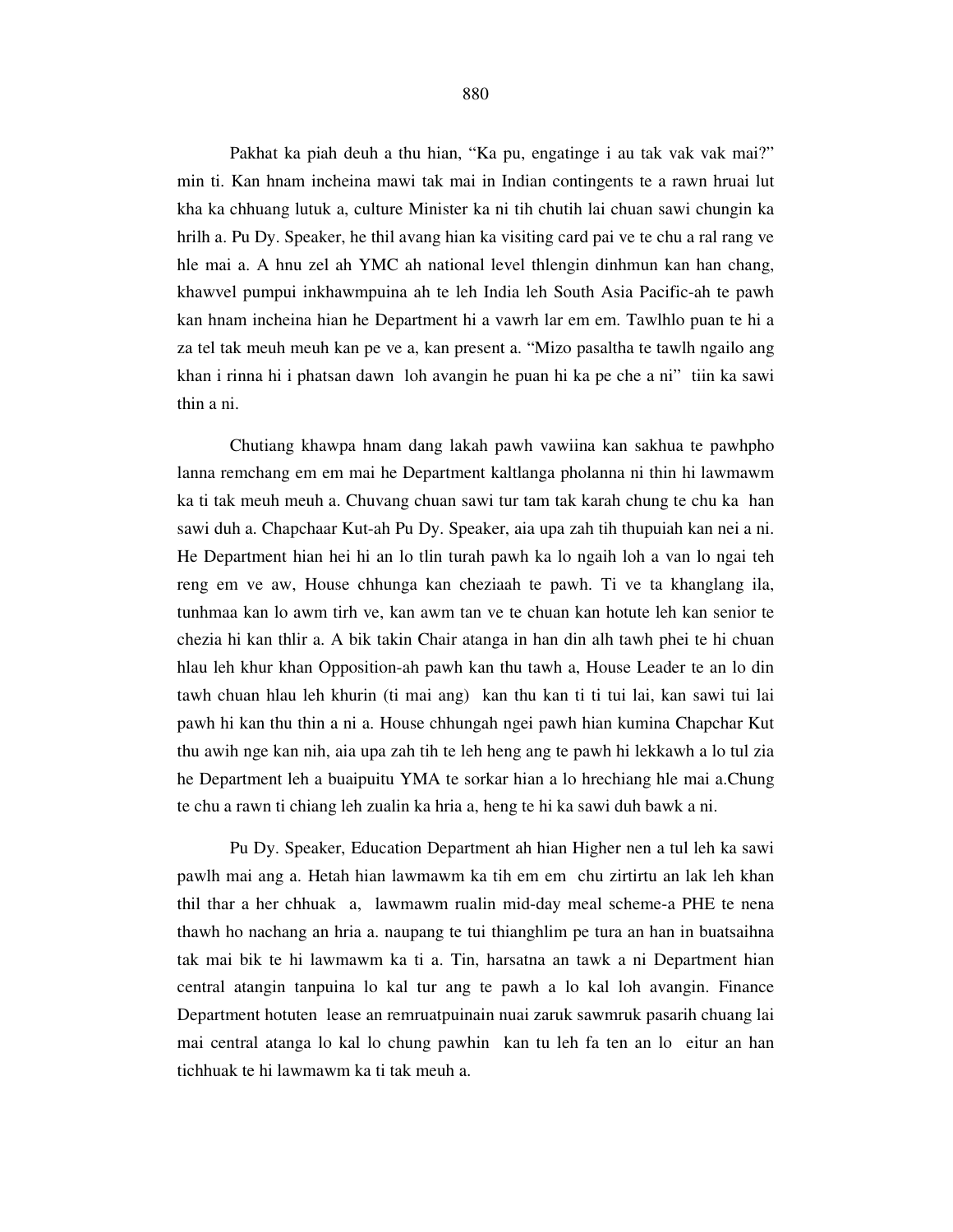Pakhat ka piah deuh a thu hian, "Ka pu, engatinge i au tak vak vak mai?" min ti. Kan hnam incheina mawi tak mai in Indian contingents te a rawn hruai lut kha ka chhuang lutuk a, culture Minister ka ni tih chutih lai chuan sawi chungin ka hrilh a. Pu Dy. Speaker, he thil avang hian ka visiting card pai ve te chu a ral rang ve hle mai a. A hnu zel ah YMC ah national level thlengin dinhmun kan han chang, khawvel pumpui inkhawmpuina ah te leh India leh South Asia Pacific-ah te pawh kan hnam incheina hian he Department hi a vawrh lar em em. Tawlhlo puan te hi a za tel tak meuh meuh kan pe ve a, kan present a. "Mizo pasaltha te tawlh ngailo ang khan i rinna hi i phatsan dawn loh avangin he puan hi ka pe che a ni" tiin ka sawi thin a ni.

 Chutiang khawpa hnam dang lakah pawh vawiina kan sakhua te pawhpho lanna remchang em em mai he Department kaltlanga pholanna ni thin hi lawmawm ka ti tak meuh meuh a. Chuvang chuan sawi tur tam tak karah chung te chu ka han sawi duh a. Chapchaar Kut-ah Pu Dy. Speaker, aia upa zah tih thupuiah kan nei a ni. He Department hian hei hi an lo tlin turah pawh ka lo ngaih loh a van lo ngai teh reng em ve aw, House chhunga kan cheziaah te pawh. Ti ve ta khanglang ila, tunhmaa kan lo awm tirh ve, kan awm tan ve te chuan kan hotute leh kan senior te chezia hi kan thlir a. A bik takin Chair atanga in han din alh tawh phei te hi chuan hlau leh khur khan Opposition-ah pawh kan thu tawh a, House Leader te an lo din tawh chuan hlau leh khurin (ti mai ang) kan thu kan ti ti tui lai, kan sawi tui lai pawh hi kan thu thin a ni a. House chhungah ngei pawh hian kumina Chapchar Kut thu awih nge kan nih, aia upa zah tih te leh heng ang te pawh hi lekkawh a lo tul zia he Department leh a buaipuitu YMA te sorkar hian a lo hrechiang hle mai a.Chung te chu a rawn ti chiang leh zualin ka hria a, heng te hi ka sawi duh bawk a ni.

 Pu Dy. Speaker, Education Department ah hian Higher nen a tul leh ka sawi pawlh mai ang a. Hetah hian lawmawm ka tih em em chu zirtirtu an lak leh khan thil thar a her chhuak a, lawmawm rualin mid-day meal scheme-a PHE te nena thawh ho nachang an hria a. naupang te tui thianghlim pe tura an han in buatsaihna tak mai bik te hi lawmawm ka ti a. Tin, harsatna an tawk a ni Department hian central atangin tanpuina lo kal tur ang te pawh a lo kal loh avangin. Finance Department hotuten lease an remruatpuinain nuai zaruk sawmruk pasarih chuang lai mai central atanga lo kal lo chung pawhin kan tu leh fa ten an lo eitur an han tichhuak te hi lawmawm ka ti tak meuh a.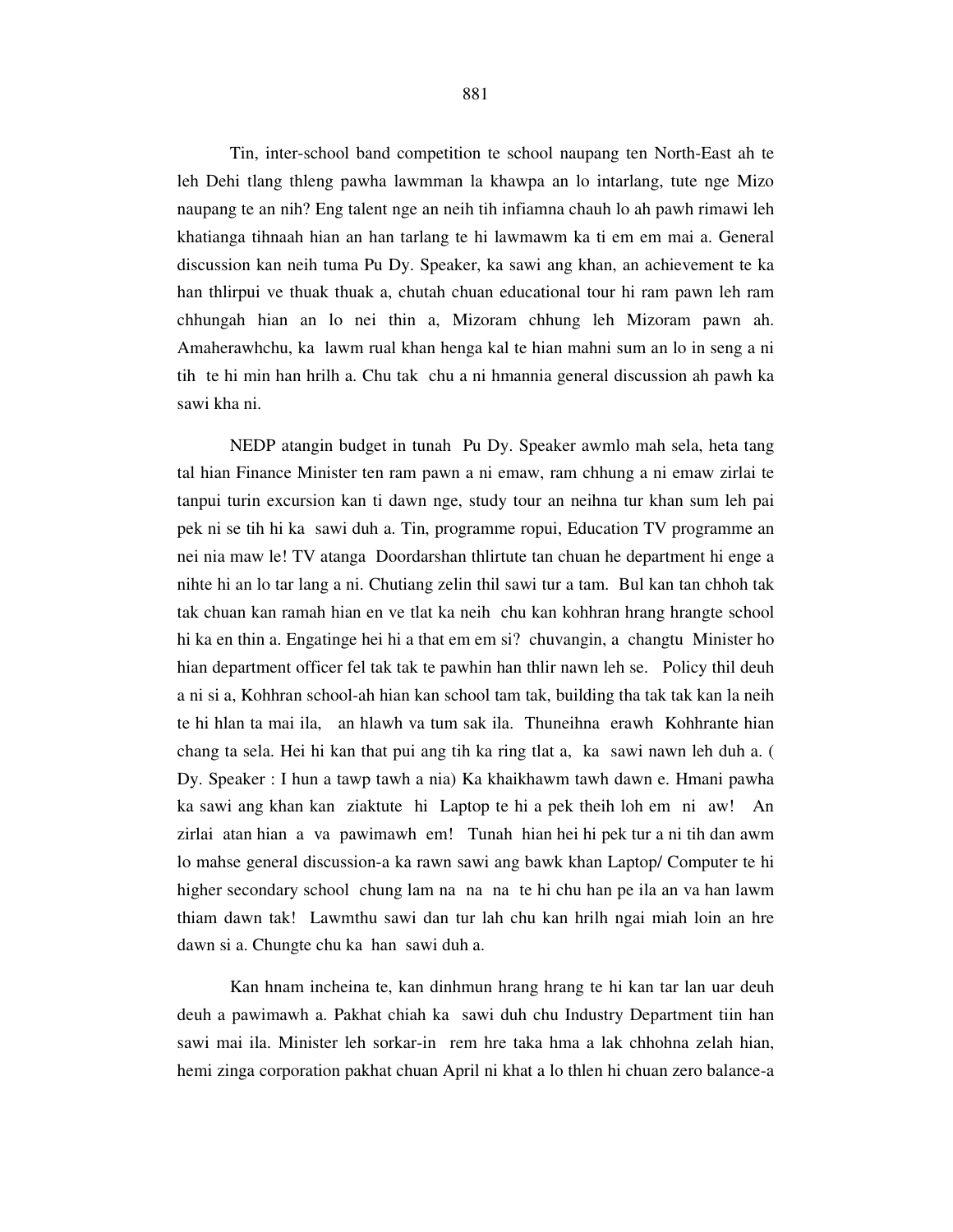Tin, inter-school band competition te school naupang ten North-East ah te leh Dehi tlang thleng pawha lawmman la khawpa an lo intarlang, tute nge Mizo naupang te an nih? Eng talent nge an neih tih infiamna chauh lo ah pawh rimawi leh khatianga tihnaah hian an han tarlang te hi lawmawm ka ti em em mai a. General discussion kan neih tuma Pu Dy. Speaker, ka sawi ang khan, an achievement te ka han thlirpui ve thuak thuak a, chutah chuan educational tour hi ram pawn leh ram chhungah hian an lo nei thin a, Mizoram chhung leh Mizoram pawn ah. Amaherawhchu, ka lawm rual khan henga kal te hian mahni sum an lo in seng a ni tih te hi min han hrilh a. Chu tak chu a ni hmannia general discussion ah pawh ka sawi kha ni.

 NEDP atangin budget in tunah Pu Dy. Speaker awmlo mah sela, heta tang tal hian Finance Minister ten ram pawn a ni emaw, ram chhung a ni emaw zirlai te tanpui turin excursion kan ti dawn nge, study tour an neihna tur khan sum leh pai pek ni se tih hi ka sawi duh a. Tin, programme ropui, Education TV programme an nei nia maw le! TV atanga Doordarshan thlirtute tan chuan he department hi enge a nihte hi an lo tar lang a ni. Chutiang zelin thil sawi tur a tam. Bul kan tan chhoh tak tak chuan kan ramah hian en ve tlat ka neih chu kan kohhran hrang hrangte school hi ka en thin a. Engatinge hei hi a that em em si? chuvangin, a changtu Minister ho hian department officer fel tak tak te pawhin han thlir nawn leh se. Policy thil deuh a ni si a, Kohhran school-ah hian kan school tam tak, building tha tak tak kan la neih te hi hlan ta mai ila, an hlawh va tum sak ila. Thuneihna erawh Kohhrante hian chang ta sela. Hei hi kan that pui ang tih ka ring tlat a, ka sawi nawn leh duh a. ( Dy. Speaker : I hun a tawp tawh a nia) Ka khaikhawm tawh dawn e. Hmani pawha ka sawi ang khan kan ziaktute hi Laptop te hi a pek theih loh em ni aw! An zirlai atan hian a va pawimawh em! Tunah hian hei hi pek tur a ni tih dan awm lo mahse general discussion-a ka rawn sawi ang bawk khan Laptop/ Computer te hi higher secondary school chung lam na na na te hi chu han pe ila an va han lawm thiam dawn tak! Lawmthu sawi dan tur lah chu kan hrilh ngai miah loin an hre dawn si a. Chungte chu ka han sawi duh a.

 Kan hnam incheina te, kan dinhmun hrang hrang te hi kan tar lan uar deuh deuh a pawimawh a. Pakhat chiah ka sawi duh chu Industry Department tiin han sawi mai ila. Minister leh sorkar-in rem hre taka hma a lak chhohna zelah hian, hemi zinga corporation pakhat chuan April ni khat a lo thlen hi chuan zero balance-a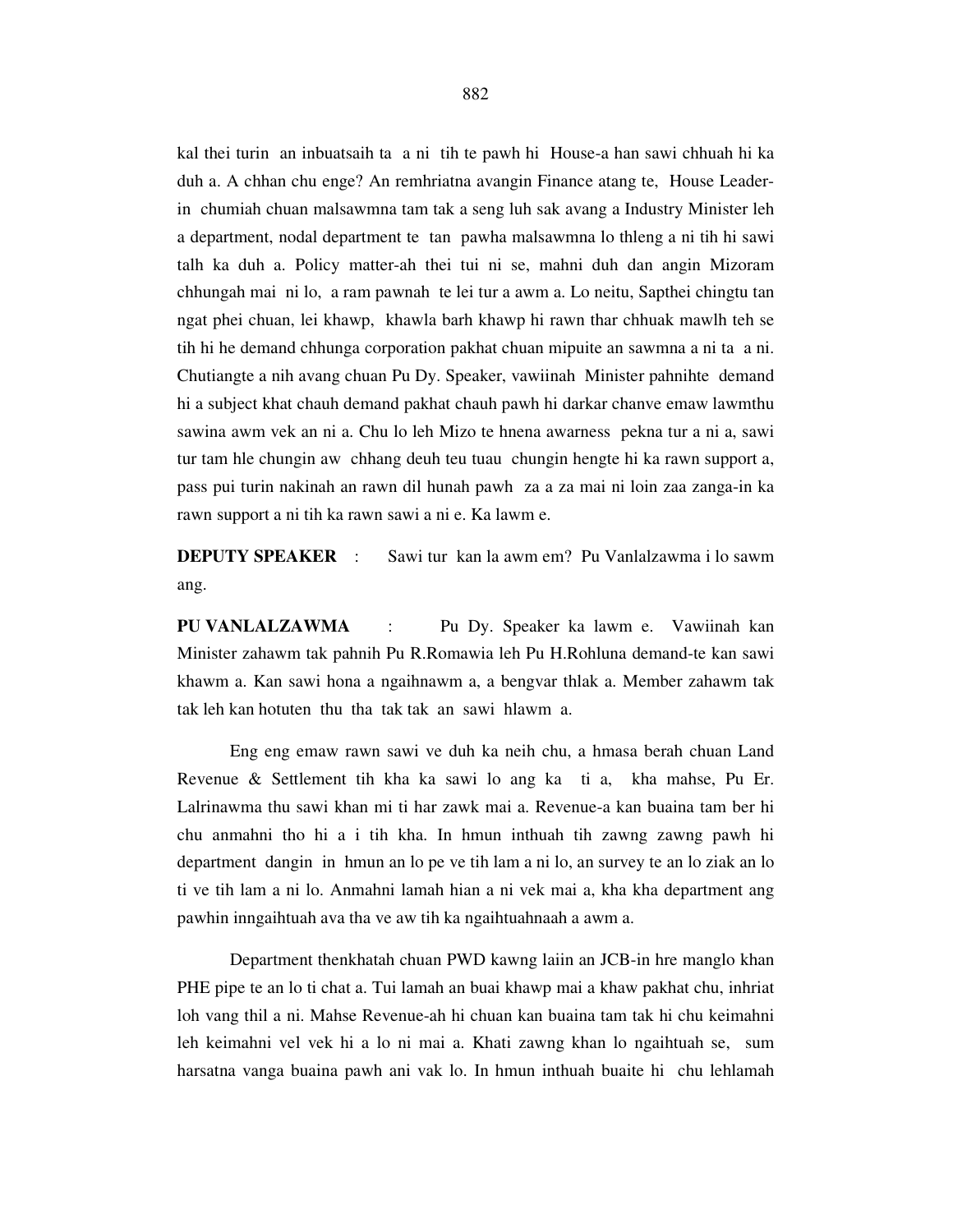kal thei turin an inbuatsaih ta a ni tih te pawh hi House-a han sawi chhuah hi ka duh a. A chhan chu enge? An remhriatna avangin Finance atang te, House Leaderin chumiah chuan malsawmna tam tak a seng luh sak avang a Industry Minister leh a department, nodal department te tan pawha malsawmna lo thleng a ni tih hi sawi talh ka duh a. Policy matter-ah thei tui ni se, mahni duh dan angin Mizoram chhungah mai ni lo, a ram pawnah te lei tur a awm a. Lo neitu, Sapthei chingtu tan ngat phei chuan, lei khawp, khawla barh khawp hi rawn thar chhuak mawlh teh se tih hi he demand chhunga corporation pakhat chuan mipuite an sawmna a ni ta a ni. Chutiangte a nih avang chuan Pu Dy. Speaker, vawiinah Minister pahnihte demand hi a subject khat chauh demand pakhat chauh pawh hi darkar chanve emaw lawmthu sawina awm vek an ni a. Chu lo leh Mizo te hnena awarness pekna tur a ni a, sawi tur tam hle chungin aw chhang deuh teu tuau chungin hengte hi ka rawn support a, pass pui turin nakinah an rawn dil hunah pawh za a za mai ni loin zaa zanga-in ka rawn support a ni tih ka rawn sawi a ni e. Ka lawm e.

**DEPUTY SPEAKER** : Sawi tur kan la awm em? Pu Vanlalzawma i lo sawm ang.

**PU VANLALZAWMA** : Pu Dy. Speaker ka lawm e. Vawiinah kan Minister zahawm tak pahnih Pu R.Romawia leh Pu H.Rohluna demand-te kan sawi khawm a. Kan sawi hona a ngaihnawm a, a bengvar thlak a. Member zahawm tak tak leh kan hotuten thu tha tak tak an sawi hlawm a.

 Eng eng emaw rawn sawi ve duh ka neih chu, a hmasa berah chuan Land Revenue & Settlement tih kha ka sawi lo ang ka ti a, kha mahse, Pu Er. Lalrinawma thu sawi khan mi ti har zawk mai a. Revenue-a kan buaina tam ber hi chu anmahni tho hi a i tih kha. In hmun inthuah tih zawng zawng pawh hi department dangin in hmun an lo pe ve tih lam a ni lo, an survey te an lo ziak an lo ti ve tih lam a ni lo. Anmahni lamah hian a ni vek mai a, kha kha department ang pawhin inngaihtuah ava tha ve aw tih ka ngaihtuahnaah a awm a.

 Department thenkhatah chuan PWD kawng laiin an JCB-in hre manglo khan PHE pipe te an lo ti chat a. Tui lamah an buai khawp mai a khaw pakhat chu, inhriat loh vang thil a ni. Mahse Revenue-ah hi chuan kan buaina tam tak hi chu keimahni leh keimahni vel vek hi a lo ni mai a. Khati zawng khan lo ngaihtuah se, sum harsatna vanga buaina pawh ani vak lo. In hmun inthuah buaite hi chu lehlamah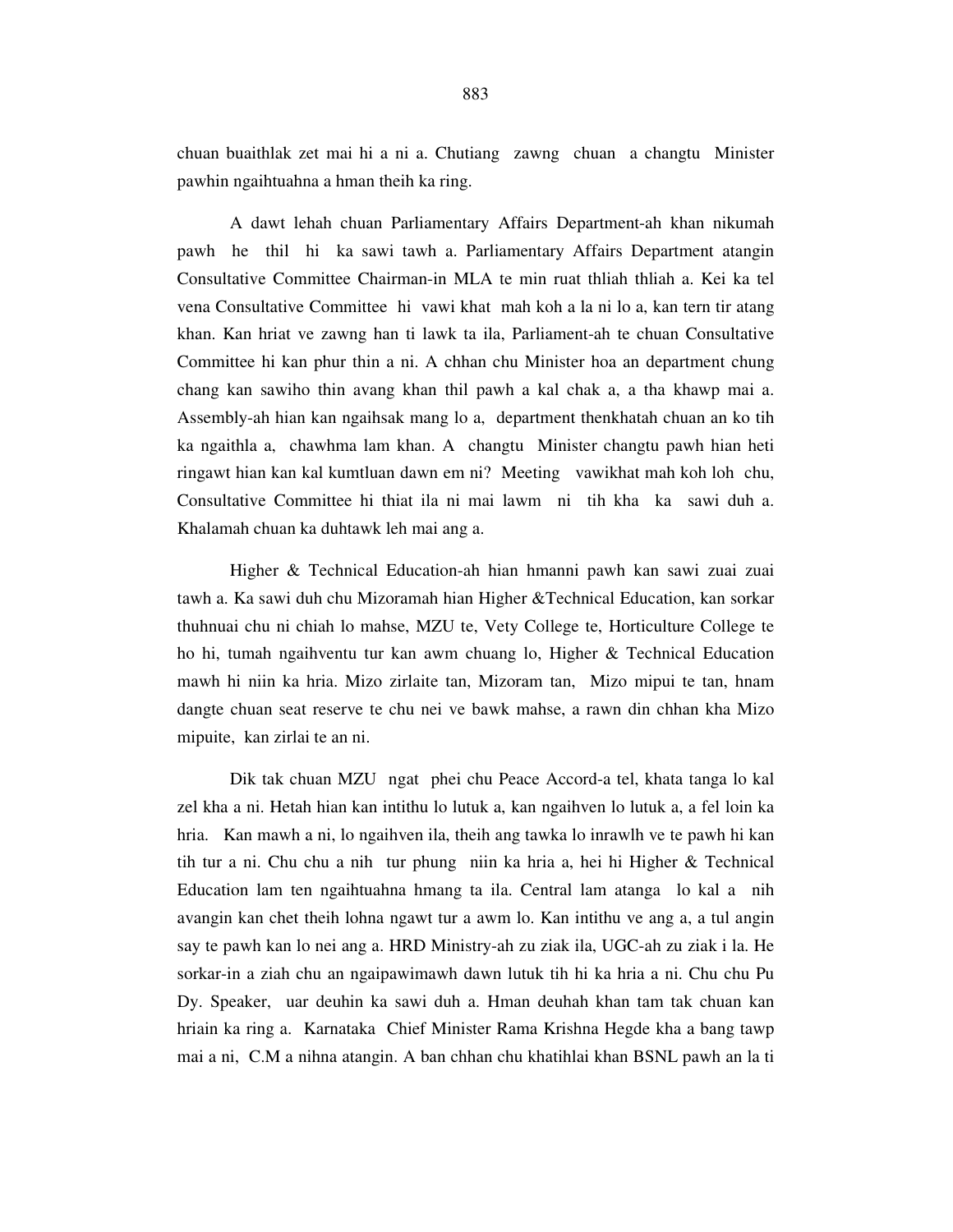chuan buaithlak zet mai hi a ni a. Chutiang zawng chuan a changtu Minister pawhin ngaihtuahna a hman theih ka ring.

 A dawt lehah chuan Parliamentary Affairs Department-ah khan nikumah pawh he thil hi ka sawi tawh a. Parliamentary Affairs Department atangin Consultative Committee Chairman-in MLA te min ruat thliah thliah a. Kei ka tel vena Consultative Committee hi vawi khat mah koh a la ni lo a, kan tern tir atang khan. Kan hriat ve zawng han ti lawk ta ila, Parliament-ah te chuan Consultative Committee hi kan phur thin a ni. A chhan chu Minister hoa an department chung chang kan sawiho thin avang khan thil pawh a kal chak a, a tha khawp mai a. Assembly-ah hian kan ngaihsak mang lo a, department thenkhatah chuan an ko tih ka ngaithla a, chawhma lam khan. A changtu Minister changtu pawh hian heti ringawt hian kan kal kumtluan dawn em ni? Meeting vawikhat mah koh loh chu, Consultative Committee hi thiat ila ni mai lawm ni tih kha ka sawi duh a. Khalamah chuan ka duhtawk leh mai ang a.

 Higher & Technical Education-ah hian hmanni pawh kan sawi zuai zuai tawh a. Ka sawi duh chu Mizoramah hian Higher &Technical Education, kan sorkar thuhnuai chu ni chiah lo mahse, MZU te, Vety College te, Horticulture College te ho hi, tumah ngaihventu tur kan awm chuang lo, Higher & Technical Education mawh hi niin ka hria. Mizo zirlaite tan, Mizoram tan, Mizo mipui te tan, hnam dangte chuan seat reserve te chu nei ve bawk mahse, a rawn din chhan kha Mizo mipuite, kan zirlai te an ni.

 Dik tak chuan MZU ngat phei chu Peace Accord-a tel, khata tanga lo kal zel kha a ni. Hetah hian kan intithu lo lutuk a, kan ngaihven lo lutuk a, a fel loin ka hria. Kan mawh a ni, lo ngaihven ila, theih ang tawka lo inrawlh ve te pawh hi kan tih tur a ni. Chu chu a nih tur phung niin ka hria a, hei hi Higher & Technical Education lam ten ngaihtuahna hmang ta ila. Central lam atanga lo kal a nih avangin kan chet theih lohna ngawt tur a awm lo. Kan intithu ve ang a, a tul angin say te pawh kan lo nei ang a. HRD Ministry-ah zu ziak ila, UGC-ah zu ziak i la. He sorkar-in a ziah chu an ngaipawimawh dawn lutuk tih hi ka hria a ni. Chu chu Pu Dy. Speaker, uar deuhin ka sawi duh a. Hman deuhah khan tam tak chuan kan hriain ka ring a. Karnataka Chief Minister Rama Krishna Hegde kha a bang tawp mai a ni, C.M a nihna atangin. A ban chhan chu khatihlai khan BSNL pawh an la ti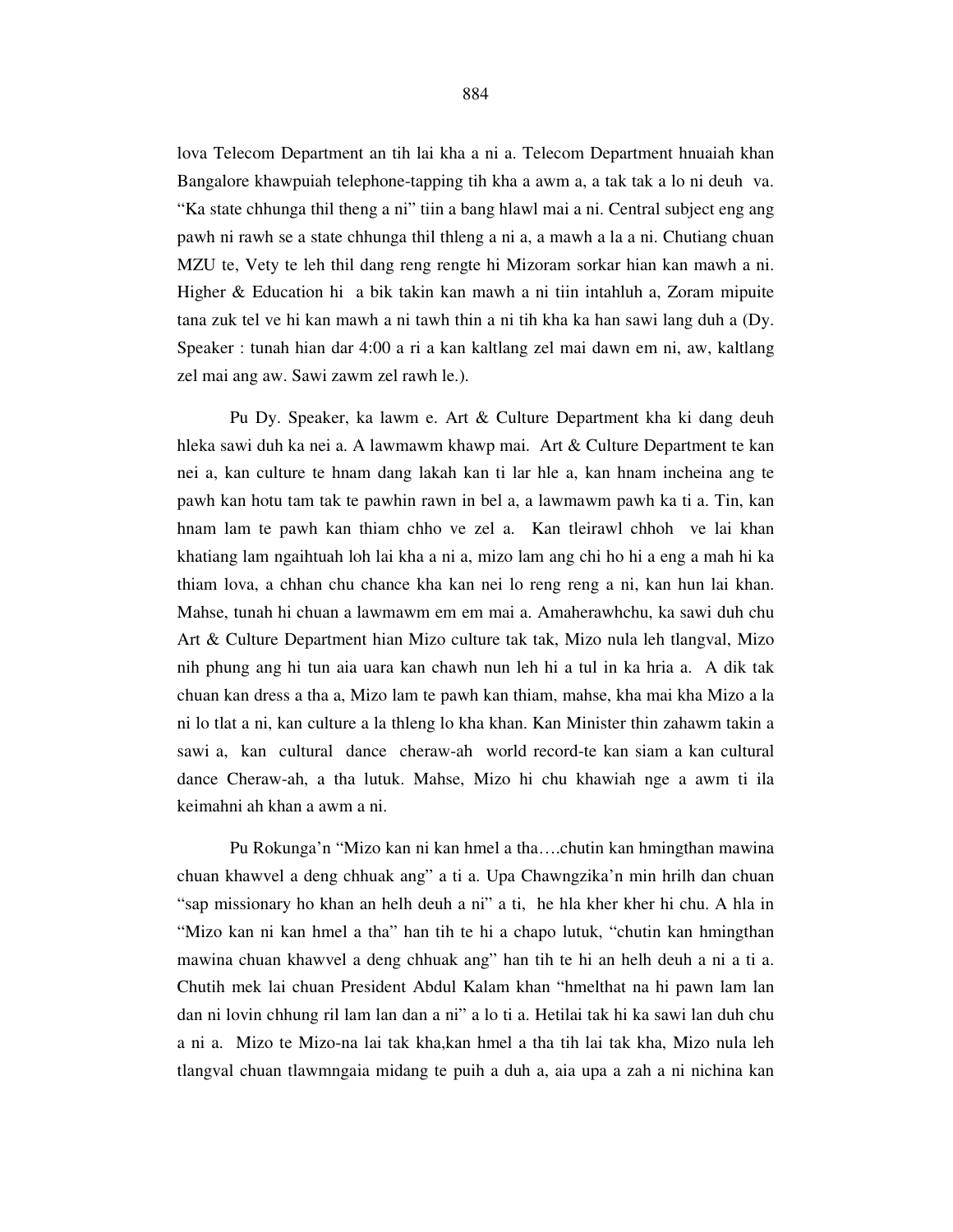lova Telecom Department an tih lai kha a ni a. Telecom Department hnuaiah khan Bangalore khawpuiah telephone-tapping tih kha a awm a, a tak tak a lo ni deuh va. "Ka state chhunga thil theng a ni" tiin a bang hlawl mai a ni. Central subject eng ang pawh ni rawh se a state chhunga thil thleng a ni a, a mawh a la a ni. Chutiang chuan MZU te, Vety te leh thil dang reng rengte hi Mizoram sorkar hian kan mawh a ni. Higher & Education hi a bik takin kan mawh a ni tiin intahluh a, Zoram mipuite tana zuk tel ve hi kan mawh a ni tawh thin a ni tih kha ka han sawi lang duh a (Dy. Speaker : tunah hian dar 4:00 a ri a kan kaltlang zel mai dawn em ni, aw, kaltlang zel mai ang aw. Sawi zawm zel rawh le.).

 Pu Dy. Speaker, ka lawm e. Art & Culture Department kha ki dang deuh hleka sawi duh ka nei a. A lawmawm khawp mai. Art & Culture Department te kan nei a, kan culture te hnam dang lakah kan ti lar hle a, kan hnam incheina ang te pawh kan hotu tam tak te pawhin rawn in bel a, a lawmawm pawh ka ti a. Tin, kan hnam lam te pawh kan thiam chho ve zel a. Kan tleirawl chhoh ve lai khan khatiang lam ngaihtuah loh lai kha a ni a, mizo lam ang chi ho hi a eng a mah hi ka thiam lova, a chhan chu chance kha kan nei lo reng reng a ni, kan hun lai khan. Mahse, tunah hi chuan a lawmawm em em mai a. Amaherawhchu, ka sawi duh chu Art & Culture Department hian Mizo culture tak tak, Mizo nula leh tlangval, Mizo nih phung ang hi tun aia uara kan chawh nun leh hi a tul in ka hria a. A dik tak chuan kan dress a tha a, Mizo lam te pawh kan thiam, mahse, kha mai kha Mizo a la ni lo tlat a ni, kan culture a la thleng lo kha khan. Kan Minister thin zahawm takin a sawi a, kan cultural dance cheraw-ah world record-te kan siam a kan cultural dance Cheraw-ah, a tha lutuk. Mahse, Mizo hi chu khawiah nge a awm ti ila keimahni ah khan a awm a ni.

 Pu Rokunga'n "Mizo kan ni kan hmel a tha….chutin kan hmingthan mawina chuan khawvel a deng chhuak ang" a ti a. Upa Chawngzika'n min hrilh dan chuan "sap missionary ho khan an helh deuh a ni" a ti, he hla kher kher hi chu. A hla in "Mizo kan ni kan hmel a tha" han tih te hi a chapo lutuk, "chutin kan hmingthan mawina chuan khawvel a deng chhuak ang" han tih te hi an helh deuh a ni a ti a. Chutih mek lai chuan President Abdul Kalam khan "hmelthat na hi pawn lam lan dan ni lovin chhung ril lam lan dan a ni" a lo ti a. Hetilai tak hi ka sawi lan duh chu a ni a. Mizo te Mizo-na lai tak kha,kan hmel a tha tih lai tak kha, Mizo nula leh tlangval chuan tlawmngaia midang te puih a duh a, aia upa a zah a ni nichina kan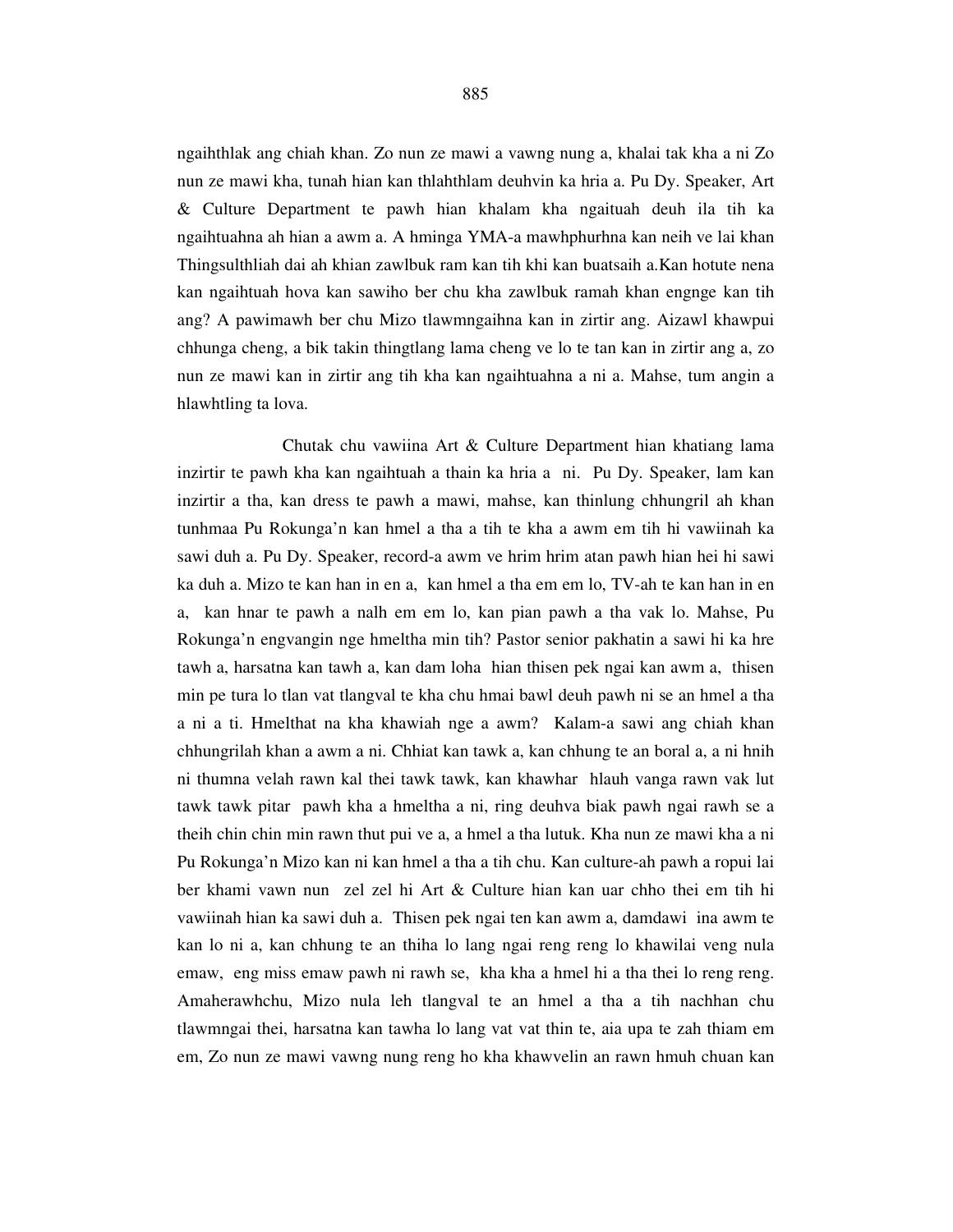ngaihthlak ang chiah khan. Zo nun ze mawi a vawng nung a, khalai tak kha a ni Zo nun ze mawi kha, tunah hian kan thlahthlam deuhvin ka hria a. Pu Dy. Speaker, Art & Culture Department te pawh hian khalam kha ngaituah deuh ila tih ka ngaihtuahna ah hian a awm a. A hminga YMA-a mawhphurhna kan neih ve lai khan Thingsulthliah dai ah khian zawlbuk ram kan tih khi kan buatsaih a.Kan hotute nena kan ngaihtuah hova kan sawiho ber chu kha zawlbuk ramah khan engnge kan tih ang? A pawimawh ber chu Mizo tlawmngaihna kan in zirtir ang. Aizawl khawpui chhunga cheng, a bik takin thingtlang lama cheng ve lo te tan kan in zirtir ang a, zo nun ze mawi kan in zirtir ang tih kha kan ngaihtuahna a ni a. Mahse, tum angin a hlawhtling ta lova.

 Chutak chu vawiina Art & Culture Department hian khatiang lama inzirtir te pawh kha kan ngaihtuah a thain ka hria a ni. Pu Dy. Speaker, lam kan inzirtir a tha, kan dress te pawh a mawi, mahse, kan thinlung chhungril ah khan tunhmaa Pu Rokunga'n kan hmel a tha a tih te kha a awm em tih hi vawiinah ka sawi duh a. Pu Dy. Speaker, record-a awm ve hrim hrim atan pawh hian hei hi sawi ka duh a. Mizo te kan han in en a, kan hmel a tha em em lo, TV-ah te kan han in en a, kan hnar te pawh a nalh em em lo, kan pian pawh a tha vak lo. Mahse, Pu Rokunga'n engvangin nge hmeltha min tih? Pastor senior pakhatin a sawi hi ka hre tawh a, harsatna kan tawh a, kan dam loha hian thisen pek ngai kan awm a, thisen min pe tura lo tlan vat tlangval te kha chu hmai bawl deuh pawh ni se an hmel a tha a ni a ti. Hmelthat na kha khawiah nge a awm? Kalam-a sawi ang chiah khan chhungrilah khan a awm a ni. Chhiat kan tawk a, kan chhung te an boral a, a ni hnih ni thumna velah rawn kal thei tawk tawk, kan khawhar hlauh vanga rawn vak lut tawk tawk pitar pawh kha a hmeltha a ni, ring deuhva biak pawh ngai rawh se a theih chin chin min rawn thut pui ve a, a hmel a tha lutuk. Kha nun ze mawi kha a ni Pu Rokunga'n Mizo kan ni kan hmel a tha a tih chu. Kan culture-ah pawh a ropui lai ber khami vawn nun zel zel hi Art & Culture hian kan uar chho thei em tih hi vawiinah hian ka sawi duh a. Thisen pek ngai ten kan awm a, damdawi ina awm te kan lo ni a, kan chhung te an thiha lo lang ngai reng reng lo khawilai veng nula emaw, eng miss emaw pawh ni rawh se, kha kha a hmel hi a tha thei lo reng reng. Amaherawhchu, Mizo nula leh tlangval te an hmel a tha a tih nachhan chu tlawmngai thei, harsatna kan tawha lo lang vat vat thin te, aia upa te zah thiam em em, Zo nun ze mawi vawng nung reng ho kha khawvelin an rawn hmuh chuan kan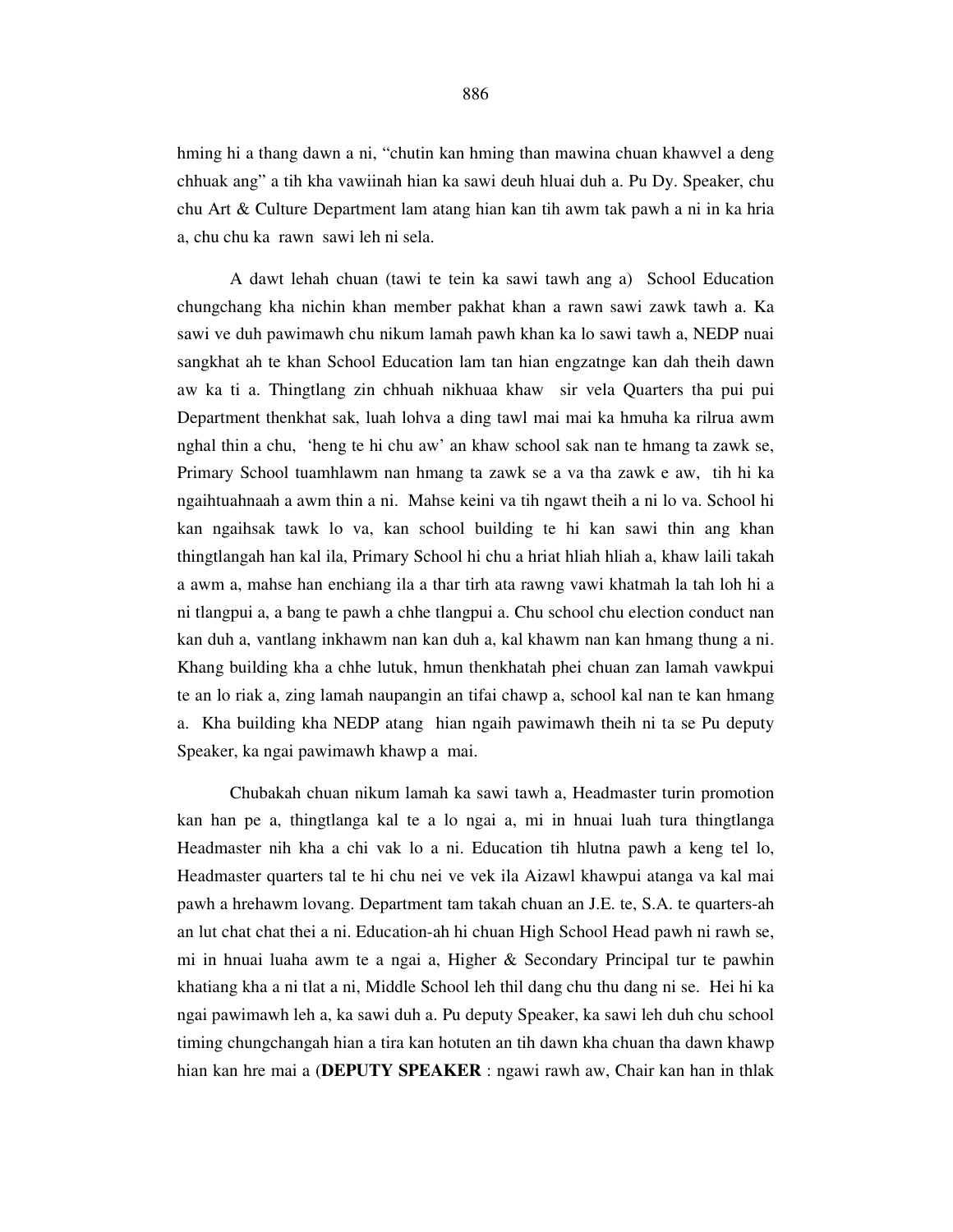hming hi a thang dawn a ni, "chutin kan hming than mawina chuan khawvel a deng chhuak ang" a tih kha vawiinah hian ka sawi deuh hluai duh a. Pu Dy. Speaker, chu chu Art & Culture Department lam atang hian kan tih awm tak pawh a ni in ka hria a, chu chu ka rawn sawi leh ni sela.

 A dawt lehah chuan (tawi te tein ka sawi tawh ang a) School Education chungchang kha nichin khan member pakhat khan a rawn sawi zawk tawh a. Ka sawi ve duh pawimawh chu nikum lamah pawh khan ka lo sawi tawh a, NEDP nuai sangkhat ah te khan School Education lam tan hian engzatnge kan dah theih dawn aw ka ti a. Thingtlang zin chhuah nikhuaa khaw sir vela Quarters tha pui pui Department thenkhat sak, luah lohva a ding tawl mai mai ka hmuha ka rilrua awm nghal thin a chu, 'heng te hi chu aw' an khaw school sak nan te hmang ta zawk se, Primary School tuamhlawm nan hmang ta zawk se a va tha zawk e aw, tih hi ka ngaihtuahnaah a awm thin a ni. Mahse keini va tih ngawt theih a ni lo va. School hi kan ngaihsak tawk lo va, kan school building te hi kan sawi thin ang khan thingtlangah han kal ila, Primary School hi chu a hriat hliah hliah a, khaw laili takah a awm a, mahse han enchiang ila a thar tirh ata rawng vawi khatmah la tah loh hi a ni tlangpui a, a bang te pawh a chhe tlangpui a. Chu school chu election conduct nan kan duh a, vantlang inkhawm nan kan duh a, kal khawm nan kan hmang thung a ni. Khang building kha a chhe lutuk, hmun thenkhatah phei chuan zan lamah vawkpui te an lo riak a, zing lamah naupangin an tifai chawp a, school kal nan te kan hmang a. Kha building kha NEDP atang hian ngaih pawimawh theih ni ta se Pu deputy Speaker, ka ngai pawimawh khawp a mai.

Chubakah chuan nikum lamah ka sawi tawh a, Headmaster turin promotion kan han pe a, thingtlanga kal te a lo ngai a, mi in hnuai luah tura thingtlanga Headmaster nih kha a chi vak lo a ni. Education tih hlutna pawh a keng tel lo, Headmaster quarters tal te hi chu nei ve vek ila Aizawl khawpui atanga va kal mai pawh a hrehawm lovang. Department tam takah chuan an J.E. te, S.A. te quarters-ah an lut chat chat thei a ni. Education-ah hi chuan High School Head pawh ni rawh se, mi in hnuai luaha awm te a ngai a, Higher & Secondary Principal tur te pawhin khatiang kha a ni tlat a ni, Middle School leh thil dang chu thu dang ni se. Hei hi ka ngai pawimawh leh a, ka sawi duh a. Pu deputy Speaker, ka sawi leh duh chu school timing chungchangah hian a tira kan hotuten an tih dawn kha chuan tha dawn khawp hian kan hre mai a (**DEPUTY SPEAKER** : ngawi rawh aw, Chair kan han in thlak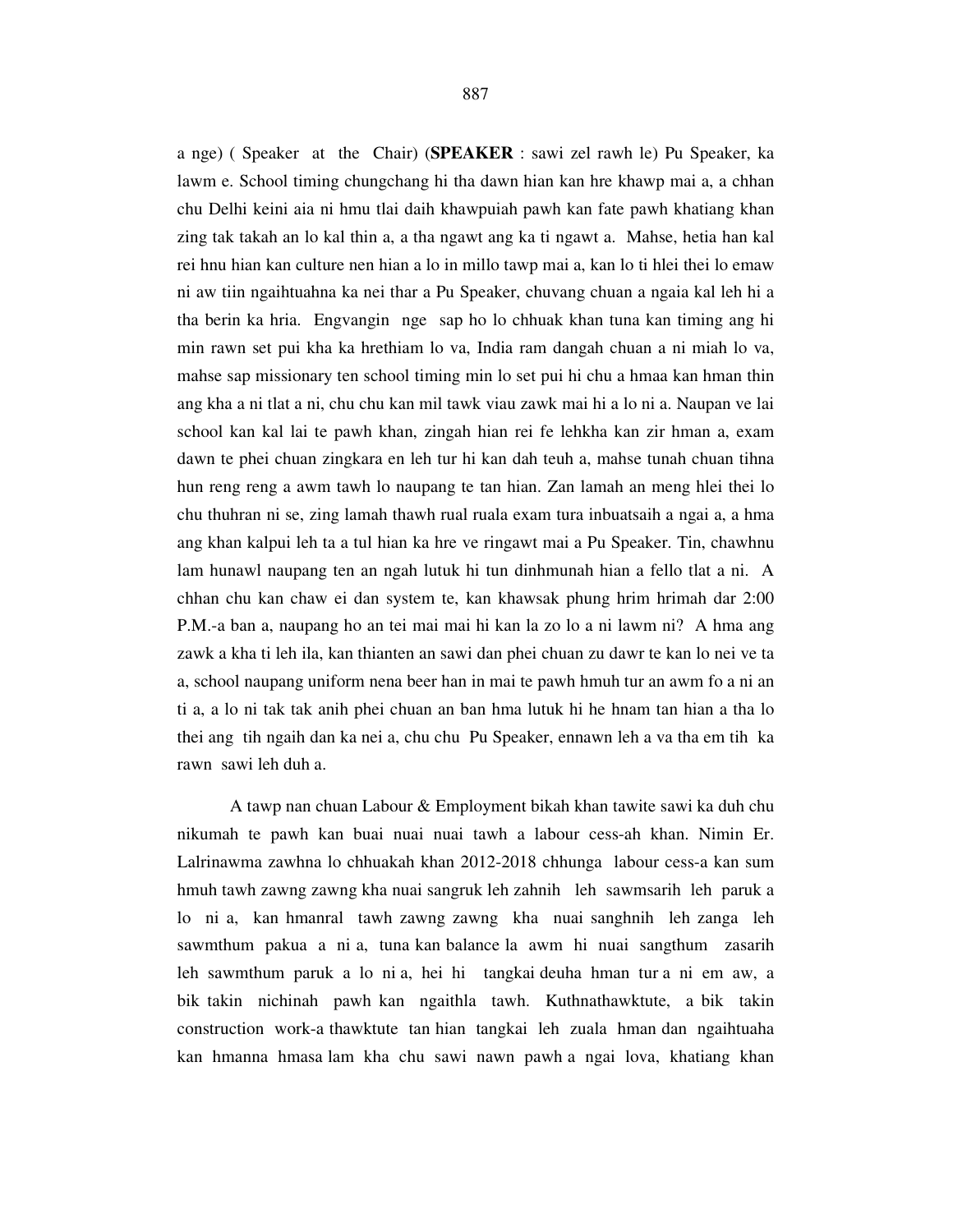a nge) ( Speaker at the Chair) (**SPEAKER** : sawi zel rawh le) Pu Speaker, ka lawm e. School timing chungchang hi tha dawn hian kan hre khawp mai a, a chhan chu Delhi keini aia ni hmu tlai daih khawpuiah pawh kan fate pawh khatiang khan zing tak takah an lo kal thin a, a tha ngawt ang ka ti ngawt a. Mahse, hetia han kal rei hnu hian kan culture nen hian a lo in millo tawp mai a, kan lo ti hlei thei lo emaw ni aw tiin ngaihtuahna ka nei thar a Pu Speaker, chuvang chuan a ngaia kal leh hi a tha berin ka hria. Engvangin nge sap ho lo chhuak khan tuna kan timing ang hi min rawn set pui kha ka hrethiam lo va, India ram dangah chuan a ni miah lo va, mahse sap missionary ten school timing min lo set pui hi chu a hmaa kan hman thin ang kha a ni tlat a ni, chu chu kan mil tawk viau zawk mai hi a lo ni a. Naupan ve lai school kan kal lai te pawh khan, zingah hian rei fe lehkha kan zir hman a, exam dawn te phei chuan zingkara en leh tur hi kan dah teuh a, mahse tunah chuan tihna hun reng reng a awm tawh lo naupang te tan hian. Zan lamah an meng hlei thei lo chu thuhran ni se, zing lamah thawh rual ruala exam tura inbuatsaih a ngai a, a hma ang khan kalpui leh ta a tul hian ka hre ve ringawt mai a Pu Speaker. Tin, chawhnu lam hunawl naupang ten an ngah lutuk hi tun dinhmunah hian a fello tlat a ni. A chhan chu kan chaw ei dan system te, kan khawsak phung hrim hrimah dar 2:00 P.M.-a ban a, naupang ho an tei mai mai hi kan la zo lo a ni lawm ni? A hma ang zawk a kha ti leh ila, kan thianten an sawi dan phei chuan zu dawr te kan lo nei ve ta a, school naupang uniform nena beer han in mai te pawh hmuh tur an awm fo a ni an ti a, a lo ni tak tak anih phei chuan an ban hma lutuk hi he hnam tan hian a tha lo thei ang tih ngaih dan ka nei a, chu chu Pu Speaker, ennawn leh a va tha em tih ka rawn sawi leh duh a.

 A tawp nan chuan Labour & Employment bikah khan tawite sawi ka duh chu nikumah te pawh kan buai nuai nuai tawh a labour cess-ah khan. Nimin Er. Lalrinawma zawhna lo chhuakah khan 2012-2018 chhunga labour cess-a kan sum hmuh tawh zawng zawng kha nuai sangruk leh zahnih leh sawmsarih leh paruk a lo ni a, kan hmanral tawh zawng zawng kha nuai sanghnih leh zanga leh sawmthum pakua a ni a, tuna kan balance la awm hi nuai sangthum zasarih leh sawmthum paruk a lo ni a, hei hi tangkai deuha hman tur a ni em aw, a bik takin nichinah pawh kan ngaithla tawh. Kuthnathawktute, a bik takin construction work-a thawktute tan hian tangkai leh zuala hman dan ngaihtuaha kan hmanna hmasa lam kha chu sawi nawn pawh a ngai lova, khatiang khan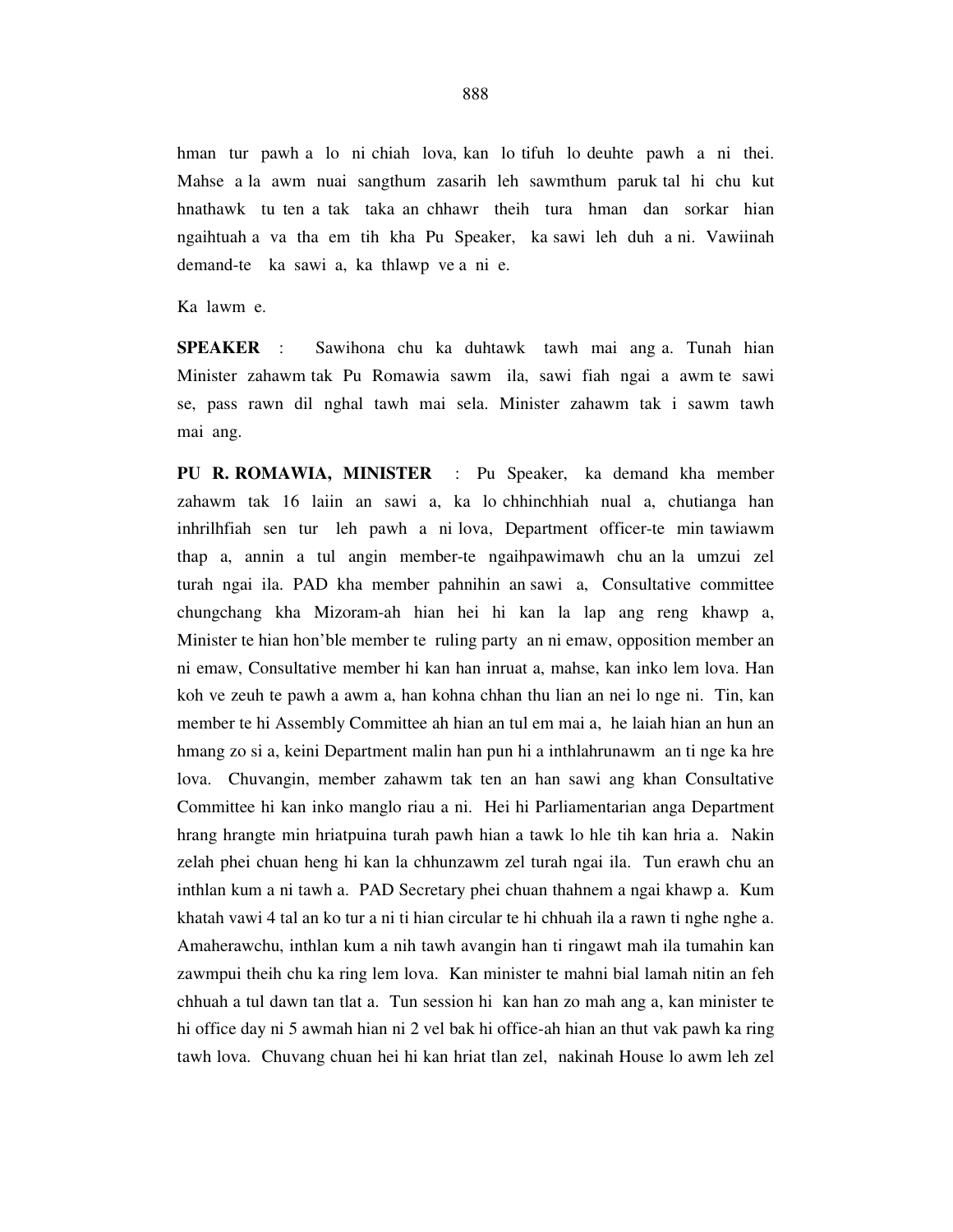hman tur pawh a lo ni chiah lova, kan lo tifuh lo deuhte pawh a ni thei. Mahse a la awm nuai sangthum zasarih leh sawmthum paruk tal hi chu kut hnathawk tu ten a tak taka an chhawr theih tura hman dan sorkar hian ngaihtuah a va tha em tih kha Pu Speaker, ka sawi leh duh a ni. Vawiinah demand-te ka sawi a, ka thlawp ve a ni e.

Ka lawm e.

**SPEAKER** : Sawihona chu ka duhtawk tawh mai ang a. Tunah hian Minister zahawm tak Pu Romawia sawm ila, sawi fiah ngai a awm te sawi se, pass rawn dil nghal tawh mai sela. Minister zahawm tak i sawm tawh mai ang.

**PU R. ROMAWIA, MINISTER** : Pu Speaker, ka demand kha member zahawm tak 16 laiin an sawi a, ka lo chhinchhiah nual a, chutianga han inhrilhfiah sen tur leh pawh a ni lova, Department officer-te min tawiawm thap a, annin a tul angin member-te ngaihpawimawh chu an la umzui zel turah ngai ila. PAD kha member pahnihin an sawi a, Consultative committee chungchang kha Mizoram-ah hian hei hi kan la lap ang reng khawp a, Minister te hian hon'ble member te ruling party an ni emaw, opposition member an ni emaw, Consultative member hi kan han inruat a, mahse, kan inko lem lova. Han koh ve zeuh te pawh a awm a, han kohna chhan thu lian an nei lo nge ni. Tin, kan member te hi Assembly Committee ah hian an tul em mai a, he laiah hian an hun an hmang zo si a, keini Department malin han pun hi a inthlahrunawm an ti nge ka hre lova. Chuvangin, member zahawm tak ten an han sawi ang khan Consultative Committee hi kan inko manglo riau a ni. Hei hi Parliamentarian anga Department hrang hrangte min hriatpuina turah pawh hian a tawk lo hle tih kan hria a. Nakin zelah phei chuan heng hi kan la chhunzawm zel turah ngai ila. Tun erawh chu an inthlan kum a ni tawh a. PAD Secretary phei chuan thahnem a ngai khawp a. Kum khatah vawi 4 tal an ko tur a ni ti hian circular te hi chhuah ila a rawn ti nghe nghe a. Amaherawchu, inthlan kum a nih tawh avangin han ti ringawt mah ila tumahin kan zawmpui theih chu ka ring lem lova. Kan minister te mahni bial lamah nitin an feh chhuah a tul dawn tan tlat a. Tun session hi kan han zo mah ang a, kan minister te hi office day ni 5 awmah hian ni 2 vel bak hi office-ah hian an thut vak pawh ka ring tawh lova. Chuvang chuan hei hi kan hriat tlan zel, nakinah House lo awm leh zel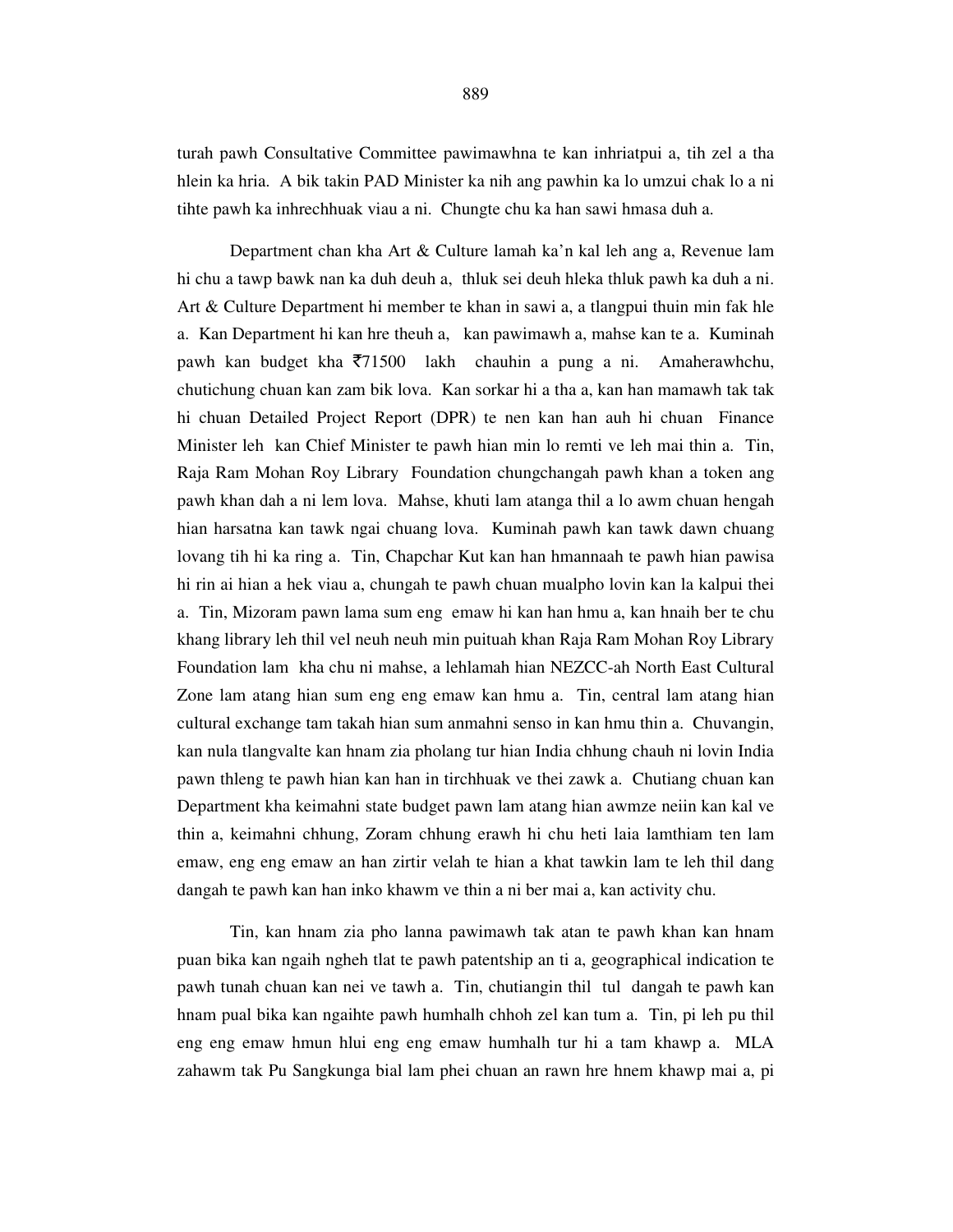turah pawh Consultative Committee pawimawhna te kan inhriatpui a, tih zel a tha hlein ka hria. A bik takin PAD Minister ka nih ang pawhin ka lo umzui chak lo a ni tihte pawh ka inhrechhuak viau a ni. Chungte chu ka han sawi hmasa duh a.

 Department chan kha Art & Culture lamah ka'n kal leh ang a, Revenue lam hi chu a tawp bawk nan ka duh deuh a, thluk sei deuh hleka thluk pawh ka duh a ni. Art & Culture Department hi member te khan in sawi a, a tlangpui thuin min fak hle a. Kan Department hi kan hre theuh a, kan pawimawh a, mahse kan te a. Kuminah pawh kan budget kha  $\overline{571500}$  lakh chauhin a pung a ni. Amaherawhchu, chutichung chuan kan zam bik lova. Kan sorkar hi a tha a, kan han mamawh tak tak hi chuan Detailed Project Report (DPR) te nen kan han auh hi chuan Finance Minister leh kan Chief Minister te pawh hian min lo remti ve leh mai thin a. Tin, Raja Ram Mohan Roy Library Foundation chungchangah pawh khan a token ang pawh khan dah a ni lem lova. Mahse, khuti lam atanga thil a lo awm chuan hengah hian harsatna kan tawk ngai chuang lova. Kuminah pawh kan tawk dawn chuang lovang tih hi ka ring a. Tin, Chapchar Kut kan han hmannaah te pawh hian pawisa hi rin ai hian a hek viau a, chungah te pawh chuan mualpho lovin kan la kalpui thei a. Tin, Mizoram pawn lama sum eng emaw hi kan han hmu a, kan hnaih ber te chu khang library leh thil vel neuh neuh min puituah khan Raja Ram Mohan Roy Library Foundation lam kha chu ni mahse, a lehlamah hian NEZCC-ah North East Cultural Zone lam atang hian sum eng eng emaw kan hmu a. Tin, central lam atang hian cultural exchange tam takah hian sum anmahni senso in kan hmu thin a. Chuvangin, kan nula tlangvalte kan hnam zia pholang tur hian India chhung chauh ni lovin India pawn thleng te pawh hian kan han in tirchhuak ve thei zawk a. Chutiang chuan kan Department kha keimahni state budget pawn lam atang hian awmze neiin kan kal ve thin a, keimahni chhung, Zoram chhung erawh hi chu heti laia lamthiam ten lam emaw, eng eng emaw an han zirtir velah te hian a khat tawkin lam te leh thil dang dangah te pawh kan han inko khawm ve thin a ni ber mai a, kan activity chu.

Tin, kan hnam zia pho lanna pawimawh tak atan te pawh khan kan hnam puan bika kan ngaih ngheh tlat te pawh patentship an ti a, geographical indication te pawh tunah chuan kan nei ve tawh a. Tin, chutiangin thil tul dangah te pawh kan hnam pual bika kan ngaihte pawh humhalh chhoh zel kan tum a. Tin, pi leh pu thil eng eng emaw hmun hlui eng eng emaw humhalh tur hi a tam khawp a. MLA zahawm tak Pu Sangkunga bial lam phei chuan an rawn hre hnem khawp mai a, pi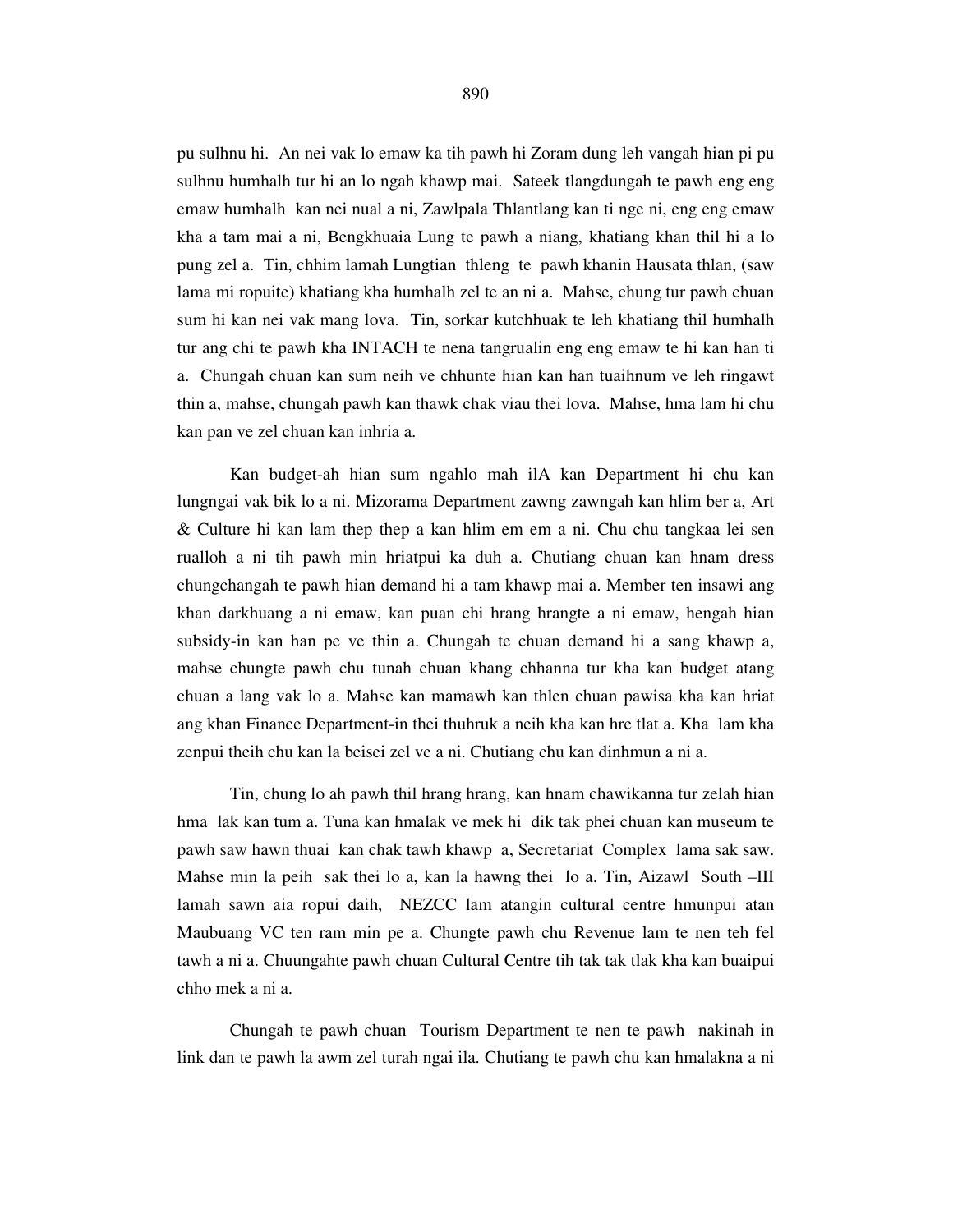pu sulhnu hi. An nei vak lo emaw ka tih pawh hi Zoram dung leh vangah hian pi pu sulhnu humhalh tur hi an lo ngah khawp mai. Sateek tlangdungah te pawh eng eng emaw humhalh kan nei nual a ni, Zawlpala Thlantlang kan ti nge ni, eng eng emaw kha a tam mai a ni, Bengkhuaia Lung te pawh a niang, khatiang khan thil hi a lo pung zel a. Tin, chhim lamah Lungtian thleng te pawh khanin Hausata thlan, (saw lama mi ropuite) khatiang kha humhalh zel te an ni a. Mahse, chung tur pawh chuan sum hi kan nei vak mang lova. Tin, sorkar kutchhuak te leh khatiang thil humhalh tur ang chi te pawh kha INTACH te nena tangrualin eng eng emaw te hi kan han ti a. Chungah chuan kan sum neih ve chhunte hian kan han tuaihnum ve leh ringawt thin a, mahse, chungah pawh kan thawk chak viau thei lova. Mahse, hma lam hi chu kan pan ve zel chuan kan inhria a.

 Kan budget-ah hian sum ngahlo mah ilA kan Department hi chu kan lungngai vak bik lo a ni. Mizorama Department zawng zawngah kan hlim ber a, Art & Culture hi kan lam thep thep a kan hlim em em a ni. Chu chu tangkaa lei sen rualloh a ni tih pawh min hriatpui ka duh a. Chutiang chuan kan hnam dress chungchangah te pawh hian demand hi a tam khawp mai a. Member ten insawi ang khan darkhuang a ni emaw, kan puan chi hrang hrangte a ni emaw, hengah hian subsidy-in kan han pe ve thin a. Chungah te chuan demand hi a sang khawp a, mahse chungte pawh chu tunah chuan khang chhanna tur kha kan budget atang chuan a lang vak lo a. Mahse kan mamawh kan thlen chuan pawisa kha kan hriat ang khan Finance Department-in thei thuhruk a neih kha kan hre tlat a. Kha lam kha zenpui theih chu kan la beisei zel ve a ni. Chutiang chu kan dinhmun a ni a.

Tin, chung lo ah pawh thil hrang hrang, kan hnam chawikanna tur zelah hian hma lak kan tum a. Tuna kan hmalak ve mek hi dik tak phei chuan kan museum te pawh saw hawn thuai kan chak tawh khawp a, Secretariat Complex lama sak saw. Mahse min la peih sak thei lo a, kan la hawng thei lo a. Tin, Aizawl South –III lamah sawn aia ropui daih, NEZCC lam atangin cultural centre hmunpui atan Maubuang VC ten ram min pe a. Chungte pawh chu Revenue lam te nen teh fel tawh a ni a. Chuungahte pawh chuan Cultural Centre tih tak tak tlak kha kan buaipui chho mek a ni a.

Chungah te pawh chuan Tourism Department te nen te pawh nakinah in link dan te pawh la awm zel turah ngai ila. Chutiang te pawh chu kan hmalakna a ni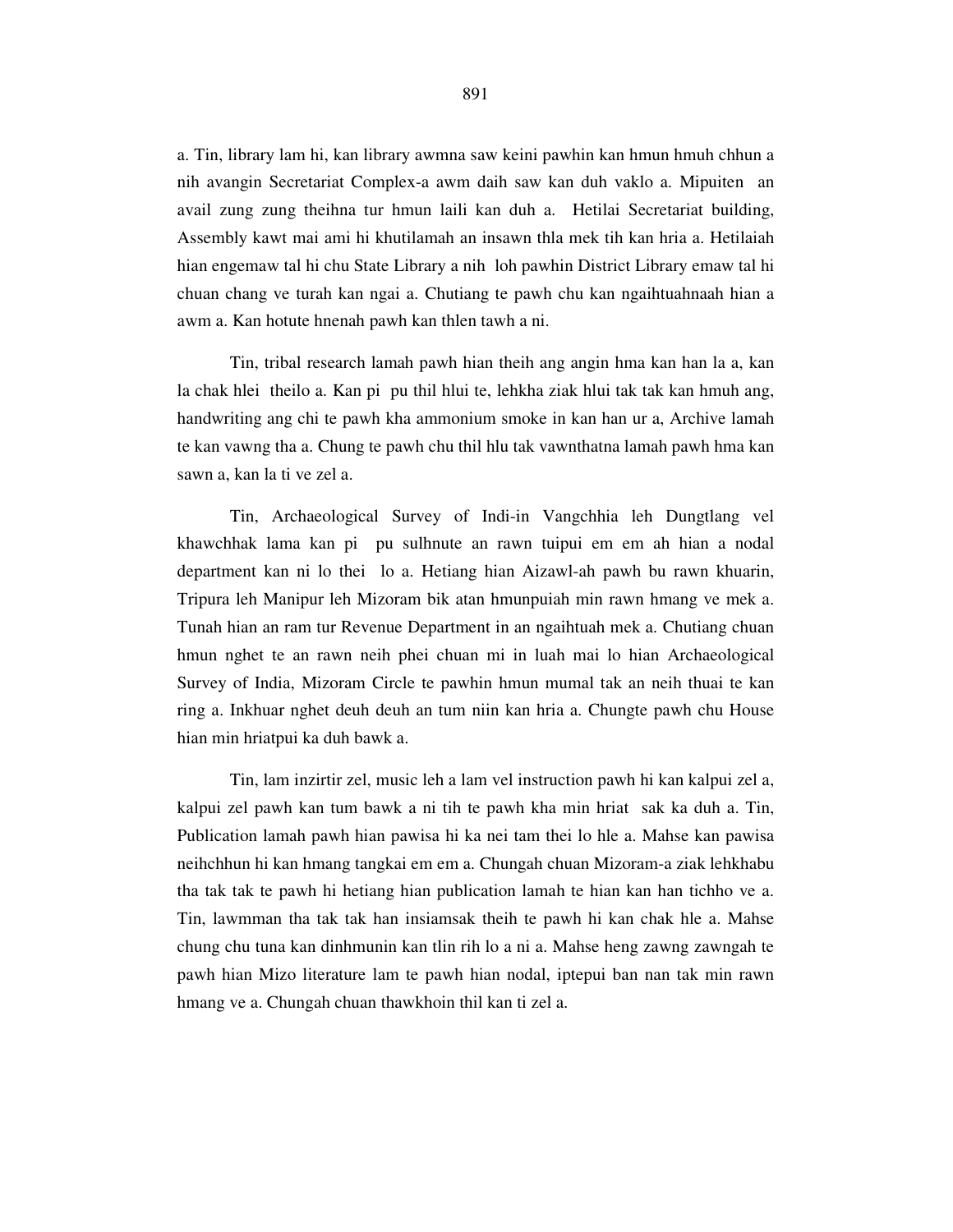a. Tin, library lam hi, kan library awmna saw keini pawhin kan hmun hmuh chhun a nih avangin Secretariat Complex-a awm daih saw kan duh vaklo a. Mipuiten an avail zung zung theihna tur hmun laili kan duh a. Hetilai Secretariat building, Assembly kawt mai ami hi khutilamah an insawn thla mek tih kan hria a. Hetilaiah hian engemaw tal hi chu State Library a nih loh pawhin District Library emaw tal hi chuan chang ve turah kan ngai a. Chutiang te pawh chu kan ngaihtuahnaah hian a awm a. Kan hotute hnenah pawh kan thlen tawh a ni.

Tin, tribal research lamah pawh hian theih ang angin hma kan han la a, kan la chak hlei theilo a. Kan pi pu thil hlui te, lehkha ziak hlui tak tak kan hmuh ang, handwriting ang chi te pawh kha ammonium smoke in kan han ur a, Archive lamah te kan vawng tha a. Chung te pawh chu thil hlu tak vawnthatna lamah pawh hma kan sawn a, kan la ti ve zel a.

Tin, Archaeological Survey of Indi-in Vangchhia leh Dungtlang vel khawchhak lama kan pi pu sulhnute an rawn tuipui em em ah hian a nodal department kan ni lo thei lo a. Hetiang hian Aizawl-ah pawh bu rawn khuarin, Tripura leh Manipur leh Mizoram bik atan hmunpuiah min rawn hmang ve mek a. Tunah hian an ram tur Revenue Department in an ngaihtuah mek a. Chutiang chuan hmun nghet te an rawn neih phei chuan mi in luah mai lo hian Archaeological Survey of India, Mizoram Circle te pawhin hmun mumal tak an neih thuai te kan ring a. Inkhuar nghet deuh deuh an tum niin kan hria a. Chungte pawh chu House hian min hriatpui ka duh bawk a.

Tin, lam inzirtir zel, music leh a lam vel instruction pawh hi kan kalpui zel a, kalpui zel pawh kan tum bawk a ni tih te pawh kha min hriat sak ka duh a. Tin, Publication lamah pawh hian pawisa hi ka nei tam thei lo hle a. Mahse kan pawisa neihchhun hi kan hmang tangkai em em a. Chungah chuan Mizoram-a ziak lehkhabu tha tak tak te pawh hi hetiang hian publication lamah te hian kan han tichho ve a. Tin, lawmman tha tak tak han insiamsak theih te pawh hi kan chak hle a. Mahse chung chu tuna kan dinhmunin kan tlin rih lo a ni a. Mahse heng zawng zawngah te pawh hian Mizo literature lam te pawh hian nodal, iptepui ban nan tak min rawn hmang ve a. Chungah chuan thawkhoin thil kan ti zel a.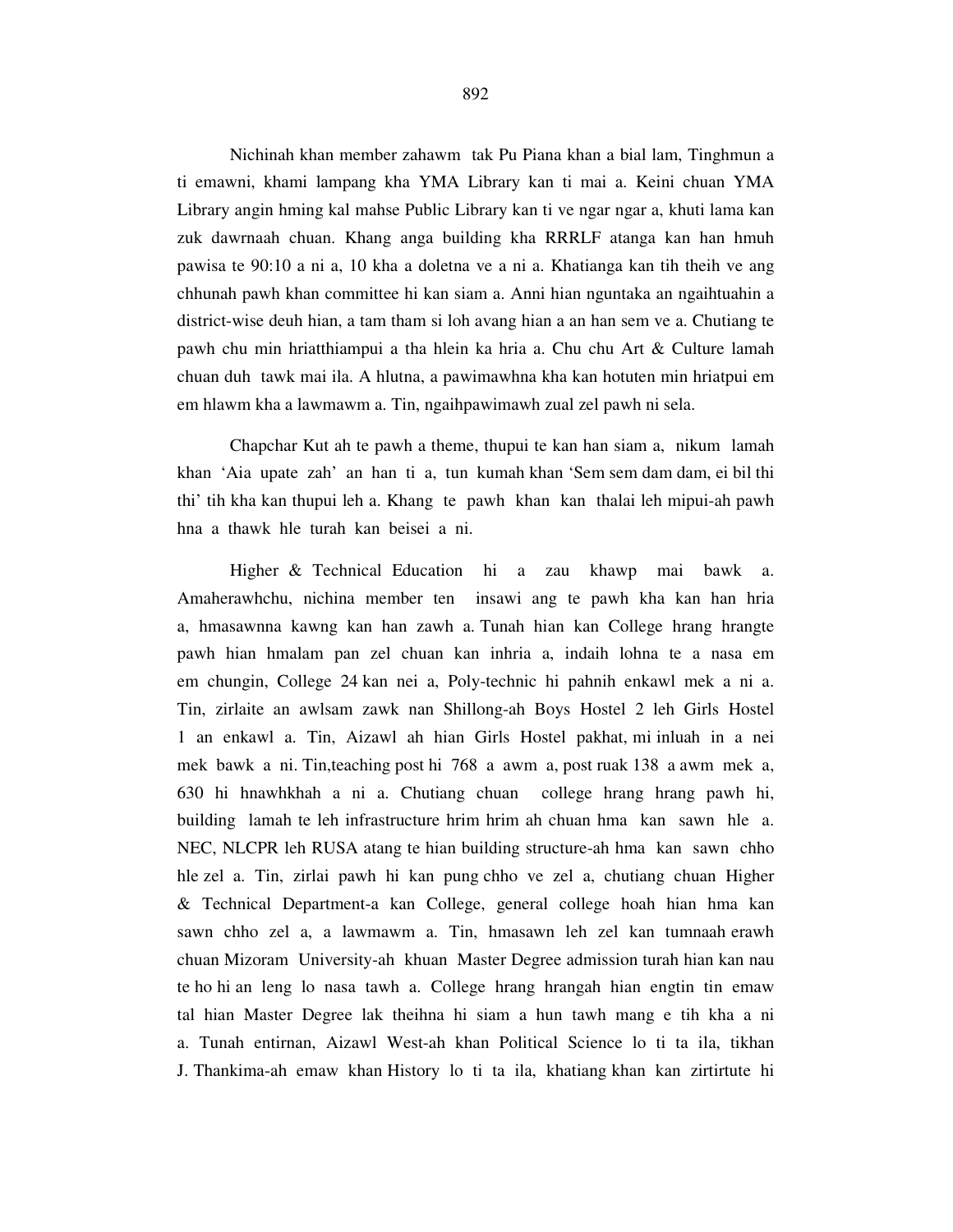Nichinah khan member zahawm tak Pu Piana khan a bial lam, Tinghmun a ti emawni, khami lampang kha YMA Library kan ti mai a. Keini chuan YMA Library angin hming kal mahse Public Library kan ti ve ngar ngar a, khuti lama kan zuk dawrnaah chuan. Khang anga building kha RRRLF atanga kan han hmuh pawisa te 90:10 a ni a, 10 kha a doletna ve a ni a. Khatianga kan tih theih ve ang chhunah pawh khan committee hi kan siam a. Anni hian nguntaka an ngaihtuahin a district-wise deuh hian, a tam tham si loh avang hian a an han sem ve a. Chutiang te pawh chu min hriatthiampui a tha hlein ka hria a. Chu chu Art & Culture lamah chuan duh tawk mai ila. A hlutna, a pawimawhna kha kan hotuten min hriatpui em em hlawm kha a lawmawm a. Tin, ngaihpawimawh zual zel pawh ni sela.

 Chapchar Kut ah te pawh a theme, thupui te kan han siam a, nikum lamah khan 'Aia upate zah' an han ti a, tun kumah khan 'Sem sem dam dam, ei bil thi thi' tih kha kan thupui leh a. Khang te pawh khan kan thalai leh mipui-ah pawh hna a thawk hle turah kan beisei a ni.

 Higher & Technical Education hi a zau khawp mai bawk a. Amaherawhchu, nichina member ten insawi ang te pawh kha kan han hria a, hmasawnna kawng kan han zawh a. Tunah hian kan College hrang hrangte pawh hian hmalam pan zel chuan kan inhria a, indaih lohna te a nasa em em chungin, College 24 kan nei a, Poly-technic hi pahnih enkawl mek a ni a. Tin, zirlaite an awlsam zawk nan Shillong-ah Boys Hostel 2 leh Girls Hostel 1 an enkawl a. Tin, Aizawl ah hian Girls Hostel pakhat, mi inluah in a nei mek bawk a ni. Tin,teaching post hi 768 a awm a, post ruak 138 a awm mek a, 630 hi hnawhkhah a ni a. Chutiang chuan college hrang hrang pawh hi, building lamah te leh infrastructure hrim hrim ah chuan hma kan sawn hle a. NEC, NLCPR leh RUSA atang te hian building structure-ah hma kan sawn chho hle zel a. Tin, zirlai pawh hi kan pung chho ve zel a, chutiang chuan Higher & Technical Department-a kan College, general college hoah hian hma kan sawn chho zel a, a lawmawm a. Tin, hmasawn leh zel kan tumnaah erawh chuan Mizoram University-ah khuan Master Degree admission turah hian kan nau te ho hi an leng lo nasa tawh a. College hrang hrangah hian engtin tin emaw tal hian Master Degree lak theihna hi siam a hun tawh mang e tih kha a ni a. Tunah entirnan, Aizawl West-ah khan Political Science lo ti ta ila, tikhan J. Thankima-ah emaw khan History lo ti ta ila, khatiang khan kan zirtirtute hi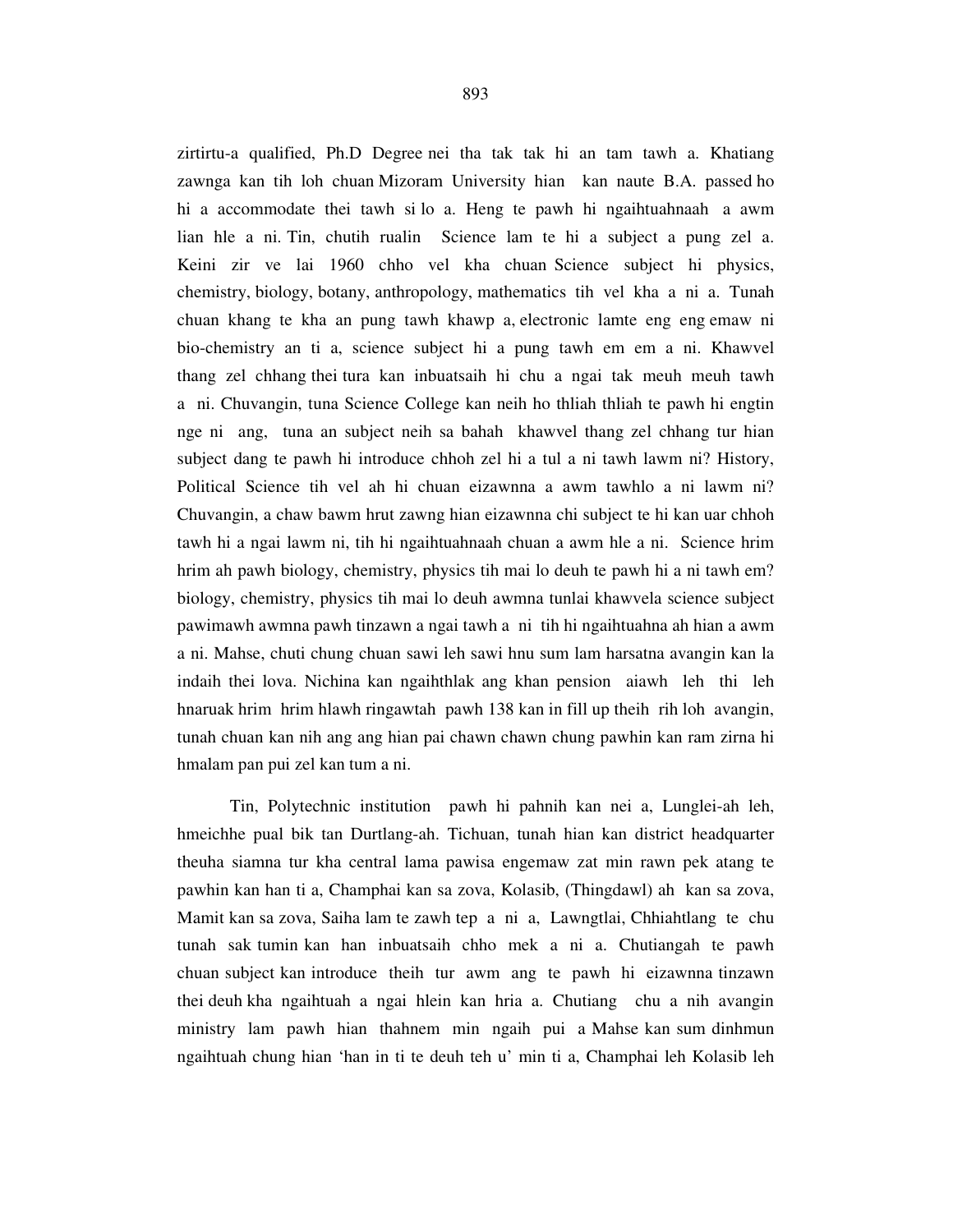zirtirtu-a qualified, Ph.D Degree nei tha tak tak hi an tam tawh a. Khatiang zawnga kan tih loh chuan Mizoram University hian kan naute B.A. passed ho hi a accommodate thei tawh si lo a. Heng te pawh hi ngaihtuahnaah a awm lian hle a ni. Tin, chutih rualin Science lam te hi a subject a pung zel a. Keini zir ve lai 1960 chho vel kha chuan Science subject hi physics, chemistry, biology, botany, anthropology, mathematics tih vel kha a ni a. Tunah chuan khang te kha an pung tawh khawp a, electronic lamte eng eng emaw ni bio-chemistry an ti a, science subject hi a pung tawh em em a ni. Khawvel thang zel chhang thei tura kan inbuatsaih hi chu a ngai tak meuh meuh tawh a ni. Chuvangin, tuna Science College kan neih ho thliah thliah te pawh hi engtin nge ni ang, tuna an subject neih sa bahah khawvel thang zel chhang tur hian subject dang te pawh hi introduce chhoh zel hi a tul a ni tawh lawm ni? History, Political Science tih vel ah hi chuan eizawnna a awm tawhlo a ni lawm ni? Chuvangin, a chaw bawm hrut zawng hian eizawnna chi subject te hi kan uar chhoh tawh hi a ngai lawm ni, tih hi ngaihtuahnaah chuan a awm hle a ni. Science hrim hrim ah pawh biology, chemistry, physics tih mai lo deuh te pawh hi a ni tawh em? biology, chemistry, physics tih mai lo deuh awmna tunlai khawvela science subject pawimawh awmna pawh tinzawn a ngai tawh a ni tih hi ngaihtuahna ah hian a awm a ni. Mahse, chuti chung chuan sawi leh sawi hnu sum lam harsatna avangin kan la indaih thei lova. Nichina kan ngaihthlak ang khan pension aiawh leh thi leh hnaruak hrim hrim hlawh ringawtah pawh 138 kan in fill up theih rih loh avangin, tunah chuan kan nih ang ang hian pai chawn chawn chung pawhin kan ram zirna hi hmalam pan pui zel kan tum a ni.

 Tin, Polytechnic institution pawh hi pahnih kan nei a, Lunglei-ah leh, hmeichhe pual bik tan Durtlang-ah. Tichuan, tunah hian kan district headquarter theuha siamna tur kha central lama pawisa engemaw zat min rawn pek atang te pawhin kan han ti a, Champhai kan sa zova, Kolasib, (Thingdawl) ah kan sa zova, Mamit kan sa zova, Saiha lam te zawh tep a ni a, Lawngtlai, Chhiahtlang te chu tunah sak tumin kan han inbuatsaih chho mek a ni a. Chutiangah te pawh chuan subject kan introduce theih tur awm ang te pawh hi eizawnna tinzawn thei deuh kha ngaihtuah a ngai hlein kan hria a. Chutiang chu a nih avangin ministry lam pawh hian thahnem min ngaih pui a Mahse kan sum dinhmun ngaihtuah chung hian 'han in ti te deuh teh u' min ti a, Champhai leh Kolasib leh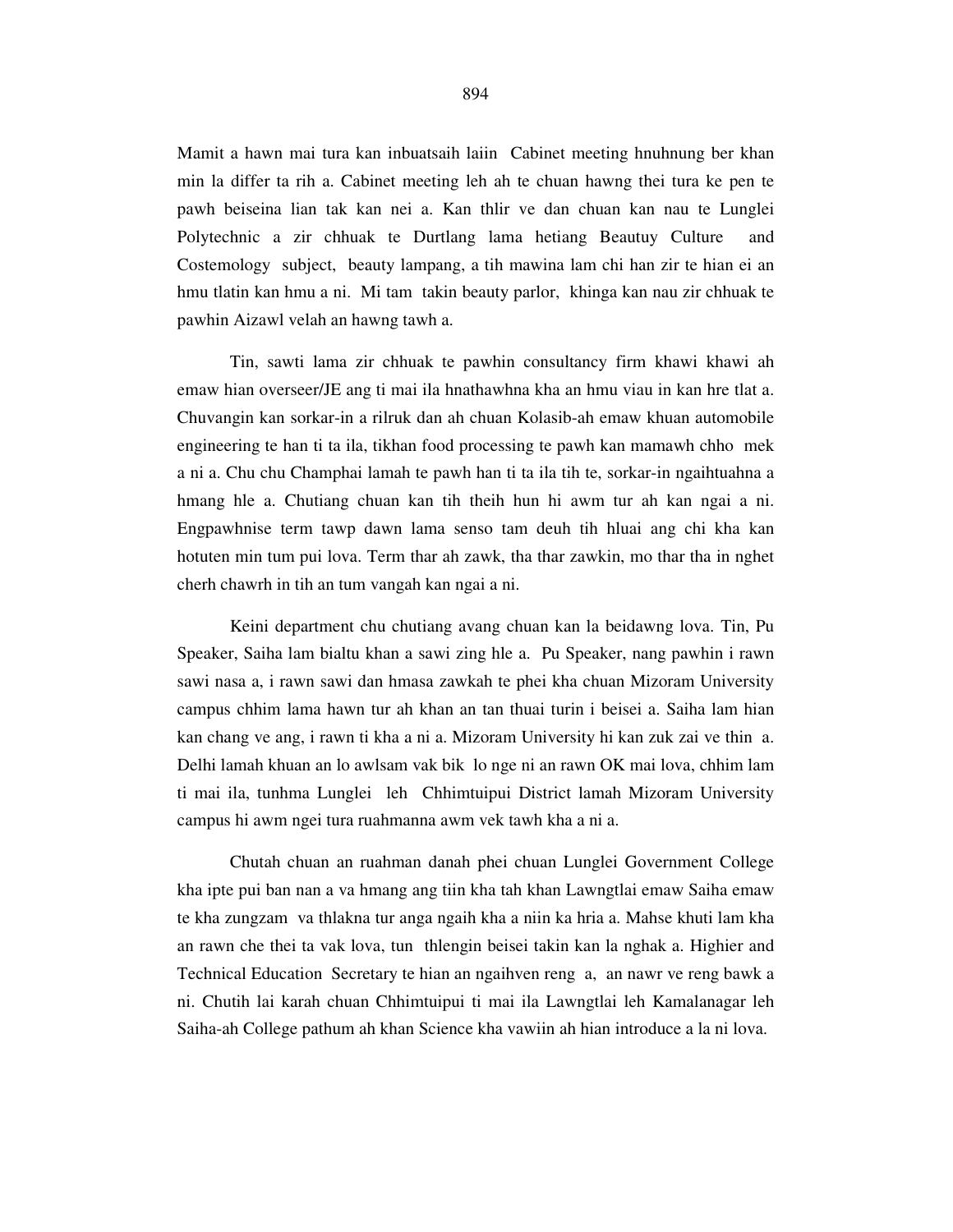Mamit a hawn mai tura kan inbuatsaih laiin Cabinet meeting hnuhnung ber khan min la differ ta rih a. Cabinet meeting leh ah te chuan hawng thei tura ke pen te pawh beiseina lian tak kan nei a. Kan thlir ve dan chuan kan nau te Lunglei Polytechnic a zir chhuak te Durtlang lama hetiang Beautuy Culture and Costemology subject, beauty lampang, a tih mawina lam chi han zir te hian ei an hmu tlatin kan hmu a ni. Mi tam takin beauty parlor, khinga kan nau zir chhuak te pawhin Aizawl velah an hawng tawh a.

 Tin, sawti lama zir chhuak te pawhin consultancy firm khawi khawi ah emaw hian overseer/JE ang ti mai ila hnathawhna kha an hmu viau in kan hre tlat a. Chuvangin kan sorkar-in a rilruk dan ah chuan Kolasib-ah emaw khuan automobile engineering te han ti ta ila, tikhan food processing te pawh kan mamawh chho mek a ni a. Chu chu Champhai lamah te pawh han ti ta ila tih te, sorkar-in ngaihtuahna a hmang hle a. Chutiang chuan kan tih theih hun hi awm tur ah kan ngai a ni. Engpawhnise term tawp dawn lama senso tam deuh tih hluai ang chi kha kan hotuten min tum pui lova. Term thar ah zawk, tha thar zawkin, mo thar tha in nghet cherh chawrh in tih an tum vangah kan ngai a ni.

 Keini department chu chutiang avang chuan kan la beidawng lova. Tin, Pu Speaker, Saiha lam bialtu khan a sawi zing hle a. Pu Speaker, nang pawhin i rawn sawi nasa a, i rawn sawi dan hmasa zawkah te phei kha chuan Mizoram University campus chhim lama hawn tur ah khan an tan thuai turin i beisei a. Saiha lam hian kan chang ve ang, i rawn ti kha a ni a. Mizoram University hi kan zuk zai ve thin a. Delhi lamah khuan an lo awlsam vak bik lo nge ni an rawn OK mai lova, chhim lam ti mai ila, tunhma Lunglei leh Chhimtuipui District lamah Mizoram University campus hi awm ngei tura ruahmanna awm vek tawh kha a ni a.

 Chutah chuan an ruahman danah phei chuan Lunglei Government College kha ipte pui ban nan a va hmang ang tiin kha tah khan Lawngtlai emaw Saiha emaw te kha zungzam va thlakna tur anga ngaih kha a niin ka hria a. Mahse khuti lam kha an rawn che thei ta vak lova, tun thlengin beisei takin kan la nghak a. Highier and Technical Education Secretary te hian an ngaihven reng a, an nawr ve reng bawk a ni. Chutih lai karah chuan Chhimtuipui ti mai ila Lawngtlai leh Kamalanagar leh Saiha-ah College pathum ah khan Science kha vawiin ah hian introduce a la ni lova.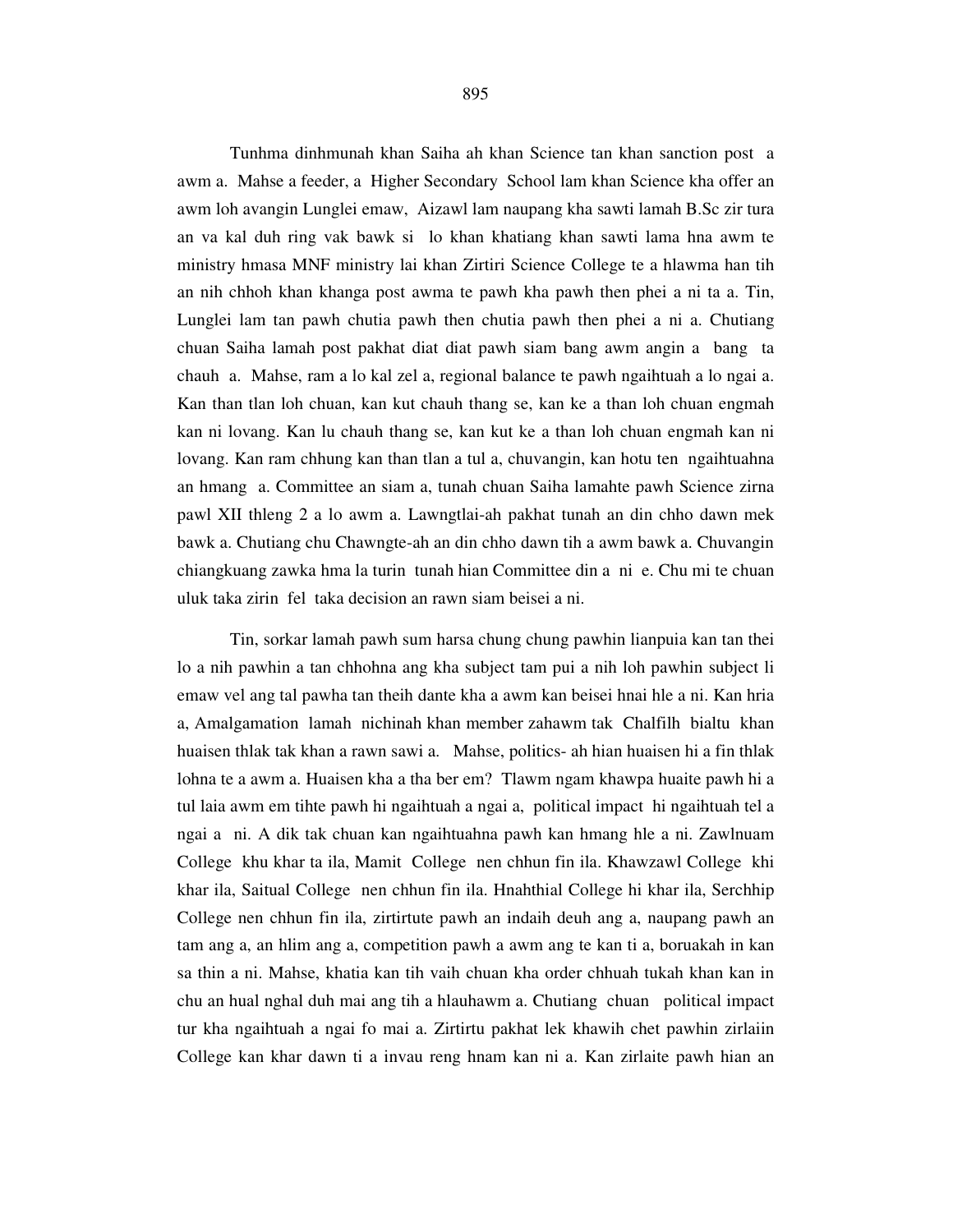Tunhma dinhmunah khan Saiha ah khan Science tan khan sanction post a awm a. Mahse a feeder, a Higher Secondary School lam khan Science kha offer an awm loh avangin Lunglei emaw, Aizawl lam naupang kha sawti lamah B.Sc zir tura an va kal duh ring vak bawk si lo khan khatiang khan sawti lama hna awm te ministry hmasa MNF ministry lai khan Zirtiri Science College te a hlawma han tih an nih chhoh khan khanga post awma te pawh kha pawh then phei a ni ta a. Tin, Lunglei lam tan pawh chutia pawh then chutia pawh then phei a ni a. Chutiang chuan Saiha lamah post pakhat diat diat pawh siam bang awm angin a bang ta chauh a. Mahse, ram a lo kal zel a, regional balance te pawh ngaihtuah a lo ngai a. Kan than tlan loh chuan, kan kut chauh thang se, kan ke a than loh chuan engmah kan ni lovang. Kan lu chauh thang se, kan kut ke a than loh chuan engmah kan ni lovang. Kan ram chhung kan than tlan a tul a, chuvangin, kan hotu ten ngaihtuahna an hmang a. Committee an siam a, tunah chuan Saiha lamahte pawh Science zirna pawl XII thleng 2 a lo awm a. Lawngtlai-ah pakhat tunah an din chho dawn mek bawk a. Chutiang chu Chawngte-ah an din chho dawn tih a awm bawk a. Chuvangin chiangkuang zawka hma la turin tunah hian Committee din a ni e. Chu mi te chuan uluk taka zirin fel taka decision an rawn siam beisei a ni.

 Tin, sorkar lamah pawh sum harsa chung chung pawhin lianpuia kan tan thei lo a nih pawhin a tan chhohna ang kha subject tam pui a nih loh pawhin subject li emaw vel ang tal pawha tan theih dante kha a awm kan beisei hnai hle a ni. Kan hria a, Amalgamation lamah nichinah khan member zahawm tak Chalfilh bialtu khan huaisen thlak tak khan a rawn sawi a. Mahse, politics- ah hian huaisen hi a fin thlak lohna te a awm a. Huaisen kha a tha ber em? Tlawm ngam khawpa huaite pawh hi a tul laia awm em tihte pawh hi ngaihtuah a ngai a, political impact hi ngaihtuah tel a ngai a ni. A dik tak chuan kan ngaihtuahna pawh kan hmang hle a ni. Zawlnuam College khu khar ta ila, Mamit College nen chhun fin ila. Khawzawl College khi khar ila, Saitual College nen chhun fin ila. Hnahthial College hi khar ila, Serchhip College nen chhun fin ila, zirtirtute pawh an indaih deuh ang a, naupang pawh an tam ang a, an hlim ang a, competition pawh a awm ang te kan ti a, boruakah in kan sa thin a ni. Mahse, khatia kan tih vaih chuan kha order chhuah tukah khan kan in chu an hual nghal duh mai ang tih a hlauhawm a. Chutiang chuan political impact tur kha ngaihtuah a ngai fo mai a. Zirtirtu pakhat lek khawih chet pawhin zirlaiin College kan khar dawn ti a invau reng hnam kan ni a. Kan zirlaite pawh hian an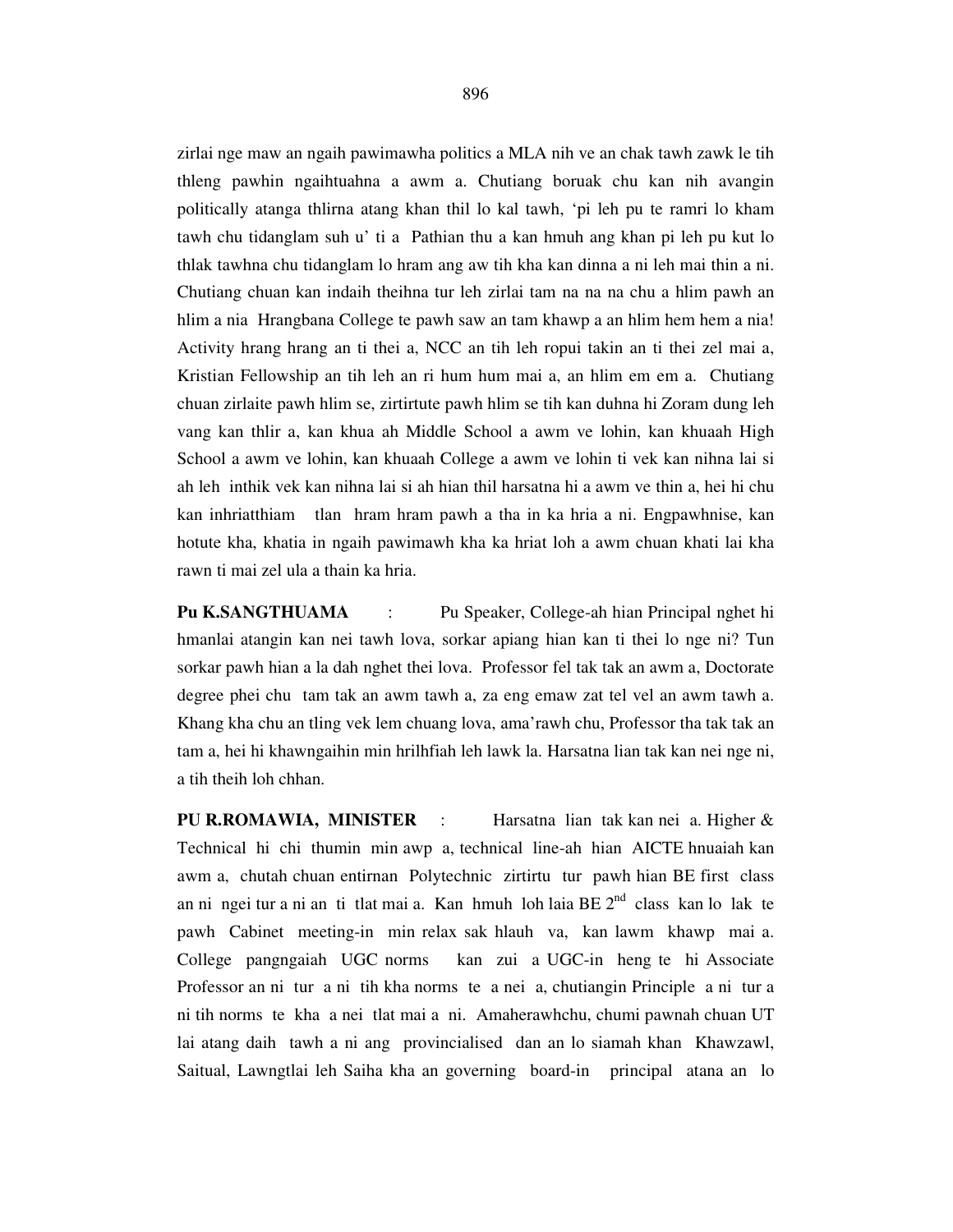zirlai nge maw an ngaih pawimawha politics a MLA nih ve an chak tawh zawk le tih thleng pawhin ngaihtuahna a awm a. Chutiang boruak chu kan nih avangin politically atanga thlirna atang khan thil lo kal tawh, 'pi leh pu te ramri lo kham tawh chu tidanglam suh u' ti a Pathian thu a kan hmuh ang khan pi leh pu kut lo thlak tawhna chu tidanglam lo hram ang aw tih kha kan dinna a ni leh mai thin a ni. Chutiang chuan kan indaih theihna tur leh zirlai tam na na na chu a hlim pawh an hlim a nia Hrangbana College te pawh saw an tam khawp a an hlim hem hem a nia! Activity hrang hrang an ti thei a, NCC an tih leh ropui takin an ti thei zel mai a, Kristian Fellowship an tih leh an ri hum hum mai a, an hlim em em a. Chutiang chuan zirlaite pawh hlim se, zirtirtute pawh hlim se tih kan duhna hi Zoram dung leh vang kan thlir a, kan khua ah Middle School a awm ve lohin, kan khuaah High School a awm ve lohin, kan khuaah College a awm ve lohin ti vek kan nihna lai si ah leh inthik vek kan nihna lai si ah hian thil harsatna hi a awm ve thin a, hei hi chu kan inhriatthiam tlan hram hram pawh a tha in ka hria a ni. Engpawhnise, kan hotute kha, khatia in ngaih pawimawh kha ka hriat loh a awm chuan khati lai kha rawn ti mai zel ula a thain ka hria.

**Pu K.SANGTHUAMA** : Pu Speaker, College-ah hian Principal nghet hi hmanlai atangin kan nei tawh lova, sorkar apiang hian kan ti thei lo nge ni? Tun sorkar pawh hian a la dah nghet thei lova. Professor fel tak tak an awm a, Doctorate degree phei chu tam tak an awm tawh a, za eng emaw zat tel vel an awm tawh a. Khang kha chu an tling vek lem chuang lova, ama'rawh chu, Professor tha tak tak an tam a, hei hi khawngaihin min hrilhfiah leh lawk la. Harsatna lian tak kan nei nge ni, a tih theih loh chhan.

**PU R.ROMAWIA, MINISTER** : Harsatna lian tak kan nei a. Higher & Technical hi chi thumin min awp a, technical line-ah hian AICTE hnuaiah kan awm a, chutah chuan entirnan Polytechnic zirtirtu tur pawh hian BE first class an ni ngei tur a ni an ti tlat mai a. Kan hmuh loh laia BE 2nd class kan lo lak te pawh Cabinet meeting-in min relax sak hlauh va, kan lawm khawp mai a. College pangngaiah UGC norms kan zui a UGC-in heng te hi Associate Professor an ni tur a ni tih kha norms te a nei a, chutiangin Principle a ni tur a ni tih norms te kha a nei tlat mai a ni. Amaherawhchu, chumi pawnah chuan UT lai atang daih tawh a ni ang provincialised dan an lo siamah khan Khawzawl, Saitual, Lawngtlai leh Saiha kha an governing board-in principal atana an lo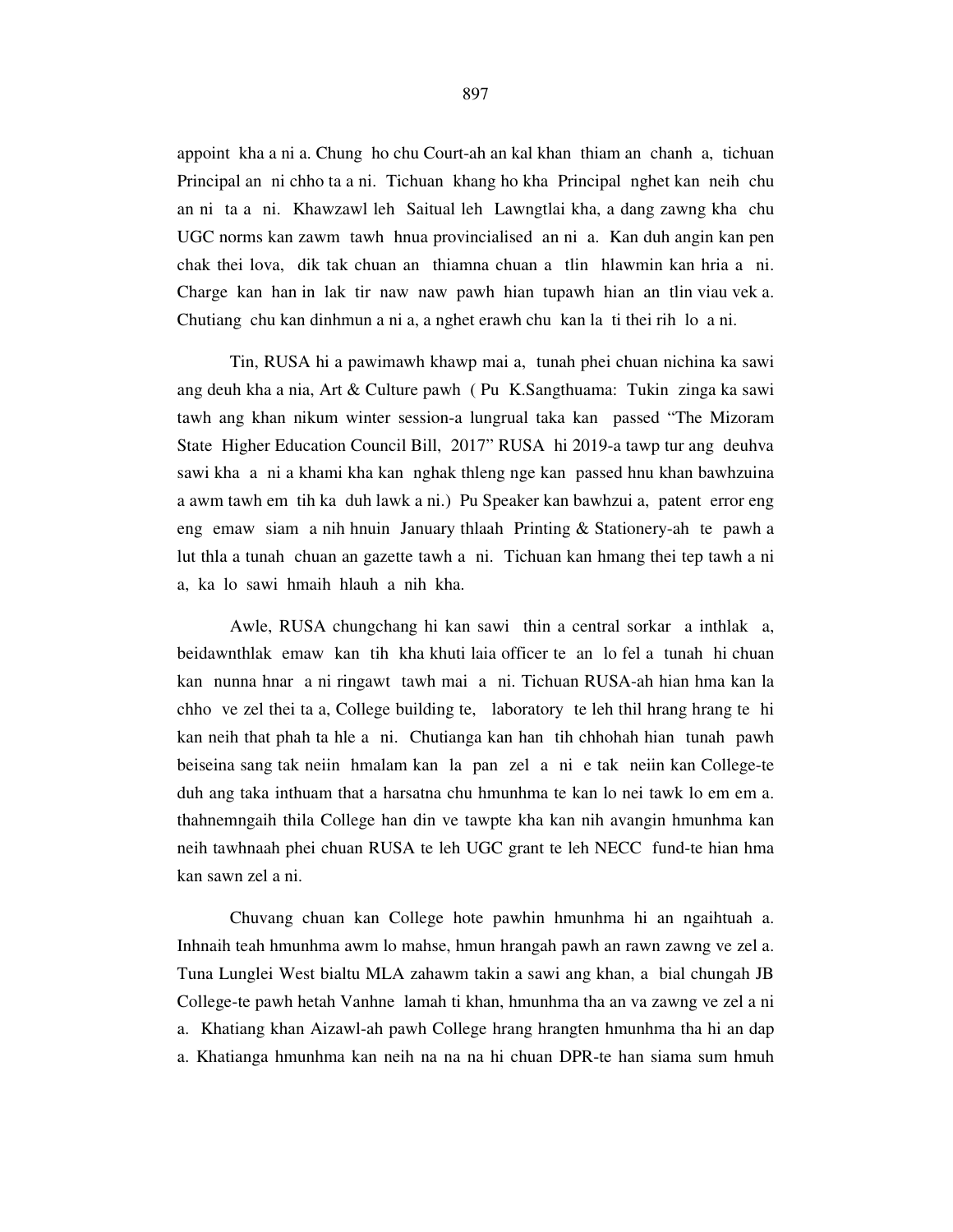appoint kha a ni a. Chung ho chu Court-ah an kal khan thiam an chanh a, tichuan Principal an ni chho ta a ni. Tichuan khang ho kha Principal nghet kan neih chu an ni ta a ni. Khawzawl leh Saitual leh Lawngtlai kha, a dang zawng kha chu UGC norms kan zawm tawh hnua provincialised an ni a. Kan duh angin kan pen chak thei lova, dik tak chuan an thiamna chuan a tlin hlawmin kan hria a ni. Charge kan han in lak tir naw naw pawh hian tupawh hian an tlin viau vek a. Chutiang chu kan dinhmun a ni a, a nghet erawh chu kan la ti thei rih lo a ni.

 Tin, RUSA hi a pawimawh khawp mai a, tunah phei chuan nichina ka sawi ang deuh kha a nia, Art & Culture pawh ( Pu K.Sangthuama: Tukin zinga ka sawi tawh ang khan nikum winter session-a lungrual taka kan passed "The Mizoram State Higher Education Council Bill, 2017" RUSA hi 2019-a tawp tur ang deuhva sawi kha a ni a khami kha kan nghak thleng nge kan passed hnu khan bawhzuina a awm tawh em tih ka duh lawk a ni.) Pu Speaker kan bawhzui a, patent error eng eng emaw siam a nih hnuin January thlaah Printing & Stationery-ah te pawh a lut thla a tunah chuan an gazette tawh a ni. Tichuan kan hmang thei tep tawh a ni a, ka lo sawi hmaih hlauh a nih kha.

 Awle, RUSA chungchang hi kan sawi thin a central sorkar a inthlak a, beidawnthlak emaw kan tih kha khuti laia officer te an lo fel a tunah hi chuan kan nunna hnar a ni ringawt tawh mai a ni. Tichuan RUSA-ah hian hma kan la chho ve zel thei ta a, College building te, laboratory te leh thil hrang hrang te hi kan neih that phah ta hle a ni. Chutianga kan han tih chhohah hian tunah pawh beiseina sang tak neiin hmalam kan la pan zel a ni e tak neiin kan College-te duh ang taka inthuam that a harsatna chu hmunhma te kan lo nei tawk lo em em a. thahnemngaih thila College han din ve tawpte kha kan nih avangin hmunhma kan neih tawhnaah phei chuan RUSA te leh UGC grant te leh NECC fund-te hian hma kan sawn zel a ni.

 Chuvang chuan kan College hote pawhin hmunhma hi an ngaihtuah a. Inhnaih teah hmunhma awm lo mahse, hmun hrangah pawh an rawn zawng ve zel a. Tuna Lunglei West bialtu MLA zahawm takin a sawi ang khan, a bial chungah JB College-te pawh hetah Vanhne lamah ti khan, hmunhma tha an va zawng ve zel a ni a. Khatiang khan Aizawl-ah pawh College hrang hrangten hmunhma tha hi an dap a. Khatianga hmunhma kan neih na na na hi chuan DPR-te han siama sum hmuh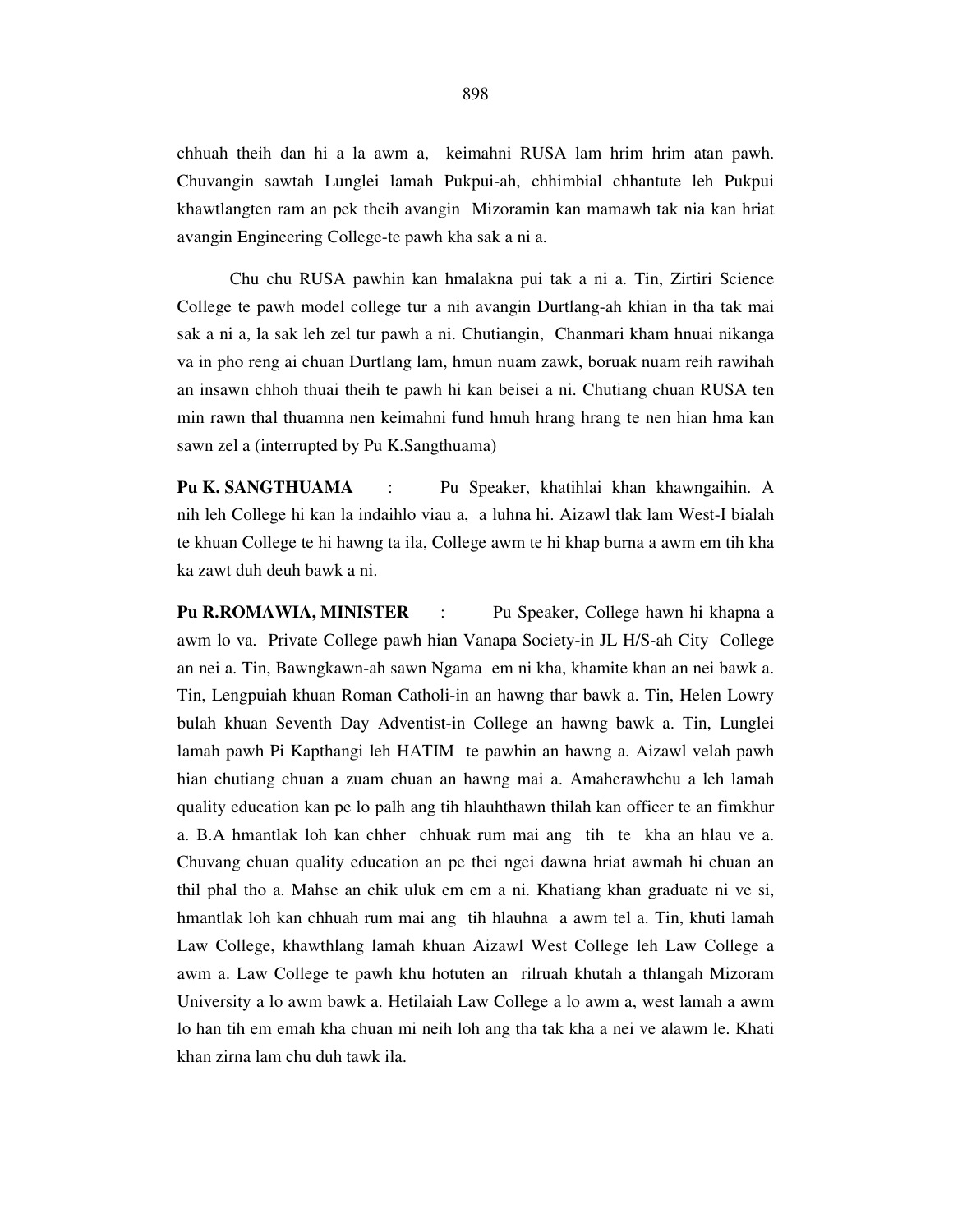chhuah theih dan hi a la awm a, keimahni RUSA lam hrim hrim atan pawh. Chuvangin sawtah Lunglei lamah Pukpui-ah, chhimbial chhantute leh Pukpui khawtlangten ram an pek theih avangin Mizoramin kan mamawh tak nia kan hriat avangin Engineering College-te pawh kha sak a ni a.

 Chu chu RUSA pawhin kan hmalakna pui tak a ni a. Tin, Zirtiri Science College te pawh model college tur a nih avangin Durtlang-ah khian in tha tak mai sak a ni a, la sak leh zel tur pawh a ni. Chutiangin, Chanmari kham hnuai nikanga va in pho reng ai chuan Durtlang lam, hmun nuam zawk, boruak nuam reih rawihah an insawn chhoh thuai theih te pawh hi kan beisei a ni. Chutiang chuan RUSA ten min rawn thal thuamna nen keimahni fund hmuh hrang hrang te nen hian hma kan sawn zel a (interrupted by Pu K.Sangthuama)

**Pu K. SANGTHUAMA** : Pu Speaker, khatihlai khan khawngaihin. A nih leh College hi kan la indaihlo viau a, a luhna hi. Aizawl tlak lam West-I bialah te khuan College te hi hawng ta ila, College awm te hi khap burna a awm em tih kha ka zawt duh deuh bawk a ni.

**Pu R.ROMAWIA, MINISTER** : Pu Speaker, College hawn hi khapna a awm lo va. Private College pawh hian Vanapa Society-in JL H/S-ah City College an nei a. Tin, Bawngkawn-ah sawn Ngama em ni kha, khamite khan an nei bawk a. Tin, Lengpuiah khuan Roman Catholi-in an hawng thar bawk a. Tin, Helen Lowry bulah khuan Seventh Day Adventist-in College an hawng bawk a. Tin, Lunglei lamah pawh Pi Kapthangi leh HATIM te pawhin an hawng a. Aizawl velah pawh hian chutiang chuan a zuam chuan an hawng mai a. Amaherawhchu a leh lamah quality education kan pe lo palh ang tih hlauhthawn thilah kan officer te an fimkhur a. B.A hmantlak loh kan chher chhuak rum mai ang tih te kha an hlau ve a. Chuvang chuan quality education an pe thei ngei dawna hriat awmah hi chuan an thil phal tho a. Mahse an chik uluk em em a ni. Khatiang khan graduate ni ve si, hmantlak loh kan chhuah rum mai ang tih hlauhna a awm tel a. Tin, khuti lamah Law College, khawthlang lamah khuan Aizawl West College leh Law College a awm a. Law College te pawh khu hotuten an rilruah khutah a thlangah Mizoram University a lo awm bawk a. Hetilaiah Law College a lo awm a, west lamah a awm lo han tih em emah kha chuan mi neih loh ang tha tak kha a nei ve alawm le. Khati khan zirna lam chu duh tawk ila.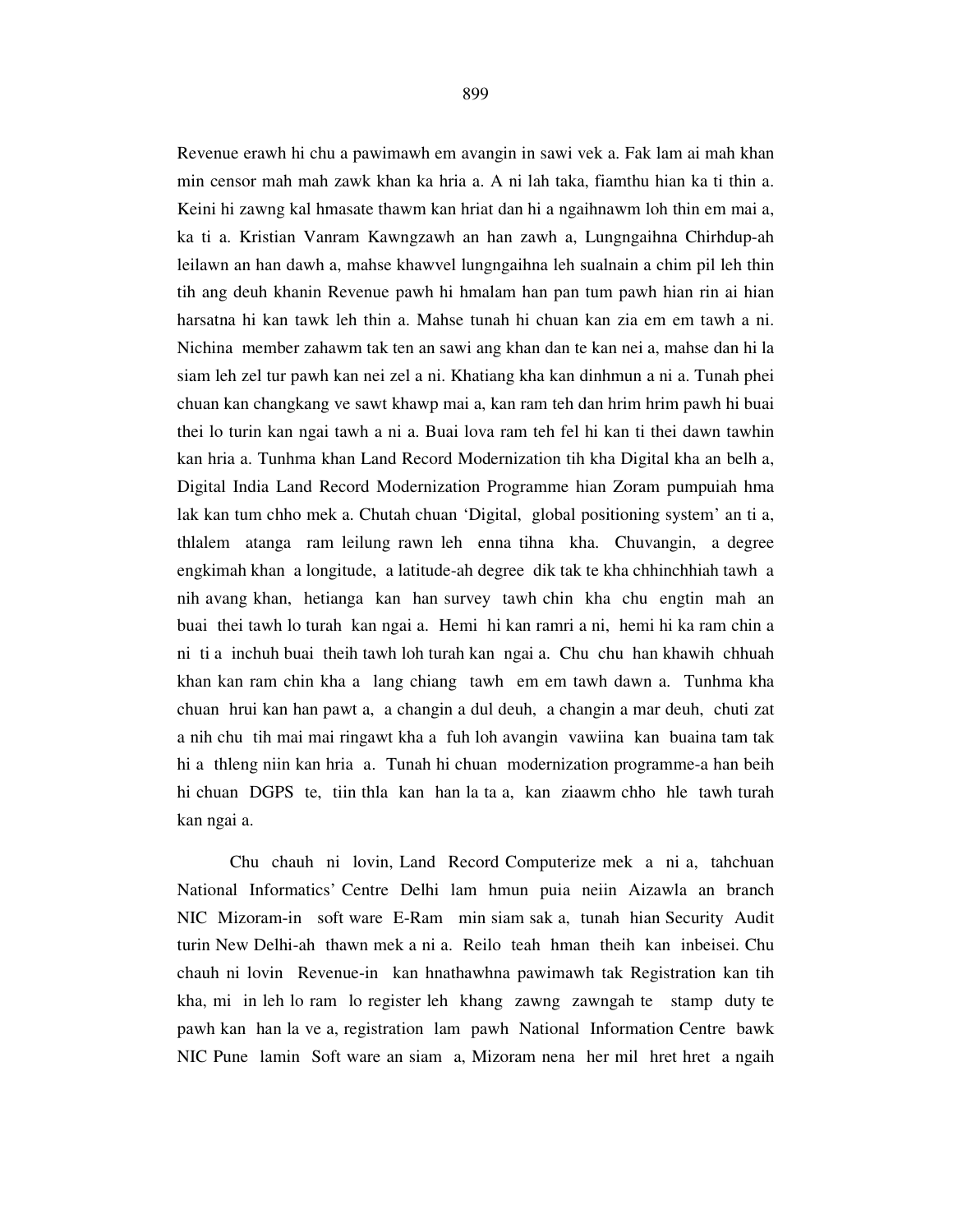Revenue erawh hi chu a pawimawh em avangin in sawi vek a. Fak lam ai mah khan min censor mah mah zawk khan ka hria a. A ni lah taka, fiamthu hian ka ti thin a. Keini hi zawng kal hmasate thawm kan hriat dan hi a ngaihnawm loh thin em mai a, ka ti a. Kristian Vanram Kawngzawh an han zawh a, Lungngaihna Chirhdup-ah leilawn an han dawh a, mahse khawvel lungngaihna leh sualnain a chim pil leh thin tih ang deuh khanin Revenue pawh hi hmalam han pan tum pawh hian rin ai hian harsatna hi kan tawk leh thin a. Mahse tunah hi chuan kan zia em em tawh a ni. Nichina member zahawm tak ten an sawi ang khan dan te kan nei a, mahse dan hi la siam leh zel tur pawh kan nei zel a ni. Khatiang kha kan dinhmun a ni a. Tunah phei chuan kan changkang ve sawt khawp mai a, kan ram teh dan hrim hrim pawh hi buai thei lo turin kan ngai tawh a ni a. Buai lova ram teh fel hi kan ti thei dawn tawhin kan hria a. Tunhma khan Land Record Modernization tih kha Digital kha an belh a, Digital India Land Record Modernization Programme hian Zoram pumpuiah hma lak kan tum chho mek a. Chutah chuan 'Digital, global positioning system' an ti a, thlalem atanga ram leilung rawn leh enna tihna kha. Chuvangin, a degree engkimah khan a longitude, a latitude-ah degree dik tak te kha chhinchhiah tawh a nih avang khan, hetianga kan han survey tawh chin kha chu engtin mah an buai thei tawh lo turah kan ngai a. Hemi hi kan ramri a ni, hemi hi ka ram chin a ni ti a inchuh buai theih tawh loh turah kan ngai a. Chu chu han khawih chhuah khan kan ram chin kha a lang chiang tawh em em tawh dawn a. Tunhma kha chuan hrui kan han pawt a, a changin a dul deuh, a changin a mar deuh, chuti zat a nih chu tih mai mai ringawt kha a fuh loh avangin vawiina kan buaina tam tak hi a thleng niin kan hria a. Tunah hi chuan modernization programme-a han beih hi chuan DGPS te, tiin thla kan han la ta a, kan ziaawm chho hle tawh turah kan ngai a.

 Chu chauh ni lovin, Land Record Computerize mek a ni a, tahchuan National Informatics' Centre Delhi lam hmun puia neiin Aizawla an branch NIC Mizoram-in soft ware E-Ram min siam sak a, tunah hian Security Audit turin New Delhi-ah thawn mek a ni a. Reilo teah hman theih kan inbeisei. Chu chauh ni lovin Revenue-in kan hnathawhna pawimawh tak Registration kan tih kha, mi in leh lo ram lo register leh khang zawng zawngah te stamp duty te pawh kan han la ve a, registration lam pawh National Information Centre bawk NIC Pune lamin Soft ware an siam a, Mizoram nena her mil hret hret a ngaih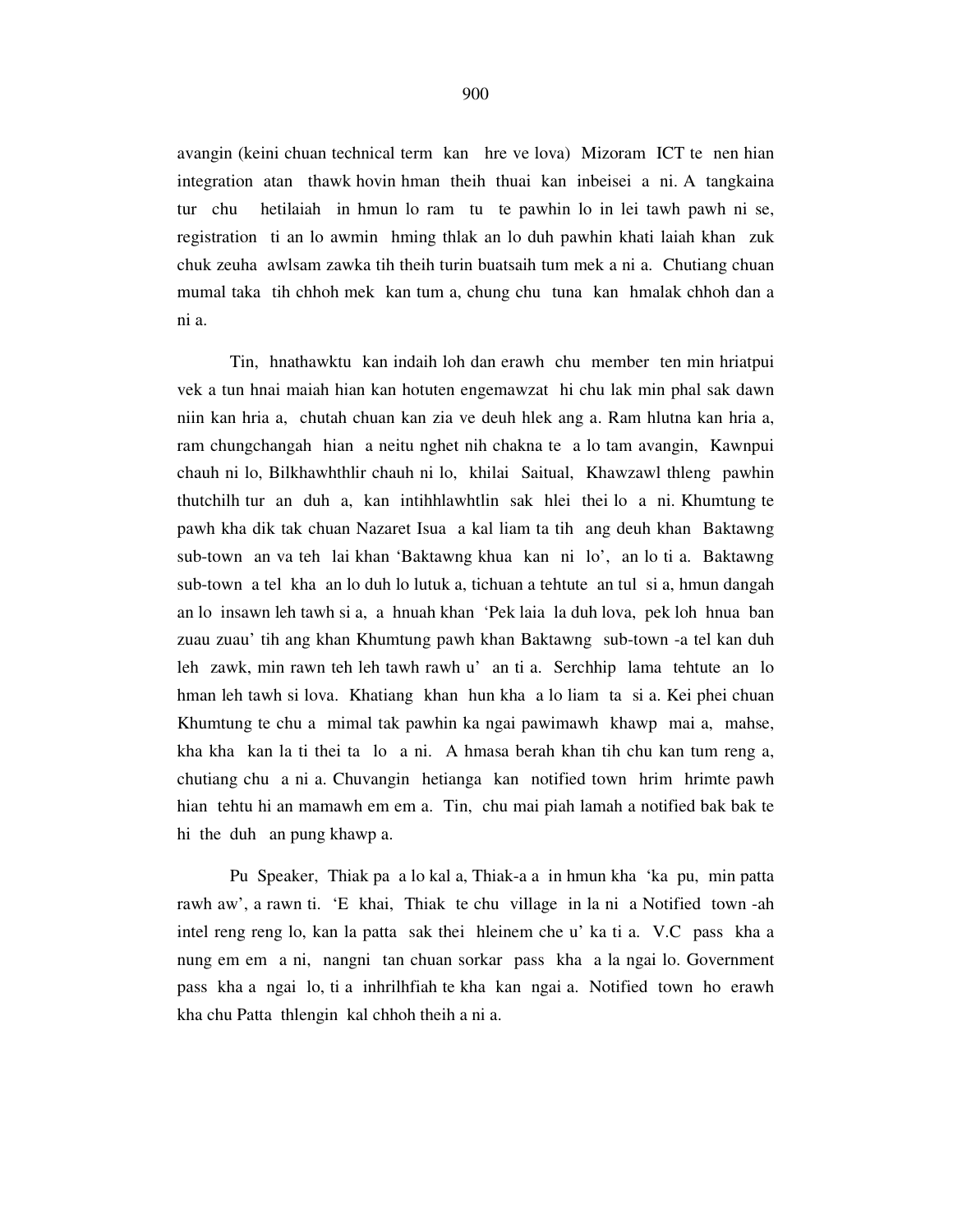avangin (keini chuan technical term kan hre ve lova) Mizoram ICT te nen hian integration atan thawk hovin hman theih thuai kan inbeisei a ni. A tangkaina tur chu hetilaiah in hmun lo ram tu te pawhin lo in lei tawh pawh ni se, registration ti an lo awmin hming thlak an lo duh pawhin khati laiah khan zuk chuk zeuha awlsam zawka tih theih turin buatsaih tum mek a ni a. Chutiang chuan mumal taka tih chhoh mek kan tum a, chung chu tuna kan hmalak chhoh dan a ni a.

 Tin, hnathawktu kan indaih loh dan erawh chu member ten min hriatpui vek a tun hnai maiah hian kan hotuten engemawzat hi chu lak min phal sak dawn niin kan hria a, chutah chuan kan zia ve deuh hlek ang a. Ram hlutna kan hria a, ram chungchangah hian a neitu nghet nih chakna te a lo tam avangin, Kawnpui chauh ni lo, Bilkhawhthlir chauh ni lo, khilai Saitual, Khawzawl thleng pawhin thutchilh tur an duh a, kan intihhlawhtlin sak hlei thei lo a ni. Khumtung te pawh kha dik tak chuan Nazaret Isua a kal liam ta tih ang deuh khan Baktawng sub-town an va teh lai khan 'Baktawng khua kan ni lo', an lo ti a. Baktawng sub-town a tel kha an lo duh lo lutuk a, tichuan a tehtute an tul si a, hmun dangah an lo insawn leh tawh si a, a hnuah khan 'Pek laia la duh lova, pek loh hnua ban zuau zuau' tih ang khan Khumtung pawh khan Baktawng sub-town -a tel kan duh leh zawk, min rawn teh leh tawh rawh u' an ti a. Serchhip lama tehtute an lo hman leh tawh si lova. Khatiang khan hun kha a lo liam ta si a. Kei phei chuan Khumtung te chu a mimal tak pawhin ka ngai pawimawh khawp mai a, mahse, kha kha kan la ti thei ta lo a ni. A hmasa berah khan tih chu kan tum reng a, chutiang chu a ni a. Chuvangin hetianga kan notified town hrim hrimte pawh hian tehtu hi an mamawh em em a. Tin, chu mai piah lamah a notified bak bak te hi the duh an pung khawp a.

 Pu Speaker, Thiak pa a lo kal a, Thiak-a a in hmun kha 'ka pu, min patta rawh aw', a rawn ti. 'E khai, Thiak te chu village in la ni a Notified town -ah intel reng reng lo, kan la patta sak thei hleinem che u' ka ti a. V.C pass kha a nung em em a ni, nangni tan chuan sorkar pass kha a la ngai lo. Government pass kha a ngai lo, ti a inhrilhfiah te kha kan ngai a. Notified town ho erawh kha chu Patta thlengin kal chhoh theih a ni a.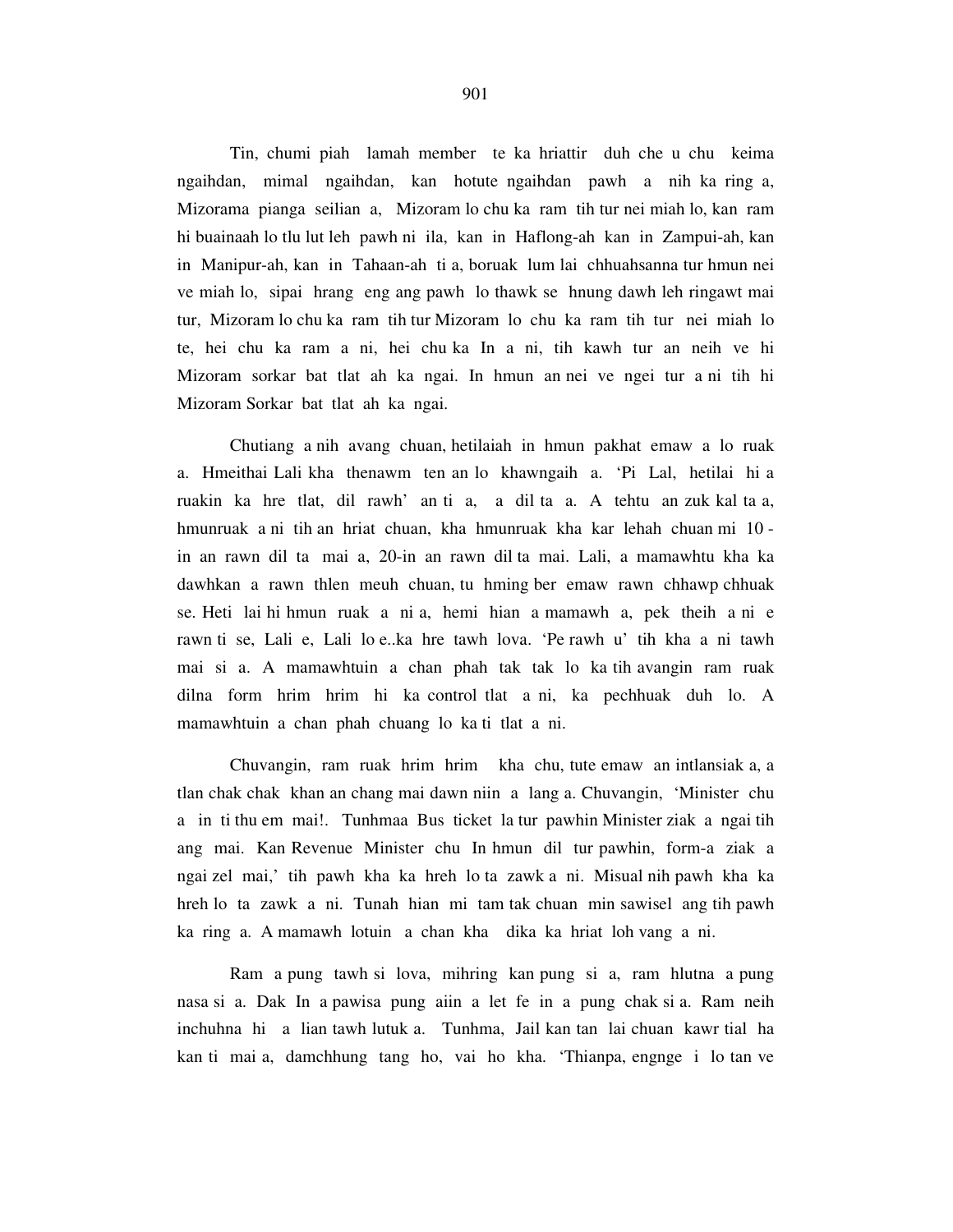Tin, chumi piah lamah member te ka hriattir duh che u chu keima ngaihdan, mimal ngaihdan, kan hotute ngaihdan pawh a nih ka ring a, Mizorama pianga seilian a, Mizoram lo chu ka ram tih tur nei miah lo, kan ram hi buainaah lo tlu lut leh pawh ni ila, kan in Haflong-ah kan in Zampui-ah, kan in Manipur-ah, kan in Tahaan-ah ti a, boruak lum lai chhuahsanna tur hmun nei ve miah lo, sipai hrang eng ang pawh lo thawk se hnung dawh leh ringawt mai tur, Mizoram lo chu ka ram tih tur Mizoram lo chu ka ram tih tur nei miah lo te, hei chu ka ram a ni, hei chu ka In a ni, tih kawh tur an neih ve hi Mizoram sorkar bat tlat ah ka ngai. In hmun an nei ve ngei tur a ni tih hi Mizoram Sorkar bat tlat ah ka ngai.

 Chutiang a nih avang chuan, hetilaiah in hmun pakhat emaw a lo ruak a. Hmeithai Lali kha thenawm ten an lo khawngaih a. 'Pi Lal, hetilai hi a ruakin ka hre tlat, dil rawh' an ti a, a dil ta a. A tehtu an zuk kal ta a, hmunruak a ni tih an hriat chuan, kha hmunruak kha kar lehah chuan mi 10 in an rawn dil ta mai a, 20-in an rawn dil ta mai. Lali, a mamawhtu kha ka dawhkan a rawn thlen meuh chuan, tu hming ber emaw rawn chhawp chhuak se. Heti lai hi hmun ruak a ni a, hemi hian a mamawh a, pek theih a ni e rawn ti se, Lali e, Lali lo e..ka hre tawh lova. 'Pe rawh u' tih kha a ni tawh mai si a. A mamawhtuin a chan phah tak tak lo ka tih avangin ram ruak dilna form hrim hrim hi ka control tlat a ni, ka pechhuak duh lo. A mamawhtuin a chan phah chuang lo ka ti tlat a ni.

 Chuvangin, ram ruak hrim hrim kha chu, tute emaw an intlansiak a, a tlan chak chak khan an chang mai dawn niin a lang a. Chuvangin, 'Minister chu a in ti thu em mai!. Tunhmaa Bus ticket la tur pawhin Minister ziak a ngai tih ang mai. Kan Revenue Minister chu In hmun dil tur pawhin, form-a ziak a ngai zel mai,' tih pawh kha ka hreh lo ta zawk a ni. Misual nih pawh kha ka hreh lo ta zawk a ni. Tunah hian mi tam tak chuan min sawisel ang tih pawh ka ring a. A mamawh lotuin a chan kha dika ka hriat loh vang a ni.

 Ram a pung tawh si lova, mihring kan pung si a, ram hlutna a pung nasa si a. Dak In a pawisa pung aiin a let fe in a pung chak si a. Ram neih inchuhna hi a lian tawh lutuk a. Tunhma, Jail kan tan lai chuan kawr tial ha kan ti mai a, damchhung tang ho, vai ho kha. 'Thianpa, engnge i lo tan ve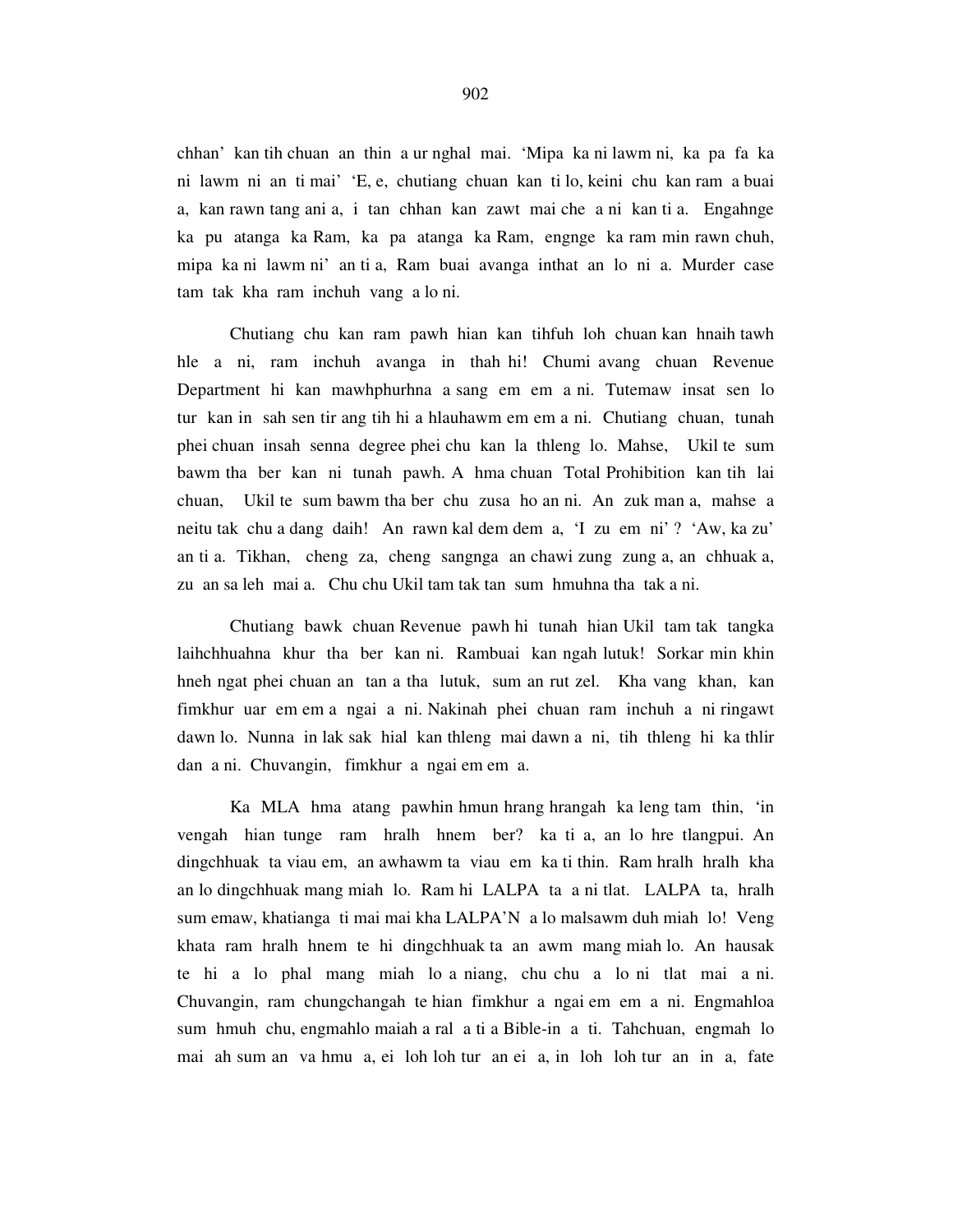chhan' kan tih chuan an thin a ur nghal mai. 'Mipa ka ni lawm ni, ka pa fa ka ni lawm ni an ti mai' 'E, e, chutiang chuan kan ti lo, keini chu kan ram a buai a, kan rawn tang ani a, i tan chhan kan zawt mai che a ni kan ti a. Engahnge ka pu atanga ka Ram, ka pa atanga ka Ram, engnge ka ram min rawn chuh, mipa ka ni lawm ni' an ti a, Ram buai avanga inthat an lo ni a. Murder case tam tak kha ram inchuh vang a lo ni.

 Chutiang chu kan ram pawh hian kan tihfuh loh chuan kan hnaih tawh hle a ni, ram inchuh avanga in thah hi! Chumi avang chuan Revenue Department hi kan mawhphurhna a sang em em a ni. Tutemaw insat sen lo tur kan in sah sen tir ang tih hi a hlauhawm em em a ni. Chutiang chuan, tunah phei chuan insah senna degree phei chu kan la thleng lo. Mahse, Ukil te sum bawm tha ber kan ni tunah pawh. A hma chuan Total Prohibition kan tih lai chuan, Ukil te sum bawm tha ber chu zusa ho an ni. An zuk man a, mahse a neitu tak chu a dang daih! An rawn kal dem dem a, 'I zu em ni' ? 'Aw, ka zu' an ti a. Tikhan, cheng za, cheng sangnga an chawi zung zung a, an chhuak a, zu an sa leh mai a. Chu chu Ukil tam tak tan sum hmuhna tha tak a ni.

 Chutiang bawk chuan Revenue pawh hi tunah hian Ukil tam tak tangka laihchhuahna khur tha ber kan ni. Rambuai kan ngah lutuk! Sorkar min khin hneh ngat phei chuan an tan a tha lutuk, sum an rut zel. Kha vang khan, kan fimkhur uar em em a ngai a ni. Nakinah phei chuan ram inchuh a ni ringawt dawn lo. Nunna in lak sak hial kan thleng mai dawn a ni, tih thleng hi ka thlir dan a ni. Chuvangin, fimkhur a ngai em em a.

 Ka MLA hma atang pawhin hmun hrang hrangah ka leng tam thin, 'in vengah hian tunge ram hralh hnem ber? ka ti a, an lo hre tlangpui. An dingchhuak ta viau em, an awhawm ta viau em ka ti thin. Ram hralh hralh kha an lo dingchhuak mang miah lo. Ram hi LALPA ta a ni tlat. LALPA ta, hralh sum emaw, khatianga ti mai mai kha LALPA'N a lo malsawm duh miah lo! Veng khata ram hralh hnem te hi dingchhuak ta an awm mang miah lo. An hausak te hi a lo phal mang miah lo a niang, chu chu a lo ni tlat mai a ni. Chuvangin, ram chungchangah te hian fimkhur a ngai em em a ni. Engmahloa sum hmuh chu, engmahlo maiah a ral a ti a Bible-in a ti. Tahchuan, engmah lo mai ah sum an va hmu a, ei loh loh tur an ei a, in loh loh tur an in a, fate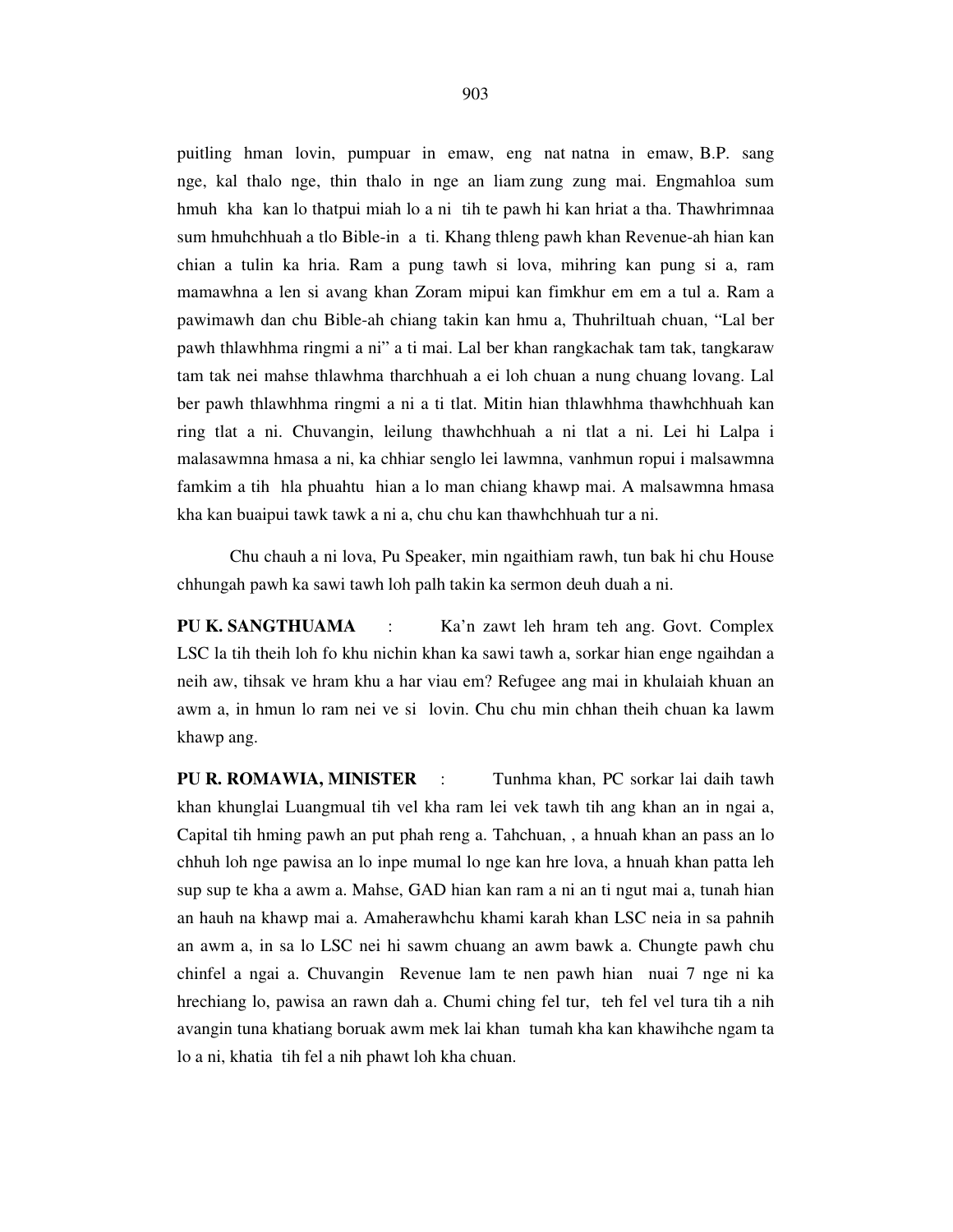puitling hman lovin, pumpuar in emaw, eng nat natna in emaw, B.P. sang nge, kal thalo nge, thin thalo in nge an liam zung zung mai. Engmahloa sum hmuh kha kan lo thatpui miah lo a ni tih te pawh hi kan hriat a tha. Thawhrimnaa sum hmuhchhuah a tlo Bible-in a ti. Khang thleng pawh khan Revenue-ah hian kan chian a tulin ka hria. Ram a pung tawh si lova, mihring kan pung si a, ram mamawhna a len si avang khan Zoram mipui kan fimkhur em em a tul a. Ram a pawimawh dan chu Bible-ah chiang takin kan hmu a, Thuhriltuah chuan, "Lal ber pawh thlawhhma ringmi a ni" a ti mai. Lal ber khan rangkachak tam tak, tangkaraw tam tak nei mahse thlawhma tharchhuah a ei loh chuan a nung chuang lovang. Lal ber pawh thlawhhma ringmi a ni a ti tlat. Mitin hian thlawhhma thawhchhuah kan ring tlat a ni. Chuvangin, leilung thawhchhuah a ni tlat a ni. Lei hi Lalpa i malasawmna hmasa a ni, ka chhiar senglo lei lawmna, vanhmun ropui i malsawmna famkim a tih hla phuahtu hian a lo man chiang khawp mai. A malsawmna hmasa kha kan buaipui tawk tawk a ni a, chu chu kan thawhchhuah tur a ni.

 Chu chauh a ni lova, Pu Speaker, min ngaithiam rawh, tun bak hi chu House chhungah pawh ka sawi tawh loh palh takin ka sermon deuh duah a ni.

**PU K. SANGTHUAMA** : Ka'n zawt leh hram teh ang. Govt. Complex LSC la tih theih loh fo khu nichin khan ka sawi tawh a, sorkar hian enge ngaihdan a neih aw, tihsak ve hram khu a har viau em? Refugee ang mai in khulaiah khuan an awm a, in hmun lo ram nei ve si lovin. Chu chu min chhan theih chuan ka lawm khawp ang.

**PU R. ROMAWIA, MINISTER** : Tunhma khan, PC sorkar lai daih tawh khan khunglai Luangmual tih vel kha ram lei vek tawh tih ang khan an in ngai a, Capital tih hming pawh an put phah reng a. Tahchuan, , a hnuah khan an pass an lo chhuh loh nge pawisa an lo inpe mumal lo nge kan hre lova, a hnuah khan patta leh sup sup te kha a awm a. Mahse, GAD hian kan ram a ni an ti ngut mai a, tunah hian an hauh na khawp mai a. Amaherawhchu khami karah khan LSC neia in sa pahnih an awm a, in sa lo LSC nei hi sawm chuang an awm bawk a. Chungte pawh chu chinfel a ngai a. Chuvangin Revenue lam te nen pawh hian nuai 7 nge ni ka hrechiang lo, pawisa an rawn dah a. Chumi ching fel tur, teh fel vel tura tih a nih avangin tuna khatiang boruak awm mek lai khan tumah kha kan khawihche ngam ta lo a ni, khatia tih fel a nih phawt loh kha chuan.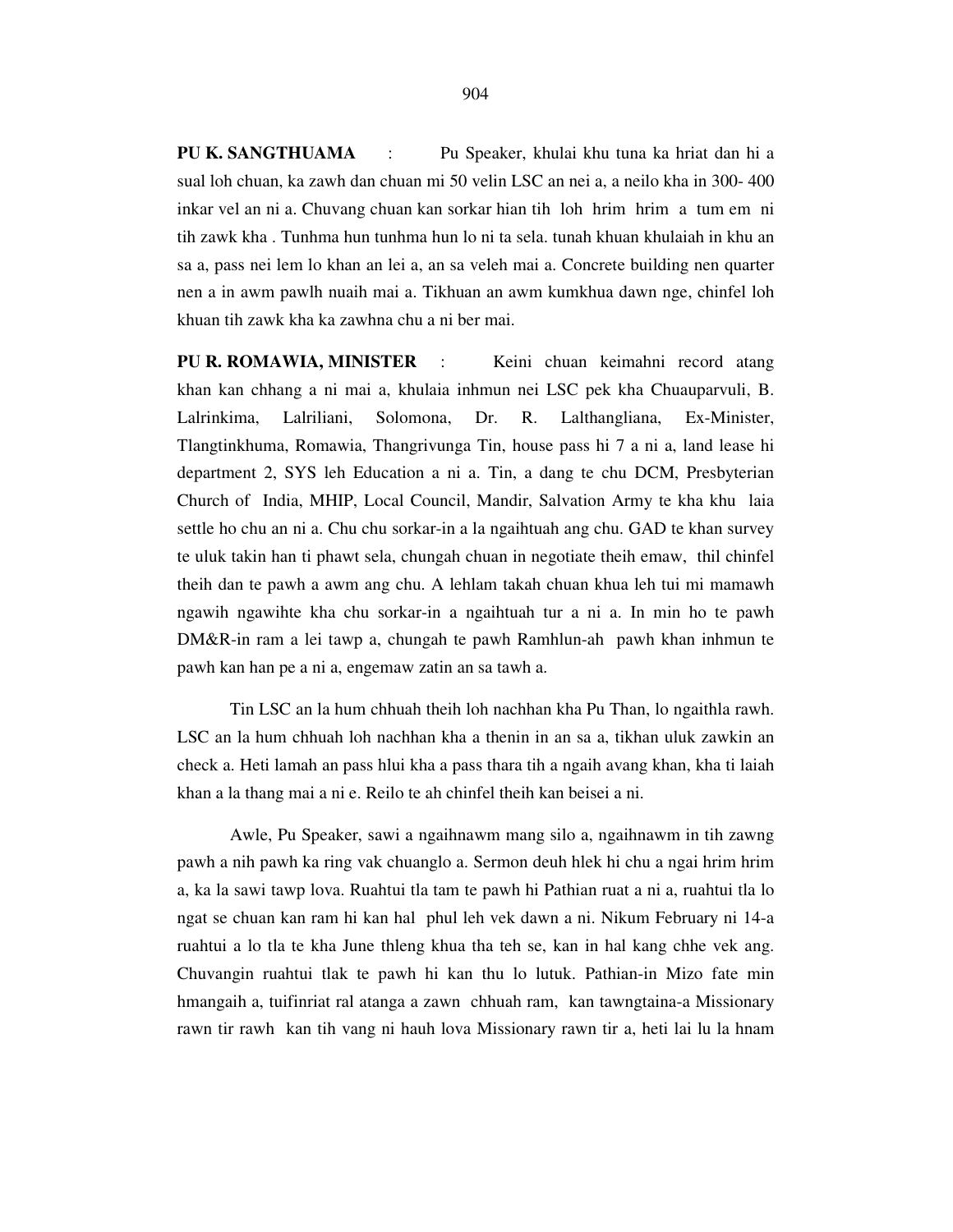**PU K. SANGTHUAMA** : Pu Speaker, khulai khu tuna ka hriat dan hi a sual loh chuan, ka zawh dan chuan mi 50 velin LSC an nei a, a neilo kha in 300- 400 inkar vel an ni a. Chuvang chuan kan sorkar hian tih loh hrim hrim a tum em ni tih zawk kha . Tunhma hun tunhma hun lo ni ta sela. tunah khuan khulaiah in khu an sa a, pass nei lem lo khan an lei a, an sa veleh mai a. Concrete building nen quarter nen a in awm pawlh nuaih mai a. Tikhuan an awm kumkhua dawn nge, chinfel loh khuan tih zawk kha ka zawhna chu a ni ber mai.

**PU R. ROMAWIA, MINISTER** : Keini chuan keimahni record atang khan kan chhang a ni mai a, khulaia inhmun nei LSC pek kha Chuauparvuli, B. Lalrinkima, Lalriliani, Solomona, Dr. R. Lalthangliana, Ex-Minister, Tlangtinkhuma, Romawia, Thangrivunga Tin, house pass hi 7 a ni a, land lease hi department 2, SYS leh Education a ni a. Tin, a dang te chu DCM, Presbyterian Church of India, MHIP, Local Council, Mandir, Salvation Army te kha khu laia settle ho chu an ni a. Chu chu sorkar-in a la ngaihtuah ang chu. GAD te khan survey te uluk takin han ti phawt sela, chungah chuan in negotiate theih emaw, thil chinfel theih dan te pawh a awm ang chu. A lehlam takah chuan khua leh tui mi mamawh ngawih ngawihte kha chu sorkar-in a ngaihtuah tur a ni a. In min ho te pawh DM&R-in ram a lei tawp a, chungah te pawh Ramhlun-ah pawh khan inhmun te pawh kan han pe a ni a, engemaw zatin an sa tawh a.

 Tin LSC an la hum chhuah theih loh nachhan kha Pu Than, lo ngaithla rawh. LSC an la hum chhuah loh nachhan kha a thenin in an sa a, tikhan uluk zawkin an check a. Heti lamah an pass hlui kha a pass thara tih a ngaih avang khan, kha ti laiah khan a la thang mai a ni e. Reilo te ah chinfel theih kan beisei a ni.

 Awle, Pu Speaker, sawi a ngaihnawm mang silo a, ngaihnawm in tih zawng pawh a nih pawh ka ring vak chuanglo a. Sermon deuh hlek hi chu a ngai hrim hrim a, ka la sawi tawp lova. Ruahtui tla tam te pawh hi Pathian ruat a ni a, ruahtui tla lo ngat se chuan kan ram hi kan hal phul leh vek dawn a ni. Nikum February ni 14-a ruahtui a lo tla te kha June thleng khua tha teh se, kan in hal kang chhe vek ang. Chuvangin ruahtui tlak te pawh hi kan thu lo lutuk. Pathian-in Mizo fate min hmangaih a, tuifinriat ral atanga a zawn chhuah ram, kan tawngtaina-a Missionary rawn tir rawh kan tih vang ni hauh lova Missionary rawn tir a, heti lai lu la hnam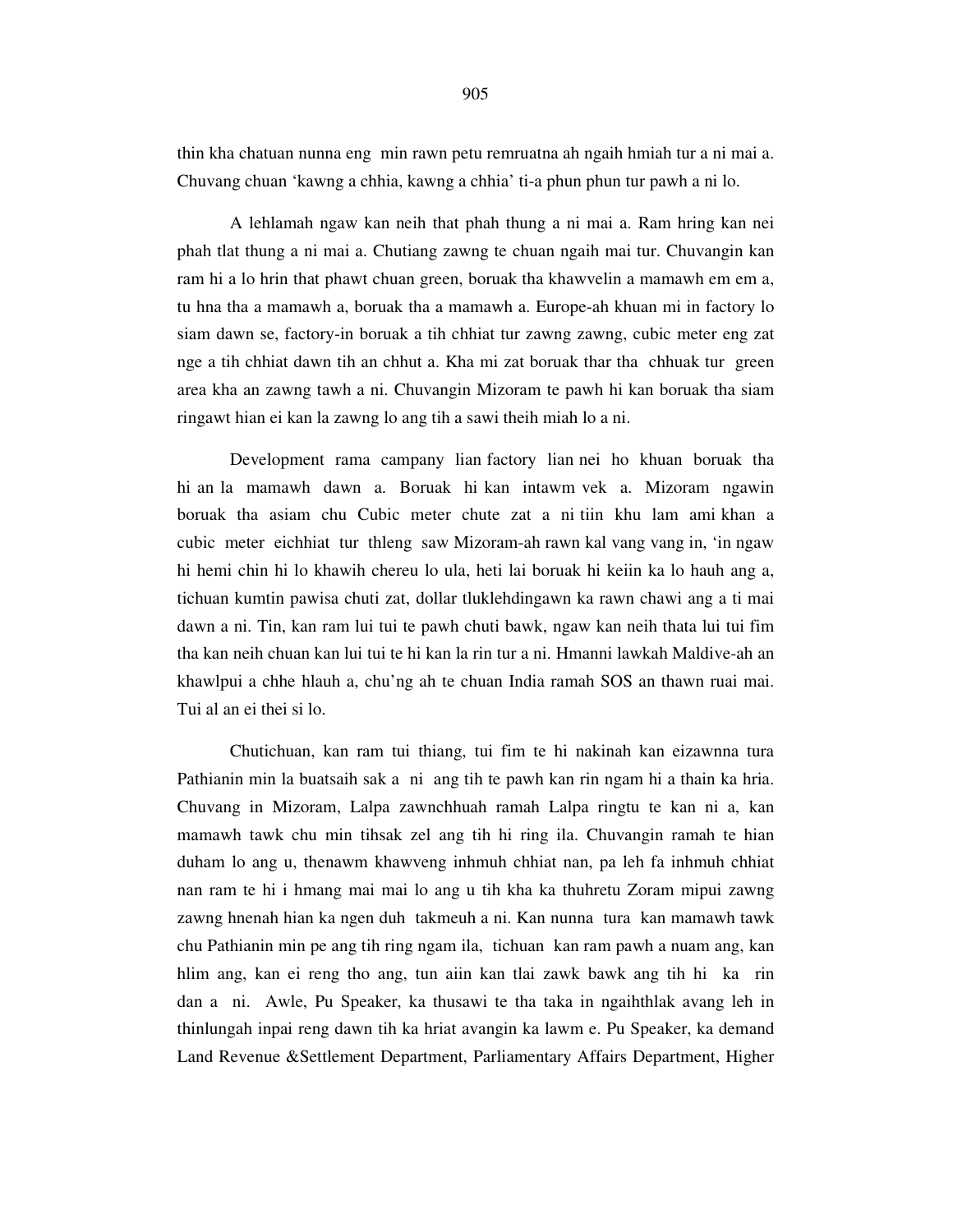thin kha chatuan nunna eng min rawn petu remruatna ah ngaih hmiah tur a ni mai a. Chuvang chuan 'kawng a chhia, kawng a chhia' ti-a phun phun tur pawh a ni lo.

 A lehlamah ngaw kan neih that phah thung a ni mai a. Ram hring kan nei phah tlat thung a ni mai a. Chutiang zawng te chuan ngaih mai tur. Chuvangin kan ram hi a lo hrin that phawt chuan green, boruak tha khawvelin a mamawh em em a, tu hna tha a mamawh a, boruak tha a mamawh a. Europe-ah khuan mi in factory lo siam dawn se, factory-in boruak a tih chhiat tur zawng zawng, cubic meter eng zat nge a tih chhiat dawn tih an chhut a. Kha mi zat boruak thar tha chhuak tur green area kha an zawng tawh a ni. Chuvangin Mizoram te pawh hi kan boruak tha siam ringawt hian ei kan la zawng lo ang tih a sawi theih miah lo a ni.

 Development rama campany lian factory lian nei ho khuan boruak tha hi an la mamawh dawn a. Boruak hi kan intawm vek a. Mizoram ngawin boruak tha asiam chu Cubic meter chute zat a ni tiin khu lam ami khan a cubic meter eichhiat tur thleng saw Mizoram-ah rawn kal vang vang in, 'in ngaw hi hemi chin hi lo khawih chereu lo ula, heti lai boruak hi keiin ka lo hauh ang a, tichuan kumtin pawisa chuti zat, dollar tluklehdingawn ka rawn chawi ang a ti mai dawn a ni. Tin, kan ram lui tui te pawh chuti bawk, ngaw kan neih thata lui tui fim tha kan neih chuan kan lui tui te hi kan la rin tur a ni. Hmanni lawkah Maldive-ah an khawlpui a chhe hlauh a, chu'ng ah te chuan India ramah SOS an thawn ruai mai. Tui al an ei thei si lo.

 Chutichuan, kan ram tui thiang, tui fim te hi nakinah kan eizawnna tura Pathianin min la buatsaih sak a ni ang tih te pawh kan rin ngam hi a thain ka hria. Chuvang in Mizoram, Lalpa zawnchhuah ramah Lalpa ringtu te kan ni a, kan mamawh tawk chu min tihsak zel ang tih hi ring ila. Chuvangin ramah te hian duham lo ang u, thenawm khawveng inhmuh chhiat nan, pa leh fa inhmuh chhiat nan ram te hi i hmang mai mai lo ang u tih kha ka thuhretu Zoram mipui zawng zawng hnenah hian ka ngen duh takmeuh a ni. Kan nunna tura kan mamawh tawk chu Pathianin min pe ang tih ring ngam ila, tichuan kan ram pawh a nuam ang, kan hlim ang, kan ei reng tho ang, tun aiin kan tlai zawk bawk ang tih hi ka rin dan a ni. Awle, Pu Speaker, ka thusawi te tha taka in ngaihthlak avang leh in thinlungah inpai reng dawn tih ka hriat avangin ka lawm e. Pu Speaker, ka demand Land Revenue &Settlement Department, Parliamentary Affairs Department, Higher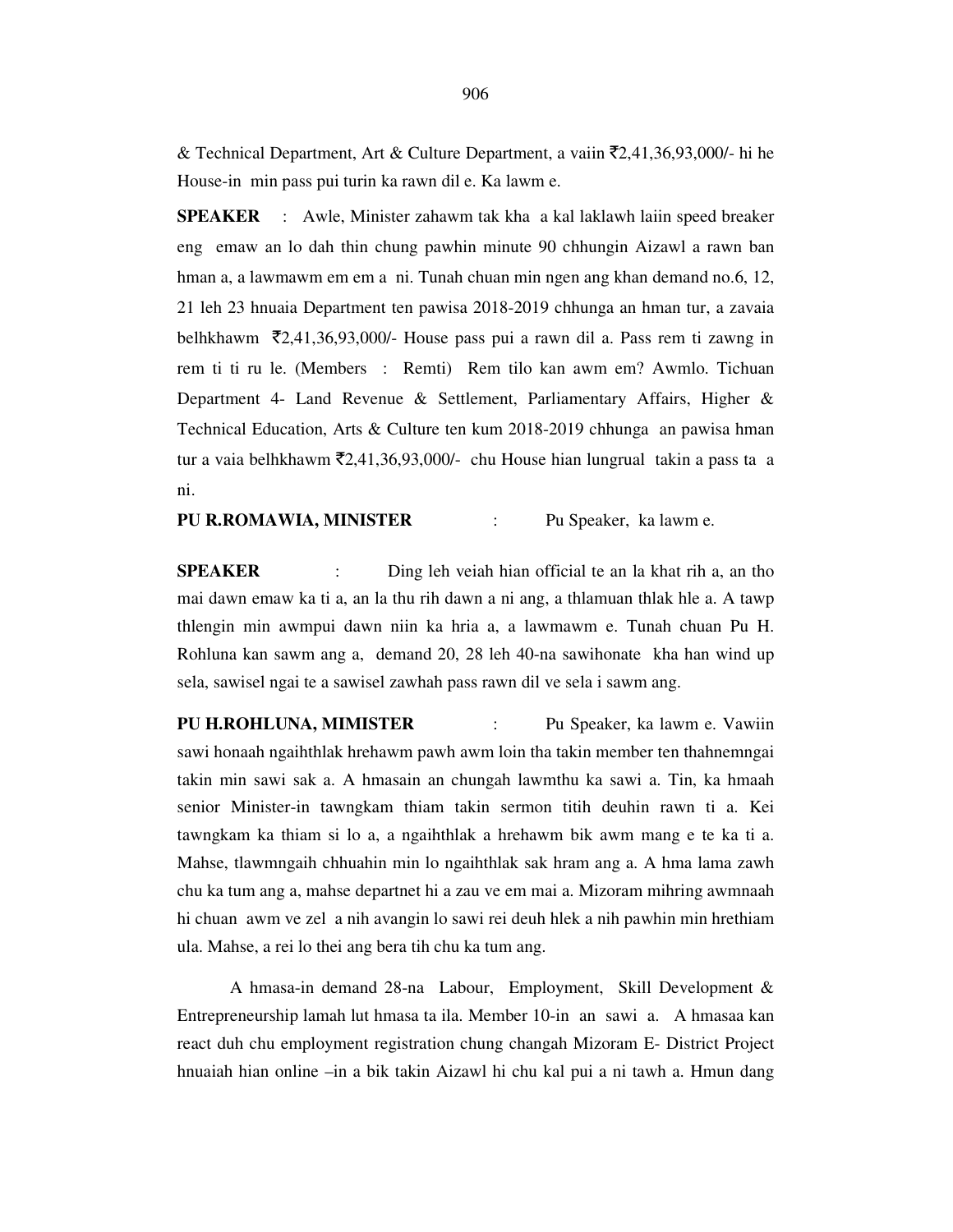& Technical Department, Art & Culture Department, a vaiin  $\bar{\mathcal{F}}2,41,36,93,000/$ - hi he House-in min pass pui turin ka rawn dil e. Ka lawm e.

**SPEAKER** : Awle, Minister zahawm tak kha a kal laklawh laiin speed breaker eng emaw an lo dah thin chung pawhin minute 90 chhungin Aizawl a rawn ban hman a, a lawmawm em em a ni. Tunah chuan min ngen ang khan demand no.6, 12, 21 leh 23 hnuaia Department ten pawisa 2018-2019 chhunga an hman tur, a zavaia belhkhawm  $\bar{\mathcal{L}}$ 2,41,36,93,000/- House pass pui a rawn dil a. Pass rem ti zawng in rem ti ti ru le. (Members : Remti) Rem tilo kan awm em? Awmlo. Tichuan Department 4- Land Revenue & Settlement, Parliamentary Affairs, Higher & Technical Education, Arts & Culture ten kum 2018-2019 chhunga an pawisa hman tur a vaia belhkhawm  $\bar{\mathcal{L}}$ ,41,36,93,000/- chu House hian lungrual takin a pass ta a ni.

**PU R.ROMAWIA, MINISTER** : Pu Speaker, ka lawm e.

**SPEAKER** : Ding leh veiah hian official te an la khat rih a, an tho mai dawn emaw ka ti a, an la thu rih dawn a ni ang, a thlamuan thlak hle a. A tawp thlengin min awmpui dawn niin ka hria a, a lawmawm e. Tunah chuan Pu H. Rohluna kan sawm ang a, demand 20, 28 leh 40-na sawihonate kha han wind up sela, sawisel ngai te a sawisel zawhah pass rawn dil ve sela i sawm ang.

**PU H.ROHLUNA, MIMISTER** : Pu Speaker, ka lawm e. Vawiin sawi honaah ngaihthlak hrehawm pawh awm loin tha takin member ten thahnemngai takin min sawi sak a. A hmasain an chungah lawmthu ka sawi a. Tin, ka hmaah senior Minister-in tawngkam thiam takin sermon titih deuhin rawn ti a. Kei tawngkam ka thiam si lo a, a ngaihthlak a hrehawm bik awm mang e te ka ti a. Mahse, tlawmngaih chhuahin min lo ngaihthlak sak hram ang a. A hma lama zawh chu ka tum ang a, mahse departnet hi a zau ve em mai a. Mizoram mihring awmnaah hi chuan awm ve zel a nih avangin lo sawi rei deuh hlek a nih pawhin min hrethiam ula. Mahse, a rei lo thei ang bera tih chu ka tum ang.

 A hmasa-in demand 28-na Labour, Employment, Skill Development & Entrepreneurship lamah lut hmasa ta ila. Member 10-in an sawi a. A hmasaa kan react duh chu employment registration chung changah Mizoram E- District Project hnuaiah hian online –in a bik takin Aizawl hi chu kal pui a ni tawh a. Hmun dang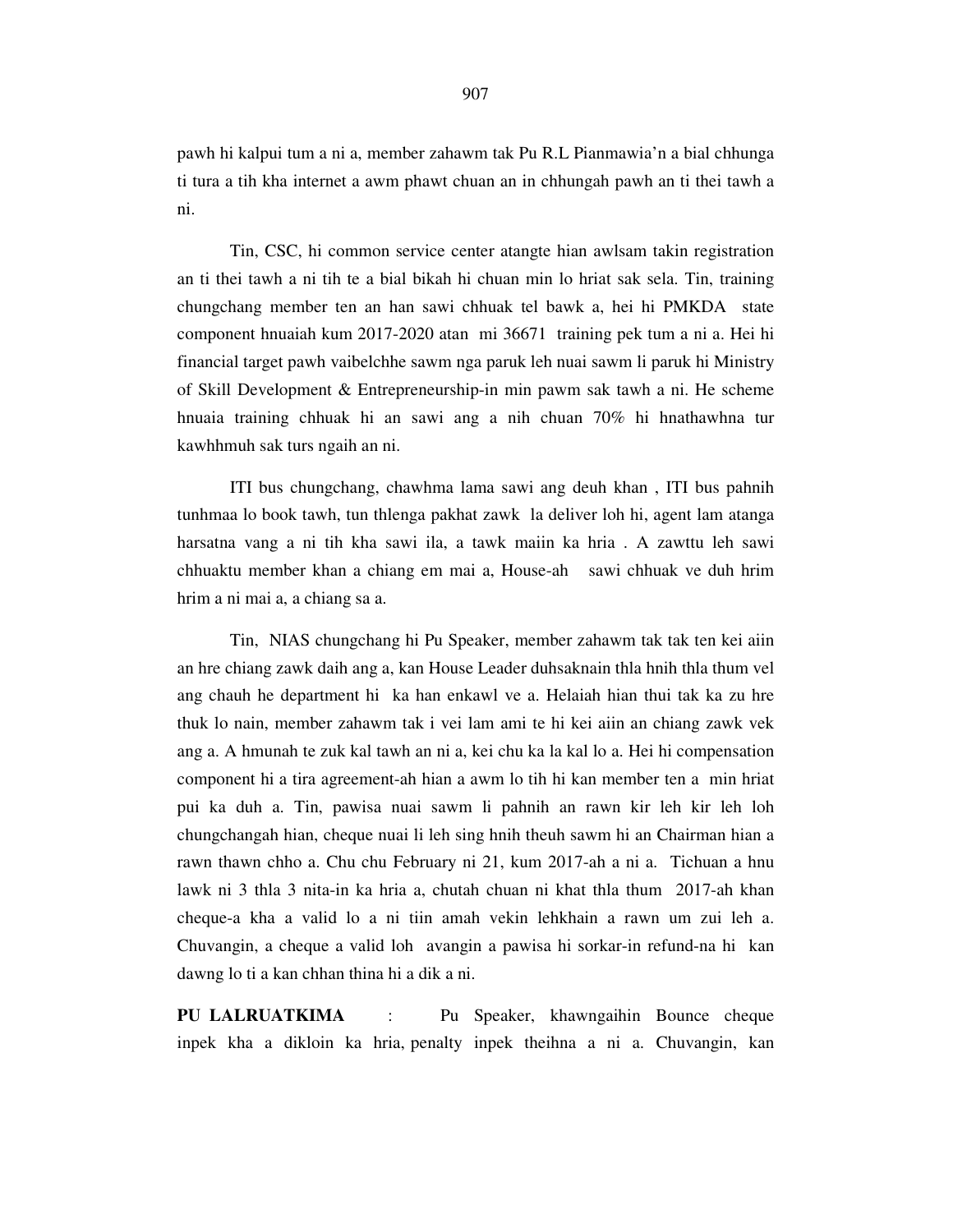pawh hi kalpui tum a ni a, member zahawm tak Pu R.L Pianmawia'n a bial chhunga ti tura a tih kha internet a awm phawt chuan an in chhungah pawh an ti thei tawh a ni.

 Tin, CSC, hi common service center atangte hian awlsam takin registration an ti thei tawh a ni tih te a bial bikah hi chuan min lo hriat sak sela. Tin, training chungchang member ten an han sawi chhuak tel bawk a, hei hi PMKDA state component hnuaiah kum 2017-2020 atan mi 36671 training pek tum a ni a. Hei hi financial target pawh vaibelchhe sawm nga paruk leh nuai sawm li paruk hi Ministry of Skill Development & Entrepreneurship-in min pawm sak tawh a ni. He scheme hnuaia training chhuak hi an sawi ang a nih chuan 70% hi hnathawhna tur kawhhmuh sak turs ngaih an ni.

 ITI bus chungchang, chawhma lama sawi ang deuh khan , ITI bus pahnih tunhmaa lo book tawh, tun thlenga pakhat zawk la deliver loh hi, agent lam atanga harsatna vang a ni tih kha sawi ila, a tawk maiin ka hria . A zawttu leh sawi chhuaktu member khan a chiang em mai a, House-ah sawi chhuak ve duh hrim hrim a ni mai a, a chiang sa a.

 Tin, NIAS chungchang hi Pu Speaker, member zahawm tak tak ten kei aiin an hre chiang zawk daih ang a, kan House Leader duhsaknain thla hnih thla thum vel ang chauh he department hi ka han enkawl ve a. Helaiah hian thui tak ka zu hre thuk lo nain, member zahawm tak i vei lam ami te hi kei aiin an chiang zawk vek ang a. A hmunah te zuk kal tawh an ni a, kei chu ka la kal lo a. Hei hi compensation component hi a tira agreement-ah hian a awm lo tih hi kan member ten a min hriat pui ka duh a. Tin, pawisa nuai sawm li pahnih an rawn kir leh kir leh loh chungchangah hian, cheque nuai li leh sing hnih theuh sawm hi an Chairman hian a rawn thawn chho a. Chu chu February ni 21, kum 2017-ah a ni a. Tichuan a hnu lawk ni 3 thla 3 nita-in ka hria a, chutah chuan ni khat thla thum 2017-ah khan cheque-a kha a valid lo a ni tiin amah vekin lehkhain a rawn um zui leh a. Chuvangin, a cheque a valid loh avangin a pawisa hi sorkar-in refund-na hi kan dawng lo ti a kan chhan thina hi a dik a ni.

**PU LALRUATKIMA** : Pu Speaker, khawngaihin Bounce cheque inpek kha a dikloin ka hria, penalty inpek theihna a ni a. Chuvangin, kan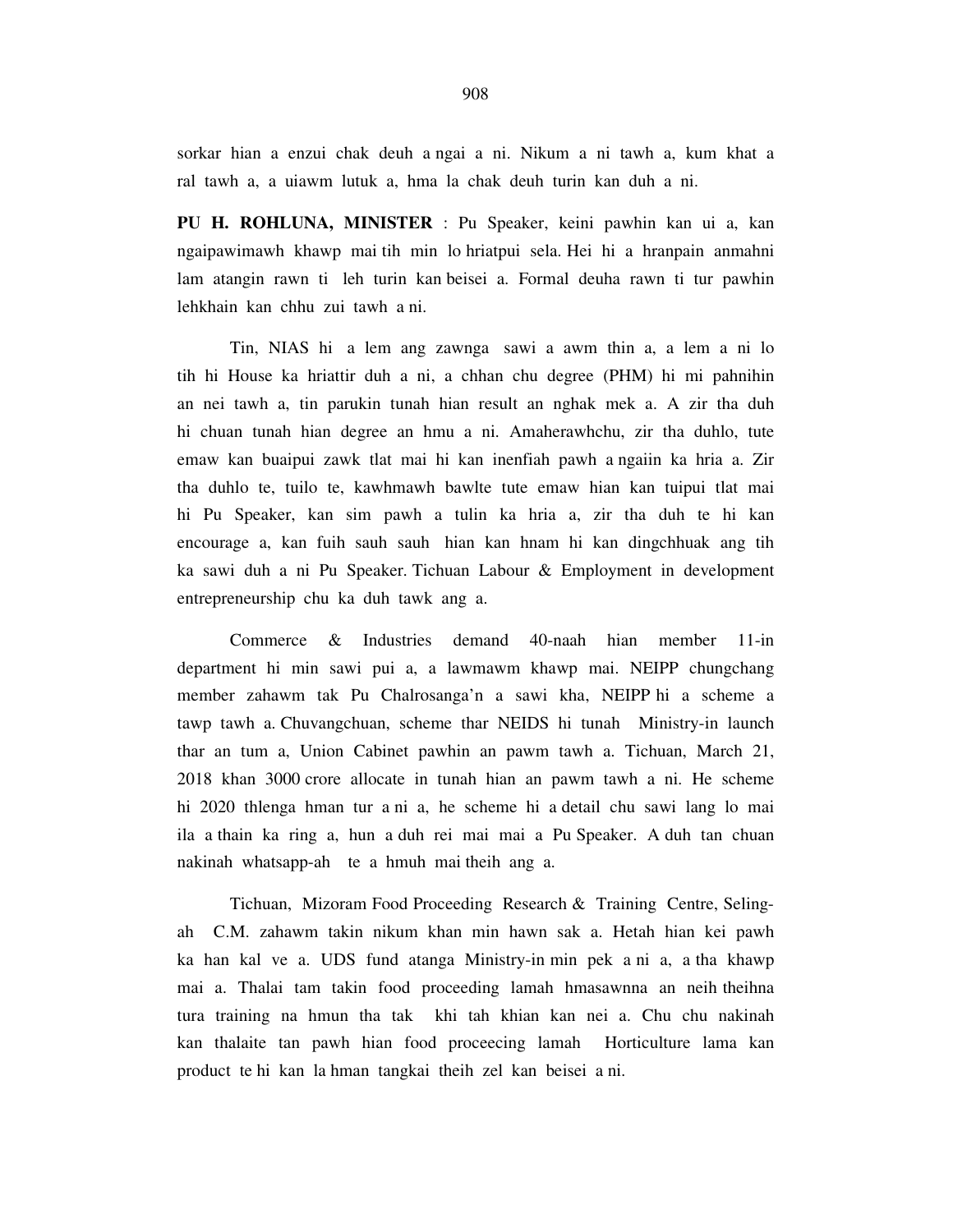sorkar hian a enzui chak deuh a ngai a ni. Nikum a ni tawh a, kum khat a ral tawh a, a uiawm lutuk a, hma la chak deuh turin kan duh a ni.

**PU H. ROHLUNA, MINISTER** : Pu Speaker, keini pawhin kan ui a, kan ngaipawimawh khawp mai tih min lo hriatpui sela. Hei hi a hranpain anmahni lam atangin rawn ti leh turin kan beisei a. Formal deuha rawn ti tur pawhin lehkhain kan chhu zui tawh a ni.

 Tin, NIAS hi a lem ang zawnga sawi a awm thin a, a lem a ni lo tih hi House ka hriattir duh a ni, a chhan chu degree (PHM) hi mi pahnihin an nei tawh a, tin parukin tunah hian result an nghak mek a. A zir tha duh hi chuan tunah hian degree an hmu a ni. Amaherawhchu, zir tha duhlo, tute emaw kan buaipui zawk tlat mai hi kan inenfiah pawh a ngaiin ka hria a. Zir tha duhlo te, tuilo te, kawhmawh bawlte tute emaw hian kan tuipui tlat mai hi Pu Speaker, kan sim pawh a tulin ka hria a, zir tha duh te hi kan encourage a, kan fuih sauh sauh hian kan hnam hi kan dingchhuak ang tih ka sawi duh a ni Pu Speaker. Tichuan Labour & Employment in development entrepreneurship chu ka duh tawk ang a.

 Commerce & Industries demand 40-naah hian member 11-in department hi min sawi pui a, a lawmawm khawp mai. NEIPP chungchang member zahawm tak Pu Chalrosanga'n a sawi kha, NEIPP hi a scheme a tawp tawh a. Chuvangchuan, scheme thar NEIDS hi tunah Ministry-in launch thar an tum a, Union Cabinet pawhin an pawm tawh a. Tichuan, March 21, 2018 khan 3000 crore allocate in tunah hian an pawm tawh a ni. He scheme hi 2020 thlenga hman tur a ni a, he scheme hi a detail chu sawi lang lo mai ila a thain ka ring a, hun a duh rei mai mai a Pu Speaker. A duh tan chuan nakinah whatsapp-ah te a hmuh mai theih ang a.

 Tichuan, Mizoram Food Proceeding Research & Training Centre, Selingah C.M. zahawm takin nikum khan min hawn sak a. Hetah hian kei pawh ka han kal ve a. UDS fund atanga Ministry-in min pek a ni a, a tha khawp mai a. Thalai tam takin food proceeding lamah hmasawnna an neih theihna tura training na hmun tha tak khi tah khian kan nei a. Chu chu nakinah kan thalaite tan pawh hian food proceecing lamah Horticulture lama kan product te hi kan la hman tangkai theih zel kan beisei a ni.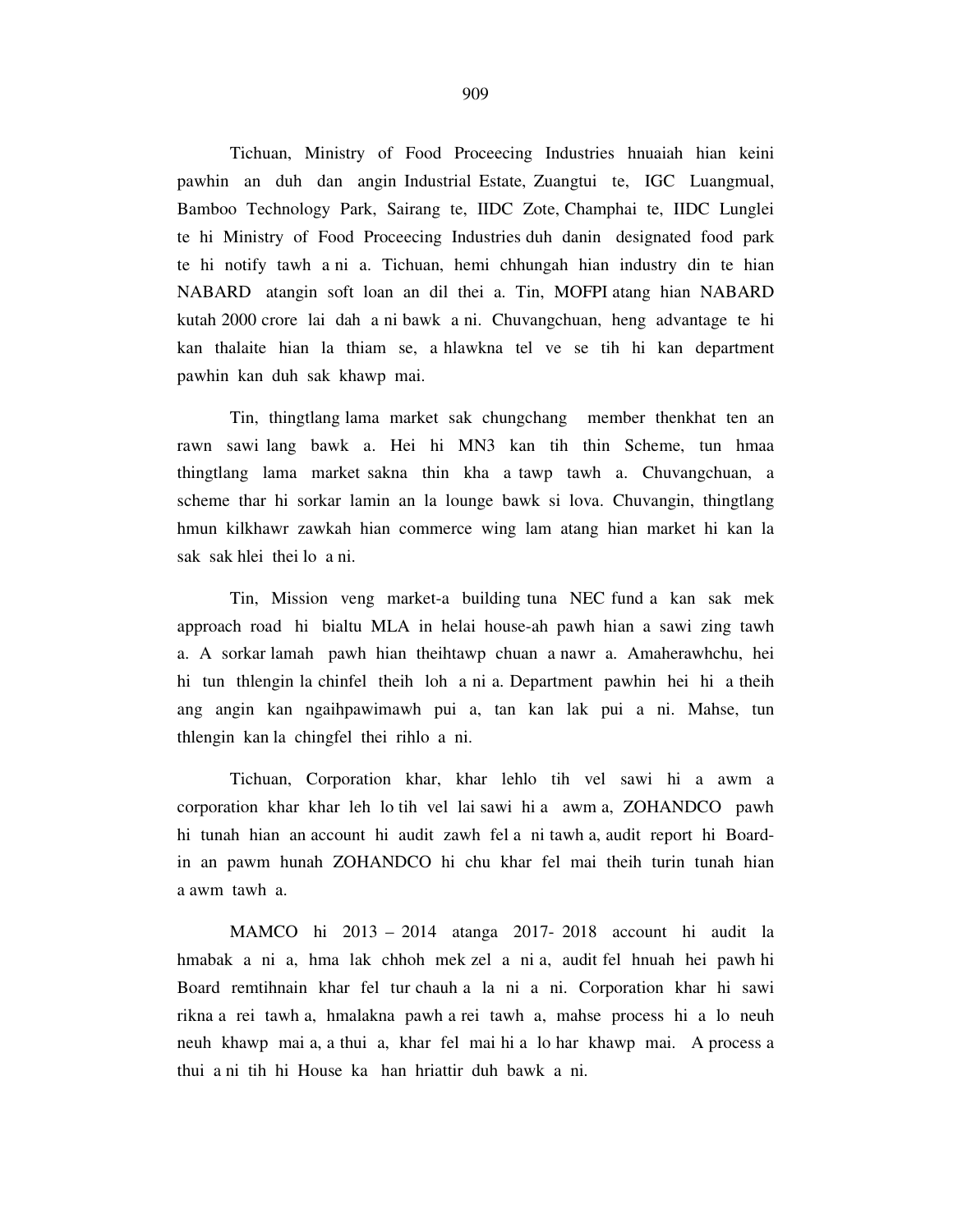Tichuan, Ministry of Food Proceecing Industries hnuaiah hian keini pawhin an duh dan angin Industrial Estate, Zuangtui te, IGC Luangmual, Bamboo Technology Park, Sairang te, IIDC Zote, Champhai te, IIDC Lunglei te hi Ministry of Food Proceecing Industries duh danin designated food park te hi notify tawh a ni a. Tichuan, hemi chhungah hian industry din te hian NABARD atangin soft loan an dil thei a. Tin, MOFPI atang hian NABARD kutah 2000 crore lai dah a ni bawk a ni. Chuvangchuan, heng advantage te hi kan thalaite hian la thiam se, a hlawkna tel ve se tih hi kan department pawhin kan duh sak khawp mai.

 Tin, thingtlang lama market sak chungchang member thenkhat ten an rawn sawi lang bawk a. Hei hi MN3 kan tih thin Scheme, tun hmaa thingtlang lama market sakna thin kha a tawp tawh a. Chuvangchuan, a scheme thar hi sorkar lamin an la lounge bawk si lova. Chuvangin, thingtlang hmun kilkhawr zawkah hian commerce wing lam atang hian market hi kan la sak sak hlei thei lo a ni.

 Tin, Mission veng market-a building tuna NEC fund a kan sak mek approach road hi bialtu MLA in helai house-ah pawh hian a sawi zing tawh a. A sorkar lamah pawh hian theihtawp chuan a nawr a. Amaherawhchu, hei hi tun thlengin la chinfel theih loh a ni a. Department pawhin hei hi a theih ang angin kan ngaihpawimawh pui a, tan kan lak pui a ni. Mahse, tun thlengin kan la chingfel thei rihlo a ni.

 Tichuan, Corporation khar, khar lehlo tih vel sawi hi a awm a corporation khar khar leh lo tih vel lai sawi hi a awm a, ZOHANDCO pawh hi tunah hian an account hi audit zawh fel a ni tawh a, audit report hi Boardin an pawm hunah ZOHANDCO hi chu khar fel mai theih turin tunah hian a awm tawh a.

 MAMCO hi 2013 – 2014 atanga 2017- 2018 account hi audit la hmabak a ni a, hma lak chhoh mek zel a ni a, audit fel hnuah hei pawh hi Board remtihnain khar fel tur chauh a la ni a ni. Corporation khar hi sawi rikna a rei tawh a, hmalakna pawh a rei tawh a, mahse process hi a lo neuh neuh khawp mai a, a thui a, khar fel mai hi a lo har khawp mai. A process a thui a ni tih hi House ka han hriattir duh bawk a ni.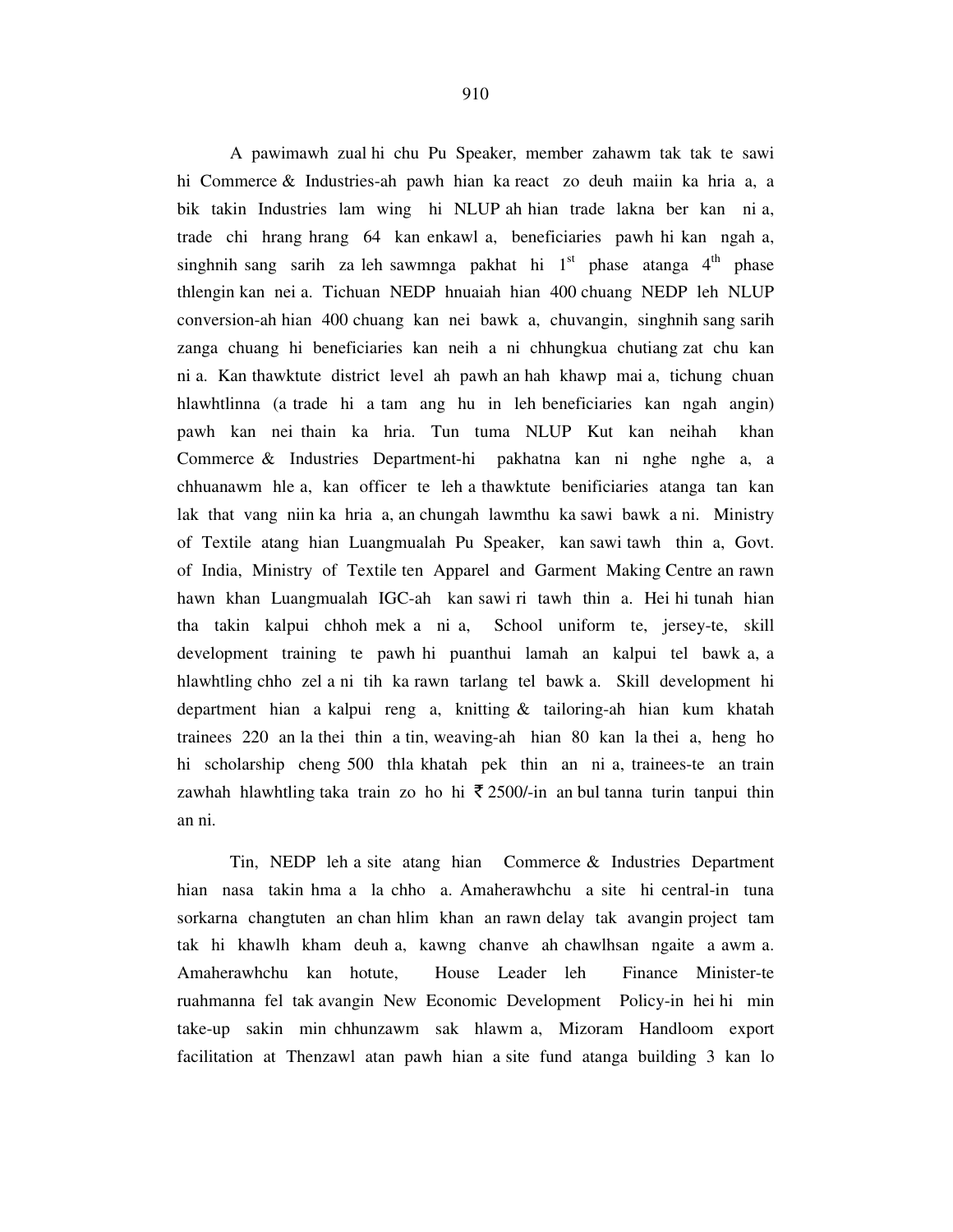A pawimawh zual hi chu Pu Speaker, member zahawm tak tak te sawi hi Commerce & Industries-ah pawh hian ka react zo deuh maiin ka hria a, a bik takin Industries lam wing hi NLUP ah hian trade lakna ber kan ni a, trade chi hrang hrang 64 kan enkawl a, beneficiaries pawh hi kan ngah a, singhnih sang sarih za leh sawmnga pakhat hi  $1<sup>st</sup>$  phase atanga  $4<sup>th</sup>$  phase thlengin kan nei a. Tichuan NEDP hnuaiah hian 400 chuang NEDP leh NLUP conversion-ah hian 400 chuang kan nei bawk a, chuvangin, singhnih sang sarih zanga chuang hi beneficiaries kan neih a ni chhungkua chutiang zat chu kan ni a. Kan thawktute district level ah pawh an hah khawp mai a, tichung chuan hlawhtlinna (a trade hi a tam ang hu in leh beneficiaries kan ngah angin) pawh kan nei thain ka hria. Tun tuma NLUP Kut kan neihah khan Commerce & Industries Department-hi pakhatna kan ni nghe nghe a, a chhuanawm hle a, kan officer te leh a thawktute benificiaries atanga tan kan lak that vang niin ka hria a, an chungah lawmthu ka sawi bawk a ni. Ministry of Textile atang hian Luangmualah Pu Speaker, kan sawi tawh thin a, Govt. of India, Ministry of Textile ten Apparel and Garment Making Centre an rawn hawn khan Luangmualah IGC-ah kan sawi ri tawh thin a. Hei hi tunah hian tha takin kalpui chhoh mek a ni a, School uniform te, jersey-te, skill development training te pawh hi puanthui lamah an kalpui tel bawk a, a hlawhtling chho zel a ni tih ka rawn tarlang tel bawk a. Skill development hi department hian a kalpui reng a, knitting & tailoring-ah hian kum khatah trainees 220 an la thei thin a tin, weaving-ah hian 80 kan la thei a, heng ho hi scholarship cheng 500 thla khatah pek thin an ni a, trainees-te an train zawhah hlawhtling taka train zo ho hi  $\bar{\tau}$  2500/-in an bul tanna turin tanpui thin an ni.

 Tin, NEDP leh a site atang hian Commerce & Industries Department hian nasa takin hma a la chho a. Amaherawhchu a site hi central-in tuna sorkarna changtuten an chan hlim khan an rawn delay tak avangin project tam tak hi khawlh kham deuh a, kawng chanve ah chawlhsan ngaite a awm a. Amaherawhchu kan hotute, House Leader leh Finance Minister-te ruahmanna fel tak avangin New Economic Development Policy-in hei hi min take-up sakin min chhunzawm sak hlawm a, Mizoram Handloom export facilitation at Thenzawl atan pawh hian a site fund atanga building 3 kan lo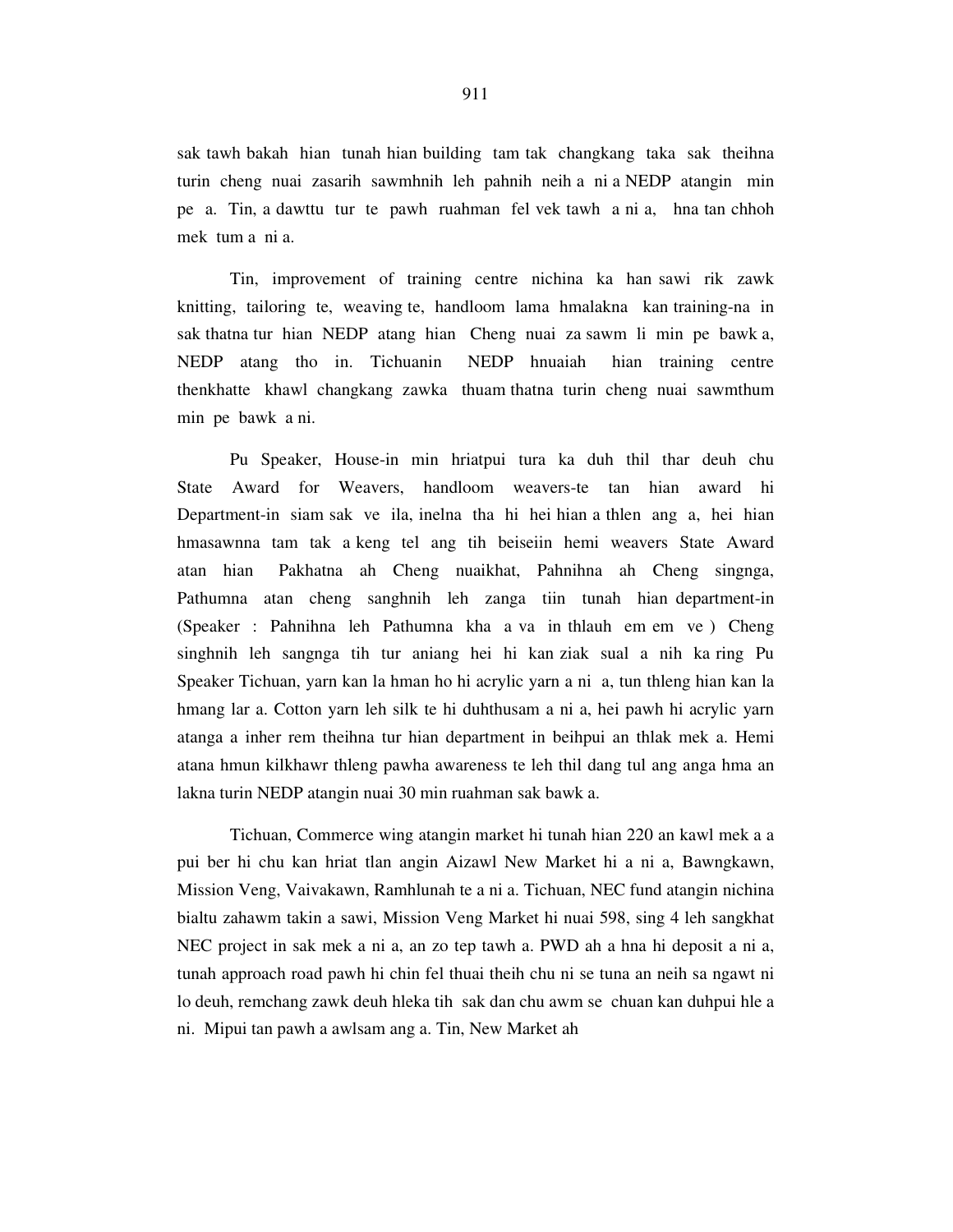sak tawh bakah hian tunah hian building tam tak changkang taka sak theihna turin cheng nuai zasarih sawmhnih leh pahnih neih a ni a NEDP atangin min pe a. Tin, a dawttu tur te pawh ruahman fel vek tawh a ni a, hna tan chhoh mek tum a ni a.

 Tin, improvement of training centre nichina ka han sawi rik zawk knitting, tailoring te, weaving te, handloom lama hmalakna kan training-na in sak thatna tur hian NEDP atang hian Cheng nuai za sawm li min pe bawk a, NEDP atang tho in. Tichuanin NEDP hnuaiah hian training centre thenkhatte khawl changkang zawka thuam thatna turin cheng nuai sawmthum min pe bawk a ni.

 Pu Speaker, House-in min hriatpui tura ka duh thil thar deuh chu State Award for Weavers, handloom weavers-te tan hian award hi Department-in siam sak ve ila, inelna tha hi hei hian a thlen ang a, hei hian hmasawnna tam tak a keng tel ang tih beiseiin hemi weavers State Award atan hian Pakhatna ah Cheng nuaikhat, Pahnihna ah Cheng singnga, Pathumna atan cheng sanghnih leh zanga tiin tunah hian department-in (Speaker : Pahnihna leh Pathumna kha a va in thlauh em em ve ) Cheng singhnih leh sangnga tih tur aniang hei hi kan ziak sual a nih ka ring Pu Speaker Tichuan, yarn kan la hman ho hi acrylic yarn a ni a, tun thleng hian kan la hmang lar a. Cotton yarn leh silk te hi duhthusam a ni a, hei pawh hi acrylic yarn atanga a inher rem theihna tur hian department in beihpui an thlak mek a. Hemi atana hmun kilkhawr thleng pawha awareness te leh thil dang tul ang anga hma an lakna turin NEDP atangin nuai 30 min ruahman sak bawk a.

 Tichuan, Commerce wing atangin market hi tunah hian 220 an kawl mek a a pui ber hi chu kan hriat tlan angin Aizawl New Market hi a ni a, Bawngkawn, Mission Veng, Vaivakawn, Ramhlunah te a ni a. Tichuan, NEC fund atangin nichina bialtu zahawm takin a sawi, Mission Veng Market hi nuai 598, sing 4 leh sangkhat NEC project in sak mek a ni a, an zo tep tawh a. PWD ah a hna hi deposit a ni a, tunah approach road pawh hi chin fel thuai theih chu ni se tuna an neih sa ngawt ni lo deuh, remchang zawk deuh hleka tih sak dan chu awm se chuan kan duhpui hle a ni. Mipui tan pawh a awlsam ang a. Tin, New Market ah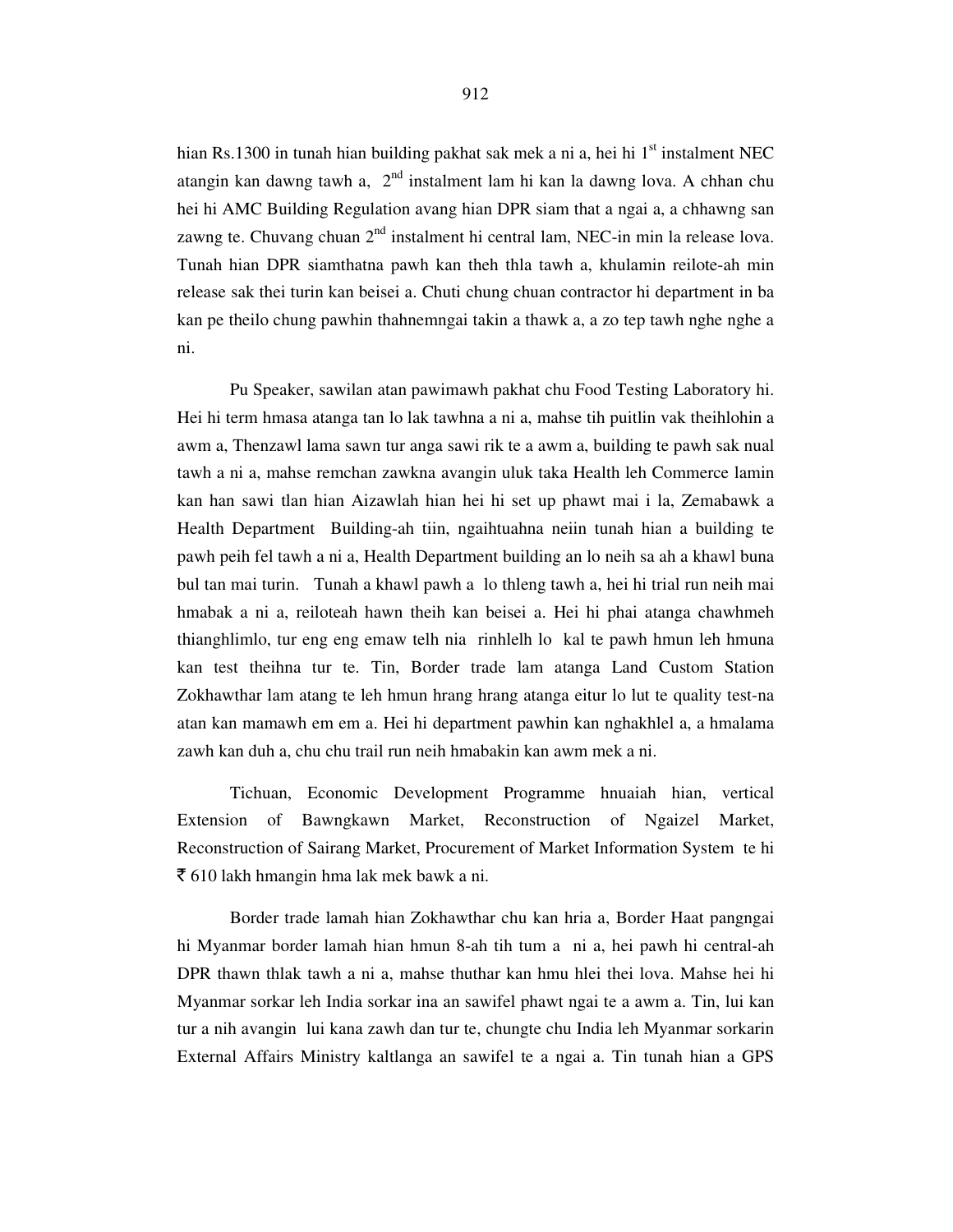hian Rs.1300 in tunah hian building pakhat sak mek a ni a, hei hi  $1<sup>st</sup>$  instalment NEC atangin kan dawng tawh a, 2<sup>nd</sup> instalment lam hi kan la dawng lova. A chhan chu hei hi AMC Building Regulation avang hian DPR siam that a ngai a, a chhawng san zawng te. Chuvang chuan  $2<sup>nd</sup>$  instalment hi central lam, NEC-in min la release lova. Tunah hian DPR siamthatna pawh kan theh thla tawh a, khulamin reilote-ah min release sak thei turin kan beisei a. Chuti chung chuan contractor hi department in ba kan pe theilo chung pawhin thahnemngai takin a thawk a, a zo tep tawh nghe nghe a ni.

 Pu Speaker, sawilan atan pawimawh pakhat chu Food Testing Laboratory hi. Hei hi term hmasa atanga tan lo lak tawhna a ni a, mahse tih puitlin vak theihlohin a awm a, Thenzawl lama sawn tur anga sawi rik te a awm a, building te pawh sak nual tawh a ni a, mahse remchan zawkna avangin uluk taka Health leh Commerce lamin kan han sawi tlan hian Aizawlah hian hei hi set up phawt mai i la, Zemabawk a Health Department Building-ah tiin, ngaihtuahna neiin tunah hian a building te pawh peih fel tawh a ni a, Health Department building an lo neih sa ah a khawl buna bul tan mai turin. Tunah a khawl pawh a lo thleng tawh a, hei hi trial run neih mai hmabak a ni a, reiloteah hawn theih kan beisei a. Hei hi phai atanga chawhmeh thianghlimlo, tur eng eng emaw telh nia rinhlelh lo kal te pawh hmun leh hmuna kan test theihna tur te. Tin, Border trade lam atanga Land Custom Station Zokhawthar lam atang te leh hmun hrang hrang atanga eitur lo lut te quality test-na atan kan mamawh em em a. Hei hi department pawhin kan nghakhlel a, a hmalama zawh kan duh a, chu chu trail run neih hmabakin kan awm mek a ni.

 Tichuan, Economic Development Programme hnuaiah hian, vertical Extension of Bawngkawn Market, Reconstruction of Ngaizel Market, Reconstruction of Sairang Market, Procurement of Market Information System te hi  $\bar{\bar{\xi}}$  610 lakh hmangin hma lak mek bawk a ni.

 Border trade lamah hian Zokhawthar chu kan hria a, Border Haat pangngai hi Myanmar border lamah hian hmun 8-ah tih tum a ni a, hei pawh hi central-ah DPR thawn thlak tawh a ni a, mahse thuthar kan hmu hlei thei lova. Mahse hei hi Myanmar sorkar leh India sorkar ina an sawifel phawt ngai te a awm a. Tin, lui kan tur a nih avangin lui kana zawh dan tur te, chungte chu India leh Myanmar sorkarin External Affairs Ministry kaltlanga an sawifel te a ngai a. Tin tunah hian a GPS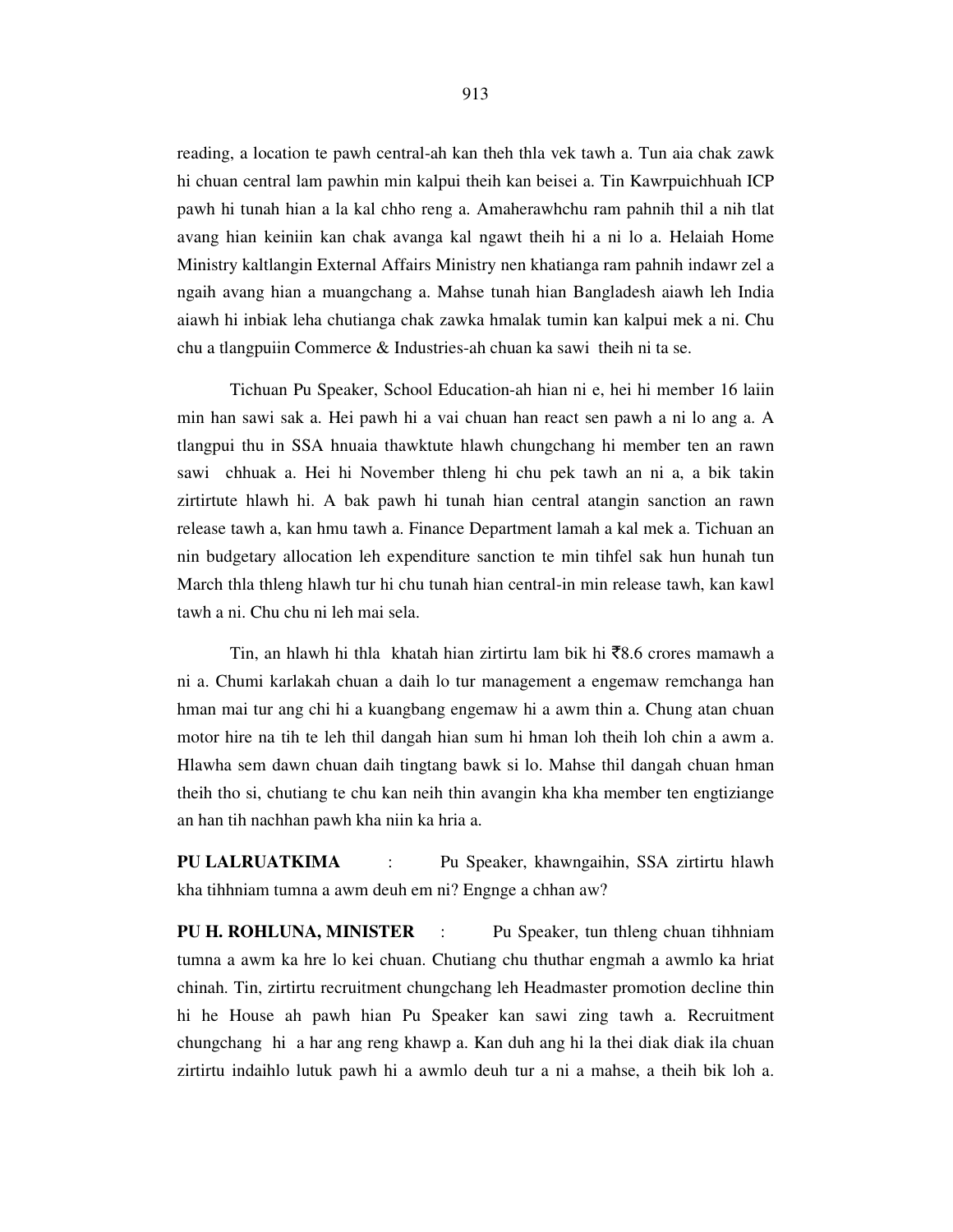reading, a location te pawh central-ah kan theh thla vek tawh a. Tun aia chak zawk hi chuan central lam pawhin min kalpui theih kan beisei a. Tin Kawrpuichhuah ICP pawh hi tunah hian a la kal chho reng a. Amaherawhchu ram pahnih thil a nih tlat avang hian keiniin kan chak avanga kal ngawt theih hi a ni lo a. Helaiah Home Ministry kaltlangin External Affairs Ministry nen khatianga ram pahnih indawr zel a ngaih avang hian a muangchang a. Mahse tunah hian Bangladesh aiawh leh India aiawh hi inbiak leha chutianga chak zawka hmalak tumin kan kalpui mek a ni. Chu chu a tlangpuiin Commerce & Industries-ah chuan ka sawi theih ni ta se.

Tichuan Pu Speaker, School Education-ah hian ni e, hei hi member 16 laiin min han sawi sak a. Hei pawh hi a vai chuan han react sen pawh a ni lo ang a. A tlangpui thu in SSA hnuaia thawktute hlawh chungchang hi member ten an rawn sawi chhuak a. Hei hi November thleng hi chu pek tawh an ni a, a bik takin zirtirtute hlawh hi. A bak pawh hi tunah hian central atangin sanction an rawn release tawh a, kan hmu tawh a. Finance Department lamah a kal mek a. Tichuan an nin budgetary allocation leh expenditure sanction te min tihfel sak hun hunah tun March thla thleng hlawh tur hi chu tunah hian central-in min release tawh, kan kawl tawh a ni. Chu chu ni leh mai sela.

Tin, an hlawh hi thla khatah hian zirtirtu lam bik hi  $\bar{z}8.6$  crores mamawh a ni a. Chumi karlakah chuan a daih lo tur management a engemaw remchanga han hman mai tur ang chi hi a kuangbang engemaw hi a awm thin a. Chung atan chuan motor hire na tih te leh thil dangah hian sum hi hman loh theih loh chin a awm a. Hlawha sem dawn chuan daih tingtang bawk si lo. Mahse thil dangah chuan hman theih tho si, chutiang te chu kan neih thin avangin kha kha member ten engtiziange an han tih nachhan pawh kha niin ka hria a.

**PU LALRUATKIMA** : Pu Speaker, khawngaihin, SSA zirtirtu hlawh kha tihhniam tumna a awm deuh em ni? Engnge a chhan aw?

**PU H. ROHLUNA, MINISTER** : Pu Speaker, tun thleng chuan tihhniam tumna a awm ka hre lo kei chuan. Chutiang chu thuthar engmah a awmlo ka hriat chinah. Tin, zirtirtu recruitment chungchang leh Headmaster promotion decline thin hi he House ah pawh hian Pu Speaker kan sawi zing tawh a. Recruitment chungchang hi a har ang reng khawp a. Kan duh ang hi la thei diak diak ila chuan zirtirtu indaihlo lutuk pawh hi a awmlo deuh tur a ni a mahse, a theih bik loh a.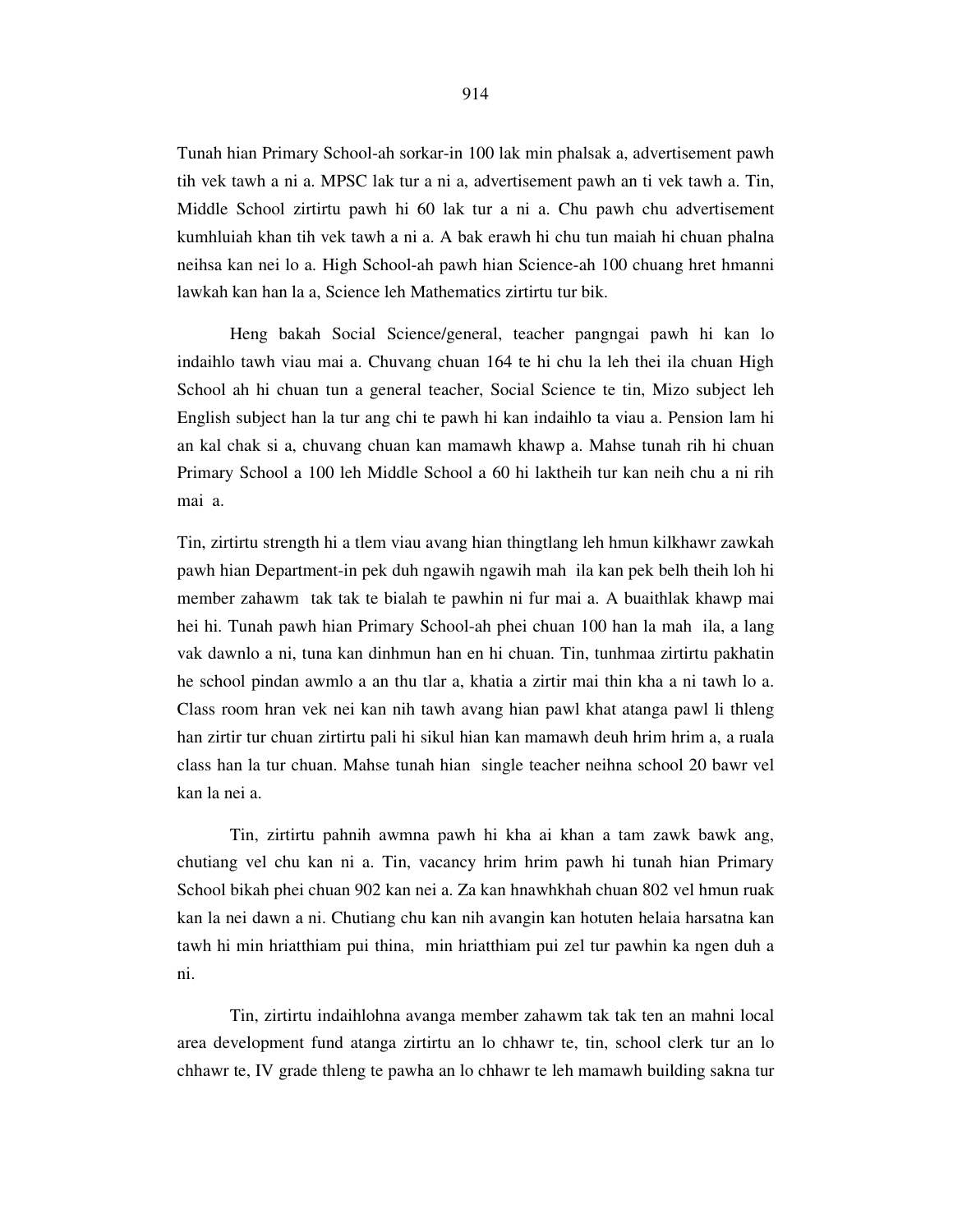Tunah hian Primary School-ah sorkar-in 100 lak min phalsak a, advertisement pawh tih vek tawh a ni a. MPSC lak tur a ni a, advertisement pawh an ti vek tawh a. Tin, Middle School zirtirtu pawh hi 60 lak tur a ni a. Chu pawh chu advertisement kumhluiah khan tih vek tawh a ni a. A bak erawh hi chu tun maiah hi chuan phalna neihsa kan nei lo a. High School-ah pawh hian Science-ah 100 chuang hret hmanni lawkah kan han la a, Science leh Mathematics zirtirtu tur bik.

Heng bakah Social Science/general, teacher pangngai pawh hi kan lo indaihlo tawh viau mai a. Chuvang chuan 164 te hi chu la leh thei ila chuan High School ah hi chuan tun a general teacher, Social Science te tin, Mizo subject leh English subject han la tur ang chi te pawh hi kan indaihlo ta viau a. Pension lam hi an kal chak si a, chuvang chuan kan mamawh khawp a. Mahse tunah rih hi chuan Primary School a 100 leh Middle School a 60 hi laktheih tur kan neih chu a ni rih mai a.

Tin, zirtirtu strength hi a tlem viau avang hian thingtlang leh hmun kilkhawr zawkah pawh hian Department-in pek duh ngawih ngawih mah ila kan pek belh theih loh hi member zahawm tak tak te bialah te pawhin ni fur mai a. A buaithlak khawp mai hei hi. Tunah pawh hian Primary School-ah phei chuan 100 han la mah ila, a lang vak dawnlo a ni, tuna kan dinhmun han en hi chuan. Tin, tunhmaa zirtirtu pakhatin he school pindan awmlo a an thu tlar a, khatia a zirtir mai thin kha a ni tawh lo a. Class room hran vek nei kan nih tawh avang hian pawl khat atanga pawl li thleng han zirtir tur chuan zirtirtu pali hi sikul hian kan mamawh deuh hrim hrim a, a ruala class han la tur chuan. Mahse tunah hian single teacher neihna school 20 bawr vel kan la nei a.

 Tin, zirtirtu pahnih awmna pawh hi kha ai khan a tam zawk bawk ang, chutiang vel chu kan ni a. Tin, vacancy hrim hrim pawh hi tunah hian Primary School bikah phei chuan 902 kan nei a. Za kan hnawhkhah chuan 802 vel hmun ruak kan la nei dawn a ni. Chutiang chu kan nih avangin kan hotuten helaia harsatna kan tawh hi min hriatthiam pui thina, min hriatthiam pui zel tur pawhin ka ngen duh a ni.

 Tin, zirtirtu indaihlohna avanga member zahawm tak tak ten an mahni local area development fund atanga zirtirtu an lo chhawr te, tin, school clerk tur an lo chhawr te, IV grade thleng te pawha an lo chhawr te leh mamawh building sakna tur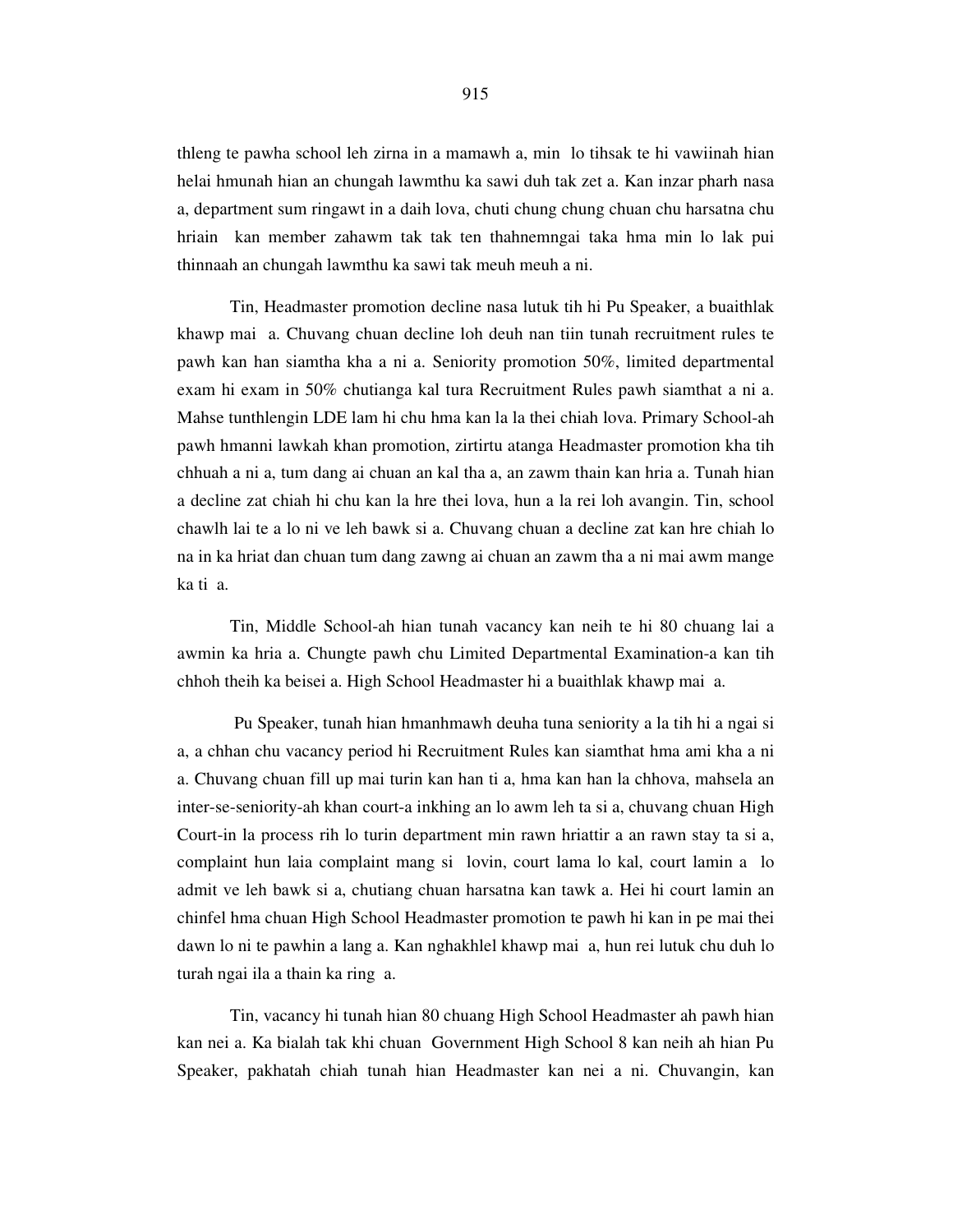thleng te pawha school leh zirna in a mamawh a, min lo tihsak te hi vawiinah hian helai hmunah hian an chungah lawmthu ka sawi duh tak zet a. Kan inzar pharh nasa a, department sum ringawt in a daih lova, chuti chung chung chuan chu harsatna chu hriain kan member zahawm tak tak ten thahnemngai taka hma min lo lak pui thinnaah an chungah lawmthu ka sawi tak meuh meuh a ni.

 Tin, Headmaster promotion decline nasa lutuk tih hi Pu Speaker, a buaithlak khawp mai a. Chuvang chuan decline loh deuh nan tiin tunah recruitment rules te pawh kan han siamtha kha a ni a. Seniority promotion 50%, limited departmental exam hi exam in 50% chutianga kal tura Recruitment Rules pawh siamthat a ni a. Mahse tunthlengin LDE lam hi chu hma kan la la thei chiah lova. Primary School-ah pawh hmanni lawkah khan promotion, zirtirtu atanga Headmaster promotion kha tih chhuah a ni a, tum dang ai chuan an kal tha a, an zawm thain kan hria a. Tunah hian a decline zat chiah hi chu kan la hre thei lova, hun a la rei loh avangin. Tin, school chawlh lai te a lo ni ve leh bawk si a. Chuvang chuan a decline zat kan hre chiah lo na in ka hriat dan chuan tum dang zawng ai chuan an zawm tha a ni mai awm mange ka ti a.

 Tin, Middle School-ah hian tunah vacancy kan neih te hi 80 chuang lai a awmin ka hria a. Chungte pawh chu Limited Departmental Examination-a kan tih chhoh theih ka beisei a. High School Headmaster hi a buaithlak khawp mai a.

 Pu Speaker, tunah hian hmanhmawh deuha tuna seniority a la tih hi a ngai si a, a chhan chu vacancy period hi Recruitment Rules kan siamthat hma ami kha a ni a. Chuvang chuan fill up mai turin kan han ti a, hma kan han la chhova, mahsela an inter-se-seniority-ah khan court-a inkhing an lo awm leh ta si a, chuvang chuan High Court-in la process rih lo turin department min rawn hriattir a an rawn stay ta si a, complaint hun laia complaint mang si lovin, court lama lo kal, court lamin a lo admit ve leh bawk si a, chutiang chuan harsatna kan tawk a. Hei hi court lamin an chinfel hma chuan High School Headmaster promotion te pawh hi kan in pe mai thei dawn lo ni te pawhin a lang a. Kan nghakhlel khawp mai a, hun rei lutuk chu duh lo turah ngai ila a thain ka ring a.

 Tin, vacancy hi tunah hian 80 chuang High School Headmaster ah pawh hian kan nei a. Ka bialah tak khi chuan Government High School 8 kan neih ah hian Pu Speaker, pakhatah chiah tunah hian Headmaster kan nei a ni. Chuvangin, kan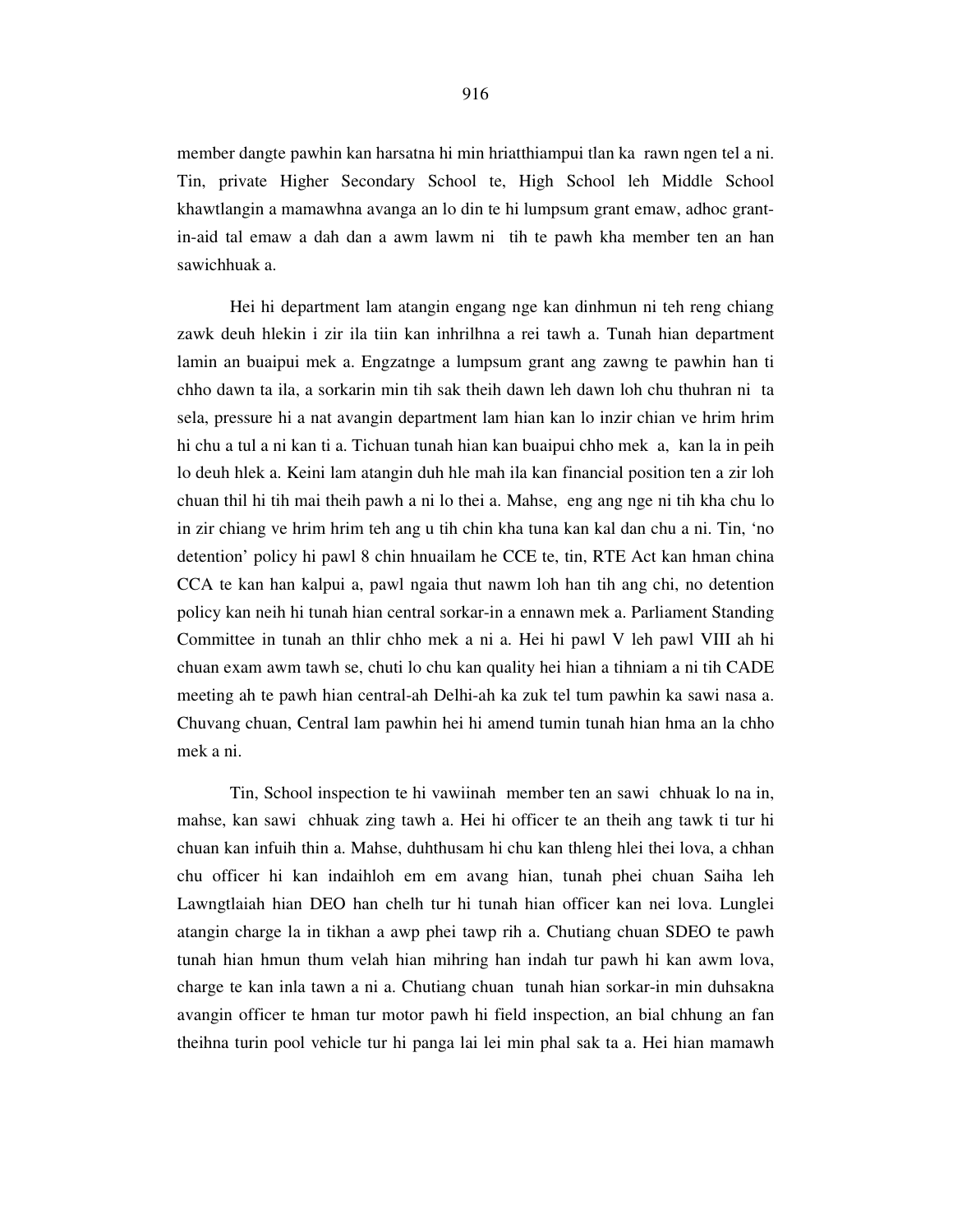member dangte pawhin kan harsatna hi min hriatthiampui tlan ka rawn ngen tel a ni. Tin, private Higher Secondary School te, High School leh Middle School khawtlangin a mamawhna avanga an lo din te hi lumpsum grant emaw, adhoc grantin-aid tal emaw a dah dan a awm lawm ni tih te pawh kha member ten an han sawichhuak a.

 Hei hi department lam atangin engang nge kan dinhmun ni teh reng chiang zawk deuh hlekin i zir ila tiin kan inhrilhna a rei tawh a. Tunah hian department lamin an buaipui mek a. Engzatnge a lumpsum grant ang zawng te pawhin han ti chho dawn ta ila, a sorkarin min tih sak theih dawn leh dawn loh chu thuhran ni ta sela, pressure hi a nat avangin department lam hian kan lo inzir chian ve hrim hrim hi chu a tul a ni kan ti a. Tichuan tunah hian kan buaipui chho mek a, kan la in peih lo deuh hlek a. Keini lam atangin duh hle mah ila kan financial position ten a zir loh chuan thil hi tih mai theih pawh a ni lo thei a. Mahse, eng ang nge ni tih kha chu lo in zir chiang ve hrim hrim teh ang u tih chin kha tuna kan kal dan chu a ni. Tin, 'no detention' policy hi pawl 8 chin hnuailam he CCE te, tin, RTE Act kan hman china CCA te kan han kalpui a, pawl ngaia thut nawm loh han tih ang chi, no detention policy kan neih hi tunah hian central sorkar-in a ennawn mek a. Parliament Standing Committee in tunah an thlir chho mek a ni a. Hei hi pawl V leh pawl VIII ah hi chuan exam awm tawh se, chuti lo chu kan quality hei hian a tihniam a ni tih CADE meeting ah te pawh hian central-ah Delhi-ah ka zuk tel tum pawhin ka sawi nasa a. Chuvang chuan, Central lam pawhin hei hi amend tumin tunah hian hma an la chho mek a ni.

 Tin, School inspection te hi vawiinah member ten an sawi chhuak lo na in, mahse, kan sawi chhuak zing tawh a. Hei hi officer te an theih ang tawk ti tur hi chuan kan infuih thin a. Mahse, duhthusam hi chu kan thleng hlei thei lova, a chhan chu officer hi kan indaihloh em em avang hian, tunah phei chuan Saiha leh Lawngtlaiah hian DEO han chelh tur hi tunah hian officer kan nei lova. Lunglei atangin charge la in tikhan a awp phei tawp rih a. Chutiang chuan SDEO te pawh tunah hian hmun thum velah hian mihring han indah tur pawh hi kan awm lova, charge te kan inla tawn a ni a. Chutiang chuan tunah hian sorkar-in min duhsakna avangin officer te hman tur motor pawh hi field inspection, an bial chhung an fan theihna turin pool vehicle tur hi panga lai lei min phal sak ta a. Hei hian mamawh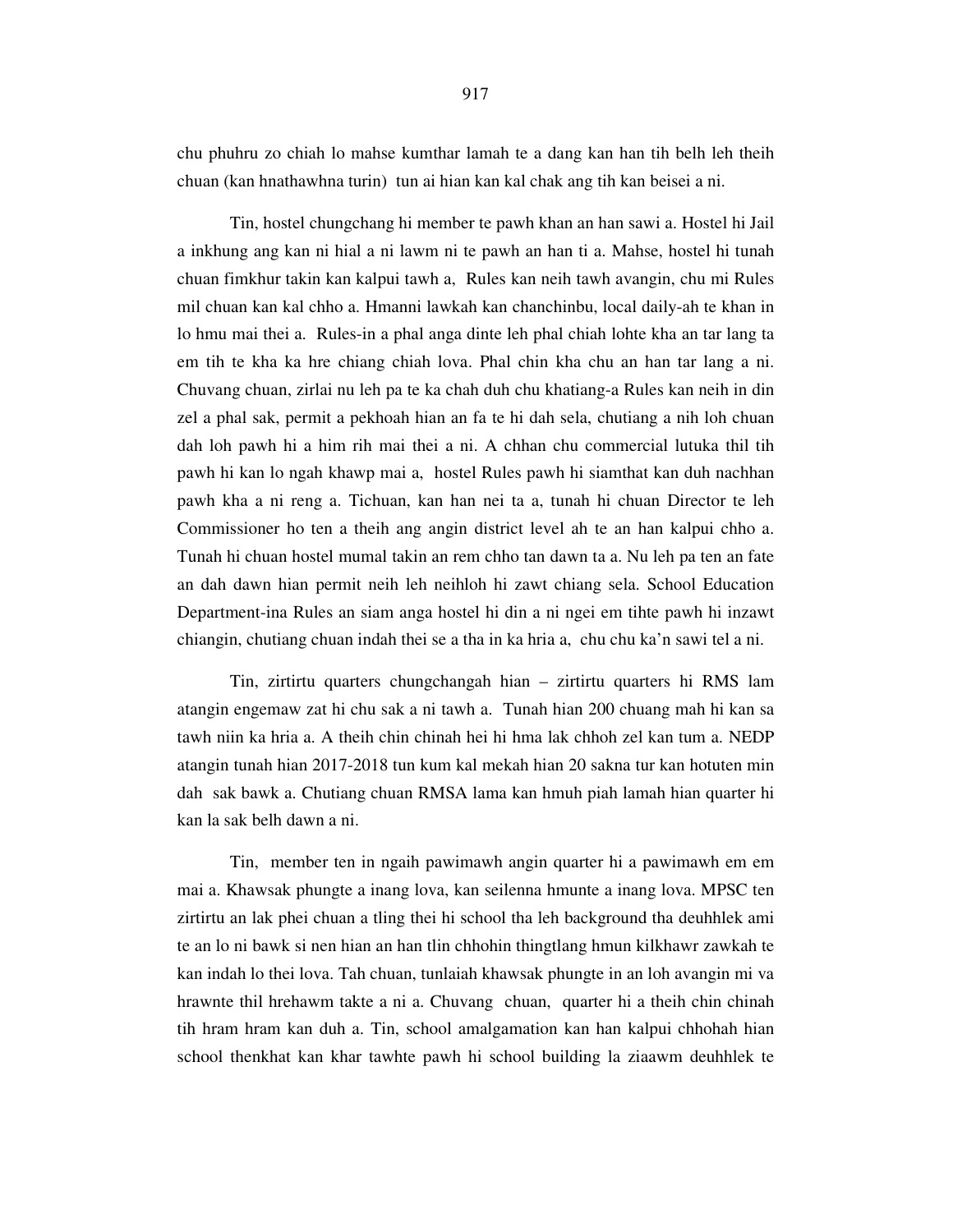chu phuhru zo chiah lo mahse kumthar lamah te a dang kan han tih belh leh theih chuan (kan hnathawhna turin) tun ai hian kan kal chak ang tih kan beisei a ni.

 Tin, hostel chungchang hi member te pawh khan an han sawi a. Hostel hi Jail a inkhung ang kan ni hial a ni lawm ni te pawh an han ti a. Mahse, hostel hi tunah chuan fimkhur takin kan kalpui tawh a, Rules kan neih tawh avangin, chu mi Rules mil chuan kan kal chho a. Hmanni lawkah kan chanchinbu, local daily-ah te khan in lo hmu mai thei a. Rules-in a phal anga dinte leh phal chiah lohte kha an tar lang ta em tih te kha ka hre chiang chiah lova. Phal chin kha chu an han tar lang a ni. Chuvang chuan, zirlai nu leh pa te ka chah duh chu khatiang-a Rules kan neih in din zel a phal sak, permit a pekhoah hian an fa te hi dah sela, chutiang a nih loh chuan dah loh pawh hi a him rih mai thei a ni. A chhan chu commercial lutuka thil tih pawh hi kan lo ngah khawp mai a, hostel Rules pawh hi siamthat kan duh nachhan pawh kha a ni reng a. Tichuan, kan han nei ta a, tunah hi chuan Director te leh Commissioner ho ten a theih ang angin district level ah te an han kalpui chho a. Tunah hi chuan hostel mumal takin an rem chho tan dawn ta a. Nu leh pa ten an fate an dah dawn hian permit neih leh neihloh hi zawt chiang sela. School Education Department-ina Rules an siam anga hostel hi din a ni ngei em tihte pawh hi inzawt chiangin, chutiang chuan indah thei se a tha in ka hria a, chu chu ka'n sawi tel a ni.

 Tin, zirtirtu quarters chungchangah hian – zirtirtu quarters hi RMS lam atangin engemaw zat hi chu sak a ni tawh a. Tunah hian 200 chuang mah hi kan sa tawh niin ka hria a. A theih chin chinah hei hi hma lak chhoh zel kan tum a. NEDP atangin tunah hian 2017-2018 tun kum kal mekah hian 20 sakna tur kan hotuten min dah sak bawk a. Chutiang chuan RMSA lama kan hmuh piah lamah hian quarter hi kan la sak belh dawn a ni.

 Tin, member ten in ngaih pawimawh angin quarter hi a pawimawh em em mai a. Khawsak phungte a inang lova, kan seilenna hmunte a inang lova. MPSC ten zirtirtu an lak phei chuan a tling thei hi school tha leh background tha deuhhlek ami te an lo ni bawk si nen hian an han tlin chhohin thingtlang hmun kilkhawr zawkah te kan indah lo thei lova. Tah chuan, tunlaiah khawsak phungte in an loh avangin mi va hrawnte thil hrehawm takte a ni a. Chuvang chuan, quarter hi a theih chin chinah tih hram hram kan duh a. Tin, school amalgamation kan han kalpui chhohah hian school thenkhat kan khar tawhte pawh hi school building la ziaawm deuhhlek te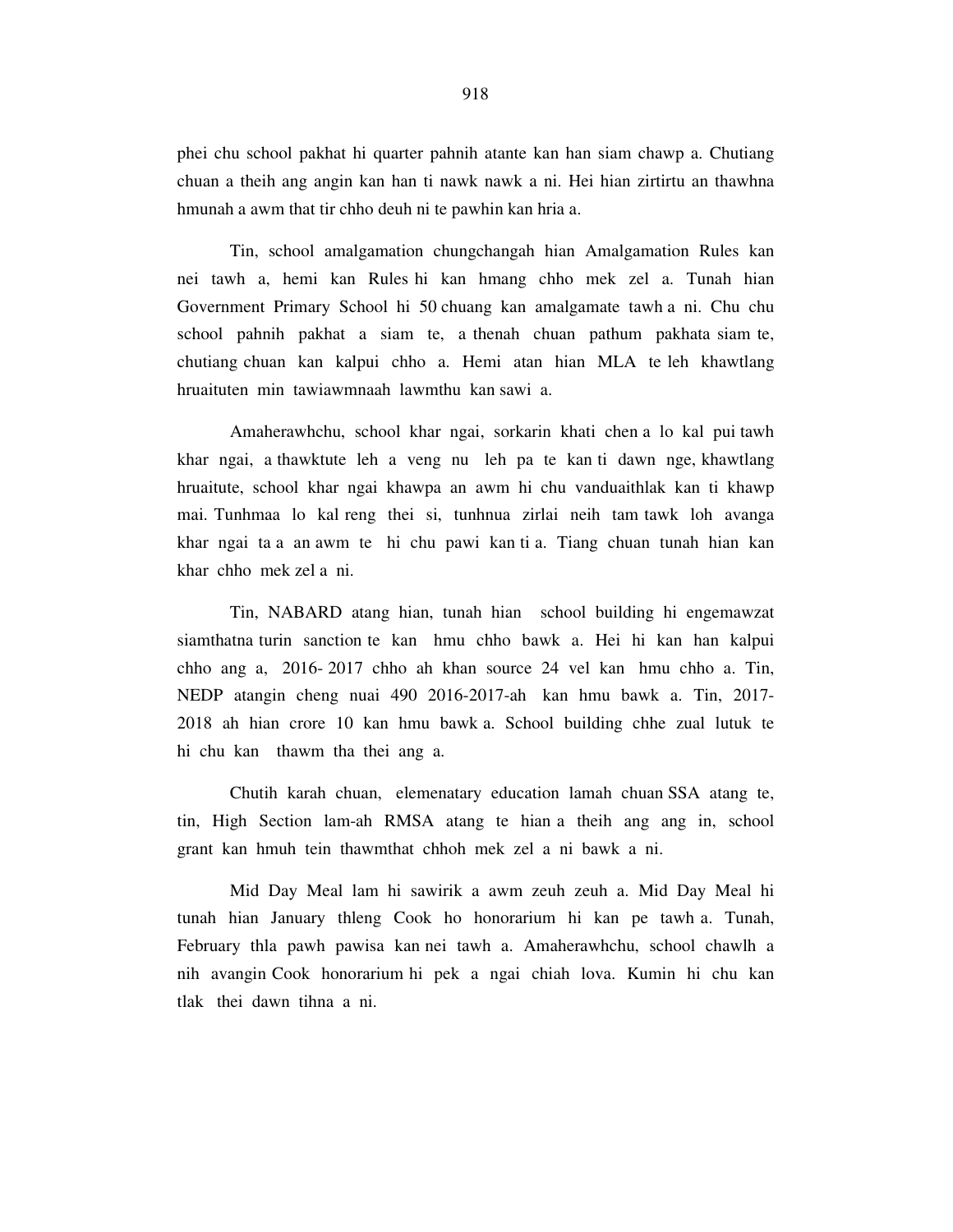phei chu school pakhat hi quarter pahnih atante kan han siam chawp a. Chutiang chuan a theih ang angin kan han ti nawk nawk a ni. Hei hian zirtirtu an thawhna hmunah a awm that tir chho deuh ni te pawhin kan hria a.

 Tin, school amalgamation chungchangah hian Amalgamation Rules kan nei tawh a, hemi kan Rules hi kan hmang chho mek zel a. Tunah hian Government Primary School hi 50 chuang kan amalgamate tawh a ni. Chu chu school pahnih pakhat a siam te, a thenah chuan pathum pakhata siam te, chutiang chuan kan kalpui chho a. Hemi atan hian MLA te leh khawtlang hruaituten min tawiawmnaah lawmthu kan sawi a.

 Amaherawhchu, school khar ngai, sorkarin khati chen a lo kal pui tawh khar ngai, a thawktute leh a veng nu leh pa te kan ti dawn nge, khawtlang hruaitute, school khar ngai khawpa an awm hi chu vanduaithlak kan ti khawp mai. Tunhmaa lo kal reng thei si, tunhnua zirlai neih tam tawk loh avanga khar ngai ta a an awm te hi chu pawi kan ti a. Tiang chuan tunah hian kan khar chho mek zel a ni.

 Tin, NABARD atang hian, tunah hian school building hi engemawzat siamthatna turin sanction te kan hmu chho bawk a. Hei hi kan han kalpui chho ang a, 2016- 2017 chho ah khan source 24 vel kan hmu chho a. Tin, NEDP atangin cheng nuai 490 2016-2017-ah kan hmu bawk a. Tin, 2017- 2018 ah hian crore 10 kan hmu bawk a. School building chhe zual lutuk te hi chu kan thawm tha thei ang a.

 Chutih karah chuan, elemenatary education lamah chuan SSA atang te, tin, High Section lam-ah RMSA atang te hian a theih ang ang in, school grant kan hmuh tein thawmthat chhoh mek zel a ni bawk a ni.

 Mid Day Meal lam hi sawirik a awm zeuh zeuh a. Mid Day Meal hi tunah hian January thleng Cook ho honorarium hi kan pe tawh a. Tunah, February thla pawh pawisa kan nei tawh a. Amaherawhchu, school chawlh a nih avangin Cook honorarium hi pek a ngai chiah lova. Kumin hi chu kan tlak thei dawn tihna a ni.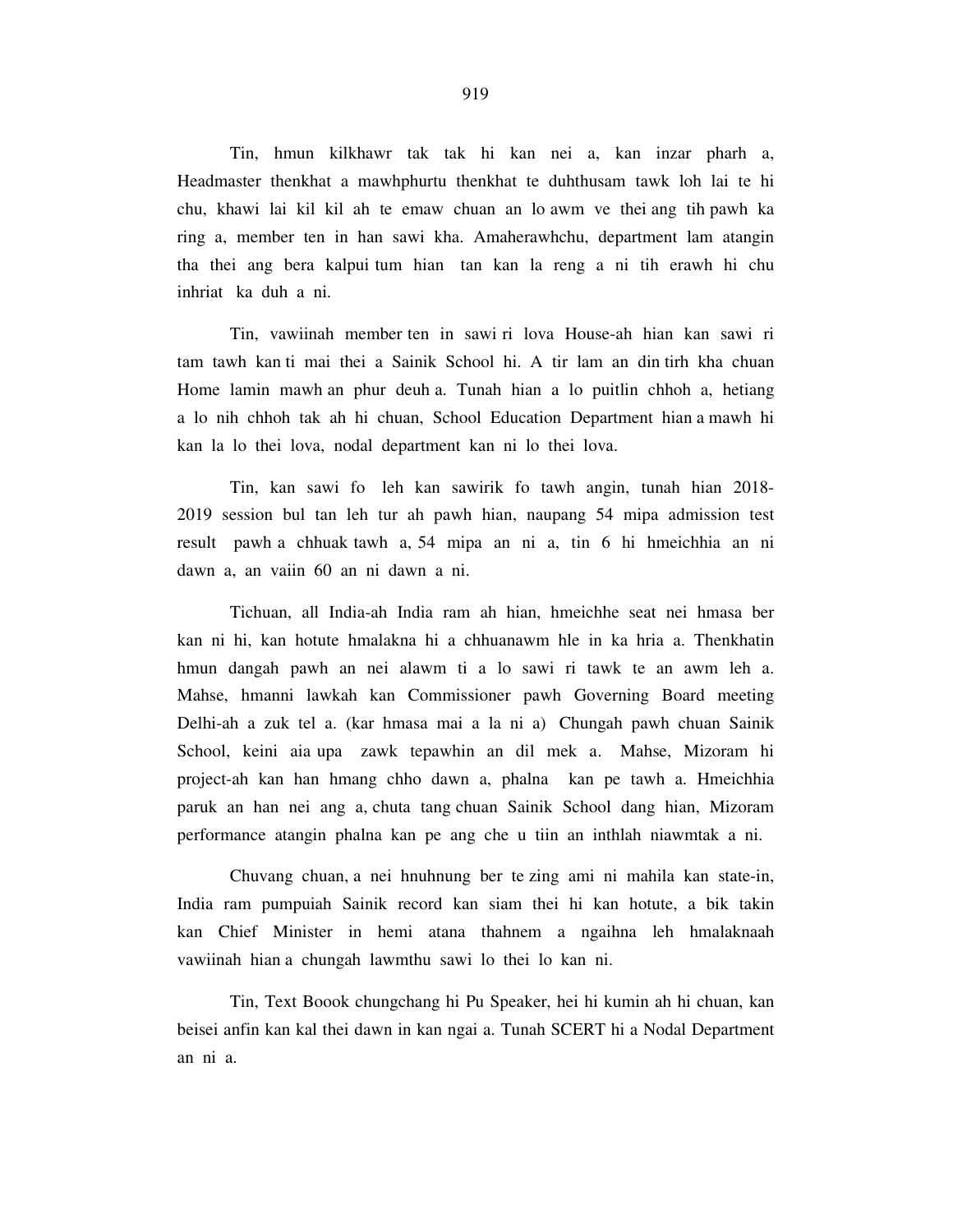Tin, hmun kilkhawr tak tak hi kan nei a, kan inzar pharh a, Headmaster thenkhat a mawhphurtu thenkhat te duhthusam tawk loh lai te hi chu, khawi lai kil kil ah te emaw chuan an lo awm ve thei ang tih pawh ka ring a, member ten in han sawi kha. Amaherawhchu, department lam atangin tha thei ang bera kalpui tum hian tan kan la reng a ni tih erawh hi chu inhriat ka duh a ni.

 Tin, vawiinah member ten in sawi ri lova House-ah hian kan sawi ri tam tawh kan ti mai thei a Sainik School hi. A tir lam an din tirh kha chuan Home lamin mawh an phur deuh a. Tunah hian a lo puitlin chhoh a, hetiang a lo nih chhoh tak ah hi chuan, School Education Department hian a mawh hi kan la lo thei lova, nodal department kan ni lo thei lova.

 Tin, kan sawi fo leh kan sawirik fo tawh angin, tunah hian 2018- 2019 session bul tan leh tur ah pawh hian, naupang 54 mipa admission test result pawh a chhuak tawh a, 54 mipa an ni a, tin 6 hi hmeichhia an ni dawn a, an vaiin 60 an ni dawn a ni.

 Tichuan, all India-ah India ram ah hian, hmeichhe seat nei hmasa ber kan ni hi, kan hotute hmalakna hi a chhuanawm hle in ka hria a. Thenkhatin hmun dangah pawh an nei alawm ti a lo sawi ri tawk te an awm leh a. Mahse, hmanni lawkah kan Commissioner pawh Governing Board meeting Delhi-ah a zuk tel a. (kar hmasa mai a la ni a) Chungah pawh chuan Sainik School, keini aia upa zawk tepawhin an dil mek a. Mahse, Mizoram hi project-ah kan han hmang chho dawn a, phalna kan pe tawh a. Hmeichhia paruk an han nei ang a, chuta tang chuan Sainik School dang hian, Mizoram performance atangin phalna kan pe ang che u tiin an inthlah niawmtak a ni.

 Chuvang chuan, a nei hnuhnung ber te zing ami ni mahila kan state-in, India ram pumpuiah Sainik record kan siam thei hi kan hotute, a bik takin kan Chief Minister in hemi atana thahnem a ngaihna leh hmalaknaah vawiinah hian a chungah lawmthu sawi lo thei lo kan ni.

 Tin, Text Boook chungchang hi Pu Speaker, hei hi kumin ah hi chuan, kan beisei anfin kan kal thei dawn in kan ngai a. Tunah SCERT hi a Nodal Department an ni a.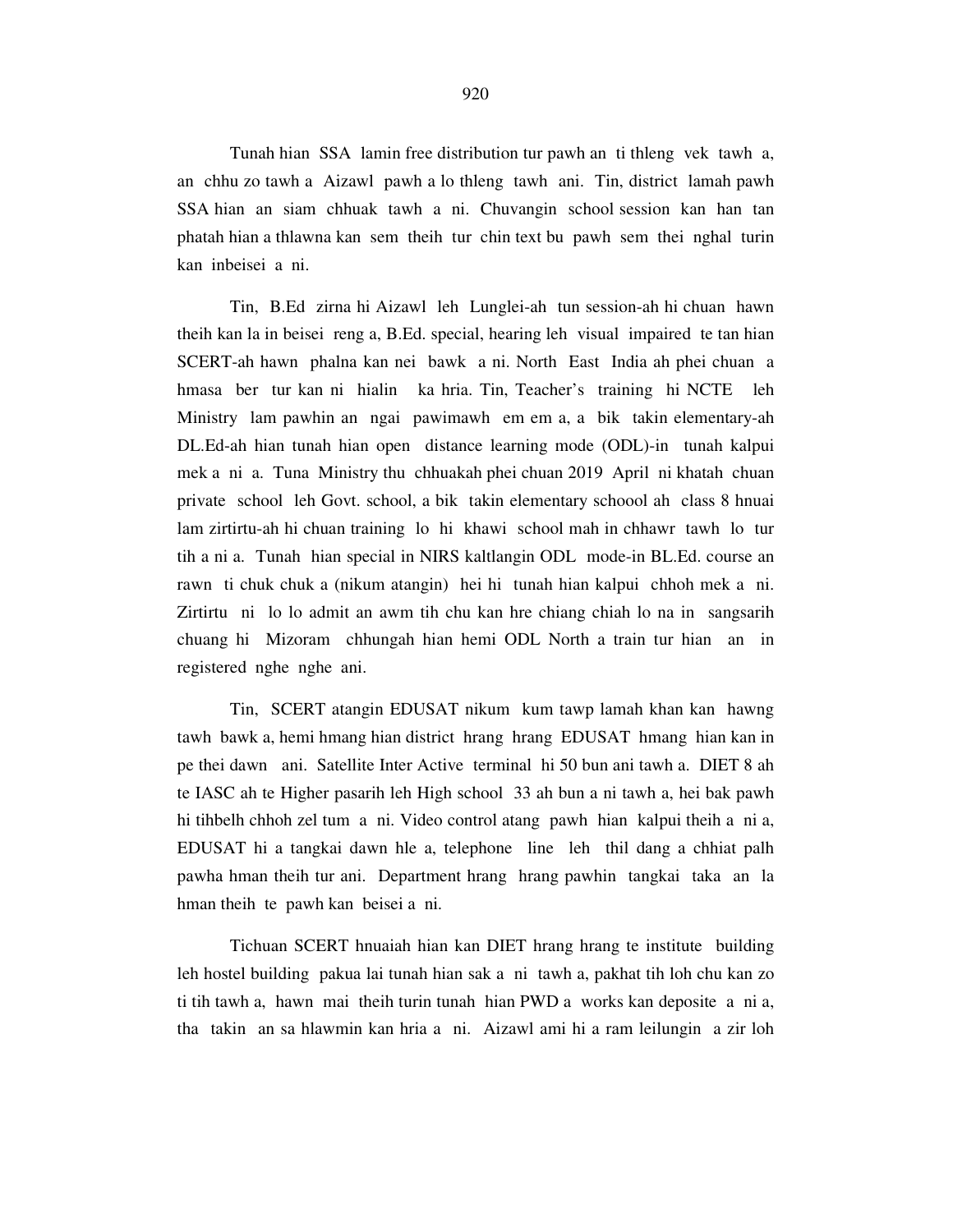Tunah hian SSA lamin free distribution tur pawh an ti thleng vek tawh a, an chhu zo tawh a Aizawl pawh a lo thleng tawh ani. Tin, district lamah pawh SSA hian an siam chhuak tawh a ni. Chuvangin school session kan han tan phatah hian a thlawna kan sem theih tur chin text bu pawh sem thei nghal turin kan inbeisei a ni.

 Tin, B.Ed zirna hi Aizawl leh Lunglei-ah tun session-ah hi chuan hawn theih kan la in beisei reng a, B.Ed. special, hearing leh visual impaired te tan hian SCERT-ah hawn phalna kan nei bawk a ni. North East India ah phei chuan a hmasa ber tur kan ni hialin ka hria. Tin, Teacher's training hi NCTE leh Ministry lam pawhin an ngai pawimawh em em a, a bik takin elementary-ah DL.Ed-ah hian tunah hian open distance learning mode (ODL)-in tunah kalpui mek a ni a. Tuna Ministry thu chhuakah phei chuan 2019 April ni khatah chuan private school leh Govt. school, a bik takin elementary schoool ah class 8 hnuai lam zirtirtu-ah hi chuan training lo hi khawi school mah in chhawr tawh lo tur tih a ni a. Tunah hian special in NIRS kaltlangin ODL mode-in BL.Ed. course an rawn ti chuk chuk a (nikum atangin) hei hi tunah hian kalpui chhoh mek a ni. Zirtirtu ni lo lo admit an awm tih chu kan hre chiang chiah lo na in sangsarih chuang hi Mizoram chhungah hian hemi ODL North a train tur hian an in registered nghe nghe ani.

 Tin, SCERT atangin EDUSAT nikum kum tawp lamah khan kan hawng tawh bawk a, hemi hmang hian district hrang hrang EDUSAT hmang hian kan in pe thei dawn ani. Satellite Inter Active terminal hi 50 bun ani tawh a. DIET 8 ah te IASC ah te Higher pasarih leh High school 33 ah bun a ni tawh a, hei bak pawh hi tihbelh chhoh zel tum a ni. Video control atang pawh hian kalpui theih a ni a, EDUSAT hi a tangkai dawn hle a, telephone line leh thil dang a chhiat palh pawha hman theih tur ani. Department hrang hrang pawhin tangkai taka an la hman theih te pawh kan beisei a ni.

 Tichuan SCERT hnuaiah hian kan DIET hrang hrang te institute building leh hostel building pakua lai tunah hian sak a ni tawh a, pakhat tih loh chu kan zo ti tih tawh a, hawn mai theih turin tunah hian PWD a works kan deposite a ni a, tha takin an sa hlawmin kan hria a ni. Aizawl ami hi a ram leilungin a zir loh